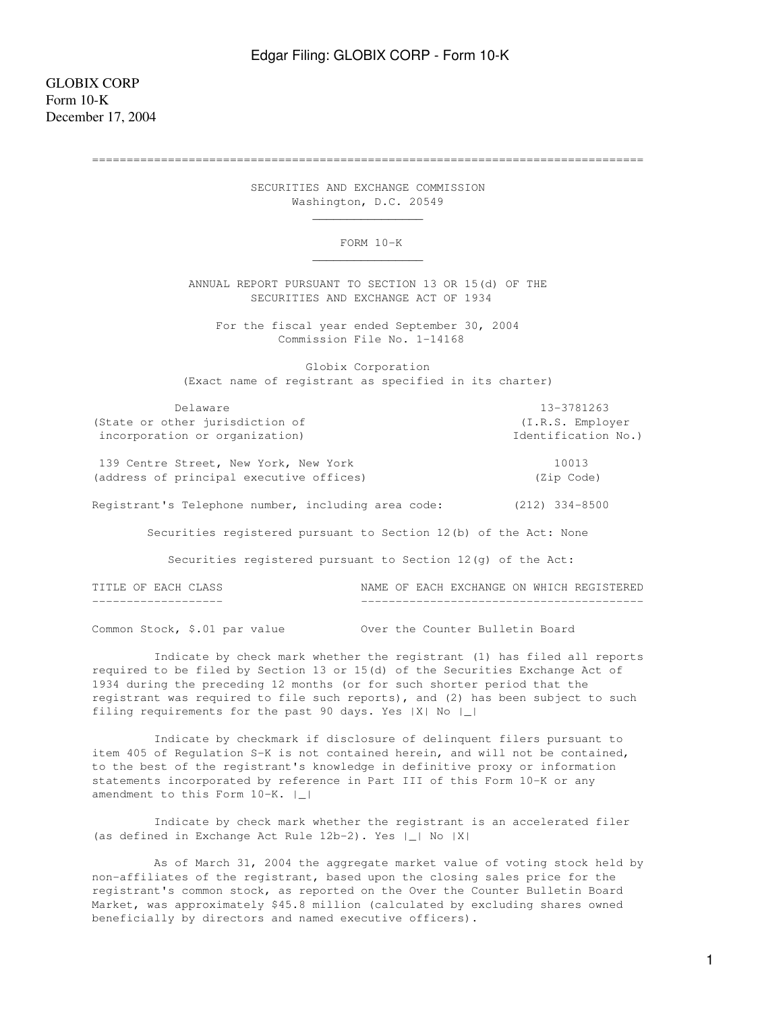GLOBIX CORP Form 10-K December 17, 2004

================================================================================

 SECURITIES AND EXCHANGE COMMISSION Washington, D.C. 20549

FORM 10-K

 ANNUAL REPORT PURSUANT TO SECTION 13 OR 15(d) OF THE SECURITIES AND EXCHANGE ACT OF 1934

 For the fiscal year ended September 30, 2004 Commission File No. 1-14168

 Globix Corporation (Exact name of registrant as specified in its charter)

 Delaware 13-3781263 (State or other jurisdiction of (I.R.S. Employer incorporation or organization) and incorporation No.)

139 Centre Street, New York, New York 10013 (address of principal executive offices) (Zip Code)

 $\frac{1}{\sqrt{2}}$  , which is a set of  $\frac{1}{\sqrt{2}}$  , which is a set of  $\frac{1}{\sqrt{2}}$  , which is a set of  $\frac{1}{\sqrt{2}}$ 

 $\mathcal{L}_\text{max}$  and  $\mathcal{L}_\text{max}$  and  $\mathcal{L}_\text{max}$  and  $\mathcal{L}_\text{max}$  and  $\mathcal{L}_\text{max}$ 

Registrant's Telephone number, including area code: (212) 334-8500

Securities registered pursuant to Section 12(b) of the Act: None

Securities registered pursuant to Section 12(g) of the Act:

TITLE OF EACH CLASS NAME OF EACH EXCHANGE ON WHICH REGISTERED ------------------- -----------------------------------------

Common Stock, \$.01 par value Over the Counter Bulletin Board

 Indicate by check mark whether the registrant (1) has filed all reports required to be filed by Section 13 or 15(d) of the Securities Exchange Act of 1934 during the preceding 12 months (or for such shorter period that the registrant was required to file such reports), and (2) has been subject to such filing requirements for the past 90 days. Yes |X| No |\_|

 Indicate by checkmark if disclosure of delinquent filers pursuant to item 405 of Regulation S-K is not contained herein, and will not be contained, to the best of the registrant's knowledge in definitive proxy or information statements incorporated by reference in Part III of this Form 10-K or any amendment to this Form 10-K. |\_|

 Indicate by check mark whether the registrant is an accelerated filer (as defined in Exchange Act Rule 12b-2). Yes |\_| No |X|

 As of March 31, 2004 the aggregate market value of voting stock held by non-affiliates of the registrant, based upon the closing sales price for the registrant's common stock, as reported on the Over the Counter Bulletin Board Market, was approximately \$45.8 million (calculated by excluding shares owned beneficially by directors and named executive officers).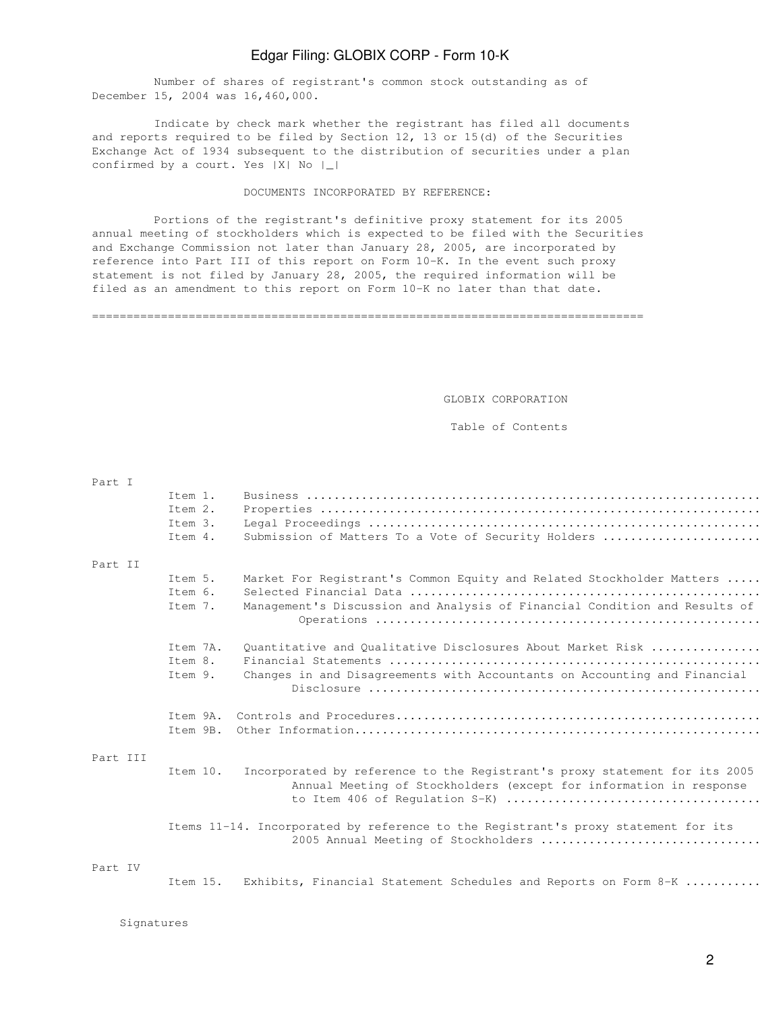Number of shares of registrant's common stock outstanding as of December 15, 2004 was 16,460,000.

 Indicate by check mark whether the registrant has filed all documents and reports required to be filed by Section 12, 13 or 15(d) of the Securities Exchange Act of 1934 subsequent to the distribution of securities under a plan confirmed by a court. Yes |X| No |\_|

#### DOCUMENTS INCORPORATED BY REFERENCE:

 Portions of the registrant's definitive proxy statement for its 2005 annual meeting of stockholders which is expected to be filed with the Securities and Exchange Commission not later than January 28, 2005, are incorporated by reference into Part III of this report on Form 10-K. In the event such proxy statement is not filed by January 28, 2005, the required information will be filed as an amendment to this report on Form 10-K no later than that date.

================================================================================

GLOBIX CORPORATION

#### Table of Contents

| Part I   |          |                                                                                                                                                  |
|----------|----------|--------------------------------------------------------------------------------------------------------------------------------------------------|
|          | Item 1.  |                                                                                                                                                  |
|          | Ttem 2.  |                                                                                                                                                  |
|          | Item 3.  |                                                                                                                                                  |
|          | Item 4.  | Submission of Matters To a Vote of Security Holders                                                                                              |
| Part II  |          |                                                                                                                                                  |
|          | Item 5.  | Market For Registrant's Common Equity and Related Stockholder Matters                                                                            |
|          | Item 6.  |                                                                                                                                                  |
|          | Item 7.  | Management's Discussion and Analysis of Financial Condition and Results of                                                                       |
|          | Item 7A. | Quantitative and Qualitative Disclosures About Market Risk                                                                                       |
|          | Item 8.  |                                                                                                                                                  |
|          | Item 9.  | Changes in and Disagreements with Accountants on Accounting and Financial                                                                        |
|          | Item 9A. |                                                                                                                                                  |
|          | Item 9B. |                                                                                                                                                  |
| Part III |          |                                                                                                                                                  |
|          | Item 10. | Incorporated by reference to the Registrant's proxy statement for its 2005<br>Annual Meeting of Stockholders (except for information in response |
|          |          | Items 11-14. Incorporated by reference to the Registrant's proxy statement for its<br>2005 Annual Meeting of Stockholders                        |
| Part IV  |          |                                                                                                                                                  |
|          | Item 15. | Exhibits, Financial Statement Schedules and Reports on Form 8-K                                                                                  |
|          |          |                                                                                                                                                  |

 ${\rm Signatures}$  . The state of  ${\rm Spin}$  and  ${\rm Spin}$  and  ${\rm Spin}$  and  ${\rm Spin}$  and  ${\rm Spin}$  and  ${\rm Spin}$  and  ${\rm Spin}$  and  ${\rm Spin}$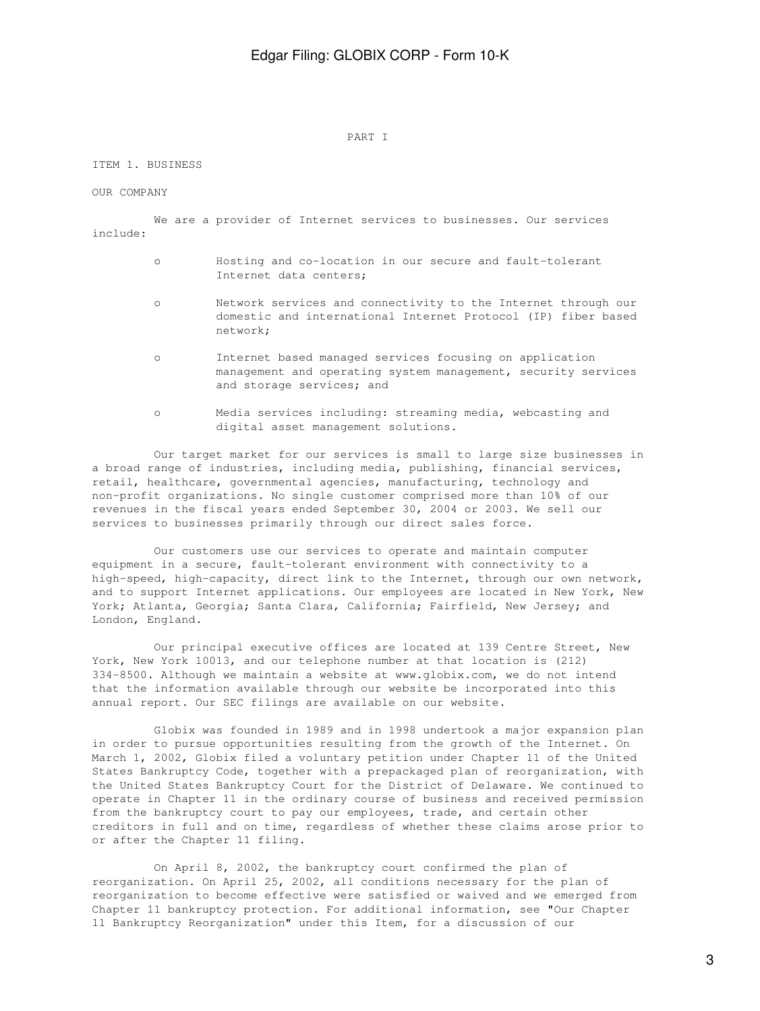#### PART I

#### ITEM 1. BUSINESS

#### OUR COMPANY

 We are a provider of Internet services to businesses. Our services include:

- o Hosting and co-location in our secure and fault-tolerant Internet data centers;
- o Network services and connectivity to the Internet through our domestic and international Internet Protocol (IP) fiber based network;
- o Internet based managed services focusing on application management and operating system management, security services and storage services; and
- o Media services including: streaming media, webcasting and digital asset management solutions.

 Our target market for our services is small to large size businesses in a broad range of industries, including media, publishing, financial services, retail, healthcare, governmental agencies, manufacturing, technology and non-profit organizations. No single customer comprised more than 10% of our revenues in the fiscal years ended September 30, 2004 or 2003. We sell our services to businesses primarily through our direct sales force.

 Our customers use our services to operate and maintain computer equipment in a secure, fault-tolerant environment with connectivity to a high-speed, high-capacity, direct link to the Internet, through our own network, and to support Internet applications. Our employees are located in New York, New York; Atlanta, Georgia; Santa Clara, California; Fairfield, New Jersey; and London, England.

 Our principal executive offices are located at 139 Centre Street, New York, New York 10013, and our telephone number at that location is (212) 334-8500. Although we maintain a website at www.globix.com, we do not intend that the information available through our website be incorporated into this annual report. Our SEC filings are available on our website.

 Globix was founded in 1989 and in 1998 undertook a major expansion plan in order to pursue opportunities resulting from the growth of the Internet. On March 1, 2002, Globix filed a voluntary petition under Chapter 11 of the United States Bankruptcy Code, together with a prepackaged plan of reorganization, with the United States Bankruptcy Court for the District of Delaware. We continued to operate in Chapter 11 in the ordinary course of business and received permission from the bankruptcy court to pay our employees, trade, and certain other creditors in full and on time, regardless of whether these claims arose prior to or after the Chapter 11 filing.

 On April 8, 2002, the bankruptcy court confirmed the plan of reorganization. On April 25, 2002, all conditions necessary for the plan of reorganization to become effective were satisfied or waived and we emerged from Chapter 11 bankruptcy protection. For additional information, see "Our Chapter 11 Bankruptcy Reorganization" under this Item, for a discussion of our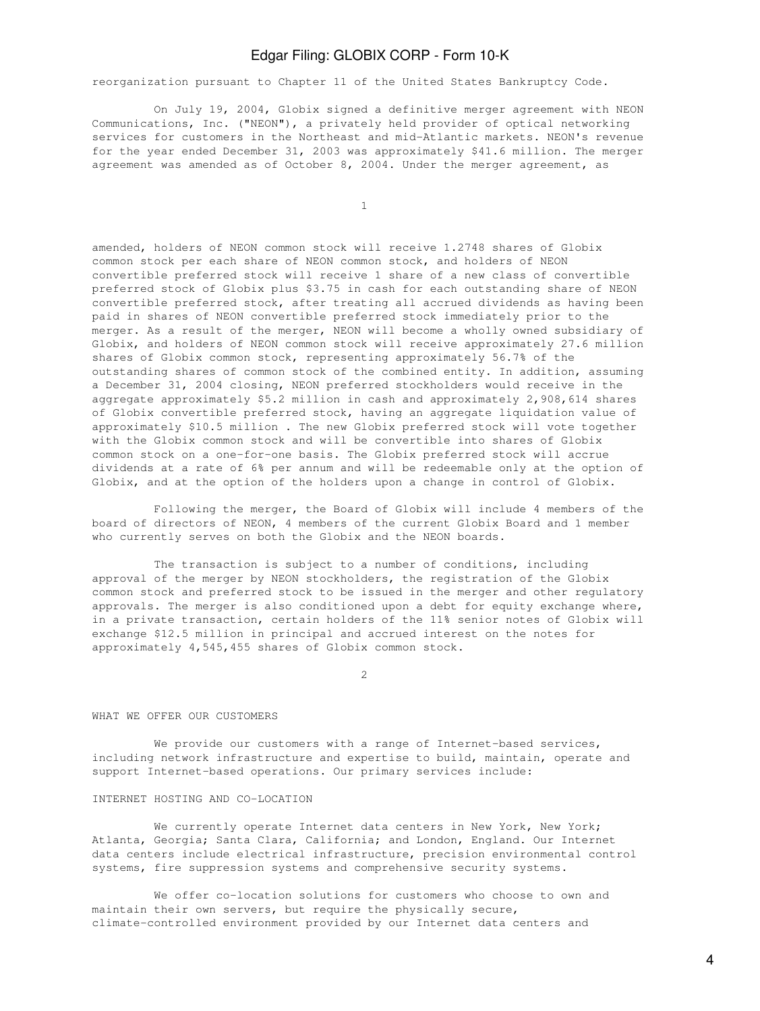reorganization pursuant to Chapter 11 of the United States Bankruptcy Code.

 On July 19, 2004, Globix signed a definitive merger agreement with NEON Communications, Inc. ("NEON"), a privately held provider of optical networking services for customers in the Northeast and mid-Atlantic markets. NEON's revenue for the year ended December 31, 2003 was approximately \$41.6 million. The merger agreement was amended as of October 8, 2004. Under the merger agreement, as

1

amended, holders of NEON common stock will receive 1.2748 shares of Globix common stock per each share of NEON common stock, and holders of NEON convertible preferred stock will receive 1 share of a new class of convertible preferred stock of Globix plus \$3.75 in cash for each outstanding share of NEON convertible preferred stock, after treating all accrued dividends as having been paid in shares of NEON convertible preferred stock immediately prior to the merger. As a result of the merger, NEON will become a wholly owned subsidiary of Globix, and holders of NEON common stock will receive approximately 27.6 million shares of Globix common stock, representing approximately 56.7% of the outstanding shares of common stock of the combined entity. In addition, assuming a December 31, 2004 closing, NEON preferred stockholders would receive in the aggregate approximately \$5.2 million in cash and approximately 2,908,614 shares of Globix convertible preferred stock, having an aggregate liquidation value of approximately \$10.5 million . The new Globix preferred stock will vote together with the Globix common stock and will be convertible into shares of Globix common stock on a one-for-one basis. The Globix preferred stock will accrue dividends at a rate of 6% per annum and will be redeemable only at the option of Globix, and at the option of the holders upon a change in control of Globix.

 Following the merger, the Board of Globix will include 4 members of the board of directors of NEON, 4 members of the current Globix Board and 1 member who currently serves on both the Globix and the NEON boards.

 The transaction is subject to a number of conditions, including approval of the merger by NEON stockholders, the registration of the Globix common stock and preferred stock to be issued in the merger and other regulatory approvals. The merger is also conditioned upon a debt for equity exchange where, in a private transaction, certain holders of the 11% senior notes of Globix will exchange \$12.5 million in principal and accrued interest on the notes for approximately 4,545,455 shares of Globix common stock.

2

#### WHAT WE OFFER OUR CUSTOMERS

We provide our customers with a range of Internet-based services, including network infrastructure and expertise to build, maintain, operate and support Internet-based operations. Our primary services include:

### INTERNET HOSTING AND CO-LOCATION

We currently operate Internet data centers in New York, New York; Atlanta, Georgia; Santa Clara, California; and London, England. Our Internet data centers include electrical infrastructure, precision environmental control systems, fire suppression systems and comprehensive security systems.

 We offer co-location solutions for customers who choose to own and maintain their own servers, but require the physically secure, climate-controlled environment provided by our Internet data centers and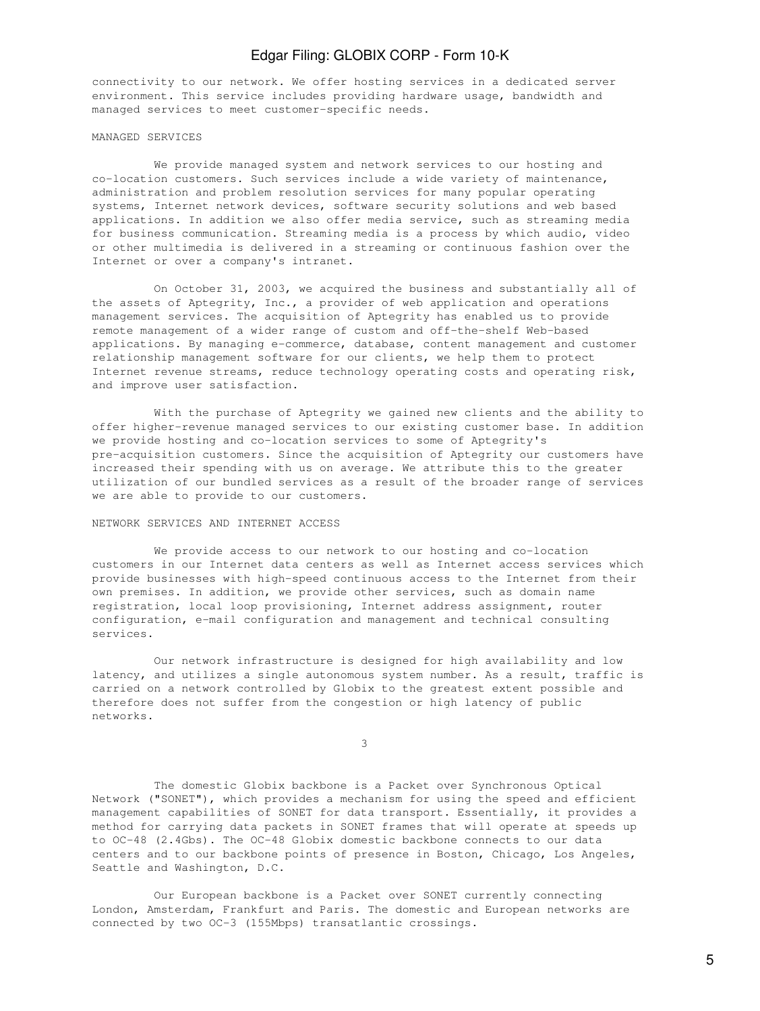connectivity to our network. We offer hosting services in a dedicated server environment. This service includes providing hardware usage, bandwidth and managed services to meet customer-specific needs.

#### MANAGED SERVICES

 We provide managed system and network services to our hosting and co-location customers. Such services include a wide variety of maintenance, administration and problem resolution services for many popular operating systems, Internet network devices, software security solutions and web based applications. In addition we also offer media service, such as streaming media for business communication. Streaming media is a process by which audio, video or other multimedia is delivered in a streaming or continuous fashion over the Internet or over a company's intranet.

 On October 31, 2003, we acquired the business and substantially all of the assets of Aptegrity, Inc., a provider of web application and operations management services. The acquisition of Aptegrity has enabled us to provide remote management of a wider range of custom and off-the-shelf Web-based applications. By managing e-commerce, database, content management and customer relationship management software for our clients, we help them to protect Internet revenue streams, reduce technology operating costs and operating risk, and improve user satisfaction.

 With the purchase of Aptegrity we gained new clients and the ability to offer higher-revenue managed services to our existing customer base. In addition we provide hosting and co-location services to some of Aptegrity's pre-acquisition customers. Since the acquisition of Aptegrity our customers have increased their spending with us on average. We attribute this to the greater utilization of our bundled services as a result of the broader range of services we are able to provide to our customers.

#### NETWORK SERVICES AND INTERNET ACCESS

 We provide access to our network to our hosting and co-location customers in our Internet data centers as well as Internet access services which provide businesses with high-speed continuous access to the Internet from their own premises. In addition, we provide other services, such as domain name registration, local loop provisioning, Internet address assignment, router configuration, e-mail configuration and management and technical consulting services.

 Our network infrastructure is designed for high availability and low latency, and utilizes a single autonomous system number. As a result, traffic is carried on a network controlled by Globix to the greatest extent possible and therefore does not suffer from the congestion or high latency of public networks.

 $\sim$  3

 The domestic Globix backbone is a Packet over Synchronous Optical Network ("SONET"), which provides a mechanism for using the speed and efficient management capabilities of SONET for data transport. Essentially, it provides a method for carrying data packets in SONET frames that will operate at speeds up to OC-48 (2.4Gbs). The OC-48 Globix domestic backbone connects to our data centers and to our backbone points of presence in Boston, Chicago, Los Angeles, Seattle and Washington, D.C.

 Our European backbone is a Packet over SONET currently connecting London, Amsterdam, Frankfurt and Paris. The domestic and European networks are connected by two OC-3 (155Mbps) transatlantic crossings.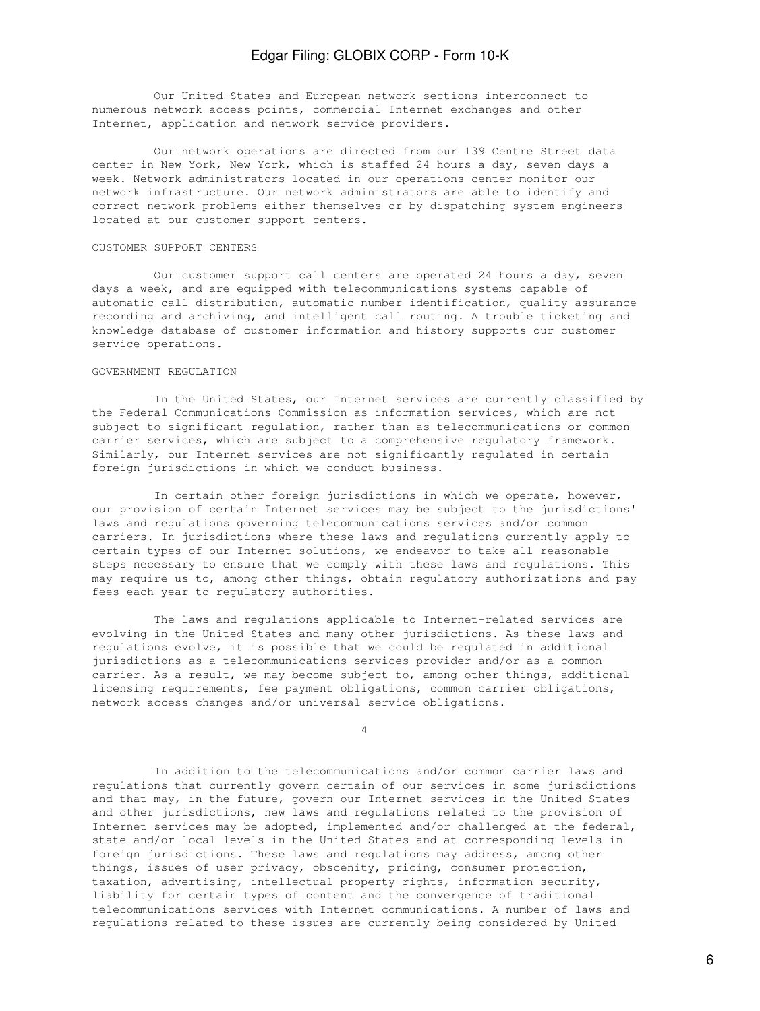Our United States and European network sections interconnect to numerous network access points, commercial Internet exchanges and other Internet, application and network service providers.

 Our network operations are directed from our 139 Centre Street data center in New York, New York, which is staffed 24 hours a day, seven days a week. Network administrators located in our operations center monitor our network infrastructure. Our network administrators are able to identify and correct network problems either themselves or by dispatching system engineers located at our customer support centers.

#### CUSTOMER SUPPORT CENTERS

 Our customer support call centers are operated 24 hours a day, seven days a week, and are equipped with telecommunications systems capable of automatic call distribution, automatic number identification, quality assurance recording and archiving, and intelligent call routing. A trouble ticketing and knowledge database of customer information and history supports our customer service operations.

#### GOVERNMENT REGULATION

 In the United States, our Internet services are currently classified by the Federal Communications Commission as information services, which are not subject to significant regulation, rather than as telecommunications or common carrier services, which are subject to a comprehensive regulatory framework. Similarly, our Internet services are not significantly regulated in certain foreign jurisdictions in which we conduct business.

 In certain other foreign jurisdictions in which we operate, however, our provision of certain Internet services may be subject to the jurisdictions' laws and regulations governing telecommunications services and/or common carriers. In jurisdictions where these laws and regulations currently apply to certain types of our Internet solutions, we endeavor to take all reasonable steps necessary to ensure that we comply with these laws and regulations. This may require us to, among other things, obtain regulatory authorizations and pay fees each year to regulatory authorities.

 The laws and regulations applicable to Internet-related services are evolving in the United States and many other jurisdictions. As these laws and regulations evolve, it is possible that we could be regulated in additional jurisdictions as a telecommunications services provider and/or as a common carrier. As a result, we may become subject to, among other things, additional licensing requirements, fee payment obligations, common carrier obligations, network access changes and/or universal service obligations.

4

 In addition to the telecommunications and/or common carrier laws and regulations that currently govern certain of our services in some jurisdictions and that may, in the future, govern our Internet services in the United States and other jurisdictions, new laws and regulations related to the provision of Internet services may be adopted, implemented and/or challenged at the federal, state and/or local levels in the United States and at corresponding levels in foreign jurisdictions. These laws and regulations may address, among other things, issues of user privacy, obscenity, pricing, consumer protection, taxation, advertising, intellectual property rights, information security, liability for certain types of content and the convergence of traditional telecommunications services with Internet communications. A number of laws and regulations related to these issues are currently being considered by United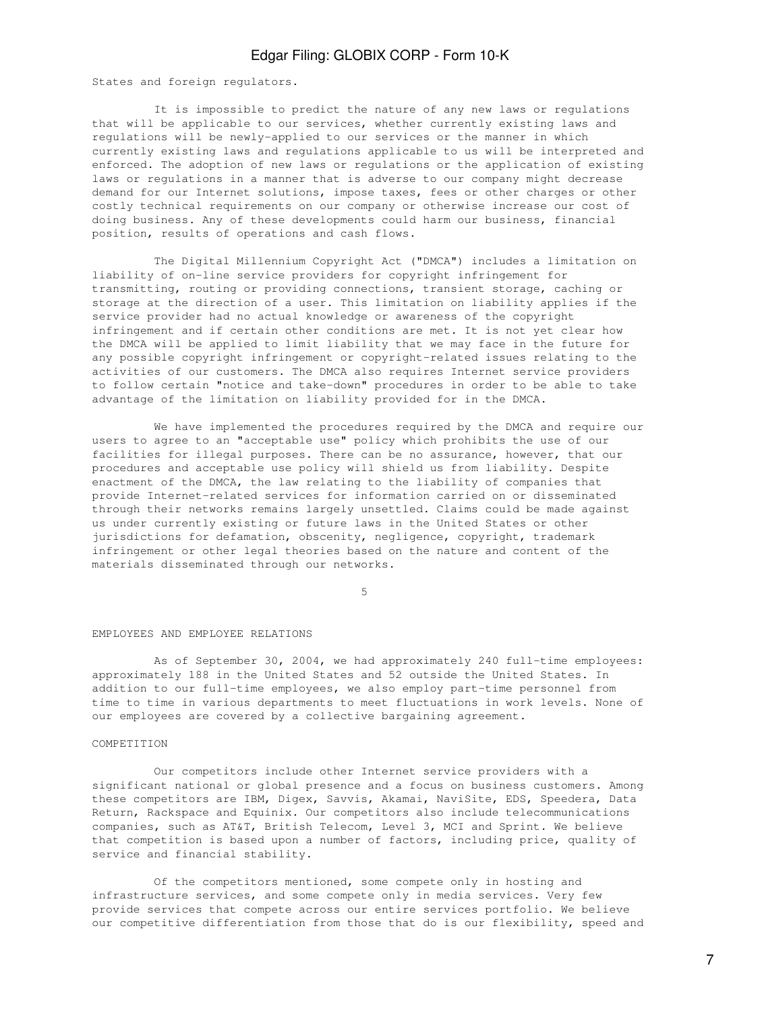States and foreign regulators.

 It is impossible to predict the nature of any new laws or regulations that will be applicable to our services, whether currently existing laws and regulations will be newly-applied to our services or the manner in which currently existing laws and regulations applicable to us will be interpreted and enforced. The adoption of new laws or regulations or the application of existing laws or regulations in a manner that is adverse to our company might decrease demand for our Internet solutions, impose taxes, fees or other charges or other costly technical requirements on our company or otherwise increase our cost of doing business. Any of these developments could harm our business, financial position, results of operations and cash flows.

 The Digital Millennium Copyright Act ("DMCA") includes a limitation on liability of on-line service providers for copyright infringement for transmitting, routing or providing connections, transient storage, caching or storage at the direction of a user. This limitation on liability applies if the service provider had no actual knowledge or awareness of the copyright infringement and if certain other conditions are met. It is not yet clear how the DMCA will be applied to limit liability that we may face in the future for any possible copyright infringement or copyright-related issues relating to the activities of our customers. The DMCA also requires Internet service providers to follow certain "notice and take-down" procedures in order to be able to take advantage of the limitation on liability provided for in the DMCA.

 We have implemented the procedures required by the DMCA and require our users to agree to an "acceptable use" policy which prohibits the use of our facilities for illegal purposes. There can be no assurance, however, that our procedures and acceptable use policy will shield us from liability. Despite enactment of the DMCA, the law relating to the liability of companies that provide Internet-related services for information carried on or disseminated through their networks remains largely unsettled. Claims could be made against us under currently existing or future laws in the United States or other jurisdictions for defamation, obscenity, negligence, copyright, trademark infringement or other legal theories based on the nature and content of the materials disseminated through our networks.

 $5<sub>5</sub>$ 

#### EMPLOYEES AND EMPLOYEE RELATIONS

 As of September 30, 2004, we had approximately 240 full-time employees: approximately 188 in the United States and 52 outside the United States. In addition to our full-time employees, we also employ part-time personnel from time to time in various departments to meet fluctuations in work levels. None of our employees are covered by a collective bargaining agreement.

#### COMPETITION

 Our competitors include other Internet service providers with a significant national or global presence and a focus on business customers. Among these competitors are IBM, Digex, Savvis, Akamai, NaviSite, EDS, Speedera, Data Return, Rackspace and Equinix. Our competitors also include telecommunications companies, such as AT&T, British Telecom, Level 3, MCI and Sprint. We believe that competition is based upon a number of factors, including price, quality of service and financial stability.

 Of the competitors mentioned, some compete only in hosting and infrastructure services, and some compete only in media services. Very few provide services that compete across our entire services portfolio. We believe our competitive differentiation from those that do is our flexibility, speed and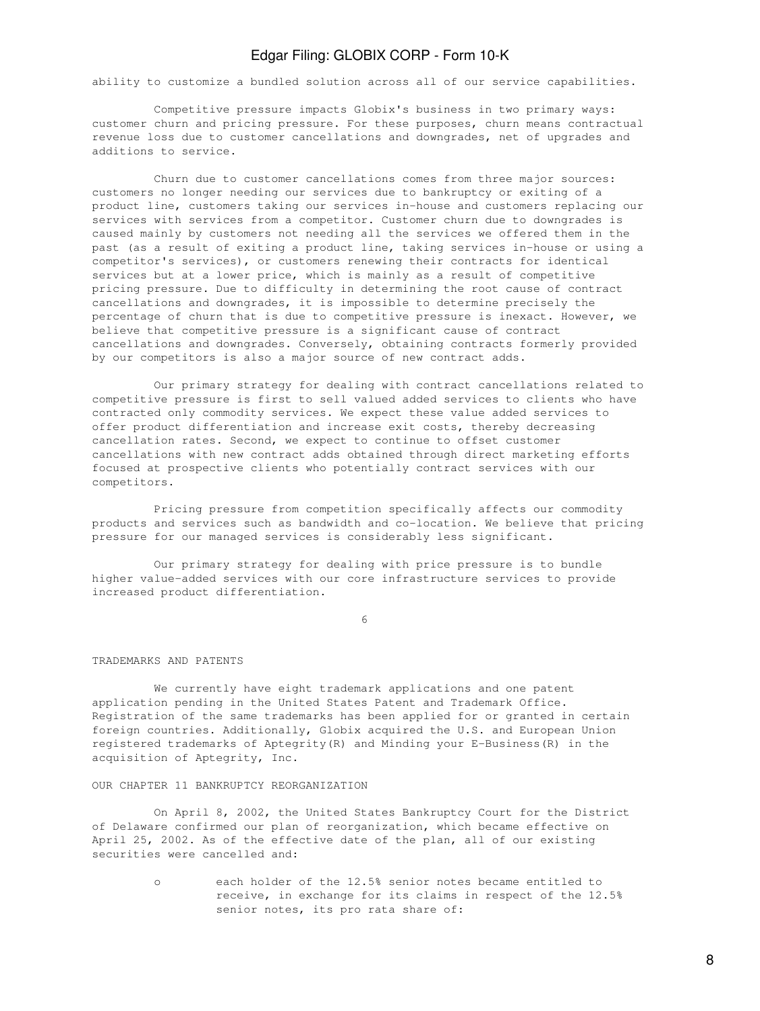ability to customize a bundled solution across all of our service capabilities.

 Competitive pressure impacts Globix's business in two primary ways: customer churn and pricing pressure. For these purposes, churn means contractual revenue loss due to customer cancellations and downgrades, net of upgrades and additions to service.

 Churn due to customer cancellations comes from three major sources: customers no longer needing our services due to bankruptcy or exiting of a product line, customers taking our services in-house and customers replacing our services with services from a competitor. Customer churn due to downgrades is caused mainly by customers not needing all the services we offered them in the past (as a result of exiting a product line, taking services in-house or using a competitor's services), or customers renewing their contracts for identical services but at a lower price, which is mainly as a result of competitive pricing pressure. Due to difficulty in determining the root cause of contract cancellations and downgrades, it is impossible to determine precisely the percentage of churn that is due to competitive pressure is inexact. However, we believe that competitive pressure is a significant cause of contract cancellations and downgrades. Conversely, obtaining contracts formerly provided by our competitors is also a major source of new contract adds.

 Our primary strategy for dealing with contract cancellations related to competitive pressure is first to sell valued added services to clients who have contracted only commodity services. We expect these value added services to offer product differentiation and increase exit costs, thereby decreasing cancellation rates. Second, we expect to continue to offset customer cancellations with new contract adds obtained through direct marketing efforts focused at prospective clients who potentially contract services with our competitors.

 Pricing pressure from competition specifically affects our commodity products and services such as bandwidth and co-location. We believe that pricing pressure for our managed services is considerably less significant.

 Our primary strategy for dealing with price pressure is to bundle higher value-added services with our core infrastructure services to provide increased product differentiation.

 $\sim$  6

#### TRADEMARKS AND PATENTS

 We currently have eight trademark applications and one patent application pending in the United States Patent and Trademark Office. Registration of the same trademarks has been applied for or granted in certain foreign countries. Additionally, Globix acquired the U.S. and European Union registered trademarks of Aptegrity(R) and Minding your E-Business(R) in the acquisition of Aptegrity, Inc.

#### OUR CHAPTER 11 BANKRUPTCY REORGANIZATION

 On April 8, 2002, the United States Bankruptcy Court for the District of Delaware confirmed our plan of reorganization, which became effective on April 25, 2002. As of the effective date of the plan, all of our existing securities were cancelled and:

> o each holder of the 12.5% senior notes became entitled to receive, in exchange for its claims in respect of the 12.5% senior notes, its pro rata share of: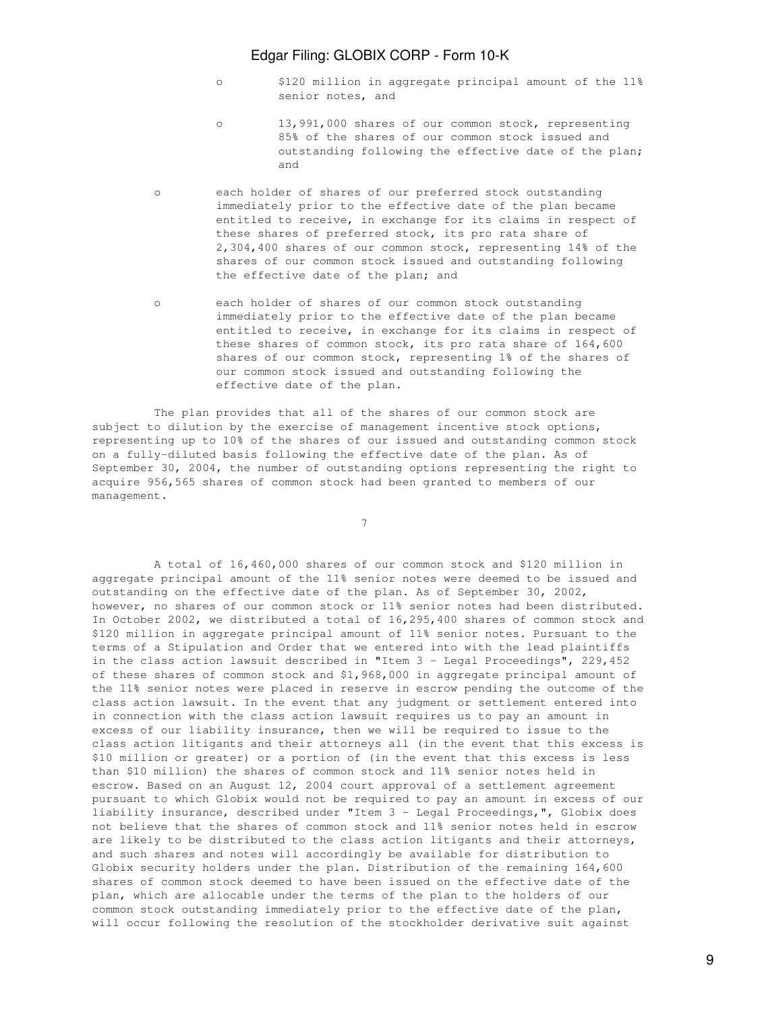- o \$120 million in aggregate principal amount of the 11% senior notes, and
- o 13,991,000 shares of our common stock, representing 85% of the shares of our common stock issued and outstanding following the effective date of the plan; and
	- o each holder of shares of our preferred stock outstanding immediately prior to the effective date of the plan became entitled to receive, in exchange for its claims in respect of these shares of preferred stock, its pro rata share of 2,304,400 shares of our common stock, representing 14% of the shares of our common stock issued and outstanding following the effective date of the plan; and
	- o each holder of shares of our common stock outstanding immediately prior to the effective date of the plan became entitled to receive, in exchange for its claims in respect of these shares of common stock, its pro rata share of 164,600 shares of our common stock, representing 1% of the shares of our common stock issued and outstanding following the effective date of the plan.

 The plan provides that all of the shares of our common stock are subject to dilution by the exercise of management incentive stock options, representing up to 10% of the shares of our issued and outstanding common stock on a fully-diluted basis following the effective date of the plan. As of September 30, 2004, the number of outstanding options representing the right to acquire 956,565 shares of common stock had been granted to members of our management.

7

 A total of 16,460,000 shares of our common stock and \$120 million in aggregate principal amount of the 11% senior notes were deemed to be issued and outstanding on the effective date of the plan. As of September 30, 2002, however, no shares of our common stock or 11% senior notes had been distributed. In October 2002, we distributed a total of 16,295,400 shares of common stock and \$120 million in aggregate principal amount of 11% senior notes. Pursuant to the terms of a Stipulation and Order that we entered into with the lead plaintiffs in the class action lawsuit described in "Item 3 - Legal Proceedings", 229,452 of these shares of common stock and \$1,968,000 in aggregate principal amount of the 11% senior notes were placed in reserve in escrow pending the outcome of the class action lawsuit. In the event that any judgment or settlement entered into in connection with the class action lawsuit requires us to pay an amount in excess of our liability insurance, then we will be required to issue to the class action litigants and their attorneys all (in the event that this excess is \$10 million or greater) or a portion of (in the event that this excess is less than \$10 million) the shares of common stock and 11% senior notes held in escrow. Based on an August 12, 2004 court approval of a settlement agreement pursuant to which Globix would not be required to pay an amount in excess of our liability insurance, described under "Item 3 - Legal Proceedings,", Globix does not believe that the shares of common stock and 11% senior notes held in escrow are likely to be distributed to the class action litigants and their attorneys, and such shares and notes will accordingly be available for distribution to Globix security holders under the plan. Distribution of the remaining 164,600 shares of common stock deemed to have been issued on the effective date of the plan, which are allocable under the terms of the plan to the holders of our common stock outstanding immediately prior to the effective date of the plan, will occur following the resolution of the stockholder derivative suit against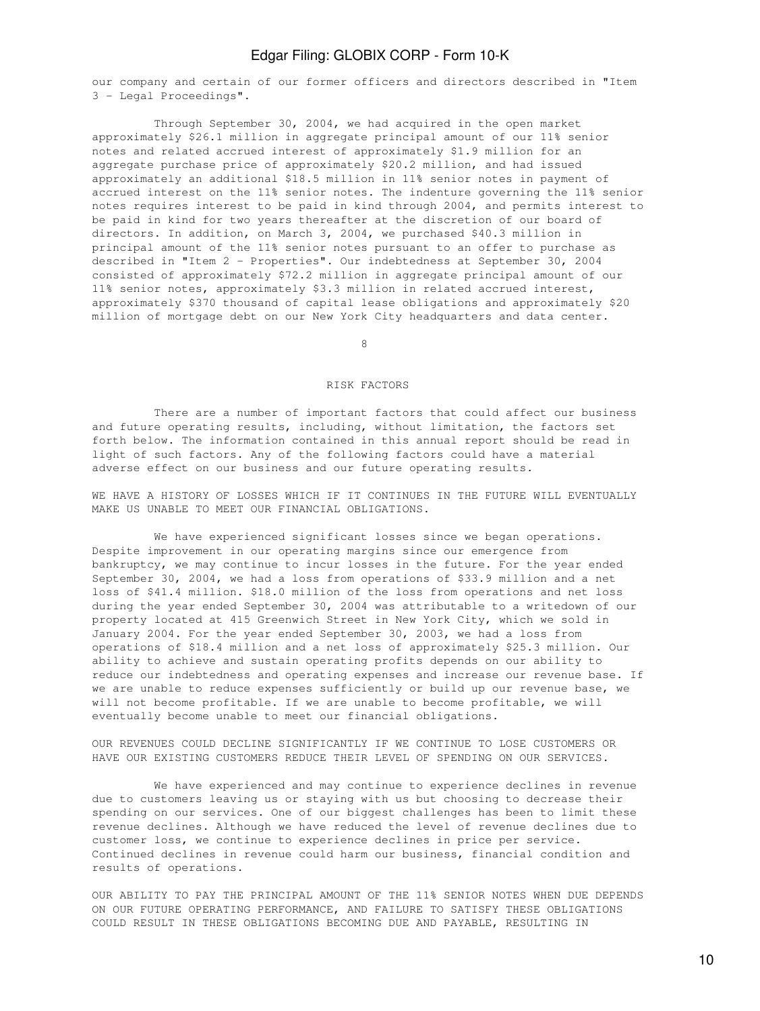our company and certain of our former officers and directors described in "Item 3 - Legal Proceedings".

 Through September 30, 2004, we had acquired in the open market approximately \$26.1 million in aggregate principal amount of our 11% senior notes and related accrued interest of approximately \$1.9 million for an aggregate purchase price of approximately \$20.2 million, and had issued approximately an additional \$18.5 million in 11% senior notes in payment of accrued interest on the 11% senior notes. The indenture governing the 11% senior notes requires interest to be paid in kind through 2004, and permits interest to be paid in kind for two years thereafter at the discretion of our board of directors. In addition, on March 3, 2004, we purchased \$40.3 million in principal amount of the 11% senior notes pursuant to an offer to purchase as described in "Item 2 - Properties". Our indebtedness at September 30, 2004 consisted of approximately \$72.2 million in aggregate principal amount of our 11% senior notes, approximately \$3.3 million in related accrued interest, approximately \$370 thousand of capital lease obligations and approximately \$20 million of mortgage debt on our New York City headquarters and data center.

en andere de la provincia de la provincia de la provincia de la provincia de la provincia de la provincia de<br>En la provincia de la provincia de la provincia de la provincia de la provincia de la provincia de la provinci

#### RISK FACTORS

 There are a number of important factors that could affect our business and future operating results, including, without limitation, the factors set forth below. The information contained in this annual report should be read in light of such factors. Any of the following factors could have a material adverse effect on our business and our future operating results.

WE HAVE A HISTORY OF LOSSES WHICH IF IT CONTINUES IN THE FUTURE WILL EVENTUALLY MAKE US UNABLE TO MEET OUR FINANCIAL OBLIGATIONS.

 We have experienced significant losses since we began operations. Despite improvement in our operating margins since our emergence from bankruptcy, we may continue to incur losses in the future. For the year ended September 30, 2004, we had a loss from operations of \$33.9 million and a net loss of \$41.4 million. \$18.0 million of the loss from operations and net loss during the year ended September 30, 2004 was attributable to a writedown of our property located at 415 Greenwich Street in New York City, which we sold in January 2004. For the year ended September 30, 2003, we had a loss from operations of \$18.4 million and a net loss of approximately \$25.3 million. Our ability to achieve and sustain operating profits depends on our ability to reduce our indebtedness and operating expenses and increase our revenue base. If we are unable to reduce expenses sufficiently or build up our revenue base, we will not become profitable. If we are unable to become profitable, we will eventually become unable to meet our financial obligations.

OUR REVENUES COULD DECLINE SIGNIFICANTLY IF WE CONTINUE TO LOSE CUSTOMERS OR HAVE OUR EXISTING CUSTOMERS REDUCE THEIR LEVEL OF SPENDING ON OUR SERVICES.

 We have experienced and may continue to experience declines in revenue due to customers leaving us or staying with us but choosing to decrease their spending on our services. One of our biggest challenges has been to limit these revenue declines. Although we have reduced the level of revenue declines due to customer loss, we continue to experience declines in price per service. Continued declines in revenue could harm our business, financial condition and results of operations.

OUR ABILITY TO PAY THE PRINCIPAL AMOUNT OF THE 11% SENIOR NOTES WHEN DUE DEPENDS ON OUR FUTURE OPERATING PERFORMANCE, AND FAILURE TO SATISFY THESE OBLIGATIONS COULD RESULT IN THESE OBLIGATIONS BECOMING DUE AND PAYABLE, RESULTING IN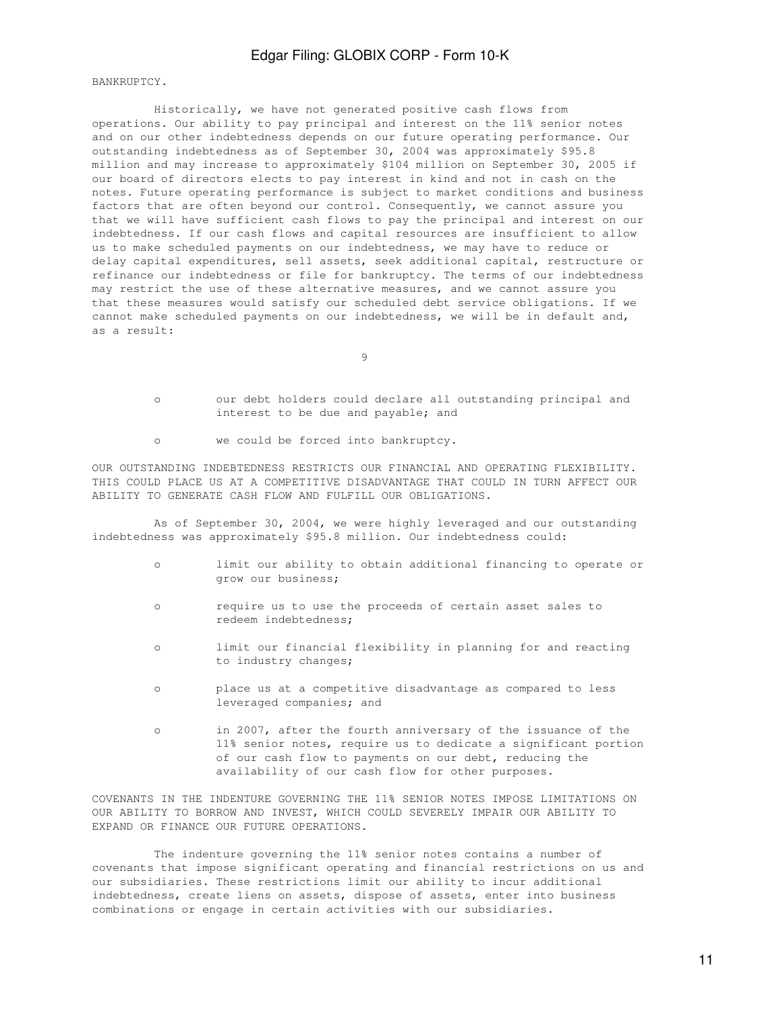BANKRUPTCY.

 Historically, we have not generated positive cash flows from operations. Our ability to pay principal and interest on the 11% senior notes and on our other indebtedness depends on our future operating performance. Our outstanding indebtedness as of September 30, 2004 was approximately \$95.8 million and may increase to approximately \$104 million on September 30, 2005 if our board of directors elects to pay interest in kind and not in cash on the notes. Future operating performance is subject to market conditions and business factors that are often beyond our control. Consequently, we cannot assure you that we will have sufficient cash flows to pay the principal and interest on our indebtedness. If our cash flows and capital resources are insufficient to allow us to make scheduled payments on our indebtedness, we may have to reduce or delay capital expenditures, sell assets, seek additional capital, restructure or refinance our indebtedness or file for bankruptcy. The terms of our indebtedness may restrict the use of these alternative measures, and we cannot assure you that these measures would satisfy our scheduled debt service obligations. If we cannot make scheduled payments on our indebtedness, we will be in default and, as a result:

9

- o our debt holders could declare all outstanding principal and interest to be due and payable; and
- o we could be forced into bankruptcy.

OUR OUTSTANDING INDEBTEDNESS RESTRICTS OUR FINANCIAL AND OPERATING FLEXIBILITY. THIS COULD PLACE US AT A COMPETITIVE DISADVANTAGE THAT COULD IN TURN AFFECT OUR ABILITY TO GENERATE CASH FLOW AND FULFILL OUR OBLIGATIONS.

 As of September 30, 2004, we were highly leveraged and our outstanding indebtedness was approximately \$95.8 million. Our indebtedness could:

- o limit our ability to obtain additional financing to operate or grow our business;
- o require us to use the proceeds of certain asset sales to redeem indebtedness;
- o limit our financial flexibility in planning for and reacting to industry changes;
- o place us at a competitive disadvantage as compared to less leveraged companies; and
- o in 2007, after the fourth anniversary of the issuance of the 11% senior notes, require us to dedicate a significant portion of our cash flow to payments on our debt, reducing the availability of our cash flow for other purposes.

COVENANTS IN THE INDENTURE GOVERNING THE 11% SENIOR NOTES IMPOSE LIMITATIONS ON OUR ABILITY TO BORROW AND INVEST, WHICH COULD SEVERELY IMPAIR OUR ABILITY TO EXPAND OR FINANCE OUR FUTURE OPERATIONS.

 The indenture governing the 11% senior notes contains a number of covenants that impose significant operating and financial restrictions on us and our subsidiaries. These restrictions limit our ability to incur additional indebtedness, create liens on assets, dispose of assets, enter into business combinations or engage in certain activities with our subsidiaries.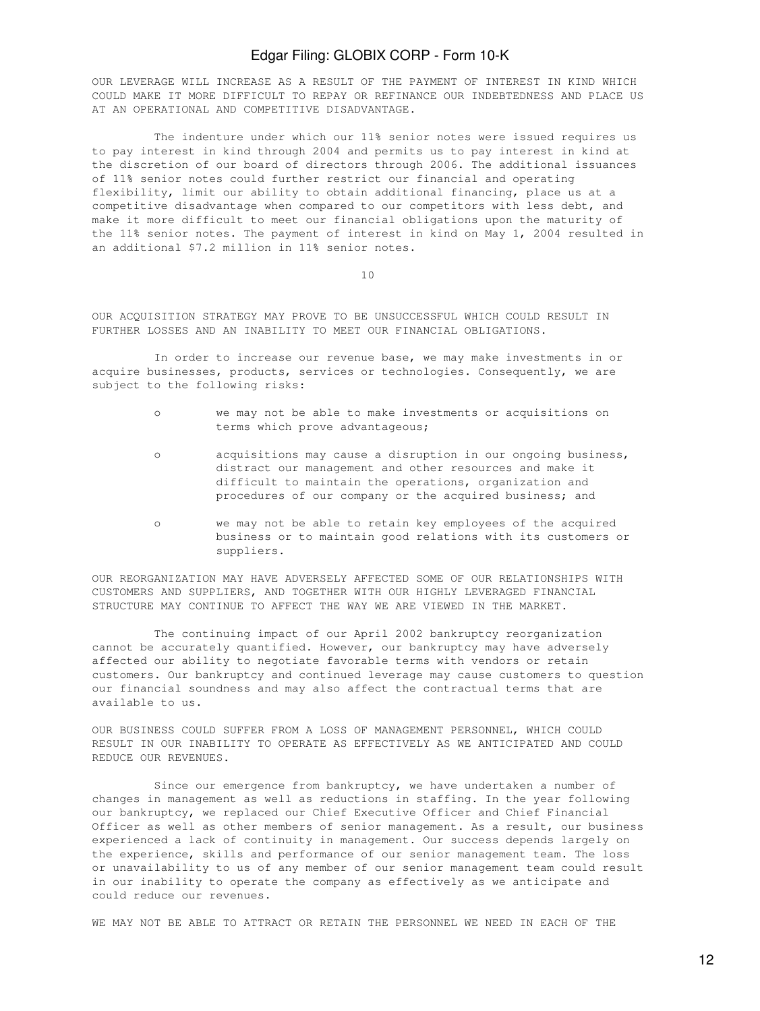OUR LEVERAGE WILL INCREASE AS A RESULT OF THE PAYMENT OF INTEREST IN KIND WHICH COULD MAKE IT MORE DIFFICULT TO REPAY OR REFINANCE OUR INDEBTEDNESS AND PLACE US AT AN OPERATIONAL AND COMPETITIVE DISADVANTAGE.

 The indenture under which our 11% senior notes were issued requires us to pay interest in kind through 2004 and permits us to pay interest in kind at the discretion of our board of directors through 2006. The additional issuances of 11% senior notes could further restrict our financial and operating flexibility, limit our ability to obtain additional financing, place us at a competitive disadvantage when compared to our competitors with less debt, and make it more difficult to meet our financial obligations upon the maturity of the 11% senior notes. The payment of interest in kind on May 1, 2004 resulted in an additional \$7.2 million in 11% senior notes.

10

OUR ACQUISITION STRATEGY MAY PROVE TO BE UNSUCCESSFUL WHICH COULD RESULT IN FURTHER LOSSES AND AN INABILITY TO MEET OUR FINANCIAL OBLIGATIONS.

 In order to increase our revenue base, we may make investments in or acquire businesses, products, services or technologies. Consequently, we are subject to the following risks:

- o we may not be able to make investments or acquisitions on terms which prove advantageous;
- o acquisitions may cause a disruption in our ongoing business, distract our management and other resources and make it difficult to maintain the operations, organization and procedures of our company or the acquired business; and
- o we may not be able to retain key employees of the acquired business or to maintain good relations with its customers or suppliers.

OUR REORGANIZATION MAY HAVE ADVERSELY AFFECTED SOME OF OUR RELATIONSHIPS WITH CUSTOMERS AND SUPPLIERS, AND TOGETHER WITH OUR HIGHLY LEVERAGED FINANCIAL STRUCTURE MAY CONTINUE TO AFFECT THE WAY WE ARE VIEWED IN THE MARKET.

 The continuing impact of our April 2002 bankruptcy reorganization cannot be accurately quantified. However, our bankruptcy may have adversely affected our ability to negotiate favorable terms with vendors or retain customers. Our bankruptcy and continued leverage may cause customers to question our financial soundness and may also affect the contractual terms that are available to us.

OUR BUSINESS COULD SUFFER FROM A LOSS OF MANAGEMENT PERSONNEL, WHICH COULD RESULT IN OUR INABILITY TO OPERATE AS EFFECTIVELY AS WE ANTICIPATED AND COULD REDUCE OUR REVENUES.

Since our emergence from bankruptcy, we have undertaken a number of changes in management as well as reductions in staffing. In the year following our bankruptcy, we replaced our Chief Executive Officer and Chief Financial Officer as well as other members of senior management. As a result, our business experienced a lack of continuity in management. Our success depends largely on the experience, skills and performance of our senior management team. The loss or unavailability to us of any member of our senior management team could result in our inability to operate the company as effectively as we anticipate and could reduce our revenues.

WE MAY NOT BE ABLE TO ATTRACT OR RETAIN THE PERSONNEL WE NEED IN EACH OF THE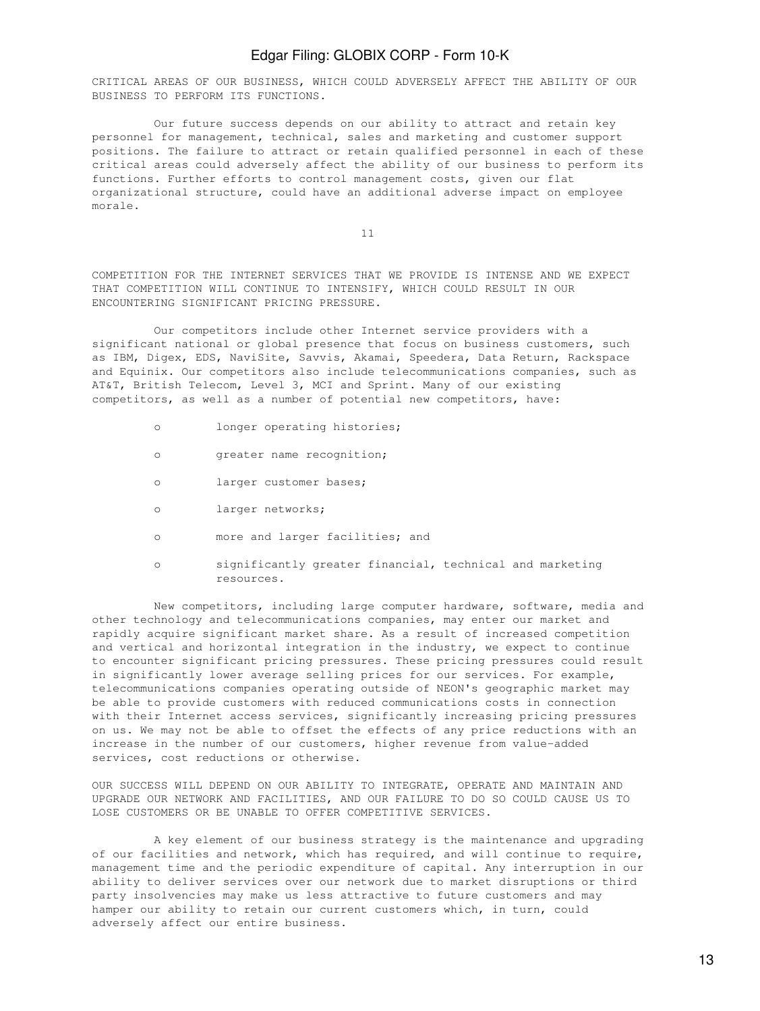CRITICAL AREAS OF OUR BUSINESS, WHICH COULD ADVERSELY AFFECT THE ABILITY OF OUR BUSINESS TO PERFORM ITS FUNCTIONS.

 Our future success depends on our ability to attract and retain key personnel for management, technical, sales and marketing and customer support positions. The failure to attract or retain qualified personnel in each of these critical areas could adversely affect the ability of our business to perform its functions. Further efforts to control management costs, given our flat organizational structure, could have an additional adverse impact on employee morale.

11

COMPETITION FOR THE INTERNET SERVICES THAT WE PROVIDE IS INTENSE AND WE EXPECT THAT COMPETITION WILL CONTINUE TO INTENSIFY, WHICH COULD RESULT IN OUR ENCOUNTERING SIGNIFICANT PRICING PRESSURE.

 Our competitors include other Internet service providers with a significant national or global presence that focus on business customers, such as IBM, Digex, EDS, NaviSite, Savvis, Akamai, Speedera, Data Return, Rackspace and Equinix. Our competitors also include telecommunications companies, such as AT&T, British Telecom, Level 3, MCI and Sprint. Many of our existing competitors, as well as a number of potential new competitors, have:

- o longer operating histories;
- o greater name recognition;
- o larger customer bases;
- o larger networks;
- o more and larger facilities; and
- o significantly greater financial, technical and marketing resources.

 New competitors, including large computer hardware, software, media and other technology and telecommunications companies, may enter our market and rapidly acquire significant market share. As a result of increased competition and vertical and horizontal integration in the industry, we expect to continue to encounter significant pricing pressures. These pricing pressures could result in significantly lower average selling prices for our services. For example, telecommunications companies operating outside of NEON's geographic market may be able to provide customers with reduced communications costs in connection with their Internet access services, significantly increasing pricing pressures on us. We may not be able to offset the effects of any price reductions with an increase in the number of our customers, higher revenue from value-added services, cost reductions or otherwise.

OUR SUCCESS WILL DEPEND ON OUR ABILITY TO INTEGRATE, OPERATE AND MAINTAIN AND UPGRADE OUR NETWORK AND FACILITIES, AND OUR FAILURE TO DO SO COULD CAUSE US TO LOSE CUSTOMERS OR BE UNABLE TO OFFER COMPETITIVE SERVICES.

 A key element of our business strategy is the maintenance and upgrading of our facilities and network, which has required, and will continue to require, management time and the periodic expenditure of capital. Any interruption in our ability to deliver services over our network due to market disruptions or third party insolvencies may make us less attractive to future customers and may hamper our ability to retain our current customers which, in turn, could adversely affect our entire business.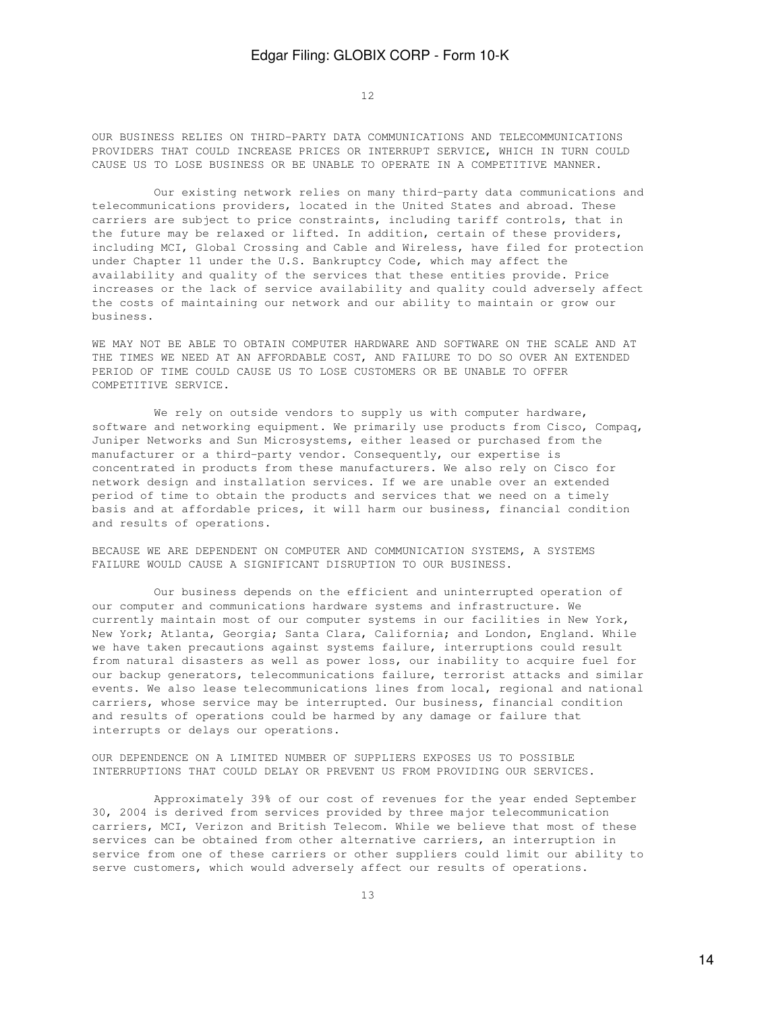12

OUR BUSINESS RELIES ON THIRD-PARTY DATA COMMUNICATIONS AND TELECOMMUNICATIONS PROVIDERS THAT COULD INCREASE PRICES OR INTERRUPT SERVICE, WHICH IN TURN COULD CAUSE US TO LOSE BUSINESS OR BE UNABLE TO OPERATE IN A COMPETITIVE MANNER.

 Our existing network relies on many third-party data communications and telecommunications providers, located in the United States and abroad. These carriers are subject to price constraints, including tariff controls, that in the future may be relaxed or lifted. In addition, certain of these providers, including MCI, Global Crossing and Cable and Wireless, have filed for protection under Chapter 11 under the U.S. Bankruptcy Code, which may affect the availability and quality of the services that these entities provide. Price increases or the lack of service availability and quality could adversely affect the costs of maintaining our network and our ability to maintain or grow our business.

WE MAY NOT BE ABLE TO OBTAIN COMPUTER HARDWARE AND SOFTWARE ON THE SCALE AND AT THE TIMES WE NEED AT AN AFFORDABLE COST, AND FAILURE TO DO SO OVER AN EXTENDED PERIOD OF TIME COULD CAUSE US TO LOSE CUSTOMERS OR BE UNABLE TO OFFER COMPETITIVE SERVICE.

We rely on outside vendors to supply us with computer hardware, software and networking equipment. We primarily use products from Cisco, Compaq, Juniper Networks and Sun Microsystems, either leased or purchased from the manufacturer or a third-party vendor. Consequently, our expertise is concentrated in products from these manufacturers. We also rely on Cisco for network design and installation services. If we are unable over an extended period of time to obtain the products and services that we need on a timely basis and at affordable prices, it will harm our business, financial condition and results of operations.

BECAUSE WE ARE DEPENDENT ON COMPUTER AND COMMUNICATION SYSTEMS, A SYSTEMS FAILURE WOULD CAUSE A SIGNIFICANT DISRUPTION TO OUR BUSINESS.

 Our business depends on the efficient and uninterrupted operation of our computer and communications hardware systems and infrastructure. We currently maintain most of our computer systems in our facilities in New York, New York; Atlanta, Georgia; Santa Clara, California; and London, England. While we have taken precautions against systems failure, interruptions could result from natural disasters as well as power loss, our inability to acquire fuel for our backup generators, telecommunications failure, terrorist attacks and similar events. We also lease telecommunications lines from local, regional and national carriers, whose service may be interrupted. Our business, financial condition and results of operations could be harmed by any damage or failure that interrupts or delays our operations.

OUR DEPENDENCE ON A LIMITED NUMBER OF SUPPLIERS EXPOSES US TO POSSIBLE INTERRUPTIONS THAT COULD DELAY OR PREVENT US FROM PROVIDING OUR SERVICES.

 Approximately 39% of our cost of revenues for the year ended September 30, 2004 is derived from services provided by three major telecommunication carriers, MCI, Verizon and British Telecom. While we believe that most of these services can be obtained from other alternative carriers, an interruption in service from one of these carriers or other suppliers could limit our ability to serve customers, which would adversely affect our results of operations.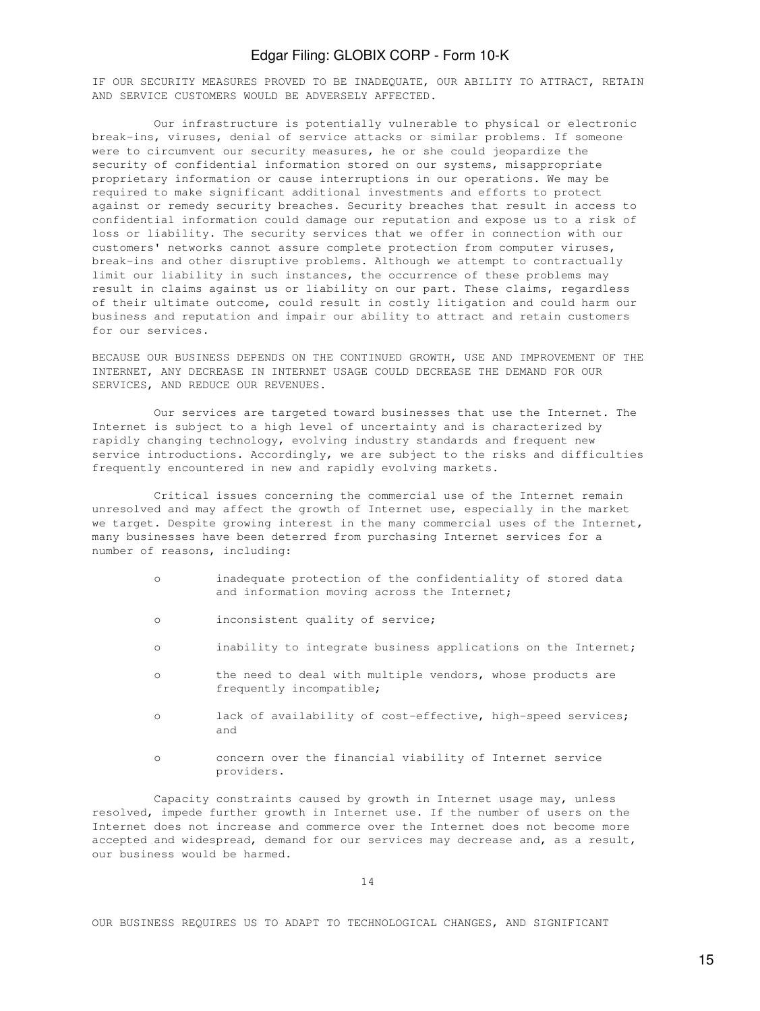IF OUR SECURITY MEASURES PROVED TO BE INADEQUATE, OUR ABILITY TO ATTRACT, RETAIN AND SERVICE CUSTOMERS WOULD BE ADVERSELY AFFECTED.

 Our infrastructure is potentially vulnerable to physical or electronic break-ins, viruses, denial of service attacks or similar problems. If someone were to circumvent our security measures, he or she could jeopardize the security of confidential information stored on our systems, misappropriate proprietary information or cause interruptions in our operations. We may be required to make significant additional investments and efforts to protect against or remedy security breaches. Security breaches that result in access to confidential information could damage our reputation and expose us to a risk of loss or liability. The security services that we offer in connection with our customers' networks cannot assure complete protection from computer viruses, break-ins and other disruptive problems. Although we attempt to contractually limit our liability in such instances, the occurrence of these problems may result in claims against us or liability on our part. These claims, regardless of their ultimate outcome, could result in costly litigation and could harm our business and reputation and impair our ability to attract and retain customers for our services.

BECAUSE OUR BUSINESS DEPENDS ON THE CONTINUED GROWTH, USE AND IMPROVEMENT OF THE INTERNET, ANY DECREASE IN INTERNET USAGE COULD DECREASE THE DEMAND FOR OUR SERVICES, AND REDUCE OUR REVENUES.

 Our services are targeted toward businesses that use the Internet. The Internet is subject to a high level of uncertainty and is characterized by rapidly changing technology, evolving industry standards and frequent new service introductions. Accordingly, we are subject to the risks and difficulties frequently encountered in new and rapidly evolving markets.

 Critical issues concerning the commercial use of the Internet remain unresolved and may affect the growth of Internet use, especially in the market we target. Despite growing interest in the many commercial uses of the Internet, many businesses have been deterred from purchasing Internet services for a number of reasons, including:

- o inadequate protection of the confidentiality of stored data and information moving across the Internet;
- o inconsistent quality of service;
- o inability to integrate business applications on the Internet;
- o the need to deal with multiple vendors, whose products are frequently incompatible;
- o lack of availability of cost-effective, high-speed services; and
- o concern over the financial viability of Internet service providers.

 Capacity constraints caused by growth in Internet usage may, unless resolved, impede further growth in Internet use. If the number of users on the Internet does not increase and commerce over the Internet does not become more accepted and widespread, demand for our services may decrease and, as a result, our business would be harmed.

OUR BUSINESS REQUIRES US TO ADAPT TO TECHNOLOGICAL CHANGES, AND SIGNIFICANT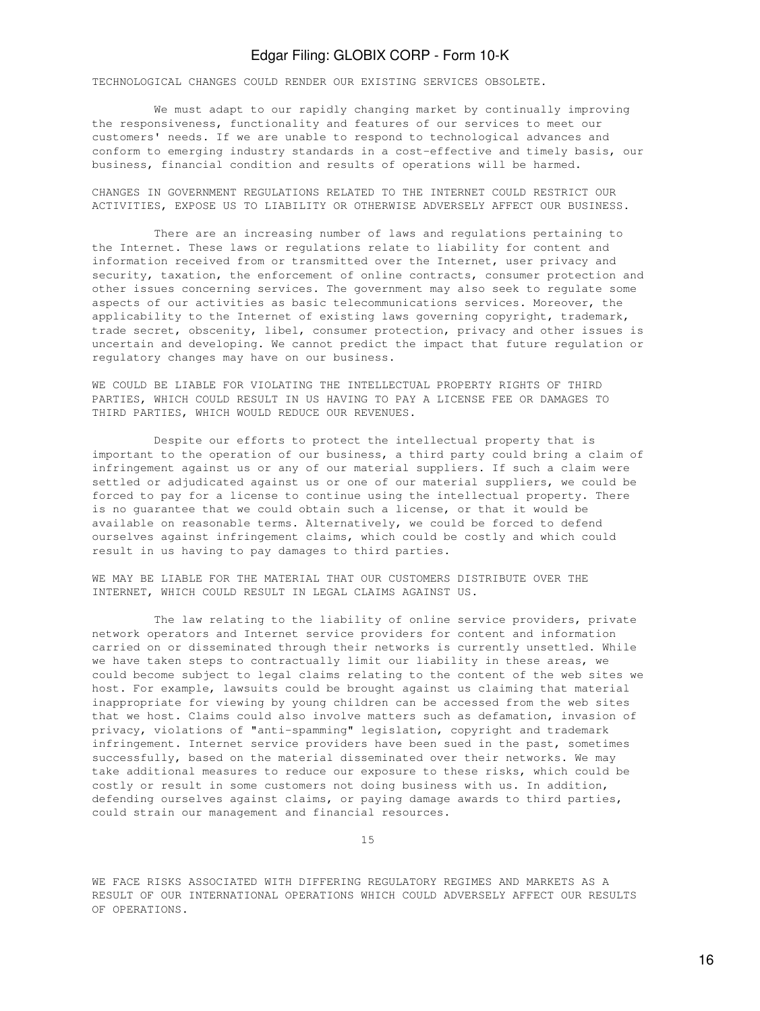TECHNOLOGICAL CHANGES COULD RENDER OUR EXISTING SERVICES OBSOLETE.

 We must adapt to our rapidly changing market by continually improving the responsiveness, functionality and features of our services to meet our customers' needs. If we are unable to respond to technological advances and conform to emerging industry standards in a cost-effective and timely basis, our business, financial condition and results of operations will be harmed.

CHANGES IN GOVERNMENT REGULATIONS RELATED TO THE INTERNET COULD RESTRICT OUR ACTIVITIES, EXPOSE US TO LIABILITY OR OTHERWISE ADVERSELY AFFECT OUR BUSINESS.

 There are an increasing number of laws and regulations pertaining to the Internet. These laws or regulations relate to liability for content and information received from or transmitted over the Internet, user privacy and security, taxation, the enforcement of online contracts, consumer protection and other issues concerning services. The government may also seek to regulate some aspects of our activities as basic telecommunications services. Moreover, the applicability to the Internet of existing laws governing copyright, trademark, trade secret, obscenity, libel, consumer protection, privacy and other issues is uncertain and developing. We cannot predict the impact that future regulation or regulatory changes may have on our business.

WE COULD BE LIABLE FOR VIOLATING THE INTELLECTUAL PROPERTY RIGHTS OF THIRD PARTIES, WHICH COULD RESULT IN US HAVING TO PAY A LICENSE FEE OR DAMAGES TO THIRD PARTIES, WHICH WOULD REDUCE OUR REVENUES.

 Despite our efforts to protect the intellectual property that is important to the operation of our business, a third party could bring a claim of infringement against us or any of our material suppliers. If such a claim were settled or adjudicated against us or one of our material suppliers, we could be forced to pay for a license to continue using the intellectual property. There is no guarantee that we could obtain such a license, or that it would be available on reasonable terms. Alternatively, we could be forced to defend ourselves against infringement claims, which could be costly and which could result in us having to pay damages to third parties.

WE MAY BE LIABLE FOR THE MATERIAL THAT OUR CUSTOMERS DISTRIBUTE OVER THE INTERNET, WHICH COULD RESULT IN LEGAL CLAIMS AGAINST US.

 The law relating to the liability of online service providers, private network operators and Internet service providers for content and information carried on or disseminated through their networks is currently unsettled. While we have taken steps to contractually limit our liability in these areas, we could become subject to legal claims relating to the content of the web sites we host. For example, lawsuits could be brought against us claiming that material inappropriate for viewing by young children can be accessed from the web sites that we host. Claims could also involve matters such as defamation, invasion of privacy, violations of "anti-spamming" legislation, copyright and trademark infringement. Internet service providers have been sued in the past, sometimes successfully, based on the material disseminated over their networks. We may take additional measures to reduce our exposure to these risks, which could be costly or result in some customers not doing business with us. In addition, defending ourselves against claims, or paying damage awards to third parties, could strain our management and financial resources.

15

WE FACE RISKS ASSOCIATED WITH DIFFERING REGULATORY REGIMES AND MARKETS AS A RESULT OF OUR INTERNATIONAL OPERATIONS WHICH COULD ADVERSELY AFFECT OUR RESULTS OF OPERATIONS.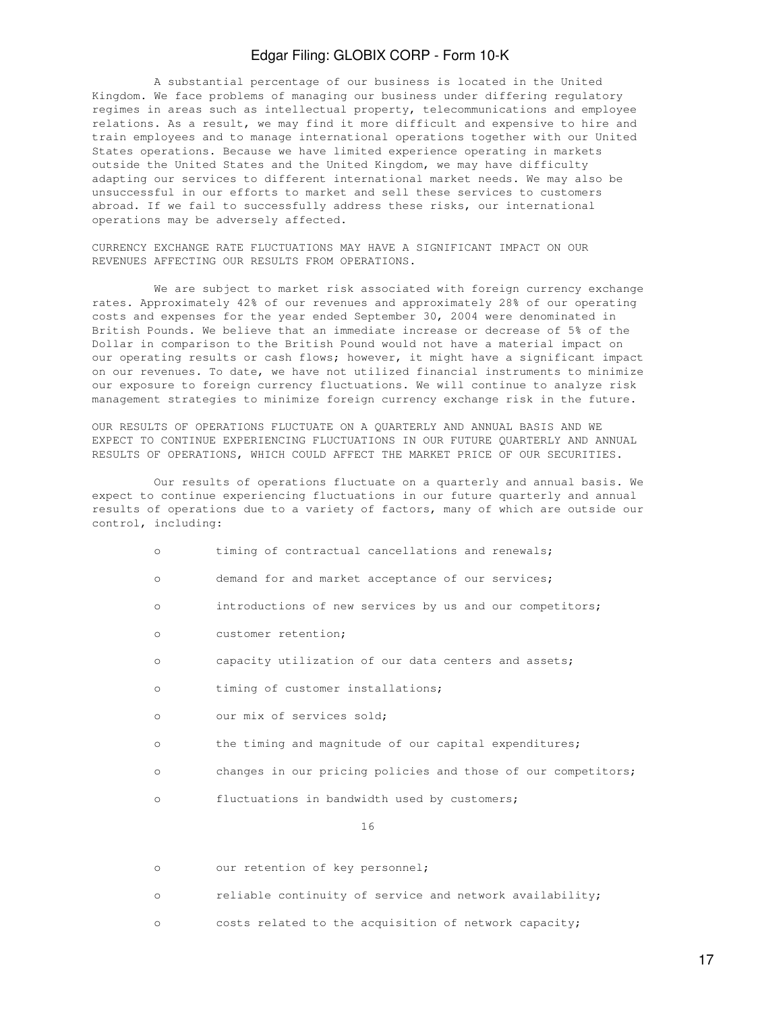A substantial percentage of our business is located in the United Kingdom. We face problems of managing our business under differing regulatory regimes in areas such as intellectual property, telecommunications and employee relations. As a result, we may find it more difficult and expensive to hire and train employees and to manage international operations together with our United States operations. Because we have limited experience operating in markets outside the United States and the United Kingdom, we may have difficulty adapting our services to different international market needs. We may also be unsuccessful in our efforts to market and sell these services to customers abroad. If we fail to successfully address these risks, our international operations may be adversely affected.

CURRENCY EXCHANGE RATE FLUCTUATIONS MAY HAVE A SIGNIFICANT IMPACT ON OUR REVENUES AFFECTING OUR RESULTS FROM OPERATIONS.

 We are subject to market risk associated with foreign currency exchange rates. Approximately 42% of our revenues and approximately 28% of our operating costs and expenses for the year ended September 30, 2004 were denominated in British Pounds. We believe that an immediate increase or decrease of 5% of the Dollar in comparison to the British Pound would not have a material impact on our operating results or cash flows; however, it might have a significant impact on our revenues. To date, we have not utilized financial instruments to minimize our exposure to foreign currency fluctuations. We will continue to analyze risk management strategies to minimize foreign currency exchange risk in the future.

OUR RESULTS OF OPERATIONS FLUCTUATE ON A QUARTERLY AND ANNUAL BASIS AND WE EXPECT TO CONTINUE EXPERIENCING FLUCTUATIONS IN OUR FUTURE QUARTERLY AND ANNUAL RESULTS OF OPERATIONS, WHICH COULD AFFECT THE MARKET PRICE OF OUR SECURITIES.

 Our results of operations fluctuate on a quarterly and annual basis. We expect to continue experiencing fluctuations in our future quarterly and annual results of operations due to a variety of factors, many of which are outside our control, including:

- o timing of contractual cancellations and renewals;
- o demand for and market acceptance of our services;
- o introductions of new services by us and our competitors;
- o customer retention;
- o capacity utilization of our data centers and assets;
- o timing of customer installations;
- o our mix of services sold;
- o the timing and magnitude of our capital expenditures;
- o changes in our pricing policies and those of our competitors;
- o fluctuations in bandwidth used by customers;

16

- o our retention of key personnel;
- o reliable continuity of service and network availability;
- o costs related to the acquisition of network capacity;

17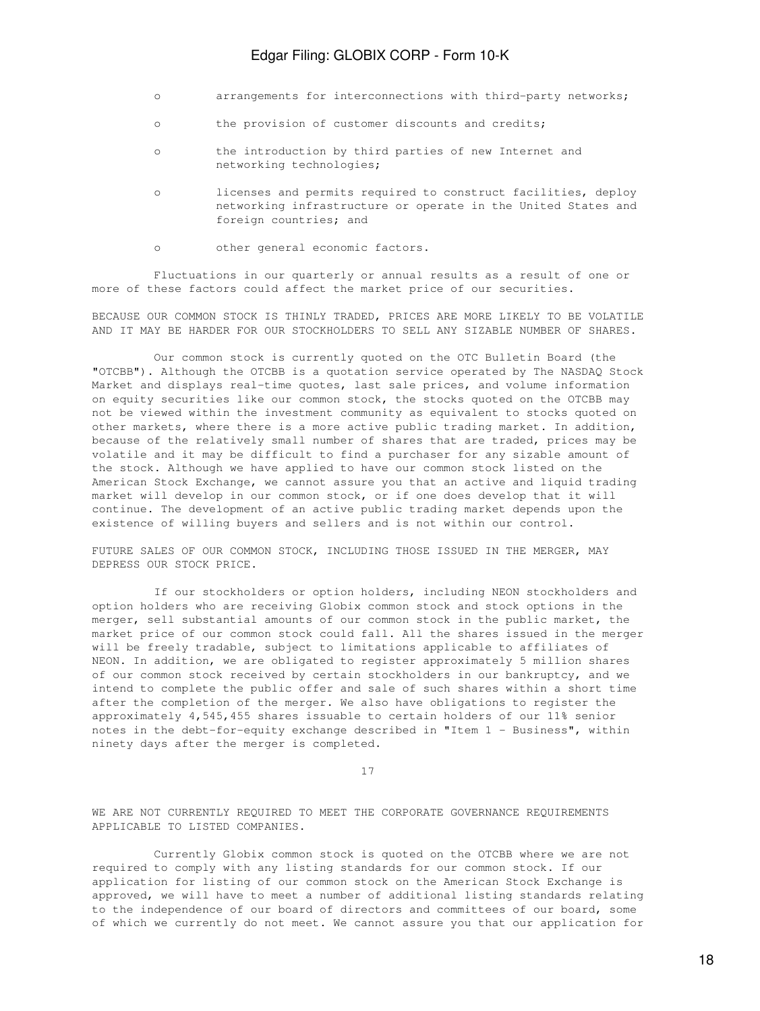- o arrangements for interconnections with third-party networks;
- o the provision of customer discounts and credits;
- o the introduction by third parties of new Internet and networking technologies;
- o licenses and permits required to construct facilities, deploy networking infrastructure or operate in the United States and foreign countries; and
- o other general economic factors.

Fluctuations in our quarterly or annual results as a result of one or more of these factors could affect the market price of our securities.

BECAUSE OUR COMMON STOCK IS THINLY TRADED, PRICES ARE MORE LIKELY TO BE VOLATILE AND IT MAY BE HARDER FOR OUR STOCKHOLDERS TO SELL ANY SIZABLE NUMBER OF SHARES.

 Our common stock is currently quoted on the OTC Bulletin Board (the "OTCBB"). Although the OTCBB is a quotation service operated by The NASDAQ Stock Market and displays real-time quotes, last sale prices, and volume information on equity securities like our common stock, the stocks quoted on the OTCBB may not be viewed within the investment community as equivalent to stocks quoted on other markets, where there is a more active public trading market. In addition, because of the relatively small number of shares that are traded, prices may be volatile and it may be difficult to find a purchaser for any sizable amount of the stock. Although we have applied to have our common stock listed on the American Stock Exchange, we cannot assure you that an active and liquid trading market will develop in our common stock, or if one does develop that it will continue. The development of an active public trading market depends upon the existence of willing buyers and sellers and is not within our control.

FUTURE SALES OF OUR COMMON STOCK, INCLUDING THOSE ISSUED IN THE MERGER, MAY DEPRESS OUR STOCK PRICE.

 If our stockholders or option holders, including NEON stockholders and option holders who are receiving Globix common stock and stock options in the merger, sell substantial amounts of our common stock in the public market, the market price of our common stock could fall. All the shares issued in the merger will be freely tradable, subject to limitations applicable to affiliates of NEON. In addition, we are obligated to register approximately 5 million shares of our common stock received by certain stockholders in our bankruptcy, and we intend to complete the public offer and sale of such shares within a short time after the completion of the merger. We also have obligations to register the approximately 4,545,455 shares issuable to certain holders of our 11% senior notes in the debt-for-equity exchange described in "Item 1 - Business", within ninety days after the merger is completed.

17

WE ARE NOT CURRENTLY REQUIRED TO MEET THE CORPORATE GOVERNANCE REQUIREMENTS APPLICABLE TO LISTED COMPANIES.

 Currently Globix common stock is quoted on the OTCBB where we are not required to comply with any listing standards for our common stock. If our application for listing of our common stock on the American Stock Exchange is approved, we will have to meet a number of additional listing standards relating to the independence of our board of directors and committees of our board, some of which we currently do not meet. We cannot assure you that our application for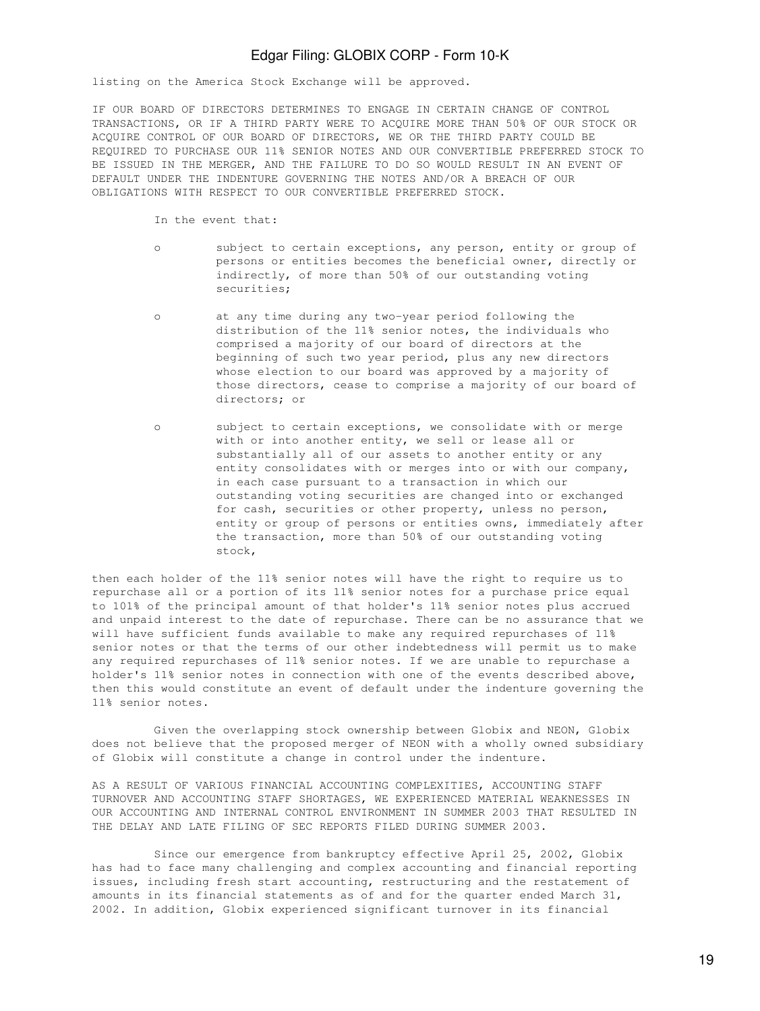listing on the America Stock Exchange will be approved.

IF OUR BOARD OF DIRECTORS DETERMINES TO ENGAGE IN CERTAIN CHANGE OF CONTROL TRANSACTIONS, OR IF A THIRD PARTY WERE TO ACQUIRE MORE THAN 50% OF OUR STOCK OR ACQUIRE CONTROL OF OUR BOARD OF DIRECTORS, WE OR THE THIRD PARTY COULD BE REQUIRED TO PURCHASE OUR 11% SENIOR NOTES AND OUR CONVERTIBLE PREFERRED STOCK TO BE ISSUED IN THE MERGER, AND THE FAILURE TO DO SO WOULD RESULT IN AN EVENT OF DEFAULT UNDER THE INDENTURE GOVERNING THE NOTES AND/OR A BREACH OF OUR OBLIGATIONS WITH RESPECT TO OUR CONVERTIBLE PREFERRED STOCK.

In the event that:

- o subject to certain exceptions, any person, entity or group of persons or entities becomes the beneficial owner, directly or indirectly, of more than 50% of our outstanding voting securities;
- o at any time during any two-year period following the distribution of the 11% senior notes, the individuals who comprised a majority of our board of directors at the beginning of such two year period, plus any new directors whose election to our board was approved by a majority of those directors, cease to comprise a majority of our board of directors; or
- o subject to certain exceptions, we consolidate with or merge with or into another entity, we sell or lease all or substantially all of our assets to another entity or any entity consolidates with or merges into or with our company, in each case pursuant to a transaction in which our outstanding voting securities are changed into or exchanged for cash, securities or other property, unless no person, entity or group of persons or entities owns, immediately after the transaction, more than 50% of our outstanding voting stock,

then each holder of the 11% senior notes will have the right to require us to repurchase all or a portion of its 11% senior notes for a purchase price equal to 101% of the principal amount of that holder's 11% senior notes plus accrued and unpaid interest to the date of repurchase. There can be no assurance that we will have sufficient funds available to make any required repurchases of 11% senior notes or that the terms of our other indebtedness will permit us to make any required repurchases of 11% senior notes. If we are unable to repurchase a holder's 11% senior notes in connection with one of the events described above, then this would constitute an event of default under the indenture governing the 11% senior notes.

 Given the overlapping stock ownership between Globix and NEON, Globix does not believe that the proposed merger of NEON with a wholly owned subsidiary of Globix will constitute a change in control under the indenture.

AS A RESULT OF VARIOUS FINANCIAL ACCOUNTING COMPLEXITIES, ACCOUNTING STAFF TURNOVER AND ACCOUNTING STAFF SHORTAGES, WE EXPERIENCED MATERIAL WEAKNESSES IN OUR ACCOUNTING AND INTERNAL CONTROL ENVIRONMENT IN SUMMER 2003 THAT RESULTED IN THE DELAY AND LATE FILING OF SEC REPORTS FILED DURING SUMMER 2003.

 Since our emergence from bankruptcy effective April 25, 2002, Globix has had to face many challenging and complex accounting and financial reporting issues, including fresh start accounting, restructuring and the restatement of amounts in its financial statements as of and for the quarter ended March 31, 2002. In addition, Globix experienced significant turnover in its financial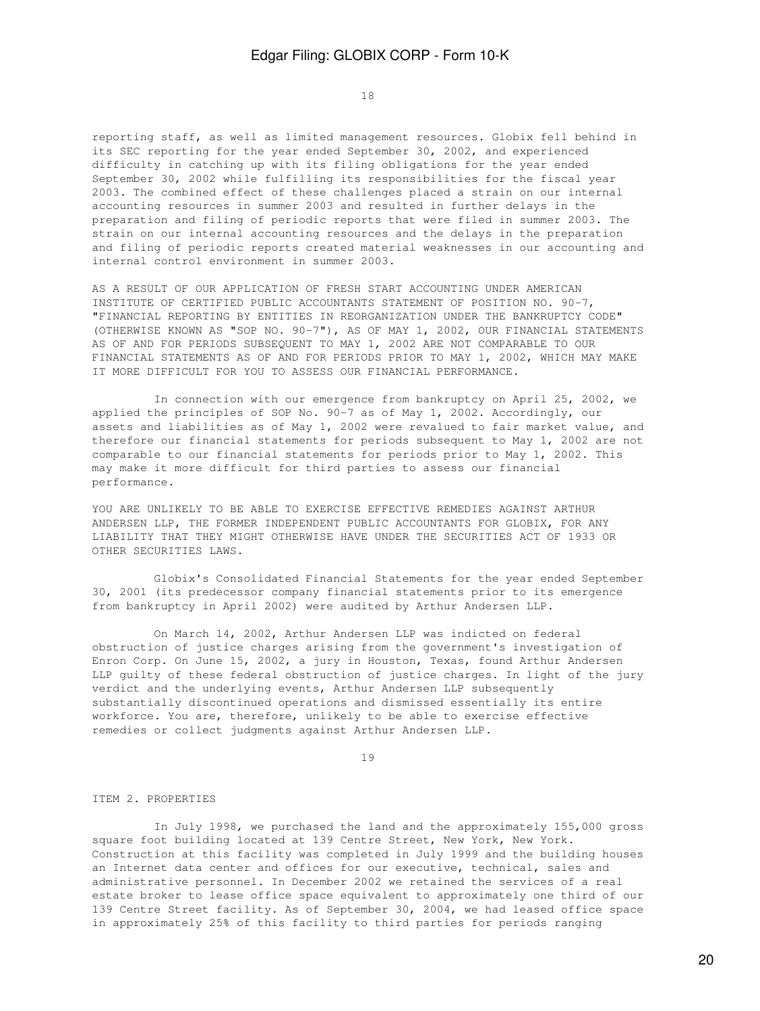18

reporting staff, as well as limited management resources. Globix fell behind in its SEC reporting for the year ended September 30, 2002, and experienced difficulty in catching up with its filing obligations for the year ended September 30, 2002 while fulfilling its responsibilities for the fiscal year 2003. The combined effect of these challenges placed a strain on our internal accounting resources in summer 2003 and resulted in further delays in the preparation and filing of periodic reports that were filed in summer 2003. The strain on our internal accounting resources and the delays in the preparation and filing of periodic reports created material weaknesses in our accounting and internal control environment in summer 2003.

AS A RESULT OF OUR APPLICATION OF FRESH START ACCOUNTING UNDER AMERICAN INSTITUTE OF CERTIFIED PUBLIC ACCOUNTANTS STATEMENT OF POSITION NO. 90-7, "FINANCIAL REPORTING BY ENTITIES IN REORGANIZATION UNDER THE BANKRUPTCY CODE" (OTHERWISE KNOWN AS "SOP NO. 90-7"), AS OF MAY 1, 2002, OUR FINANCIAL STATEMENTS AS OF AND FOR PERIODS SUBSEQUENT TO MAY 1, 2002 ARE NOT COMPARABLE TO OUR FINANCIAL STATEMENTS AS OF AND FOR PERIODS PRIOR TO MAY 1, 2002, WHICH MAY MAKE IT MORE DIFFICULT FOR YOU TO ASSESS OUR FINANCIAL PERFORMANCE.

 In connection with our emergence from bankruptcy on April 25, 2002, we applied the principles of SOP No. 90-7 as of May 1, 2002. Accordingly, our assets and liabilities as of May 1, 2002 were revalued to fair market value, and therefore our financial statements for periods subsequent to May 1, 2002 are not comparable to our financial statements for periods prior to May 1, 2002. This may make it more difficult for third parties to assess our financial performance.

YOU ARE UNLIKELY TO BE ABLE TO EXERCISE EFFECTIVE REMEDIES AGAINST ARTHUR ANDERSEN LLP, THE FORMER INDEPENDENT PUBLIC ACCOUNTANTS FOR GLOBIX, FOR ANY LIABILITY THAT THEY MIGHT OTHERWISE HAVE UNDER THE SECURITIES ACT OF 1933 OR OTHER SECURITIES LAWS.

 Globix's Consolidated Financial Statements for the year ended September 30, 2001 (its predecessor company financial statements prior to its emergence from bankruptcy in April 2002) were audited by Arthur Andersen LLP.

 On March 14, 2002, Arthur Andersen LLP was indicted on federal obstruction of justice charges arising from the government's investigation of Enron Corp. On June 15, 2002, a jury in Houston, Texas, found Arthur Andersen LLP guilty of these federal obstruction of justice charges. In light of the jury verdict and the underlying events, Arthur Andersen LLP subsequently substantially discontinued operations and dismissed essentially its entire workforce. You are, therefore, unlikely to be able to exercise effective remedies or collect judgments against Arthur Andersen LLP.

19

#### ITEM 2. PROPERTIES

 In July 1998, we purchased the land and the approximately 155,000 gross square foot building located at 139 Centre Street, New York, New York. Construction at this facility was completed in July 1999 and the building houses an Internet data center and offices for our executive, technical, sales and administrative personnel. In December 2002 we retained the services of a real estate broker to lease office space equivalent to approximately one third of our 139 Centre Street facility. As of September 30, 2004, we had leased office space in approximately 25% of this facility to third parties for periods ranging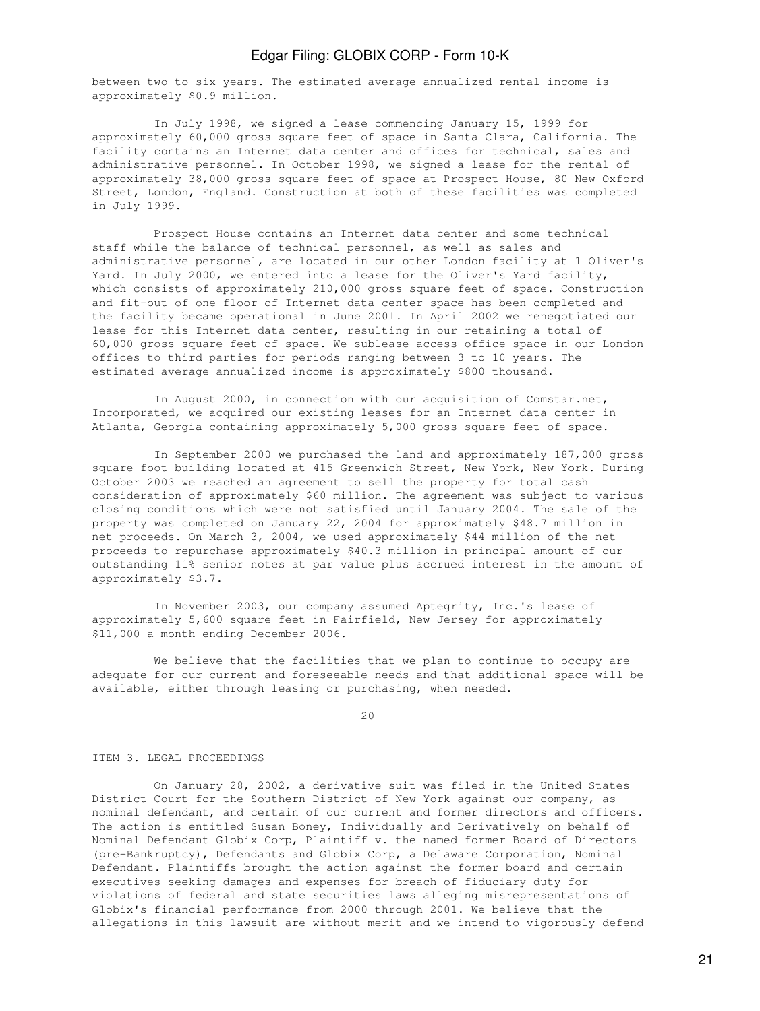between two to six years. The estimated average annualized rental income is approximately \$0.9 million.

 In July 1998, we signed a lease commencing January 15, 1999 for approximately 60,000 gross square feet of space in Santa Clara, California. The facility contains an Internet data center and offices for technical, sales and administrative personnel. In October 1998, we signed a lease for the rental of approximately 38,000 gross square feet of space at Prospect House, 80 New Oxford Street, London, England. Construction at both of these facilities was completed in July 1999.

 Prospect House contains an Internet data center and some technical staff while the balance of technical personnel, as well as sales and administrative personnel, are located in our other London facility at 1 Oliver's Yard. In July 2000, we entered into a lease for the Oliver's Yard facility, which consists of approximately 210,000 gross square feet of space. Construction and fit-out of one floor of Internet data center space has been completed and the facility became operational in June 2001. In April 2002 we renegotiated our lease for this Internet data center, resulting in our retaining a total of 60,000 gross square feet of space. We sublease access office space in our London offices to third parties for periods ranging between 3 to 10 years. The estimated average annualized income is approximately \$800 thousand.

 In August 2000, in connection with our acquisition of Comstar.net, Incorporated, we acquired our existing leases for an Internet data center in Atlanta, Georgia containing approximately 5,000 gross square feet of space.

 In September 2000 we purchased the land and approximately 187,000 gross square foot building located at 415 Greenwich Street, New York, New York. During October 2003 we reached an agreement to sell the property for total cash consideration of approximately \$60 million. The agreement was subject to various closing conditions which were not satisfied until January 2004. The sale of the property was completed on January 22, 2004 for approximately \$48.7 million in net proceeds. On March 3, 2004, we used approximately \$44 million of the net proceeds to repurchase approximately \$40.3 million in principal amount of our outstanding 11% senior notes at par value plus accrued interest in the amount of approximately \$3.7.

 In November 2003, our company assumed Aptegrity, Inc.'s lease of approximately 5,600 square feet in Fairfield, New Jersey for approximately \$11,000 a month ending December 2006.

 We believe that the facilities that we plan to continue to occupy are adequate for our current and foreseeable needs and that additional space will be available, either through leasing or purchasing, when needed.

20

#### ITEM 3. LEGAL PROCEEDINGS

 On January 28, 2002, a derivative suit was filed in the United States District Court for the Southern District of New York against our company, as nominal defendant, and certain of our current and former directors and officers. The action is entitled Susan Boney, Individually and Derivatively on behalf of Nominal Defendant Globix Corp, Plaintiff v. the named former Board of Directors (pre-Bankruptcy), Defendants and Globix Corp, a Delaware Corporation, Nominal Defendant. Plaintiffs brought the action against the former board and certain executives seeking damages and expenses for breach of fiduciary duty for violations of federal and state securities laws alleging misrepresentations of Globix's financial performance from 2000 through 2001. We believe that the allegations in this lawsuit are without merit and we intend to vigorously defend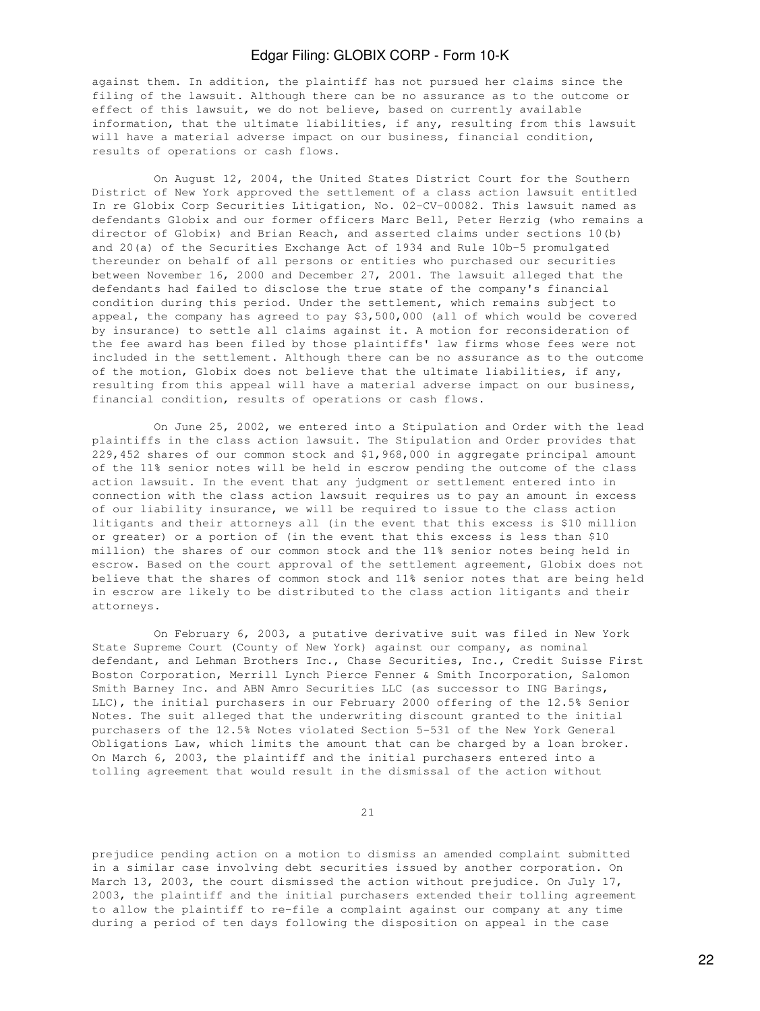against them. In addition, the plaintiff has not pursued her claims since the filing of the lawsuit. Although there can be no assurance as to the outcome or effect of this lawsuit, we do not believe, based on currently available information, that the ultimate liabilities, if any, resulting from this lawsuit will have a material adverse impact on our business, financial condition, results of operations or cash flows.

 On August 12, 2004, the United States District Court for the Southern District of New York approved the settlement of a class action lawsuit entitled In re Globix Corp Securities Litigation, No. 02-CV-00082. This lawsuit named as defendants Globix and our former officers Marc Bell, Peter Herzig (who remains a director of Globix) and Brian Reach, and asserted claims under sections 10(b) and 20(a) of the Securities Exchange Act of 1934 and Rule 10b-5 promulgated thereunder on behalf of all persons or entities who purchased our securities between November 16, 2000 and December 27, 2001. The lawsuit alleged that the defendants had failed to disclose the true state of the company's financial condition during this period. Under the settlement, which remains subject to appeal, the company has agreed to pay \$3,500,000 (all of which would be covered by insurance) to settle all claims against it. A motion for reconsideration of the fee award has been filed by those plaintiffs' law firms whose fees were not included in the settlement. Although there can be no assurance as to the outcome of the motion, Globix does not believe that the ultimate liabilities, if any, resulting from this appeal will have a material adverse impact on our business, financial condition, results of operations or cash flows.

 On June 25, 2002, we entered into a Stipulation and Order with the lead plaintiffs in the class action lawsuit. The Stipulation and Order provides that 229,452 shares of our common stock and \$1,968,000 in aggregate principal amount of the 11% senior notes will be held in escrow pending the outcome of the class action lawsuit. In the event that any judgment or settlement entered into in connection with the class action lawsuit requires us to pay an amount in excess of our liability insurance, we will be required to issue to the class action litigants and their attorneys all (in the event that this excess is \$10 million or greater) or a portion of (in the event that this excess is less than \$10 million) the shares of our common stock and the 11% senior notes being held in escrow. Based on the court approval of the settlement agreement, Globix does not believe that the shares of common stock and 11% senior notes that are being held in escrow are likely to be distributed to the class action litigants and their attorneys.

 On February 6, 2003, a putative derivative suit was filed in New York State Supreme Court (County of New York) against our company, as nominal defendant, and Lehman Brothers Inc., Chase Securities, Inc., Credit Suisse First Boston Corporation, Merrill Lynch Pierce Fenner & Smith Incorporation, Salomon Smith Barney Inc. and ABN Amro Securities LLC (as successor to ING Barings, LLC), the initial purchasers in our February 2000 offering of the 12.5% Senior Notes. The suit alleged that the underwriting discount granted to the initial purchasers of the 12.5% Notes violated Section 5-531 of the New York General Obligations Law, which limits the amount that can be charged by a loan broker. On March 6, 2003, the plaintiff and the initial purchasers entered into a tolling agreement that would result in the dismissal of the action without

21

prejudice pending action on a motion to dismiss an amended complaint submitted in a similar case involving debt securities issued by another corporation. On March 13, 2003, the court dismissed the action without prejudice. On July 17, 2003, the plaintiff and the initial purchasers extended their tolling agreement to allow the plaintiff to re-file a complaint against our company at any time during a period of ten days following the disposition on appeal in the case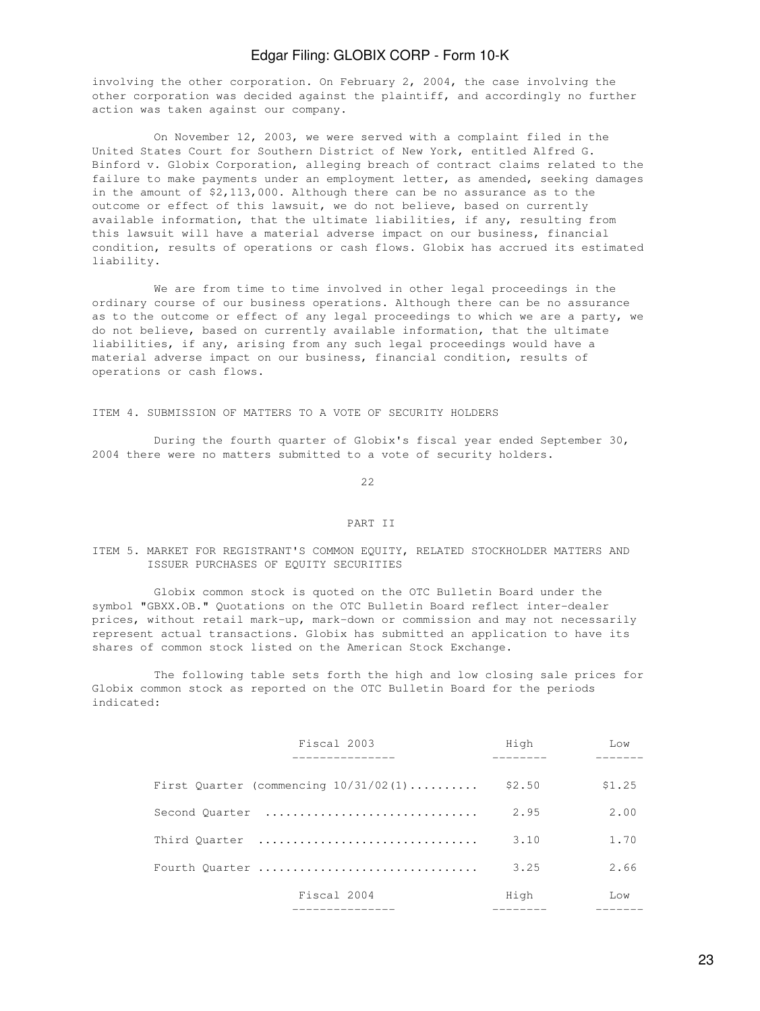involving the other corporation. On February 2, 2004, the case involving the other corporation was decided against the plaintiff, and accordingly no further action was taken against our company.

 On November 12, 2003, we were served with a complaint filed in the United States Court for Southern District of New York, entitled Alfred G. Binford v. Globix Corporation, alleging breach of contract claims related to the failure to make payments under an employment letter, as amended, seeking damages in the amount of \$2,113,000. Although there can be no assurance as to the outcome or effect of this lawsuit, we do not believe, based on currently available information, that the ultimate liabilities, if any, resulting from this lawsuit will have a material adverse impact on our business, financial condition, results of operations or cash flows. Globix has accrued its estimated liability.

 We are from time to time involved in other legal proceedings in the ordinary course of our business operations. Although there can be no assurance as to the outcome or effect of any legal proceedings to which we are a party, we do not believe, based on currently available information, that the ultimate liabilities, if any, arising from any such legal proceedings would have a material adverse impact on our business, financial condition, results of operations or cash flows.

ITEM 4. SUBMISSION OF MATTERS TO A VOTE OF SECURITY HOLDERS

 During the fourth quarter of Globix's fiscal year ended September 30, 2004 there were no matters submitted to a vote of security holders.

<u>22</u>

#### PART II

### ITEM 5. MARKET FOR REGISTRANT'S COMMON EQUITY, RELATED STOCKHOLDER MATTERS AND ISSUER PURCHASES OF EQUITY SECURITIES

 Globix common stock is quoted on the OTC Bulletin Board under the symbol "GBXX.OB." Quotations on the OTC Bulletin Board reflect inter-dealer prices, without retail mark-up, mark-down or commission and may not necessarily represent actual transactions. Globix has submitted an application to have its shares of common stock listed on the American Stock Exchange.

 The following table sets forth the high and low closing sale prices for Globix common stock as reported on the OTC Bulletin Board for the periods indicated:

| Fiscal 2003                             | High   | $T_{1} \cap W$    |
|-----------------------------------------|--------|-------------------|
|                                         |        |                   |
| First Quarter (commencing $10/31/02(1)$ | \$2.50 | \$1.25            |
| Second Quarter                          | 2.95   | 2.00              |
| Third Ouarter                           | 3.10   | 1,70              |
| Fourth Quarter                          | 3.25   | 2.66              |
| Fiscal 2004                             | High   | T <sub>1</sub> OW |
|                                         |        |                   |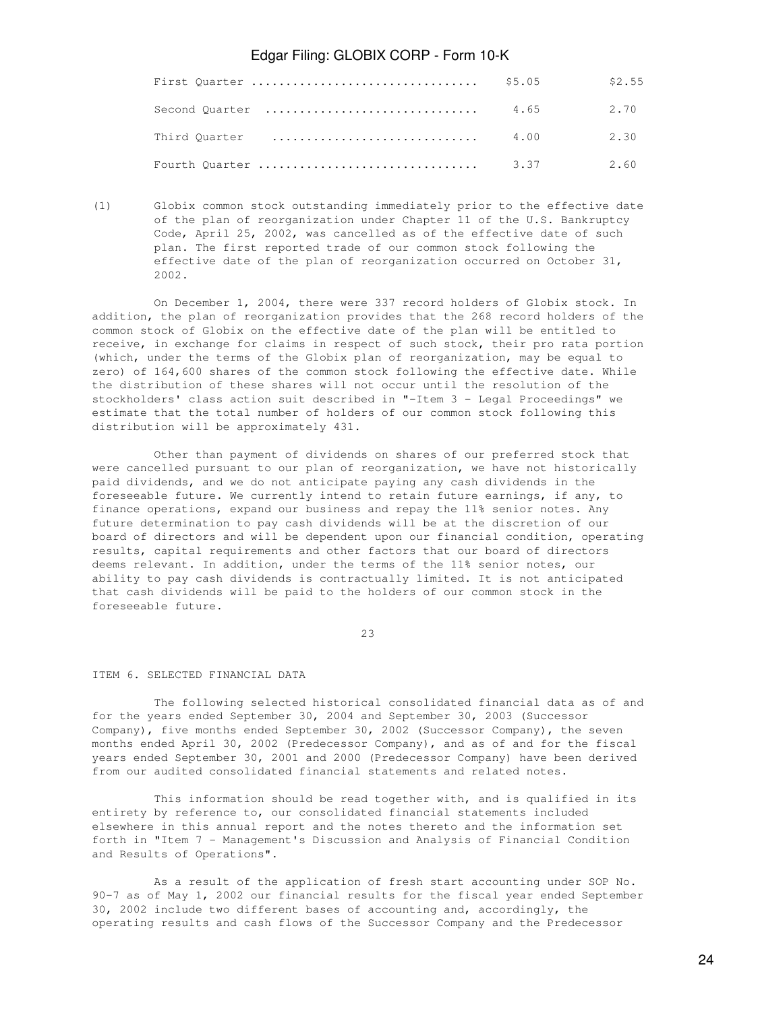|                |      | \$2.55    |
|----------------|------|-----------|
| Second Quarter | 4.65 | 2.70      |
|                |      | 4.00 2.30 |
|                |      |           |

(1) Globix common stock outstanding immediately prior to the effective date of the plan of reorganization under Chapter 11 of the U.S. Bankruptcy Code, April 25, 2002, was cancelled as of the effective date of such plan. The first reported trade of our common stock following the effective date of the plan of reorganization occurred on October 31, 2002.

 On December 1, 2004, there were 337 record holders of Globix stock. In addition, the plan of reorganization provides that the 268 record holders of the common stock of Globix on the effective date of the plan will be entitled to receive, in exchange for claims in respect of such stock, their pro rata portion (which, under the terms of the Globix plan of reorganization, may be equal to zero) of 164,600 shares of the common stock following the effective date. While the distribution of these shares will not occur until the resolution of the stockholders' class action suit described in "-Item 3 - Legal Proceedings" we estimate that the total number of holders of our common stock following this distribution will be approximately 431.

 Other than payment of dividends on shares of our preferred stock that were cancelled pursuant to our plan of reorganization, we have not historically paid dividends, and we do not anticipate paying any cash dividends in the foreseeable future. We currently intend to retain future earnings, if any, to finance operations, expand our business and repay the 11% senior notes. Any future determination to pay cash dividends will be at the discretion of our board of directors and will be dependent upon our financial condition, operating results, capital requirements and other factors that our board of directors deems relevant. In addition, under the terms of the 11% senior notes, our ability to pay cash dividends is contractually limited. It is not anticipated that cash dividends will be paid to the holders of our common stock in the foreseeable future.

<u>23</u>

#### ITEM 6. SELECTED FINANCIAL DATA

 The following selected historical consolidated financial data as of and for the years ended September 30, 2004 and September 30, 2003 (Successor Company), five months ended September 30, 2002 (Successor Company), the seven months ended April 30, 2002 (Predecessor Company), and as of and for the fiscal years ended September 30, 2001 and 2000 (Predecessor Company) have been derived from our audited consolidated financial statements and related notes.

 This information should be read together with, and is qualified in its entirety by reference to, our consolidated financial statements included elsewhere in this annual report and the notes thereto and the information set forth in "Item 7 - Management's Discussion and Analysis of Financial Condition and Results of Operations".

 As a result of the application of fresh start accounting under SOP No. 90-7 as of May 1, 2002 our financial results for the fiscal year ended September 30, 2002 include two different bases of accounting and, accordingly, the operating results and cash flows of the Successor Company and the Predecessor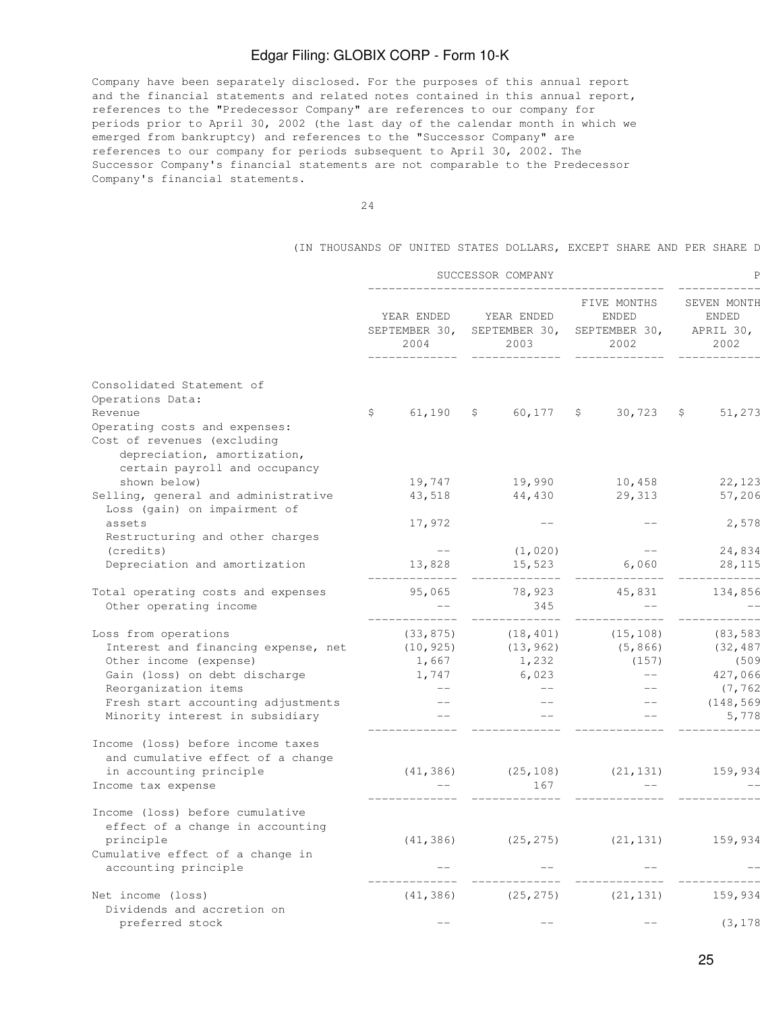Company have been separately disclosed. For the purposes of this annual report and the financial statements and related notes contained in this annual report, references to the "Predecessor Company" are references to our company for periods prior to April 30, 2002 (the last day of the calendar month in which we emerged from bankruptcy) and references to the "Successor Company" are references to our company for periods subsequent to April 30, 2002. The Successor Company's financial statements are not comparable to the Predecessor Company's financial statements.

(IN THOUSANDS OF UNITED STATES DOLLARS, EXCEPT SHARE AND PER SHARE D

|                                                                                                                              |                                     | SUCCESSOR COMPANY                   |                                                      |                                                  |  |
|------------------------------------------------------------------------------------------------------------------------------|-------------------------------------|-------------------------------------|------------------------------------------------------|--------------------------------------------------|--|
|                                                                                                                              | YEAR ENDED<br>SEPTEMBER 30,<br>2004 | YEAR ENDED<br>SEPTEMBER 30,<br>2003 | FIVE MONTHS<br><b>ENDED</b><br>SEPTEMBER 30,<br>2002 | SEVEN MONTH<br><b>ENDED</b><br>APRIL 30,<br>2002 |  |
| Consolidated Statement of                                                                                                    |                                     |                                     |                                                      |                                                  |  |
| Operations Data:                                                                                                             |                                     |                                     |                                                      |                                                  |  |
| Revenue                                                                                                                      | \$<br>61,190                        | $\mathsf{S}$<br>60,177              | 30,723<br>S.                                         | 51,273<br>\$                                     |  |
| Operating costs and expenses:<br>Cost of revenues (excluding<br>depreciation, amortization,<br>certain payroll and occupancy |                                     |                                     |                                                      |                                                  |  |
| shown below)                                                                                                                 | 19,747                              | 19,990                              | 10,458                                               | 22,123                                           |  |
| Selling, general and administrative<br>Loss (gain) on impairment of                                                          | 43,518                              | 44,430                              | 29,313                                               | 57,206                                           |  |
| assets                                                                                                                       | 17,972                              |                                     |                                                      | 2,578                                            |  |
| Restructuring and other charges                                                                                              |                                     |                                     |                                                      |                                                  |  |
| (credits)                                                                                                                    | $---$                               | (1, 020)                            | $--$                                                 | 24,834                                           |  |
| Depreciation and amortization                                                                                                | 13,828<br>_____________             | 15,523<br>--------                  | 6,060                                                | 28,115<br>$- - - - - -$                          |  |
| Total operating costs and expenses                                                                                           | 95,065                              | 78,923                              | 45,831                                               | 134,856                                          |  |
| Other operating income                                                                                                       | $\qquad -$                          | 345                                 | $-$                                                  | $\frac{1}{2}$                                    |  |
|                                                                                                                              | ---------                           | ----------                          |                                                      | _______                                          |  |
| Loss from operations                                                                                                         | (33, 875)                           | (18, 401)                           | (15, 108)                                            | (83, 583)                                        |  |
| Interest and financing expense, net                                                                                          | (10, 925)                           | (13, 962)                           | (5, 866)                                             | (32, 487)                                        |  |
| Other income (expense)                                                                                                       | 1,667                               | 1,232                               | (157)                                                | (509                                             |  |
| Gain (loss) on debt discharge                                                                                                | 1,747                               | 6,023                               | $---$                                                | 427,066                                          |  |
| Reorganization items                                                                                                         | $\sim$ $-$                          | $---$                               | $--$                                                 | (7, 762)                                         |  |
| Fresh start accounting adjustments                                                                                           | $--$                                | $\qquad \qquad -$                   | $\qquad -$                                           | (148, 569)                                       |  |
| Minority interest in subsidiary                                                                                              |                                     |                                     |                                                      | 5,778                                            |  |
| Income (loss) before income taxes<br>and cumulative effect of a change                                                       |                                     |                                     |                                                      |                                                  |  |
| in accounting principle                                                                                                      | (41, 386)                           | (25, 108)                           | (21, 131)                                            | 159,934                                          |  |
| Income tax expense                                                                                                           |                                     | 167                                 |                                                      |                                                  |  |
| Income (loss) before cumulative<br>effect of a change in accounting                                                          |                                     |                                     |                                                      |                                                  |  |
| principle                                                                                                                    | (41, 386)                           | (25, 275)                           | (21, 131)                                            | 159,934                                          |  |
| Cumulative effect of a change in                                                                                             |                                     |                                     |                                                      |                                                  |  |
| accounting principle                                                                                                         |                                     |                                     |                                                      |                                                  |  |
|                                                                                                                              |                                     |                                     |                                                      |                                                  |  |
| Net income (loss)                                                                                                            | (41, 386)                           | (25, 275)                           | (21, 131)                                            | 159,934                                          |  |
| Dividends and accretion on                                                                                                   |                                     |                                     |                                                      |                                                  |  |
| preferred stock                                                                                                              |                                     |                                     |                                                      | (3, 178)                                         |  |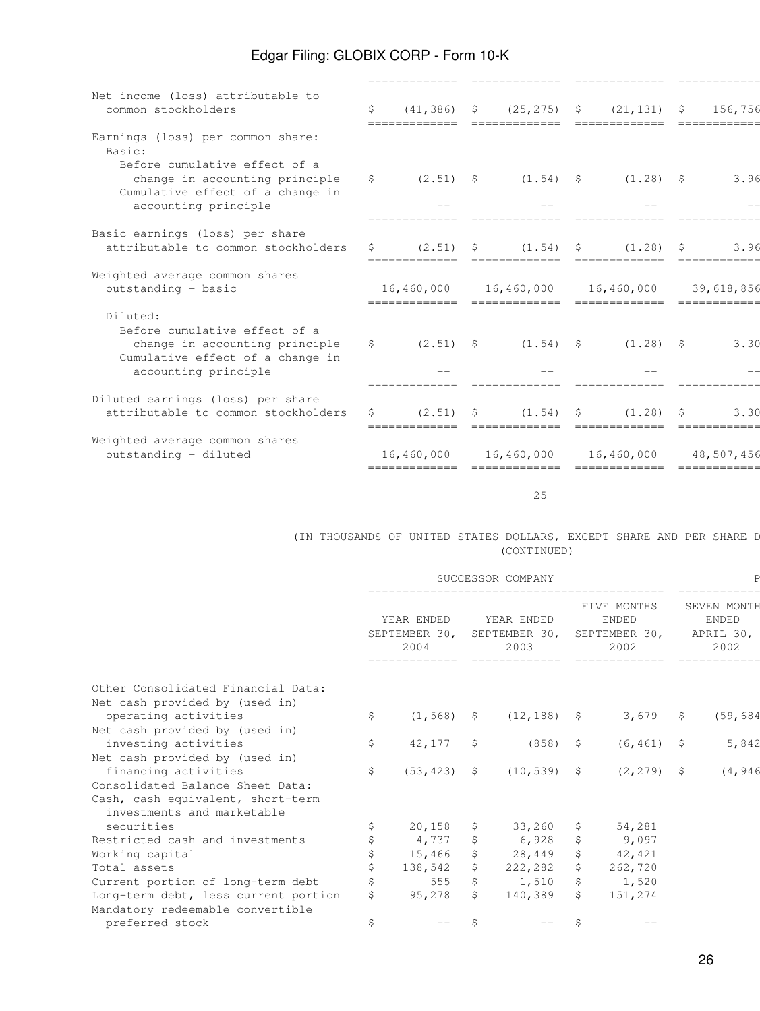| \$<br>$\mathsf{S}^-$<br>attributable to common stockholders<br>S. | $(41, 386)$ \$<br>$(2.51)$ \$<br>$(2.51)$ \$<br>============= |                              | $(25, 275)$ \$<br>$(1.54)$ \$<br>$(1.54)$ \$ |            | (21, 131)<br>$(1.28)$ \$<br>(1, 28) | - \$<br>- S | 156,756<br>3.96<br>3.96 |
|-------------------------------------------------------------------|---------------------------------------------------------------|------------------------------|----------------------------------------------|------------|-------------------------------------|-------------|-------------------------|
|                                                                   |                                                               |                              |                                              |            |                                     |             |                         |
|                                                                   |                                                               |                              |                                              |            |                                     |             |                         |
|                                                                   |                                                               |                              |                                              |            |                                     |             |                         |
|                                                                   |                                                               |                              |                                              |            |                                     |             |                         |
|                                                                   |                                                               |                              |                                              |            |                                     |             |                         |
|                                                                   | 16,460,000<br>--------------                                  |                              | 16,460,000<br>--------------                 |            | 16,460,000                          |             | 39,618,856              |
|                                                                   |                                                               |                              |                                              |            |                                     |             | 3.30                    |
| attributable to common stockholders<br>S.                         |                                                               |                              |                                              |            |                                     | - S         | 3.30                    |
|                                                                   |                                                               |                              |                                              |            |                                     |             | 48,507,456              |
|                                                                   |                                                               | 16,460,000<br>-------------- | $\sin(2.51)$ \$<br>$(2.51)$ \$               | 16,460,000 | $(1.54)$ \$<br>$(1.54)$ \$          | 16,460,000  | $(1, 28)$ \$<br>(1.28)  |

 $25$ 

### (IN THOUSANDS OF UNITED STATES DOLLARS, EXCEPT SHARE AND PER SHARE D (CONTINUED)

|                                                        | SUCCESSOR COMPANY                   |                |                                     |                |                                                      |               |                                                  |           |
|--------------------------------------------------------|-------------------------------------|----------------|-------------------------------------|----------------|------------------------------------------------------|---------------|--------------------------------------------------|-----------|
|                                                        | YEAR ENDED<br>SEPTEMBER 30,<br>2004 |                | YEAR ENDED<br>SEPTEMBER 30,<br>2003 |                | FIVE MONTHS<br><b>ENDED</b><br>SEPTEMBER 30,<br>2002 |               | SEVEN MONTH<br><b>ENDED</b><br>APRIL 30,<br>2002 |           |
| Other Consolidated Financial Data:                     |                                     |                |                                     |                |                                                      |               |                                                  |           |
| Net cash provided by (used in)                         |                                     |                |                                     |                |                                                      |               |                                                  |           |
| operating activities                                   | \$                                  | $(1, 568)$ \$  |                                     | $(12, 188)$ \$ |                                                      | 3,679         | S.                                               | (59, 684) |
| Net cash provided by (used in)                         |                                     |                |                                     |                |                                                      |               |                                                  |           |
| investing activities                                   | \$                                  | 42,177         | Ŝ.                                  | $(858)$ \$     |                                                      | $(6, 461)$ \$ |                                                  | 5,842     |
| Net cash provided by (used in)<br>financing activities | \$                                  | $(53, 423)$ \$ |                                     | $(10, 539)$ \$ |                                                      | $(2, 279)$ \$ |                                                  | (4, 946)  |
| Consolidated Balance Sheet Data:                       |                                     |                |                                     |                |                                                      |               |                                                  |           |
| Cash, cash equivalent, short-term                      |                                     |                |                                     |                |                                                      |               |                                                  |           |
| investments and marketable                             |                                     |                |                                     |                |                                                      |               |                                                  |           |
| securities                                             |                                     | 20,158         | \$.                                 | 33,260         | S.                                                   | 54,281        |                                                  |           |
| Restricted cash and investments                        |                                     | 4,737          | \$                                  | 6,928          |                                                      | 9,097         |                                                  |           |
| Working capital                                        |                                     | 15,466         | \$                                  | 28,449         | $\mathcal{S}$                                        | 42,421        |                                                  |           |
| Total assets                                           |                                     | 138,542        | S.                                  | 222,282        | S                                                    | 262,720       |                                                  |           |
| Current portion of long-term debt                      |                                     | 555            | \$                                  | 1,510          | $\mathsf{S}$                                         | 1,520         |                                                  |           |
| Long-term debt, less current portion                   | Ŝ.                                  | 95,278         | S.                                  | 140,389        | S.                                                   | 151,274       |                                                  |           |
| Mandatory redeemable convertible                       |                                     |                |                                     |                |                                                      |               |                                                  |           |
| preferred stock                                        | \$                                  |                | Ŝ.                                  |                |                                                      |               |                                                  |           |
|                                                        |                                     |                |                                     |                |                                                      |               |                                                  |           |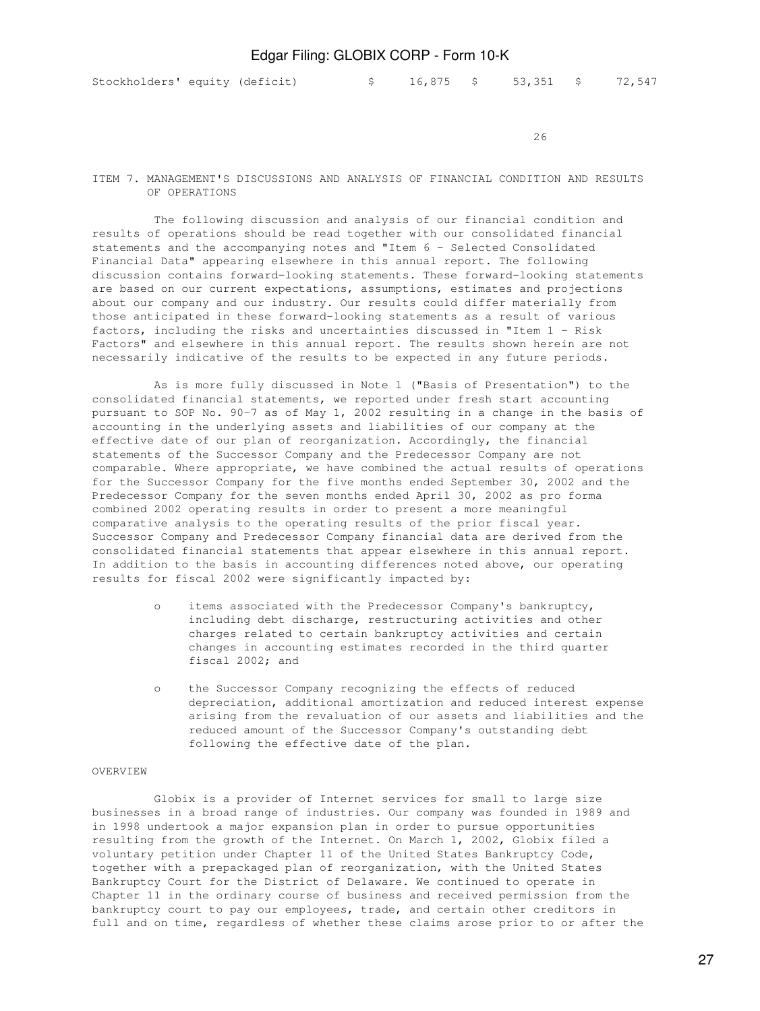$26$ 

#### ITEM 7. MANAGEMENT'S DISCUSSIONS AND ANALYSIS OF FINANCIAL CONDITION AND RESULTS OF OPERATIONS

 The following discussion and analysis of our financial condition and results of operations should be read together with our consolidated financial statements and the accompanying notes and "Item 6 - Selected Consolidated Financial Data" appearing elsewhere in this annual report. The following discussion contains forward-looking statements. These forward-looking statements are based on our current expectations, assumptions, estimates and projections about our company and our industry. Our results could differ materially from those anticipated in these forward-looking statements as a result of various factors, including the risks and uncertainties discussed in "Item 1 - Risk Factors" and elsewhere in this annual report. The results shown herein are not necessarily indicative of the results to be expected in any future periods.

 As is more fully discussed in Note 1 ("Basis of Presentation") to the consolidated financial statements, we reported under fresh start accounting pursuant to SOP No. 90-7 as of May 1, 2002 resulting in a change in the basis of accounting in the underlying assets and liabilities of our company at the effective date of our plan of reorganization. Accordingly, the financial statements of the Successor Company and the Predecessor Company are not comparable. Where appropriate, we have combined the actual results of operations for the Successor Company for the five months ended September 30, 2002 and the Predecessor Company for the seven months ended April 30, 2002 as pro forma combined 2002 operating results in order to present a more meaningful comparative analysis to the operating results of the prior fiscal year. Successor Company and Predecessor Company financial data are derived from the consolidated financial statements that appear elsewhere in this annual report. In addition to the basis in accounting differences noted above, our operating results for fiscal 2002 were significantly impacted by:

- o items associated with the Predecessor Company's bankruptcy, including debt discharge, restructuring activities and other charges related to certain bankruptcy activities and certain changes in accounting estimates recorded in the third quarter fiscal 2002; and
- o the Successor Company recognizing the effects of reduced depreciation, additional amortization and reduced interest expense arising from the revaluation of our assets and liabilities and the reduced amount of the Successor Company's outstanding debt following the effective date of the plan.

#### OVERVIEW

 Globix is a provider of Internet services for small to large size businesses in a broad range of industries. Our company was founded in 1989 and in 1998 undertook a major expansion plan in order to pursue opportunities resulting from the growth of the Internet. On March 1, 2002, Globix filed a voluntary petition under Chapter 11 of the United States Bankruptcy Code, together with a prepackaged plan of reorganization, with the United States Bankruptcy Court for the District of Delaware. We continued to operate in Chapter 11 in the ordinary course of business and received permission from the bankruptcy court to pay our employees, trade, and certain other creditors in full and on time, regardless of whether these claims arose prior to or after the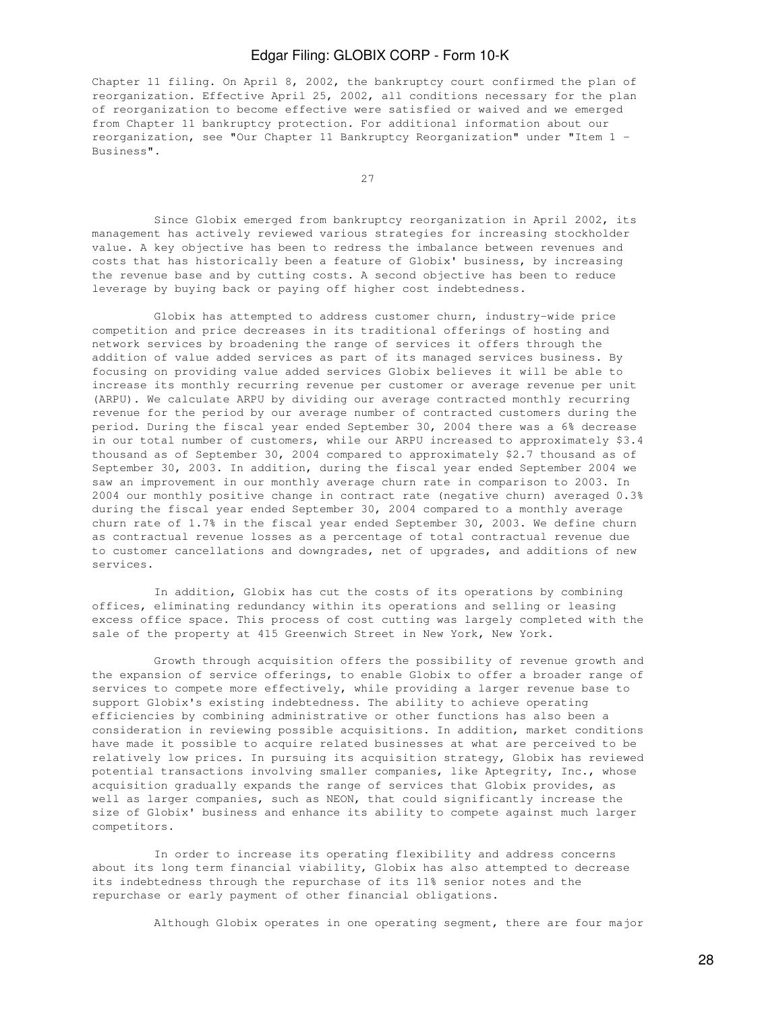Chapter 11 filing. On April 8, 2002, the bankruptcy court confirmed the plan of reorganization. Effective April 25, 2002, all conditions necessary for the plan of reorganization to become effective were satisfied or waived and we emerged from Chapter 11 bankruptcy protection. For additional information about our reorganization, see "Our Chapter 11 Bankruptcy Reorganization" under "Item 1 - Business".

<u>27 and 27</u>

 Since Globix emerged from bankruptcy reorganization in April 2002, its management has actively reviewed various strategies for increasing stockholder value. A key objective has been to redress the imbalance between revenues and costs that has historically been a feature of Globix' business, by increasing the revenue base and by cutting costs. A second objective has been to reduce leverage by buying back or paying off higher cost indebtedness.

 Globix has attempted to address customer churn, industry-wide price competition and price decreases in its traditional offerings of hosting and network services by broadening the range of services it offers through the addition of value added services as part of its managed services business. By focusing on providing value added services Globix believes it will be able to increase its monthly recurring revenue per customer or average revenue per unit (ARPU). We calculate ARPU by dividing our average contracted monthly recurring revenue for the period by our average number of contracted customers during the period. During the fiscal year ended September 30, 2004 there was a 6% decrease in our total number of customers, while our ARPU increased to approximately \$3.4 thousand as of September 30, 2004 compared to approximately \$2.7 thousand as of September 30, 2003. In addition, during the fiscal year ended September 2004 we saw an improvement in our monthly average churn rate in comparison to 2003. In 2004 our monthly positive change in contract rate (negative churn) averaged 0.3% during the fiscal year ended September 30, 2004 compared to a monthly average churn rate of 1.7% in the fiscal year ended September 30, 2003. We define churn as contractual revenue losses as a percentage of total contractual revenue due to customer cancellations and downgrades, net of upgrades, and additions of new services.

 In addition, Globix has cut the costs of its operations by combining offices, eliminating redundancy within its operations and selling or leasing excess office space. This process of cost cutting was largely completed with the sale of the property at 415 Greenwich Street in New York, New York.

 Growth through acquisition offers the possibility of revenue growth and the expansion of service offerings, to enable Globix to offer a broader range of services to compete more effectively, while providing a larger revenue base to support Globix's existing indebtedness. The ability to achieve operating efficiencies by combining administrative or other functions has also been a consideration in reviewing possible acquisitions. In addition, market conditions have made it possible to acquire related businesses at what are perceived to be relatively low prices. In pursuing its acquisition strategy, Globix has reviewed potential transactions involving smaller companies, like Aptegrity, Inc., whose acquisition gradually expands the range of services that Globix provides, as well as larger companies, such as NEON, that could significantly increase the size of Globix' business and enhance its ability to compete against much larger competitors.

 In order to increase its operating flexibility and address concerns about its long term financial viability, Globix has also attempted to decrease its indebtedness through the repurchase of its 11% senior notes and the repurchase or early payment of other financial obligations.

Although Globix operates in one operating segment, there are four major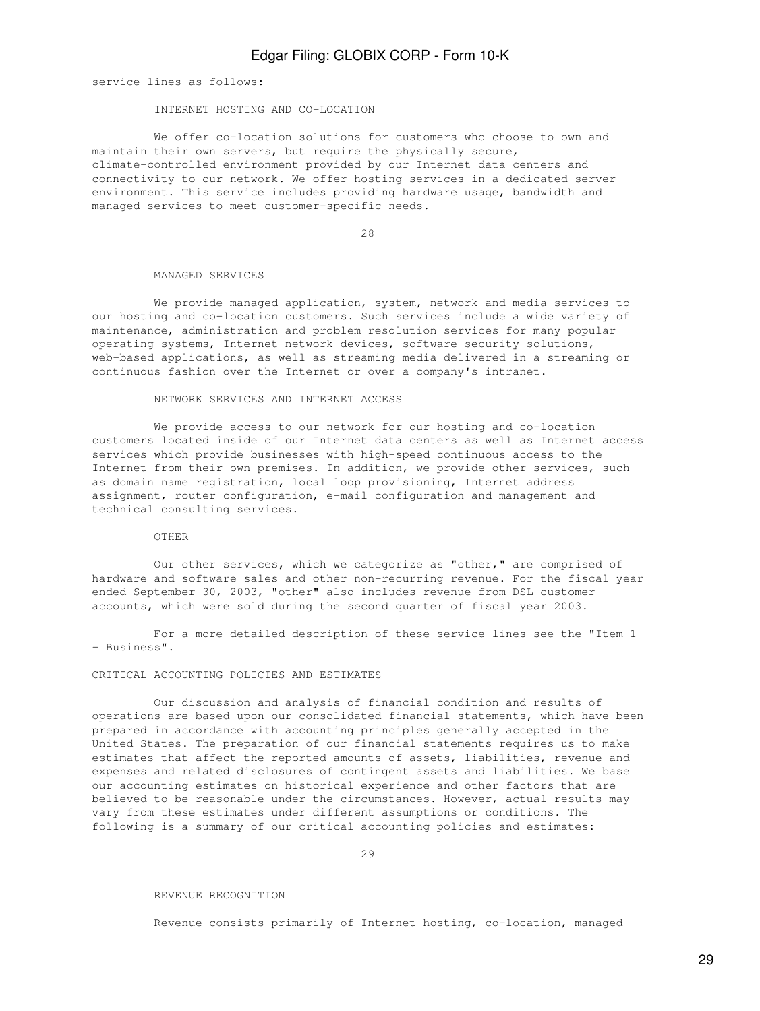service lines as follows:

#### INTERNET HOSTING AND CO-LOCATION

 We offer co-location solutions for customers who choose to own and maintain their own servers, but require the physically secure, climate-controlled environment provided by our Internet data centers and connectivity to our network. We offer hosting services in a dedicated server environment. This service includes providing hardware usage, bandwidth and managed services to meet customer-specific needs.

28

#### MANAGED SERVICES

 We provide managed application, system, network and media services to our hosting and co-location customers. Such services include a wide variety of maintenance, administration and problem resolution services for many popular operating systems, Internet network devices, software security solutions, web-based applications, as well as streaming media delivered in a streaming or continuous fashion over the Internet or over a company's intranet.

#### NETWORK SERVICES AND INTERNET ACCESS

 We provide access to our network for our hosting and co-location customers located inside of our Internet data centers as well as Internet access services which provide businesses with high-speed continuous access to the Internet from their own premises. In addition, we provide other services, such as domain name registration, local loop provisioning, Internet address assignment, router configuration, e-mail configuration and management and technical consulting services.

#### OTHER

 Our other services, which we categorize as "other," are comprised of hardware and software sales and other non-recurring revenue. For the fiscal year ended September 30, 2003, "other" also includes revenue from DSL customer accounts, which were sold during the second quarter of fiscal year 2003.

 For a more detailed description of these service lines see the "Item 1 - Business".

#### CRITICAL ACCOUNTING POLICIES AND ESTIMATES

 Our discussion and analysis of financial condition and results of operations are based upon our consolidated financial statements, which have been prepared in accordance with accounting principles generally accepted in the United States. The preparation of our financial statements requires us to make estimates that affect the reported amounts of assets, liabilities, revenue and expenses and related disclosures of contingent assets and liabilities. We base our accounting estimates on historical experience and other factors that are believed to be reasonable under the circumstances. However, actual results may vary from these estimates under different assumptions or conditions. The following is a summary of our critical accounting policies and estimates:

29

#### REVENUE RECOGNITION

Revenue consists primarily of Internet hosting, co-location, managed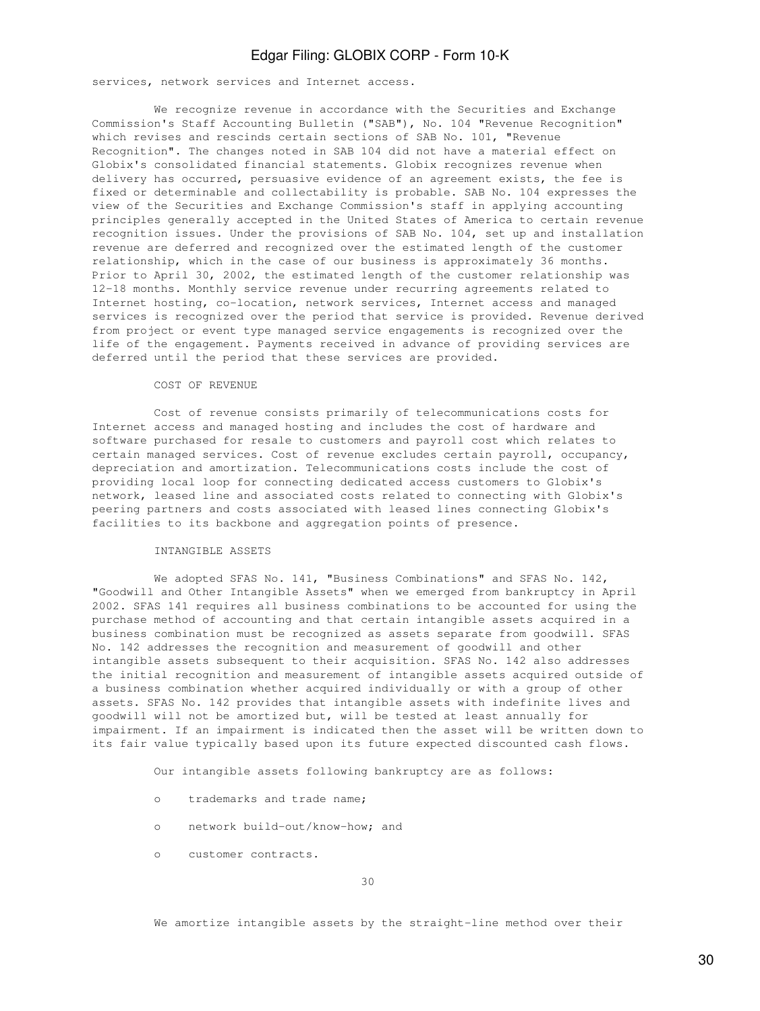services, network services and Internet access.

 We recognize revenue in accordance with the Securities and Exchange Commission's Staff Accounting Bulletin ("SAB"), No. 104 "Revenue Recognition" which revises and rescinds certain sections of SAB No. 101, "Revenue Recognition". The changes noted in SAB 104 did not have a material effect on Globix's consolidated financial statements. Globix recognizes revenue when delivery has occurred, persuasive evidence of an agreement exists, the fee is fixed or determinable and collectability is probable. SAB No. 104 expresses the view of the Securities and Exchange Commission's staff in applying accounting principles generally accepted in the United States of America to certain revenue recognition issues. Under the provisions of SAB No. 104, set up and installation revenue are deferred and recognized over the estimated length of the customer relationship, which in the case of our business is approximately 36 months. Prior to April 30, 2002, the estimated length of the customer relationship was 12-18 months. Monthly service revenue under recurring agreements related to Internet hosting, co-location, network services, Internet access and managed services is recognized over the period that service is provided. Revenue derived from project or event type managed service engagements is recognized over the life of the engagement. Payments received in advance of providing services are deferred until the period that these services are provided.

#### COST OF REVENUE

 Cost of revenue consists primarily of telecommunications costs for Internet access and managed hosting and includes the cost of hardware and software purchased for resale to customers and payroll cost which relates to certain managed services. Cost of revenue excludes certain payroll, occupancy, depreciation and amortization. Telecommunications costs include the cost of providing local loop for connecting dedicated access customers to Globix's network, leased line and associated costs related to connecting with Globix's peering partners and costs associated with leased lines connecting Globix's facilities to its backbone and aggregation points of presence.

#### INTANGIBLE ASSETS

We adopted SFAS No. 141, "Business Combinations" and SFAS No. 142, "Goodwill and Other Intangible Assets" when we emerged from bankruptcy in April 2002. SFAS 141 requires all business combinations to be accounted for using the purchase method of accounting and that certain intangible assets acquired in a business combination must be recognized as assets separate from goodwill. SFAS No. 142 addresses the recognition and measurement of goodwill and other intangible assets subsequent to their acquisition. SFAS No. 142 also addresses the initial recognition and measurement of intangible assets acquired outside of a business combination whether acquired individually or with a group of other assets. SFAS No. 142 provides that intangible assets with indefinite lives and goodwill will not be amortized but, will be tested at least annually for impairment. If an impairment is indicated then the asset will be written down to its fair value typically based upon its future expected discounted cash flows.

Our intangible assets following bankruptcy are as follows:

- o trademarks and trade name;
- o network build-out/know-how; and
- o customer contracts.

We amortize intangible assets by the straight-line method over their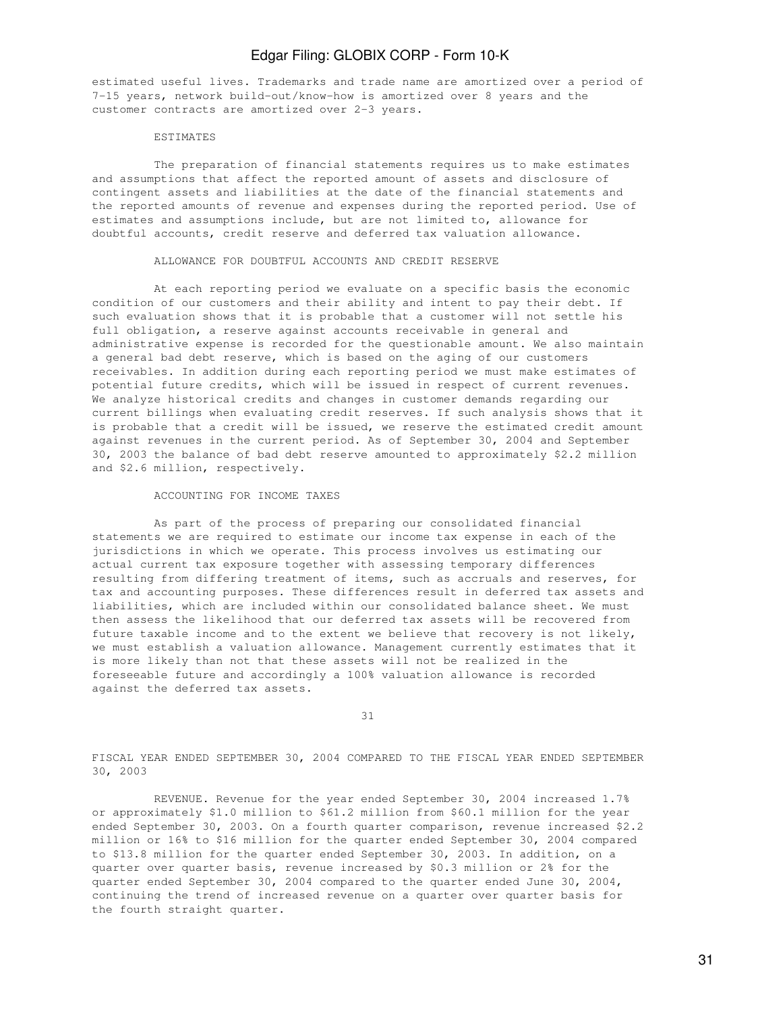estimated useful lives. Trademarks and trade name are amortized over a period of 7-15 years, network build-out/know-how is amortized over 8 years and the customer contracts are amortized over 2-3 years.

#### **ESTIMATES**

 The preparation of financial statements requires us to make estimates and assumptions that affect the reported amount of assets and disclosure of contingent assets and liabilities at the date of the financial statements and the reported amounts of revenue and expenses during the reported period. Use of estimates and assumptions include, but are not limited to, allowance for doubtful accounts, credit reserve and deferred tax valuation allowance.

#### ALLOWANCE FOR DOUBTFUL ACCOUNTS AND CREDIT RESERVE

 At each reporting period we evaluate on a specific basis the economic condition of our customers and their ability and intent to pay their debt. If such evaluation shows that it is probable that a customer will not settle his full obligation, a reserve against accounts receivable in general and administrative expense is recorded for the questionable amount. We also maintain a general bad debt reserve, which is based on the aging of our customers receivables. In addition during each reporting period we must make estimates of potential future credits, which will be issued in respect of current revenues. We analyze historical credits and changes in customer demands regarding our current billings when evaluating credit reserves. If such analysis shows that it is probable that a credit will be issued, we reserve the estimated credit amount against revenues in the current period. As of September 30, 2004 and September 30, 2003 the balance of bad debt reserve amounted to approximately \$2.2 million and \$2.6 million, respectively.

#### ACCOUNTING FOR INCOME TAXES

 As part of the process of preparing our consolidated financial statements we are required to estimate our income tax expense in each of the jurisdictions in which we operate. This process involves us estimating our actual current tax exposure together with assessing temporary differences resulting from differing treatment of items, such as accruals and reserves, for tax and accounting purposes. These differences result in deferred tax assets and liabilities, which are included within our consolidated balance sheet. We must then assess the likelihood that our deferred tax assets will be recovered from future taxable income and to the extent we believe that recovery is not likely, we must establish a valuation allowance. Management currently estimates that it is more likely than not that these assets will not be realized in the foreseeable future and accordingly a 100% valuation allowance is recorded against the deferred tax assets.

31

FISCAL YEAR ENDED SEPTEMBER 30, 2004 COMPARED TO THE FISCAL YEAR ENDED SEPTEMBER 30, 2003

 REVENUE. Revenue for the year ended September 30, 2004 increased 1.7% or approximately \$1.0 million to \$61.2 million from \$60.1 million for the year ended September 30, 2003. On a fourth quarter comparison, revenue increased \$2.2 million or 16% to \$16 million for the quarter ended September 30, 2004 compared to \$13.8 million for the quarter ended September 30, 2003. In addition, on a quarter over quarter basis, revenue increased by \$0.3 million or 2% for the quarter ended September 30, 2004 compared to the quarter ended June 30, 2004, continuing the trend of increased revenue on a quarter over quarter basis for the fourth straight quarter.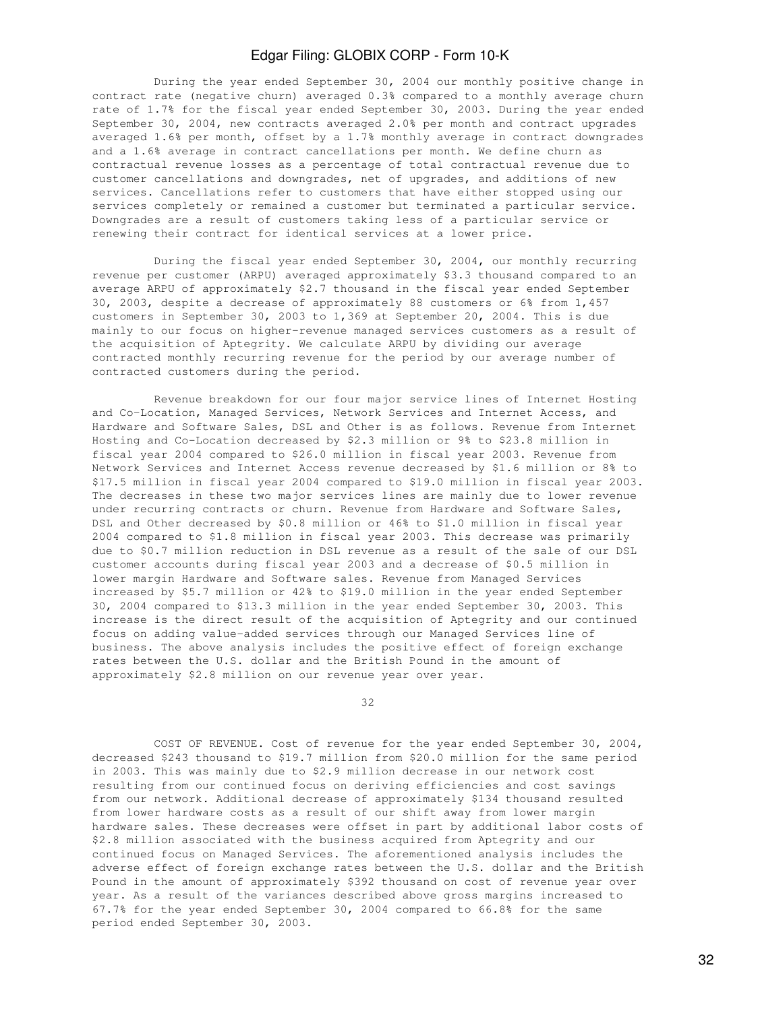During the year ended September 30, 2004 our monthly positive change in contract rate (negative churn) averaged 0.3% compared to a monthly average churn rate of 1.7% for the fiscal year ended September 30, 2003. During the year ended September 30, 2004, new contracts averaged 2.0% per month and contract upgrades averaged 1.6% per month, offset by a 1.7% monthly average in contract downgrades and a 1.6% average in contract cancellations per month. We define churn as contractual revenue losses as a percentage of total contractual revenue due to customer cancellations and downgrades, net of upgrades, and additions of new services. Cancellations refer to customers that have either stopped using our services completely or remained a customer but terminated a particular service. Downgrades are a result of customers taking less of a particular service or renewing their contract for identical services at a lower price.

 During the fiscal year ended September 30, 2004, our monthly recurring revenue per customer (ARPU) averaged approximately \$3.3 thousand compared to an average ARPU of approximately \$2.7 thousand in the fiscal year ended September 30, 2003, despite a decrease of approximately 88 customers or 6% from 1,457 customers in September 30, 2003 to 1,369 at September 20, 2004. This is due mainly to our focus on higher-revenue managed services customers as a result of the acquisition of Aptegrity. We calculate ARPU by dividing our average contracted monthly recurring revenue for the period by our average number of contracted customers during the period.

 Revenue breakdown for our four major service lines of Internet Hosting and Co-Location, Managed Services, Network Services and Internet Access, and Hardware and Software Sales, DSL and Other is as follows. Revenue from Internet Hosting and Co-Location decreased by \$2.3 million or 9% to \$23.8 million in fiscal year 2004 compared to \$26.0 million in fiscal year 2003. Revenue from Network Services and Internet Access revenue decreased by \$1.6 million or 8% to \$17.5 million in fiscal year 2004 compared to \$19.0 million in fiscal year 2003. The decreases in these two major services lines are mainly due to lower revenue under recurring contracts or churn. Revenue from Hardware and Software Sales, DSL and Other decreased by \$0.8 million or 46% to \$1.0 million in fiscal year 2004 compared to \$1.8 million in fiscal year 2003. This decrease was primarily due to \$0.7 million reduction in DSL revenue as a result of the sale of our DSL customer accounts during fiscal year 2003 and a decrease of \$0.5 million in lower margin Hardware and Software sales. Revenue from Managed Services increased by \$5.7 million or 42% to \$19.0 million in the year ended September 30, 2004 compared to \$13.3 million in the year ended September 30, 2003. This increase is the direct result of the acquisition of Aptegrity and our continued focus on adding value-added services through our Managed Services line of business. The above analysis includes the positive effect of foreign exchange rates between the U.S. dollar and the British Pound in the amount of approximately \$2.8 million on our revenue year over year.

<u>32</u>

 COST OF REVENUE. Cost of revenue for the year ended September 30, 2004, decreased \$243 thousand to \$19.7 million from \$20.0 million for the same period in 2003. This was mainly due to \$2.9 million decrease in our network cost resulting from our continued focus on deriving efficiencies and cost savings from our network. Additional decrease of approximately \$134 thousand resulted from lower hardware costs as a result of our shift away from lower margin hardware sales. These decreases were offset in part by additional labor costs of \$2.8 million associated with the business acquired from Aptegrity and our continued focus on Managed Services. The aforementioned analysis includes the adverse effect of foreign exchange rates between the U.S. dollar and the British Pound in the amount of approximately \$392 thousand on cost of revenue year over year. As a result of the variances described above gross margins increased to 67.7% for the year ended September 30, 2004 compared to 66.8% for the same period ended September 30, 2003.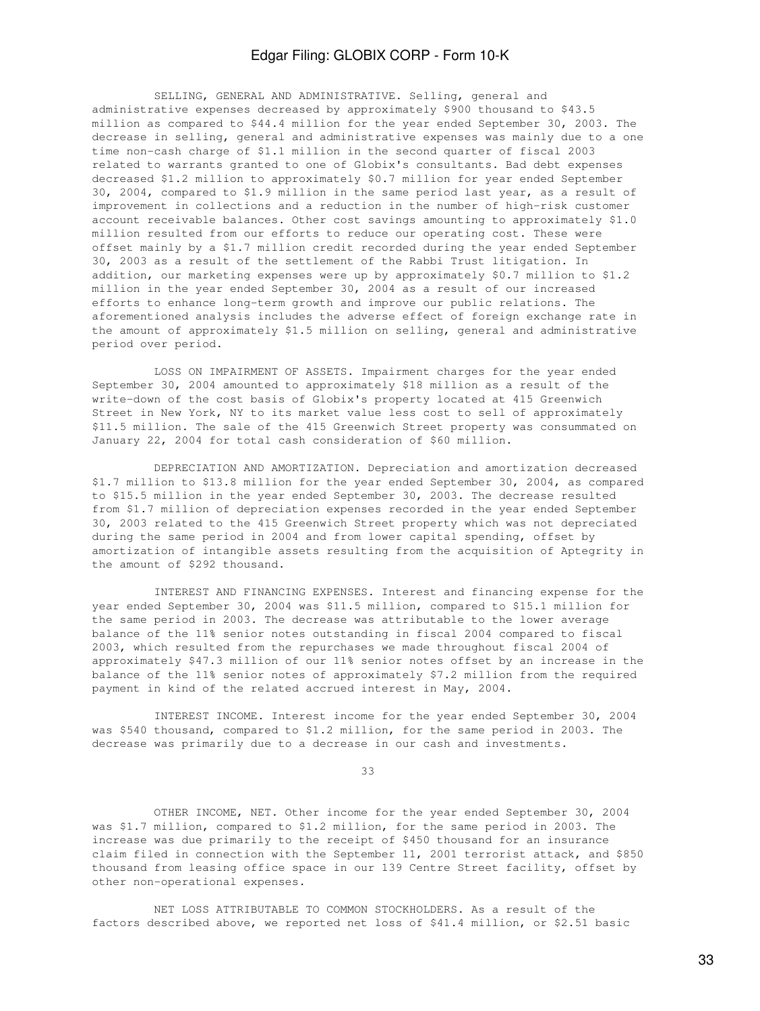SELLING, GENERAL AND ADMINISTRATIVE. Selling, general and administrative expenses decreased by approximately \$900 thousand to \$43.5 million as compared to \$44.4 million for the year ended September 30, 2003. The decrease in selling, general and administrative expenses was mainly due to a one time non-cash charge of \$1.1 million in the second quarter of fiscal 2003 related to warrants granted to one of Globix's consultants. Bad debt expenses decreased \$1.2 million to approximately \$0.7 million for year ended September 30, 2004, compared to \$1.9 million in the same period last year, as a result of improvement in collections and a reduction in the number of high-risk customer account receivable balances. Other cost savings amounting to approximately \$1.0 million resulted from our efforts to reduce our operating cost. These were offset mainly by a \$1.7 million credit recorded during the year ended September 30, 2003 as a result of the settlement of the Rabbi Trust litigation. In addition, our marketing expenses were up by approximately \$0.7 million to \$1.2 million in the year ended September 30, 2004 as a result of our increased efforts to enhance long-term growth and improve our public relations. The aforementioned analysis includes the adverse effect of foreign exchange rate in the amount of approximately \$1.5 million on selling, general and administrative period over period.

 LOSS ON IMPAIRMENT OF ASSETS. Impairment charges for the year ended September 30, 2004 amounted to approximately \$18 million as a result of the write-down of the cost basis of Globix's property located at 415 Greenwich Street in New York, NY to its market value less cost to sell of approximately \$11.5 million. The sale of the 415 Greenwich Street property was consummated on January 22, 2004 for total cash consideration of \$60 million.

 DEPRECIATION AND AMORTIZATION. Depreciation and amortization decreased \$1.7 million to \$13.8 million for the year ended September 30, 2004, as compared to \$15.5 million in the year ended September 30, 2003. The decrease resulted from \$1.7 million of depreciation expenses recorded in the year ended September 30, 2003 related to the 415 Greenwich Street property which was not depreciated during the same period in 2004 and from lower capital spending, offset by amortization of intangible assets resulting from the acquisition of Aptegrity in the amount of \$292 thousand.

 INTEREST AND FINANCING EXPENSES. Interest and financing expense for the year ended September 30, 2004 was \$11.5 million, compared to \$15.1 million for the same period in 2003. The decrease was attributable to the lower average balance of the 11% senior notes outstanding in fiscal 2004 compared to fiscal 2003, which resulted from the repurchases we made throughout fiscal 2004 of approximately \$47.3 million of our 11% senior notes offset by an increase in the balance of the 11% senior notes of approximately \$7.2 million from the required payment in kind of the related accrued interest in May, 2004.

 INTEREST INCOME. Interest income for the year ended September 30, 2004 was \$540 thousand, compared to \$1.2 million, for the same period in 2003. The decrease was primarily due to a decrease in our cash and investments.

33

 OTHER INCOME, NET. Other income for the year ended September 30, 2004 was \$1.7 million, compared to \$1.2 million, for the same period in 2003. The increase was due primarily to the receipt of \$450 thousand for an insurance claim filed in connection with the September 11, 2001 terrorist attack, and \$850 thousand from leasing office space in our 139 Centre Street facility, offset by other non-operational expenses.

 NET LOSS ATTRIBUTABLE TO COMMON STOCKHOLDERS. As a result of the factors described above, we reported net loss of \$41.4 million, or \$2.51 basic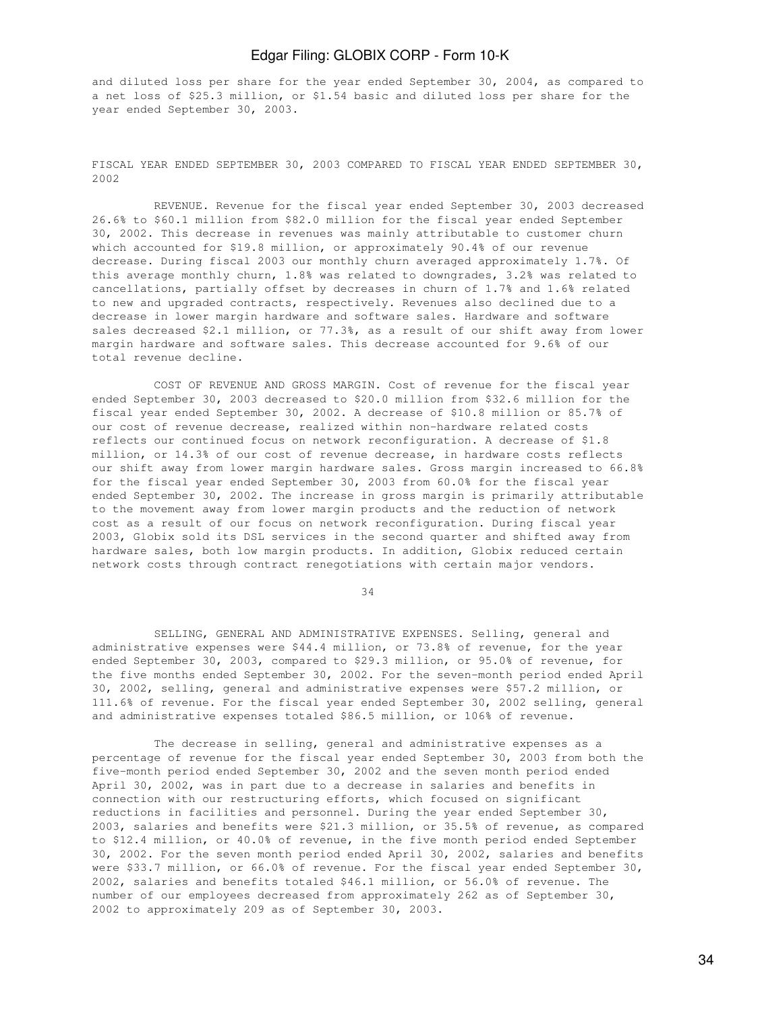and diluted loss per share for the year ended September 30, 2004, as compared to a net loss of \$25.3 million, or \$1.54 basic and diluted loss per share for the year ended September 30, 2003.

FISCAL YEAR ENDED SEPTEMBER 30, 2003 COMPARED TO FISCAL YEAR ENDED SEPTEMBER 30, 2002

 REVENUE. Revenue for the fiscal year ended September 30, 2003 decreased 26.6% to \$60.1 million from \$82.0 million for the fiscal year ended September 30, 2002. This decrease in revenues was mainly attributable to customer churn which accounted for \$19.8 million, or approximately 90.4% of our revenue decrease. During fiscal 2003 our monthly churn averaged approximately 1.7%. Of this average monthly churn, 1.8% was related to downgrades, 3.2% was related to cancellations, partially offset by decreases in churn of 1.7% and 1.6% related to new and upgraded contracts, respectively. Revenues also declined due to a decrease in lower margin hardware and software sales. Hardware and software sales decreased \$2.1 million, or 77.3%, as a result of our shift away from lower margin hardware and software sales. This decrease accounted for 9.6% of our total revenue decline.

 COST OF REVENUE AND GROSS MARGIN. Cost of revenue for the fiscal year ended September 30, 2003 decreased to \$20.0 million from \$32.6 million for the fiscal year ended September 30, 2002. A decrease of \$10.8 million or 85.7% of our cost of revenue decrease, realized within non-hardware related costs reflects our continued focus on network reconfiguration. A decrease of \$1.8 million, or 14.3% of our cost of revenue decrease, in hardware costs reflects our shift away from lower margin hardware sales. Gross margin increased to 66.8% for the fiscal year ended September 30, 2003 from 60.0% for the fiscal year ended September 30, 2002. The increase in gross margin is primarily attributable to the movement away from lower margin products and the reduction of network cost as a result of our focus on network reconfiguration. During fiscal year 2003, Globix sold its DSL services in the second quarter and shifted away from hardware sales, both low margin products. In addition, Globix reduced certain network costs through contract renegotiations with certain major vendors.

34

 SELLING, GENERAL AND ADMINISTRATIVE EXPENSES. Selling, general and administrative expenses were \$44.4 million, or 73.8% of revenue, for the year ended September 30, 2003, compared to \$29.3 million, or 95.0% of revenue, for the five months ended September 30, 2002. For the seven-month period ended April 30, 2002, selling, general and administrative expenses were \$57.2 million, or 111.6% of revenue. For the fiscal year ended September 30, 2002 selling, general and administrative expenses totaled \$86.5 million, or 106% of revenue.

 The decrease in selling, general and administrative expenses as a percentage of revenue for the fiscal year ended September 30, 2003 from both the five-month period ended September 30, 2002 and the seven month period ended April 30, 2002, was in part due to a decrease in salaries and benefits in connection with our restructuring efforts, which focused on significant reductions in facilities and personnel. During the year ended September 30, 2003, salaries and benefits were \$21.3 million, or 35.5% of revenue, as compared to \$12.4 million, or 40.0% of revenue, in the five month period ended September 30, 2002. For the seven month period ended April 30, 2002, salaries and benefits were \$33.7 million, or 66.0% of revenue. For the fiscal year ended September 30, 2002, salaries and benefits totaled \$46.1 million, or 56.0% of revenue. The number of our employees decreased from approximately 262 as of September 30, 2002 to approximately 209 as of September 30, 2003.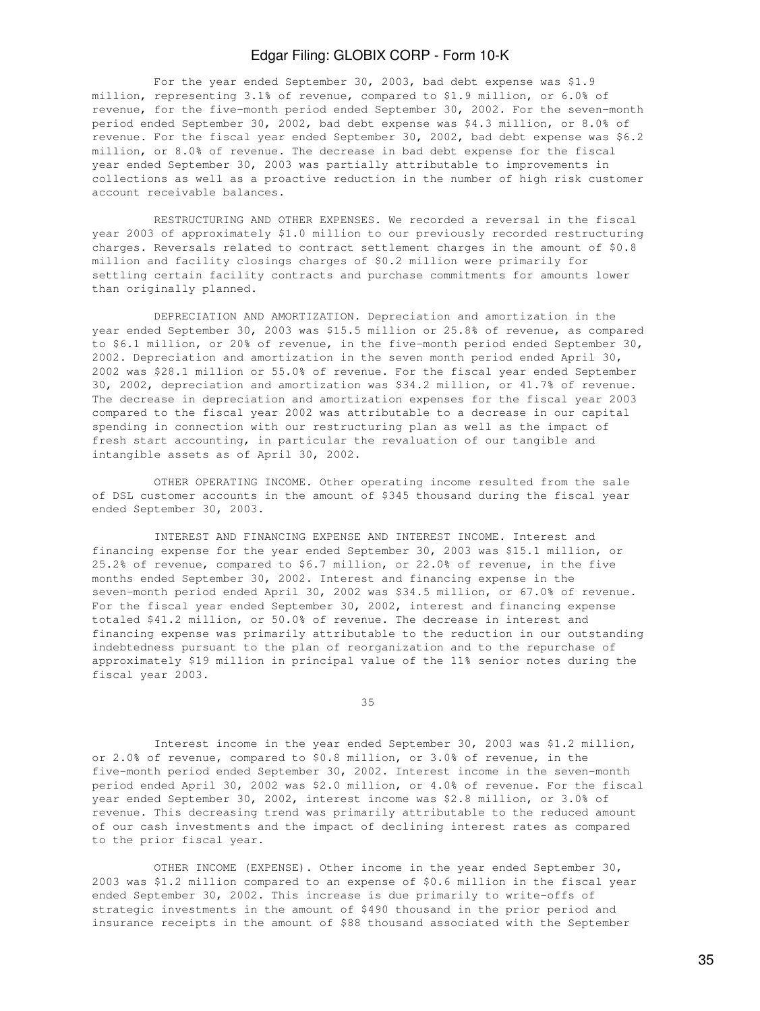For the year ended September 30, 2003, bad debt expense was \$1.9 million, representing 3.1% of revenue, compared to \$1.9 million, or 6.0% of revenue, for the five-month period ended September 30, 2002. For the seven-month period ended September 30, 2002, bad debt expense was \$4.3 million, or 8.0% of revenue. For the fiscal year ended September 30, 2002, bad debt expense was \$6.2 million, or 8.0% of revenue. The decrease in bad debt expense for the fiscal year ended September 30, 2003 was partially attributable to improvements in collections as well as a proactive reduction in the number of high risk customer account receivable balances.

 RESTRUCTURING AND OTHER EXPENSES. We recorded a reversal in the fiscal year 2003 of approximately \$1.0 million to our previously recorded restructuring charges. Reversals related to contract settlement charges in the amount of \$0.8 million and facility closings charges of \$0.2 million were primarily for settling certain facility contracts and purchase commitments for amounts lower than originally planned.

 DEPRECIATION AND AMORTIZATION. Depreciation and amortization in the year ended September 30, 2003 was \$15.5 million or 25.8% of revenue, as compared to \$6.1 million, or 20% of revenue, in the five-month period ended September 30, 2002. Depreciation and amortization in the seven month period ended April 30, 2002 was \$28.1 million or 55.0% of revenue. For the fiscal year ended September 30, 2002, depreciation and amortization was \$34.2 million, or 41.7% of revenue. The decrease in depreciation and amortization expenses for the fiscal year 2003 compared to the fiscal year 2002 was attributable to a decrease in our capital spending in connection with our restructuring plan as well as the impact of fresh start accounting, in particular the revaluation of our tangible and intangible assets as of April 30, 2002.

 OTHER OPERATING INCOME. Other operating income resulted from the sale of DSL customer accounts in the amount of \$345 thousand during the fiscal year ended September 30, 2003.

 INTEREST AND FINANCING EXPENSE AND INTEREST INCOME. Interest and financing expense for the year ended September 30, 2003 was \$15.1 million, or 25.2% of revenue, compared to \$6.7 million, or 22.0% of revenue, in the five months ended September 30, 2002. Interest and financing expense in the seven-month period ended April 30, 2002 was \$34.5 million, or 67.0% of revenue. For the fiscal year ended September 30, 2002, interest and financing expense totaled \$41.2 million, or 50.0% of revenue. The decrease in interest and financing expense was primarily attributable to the reduction in our outstanding indebtedness pursuant to the plan of reorganization and to the repurchase of approximately \$19 million in principal value of the 11% senior notes during the fiscal year 2003.

<u>35 and 2012 and 2013</u>

 Interest income in the year ended September 30, 2003 was \$1.2 million, or 2.0% of revenue, compared to \$0.8 million, or 3.0% of revenue, in the five-month period ended September 30, 2002. Interest income in the seven-month period ended April 30, 2002 was \$2.0 million, or 4.0% of revenue. For the fiscal year ended September 30, 2002, interest income was \$2.8 million, or 3.0% of revenue. This decreasing trend was primarily attributable to the reduced amount of our cash investments and the impact of declining interest rates as compared to the prior fiscal year.

 OTHER INCOME (EXPENSE). Other income in the year ended September 30, 2003 was \$1.2 million compared to an expense of \$0.6 million in the fiscal year ended September 30, 2002. This increase is due primarily to write-offs of strategic investments in the amount of \$490 thousand in the prior period and insurance receipts in the amount of \$88 thousand associated with the September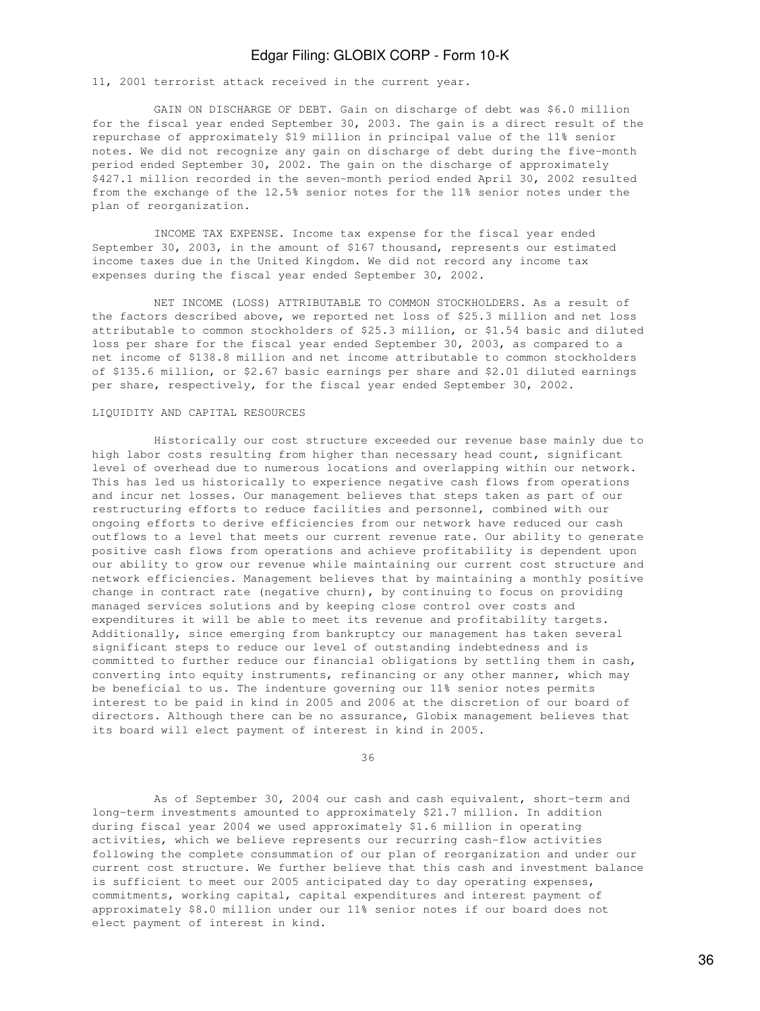11, 2001 terrorist attack received in the current year.

 GAIN ON DISCHARGE OF DEBT. Gain on discharge of debt was \$6.0 million for the fiscal year ended September 30, 2003. The gain is a direct result of the repurchase of approximately \$19 million in principal value of the 11% senior notes. We did not recognize any gain on discharge of debt during the five-month period ended September 30, 2002. The gain on the discharge of approximately \$427.1 million recorded in the seven-month period ended April 30, 2002 resulted from the exchange of the 12.5% senior notes for the 11% senior notes under the plan of reorganization.

 INCOME TAX EXPENSE. Income tax expense for the fiscal year ended September 30, 2003, in the amount of \$167 thousand, represents our estimated income taxes due in the United Kingdom. We did not record any income tax expenses during the fiscal year ended September 30, 2002.

 NET INCOME (LOSS) ATTRIBUTABLE TO COMMON STOCKHOLDERS. As a result of the factors described above, we reported net loss of \$25.3 million and net loss attributable to common stockholders of \$25.3 million, or \$1.54 basic and diluted loss per share for the fiscal year ended September 30, 2003, as compared to a net income of \$138.8 million and net income attributable to common stockholders of \$135.6 million, or \$2.67 basic earnings per share and \$2.01 diluted earnings per share, respectively, for the fiscal year ended September 30, 2002.

#### LIQUIDITY AND CAPITAL RESOURCES

 Historically our cost structure exceeded our revenue base mainly due to high labor costs resulting from higher than necessary head count, significant level of overhead due to numerous locations and overlapping within our network. This has led us historically to experience negative cash flows from operations and incur net losses. Our management believes that steps taken as part of our restructuring efforts to reduce facilities and personnel, combined with our ongoing efforts to derive efficiencies from our network have reduced our cash outflows to a level that meets our current revenue rate. Our ability to generate positive cash flows from operations and achieve profitability is dependent upon our ability to grow our revenue while maintaining our current cost structure and network efficiencies. Management believes that by maintaining a monthly positive change in contract rate (negative churn), by continuing to focus on providing managed services solutions and by keeping close control over costs and expenditures it will be able to meet its revenue and profitability targets. Additionally, since emerging from bankruptcy our management has taken several significant steps to reduce our level of outstanding indebtedness and is committed to further reduce our financial obligations by settling them in cash, converting into equity instruments, refinancing or any other manner, which may be beneficial to us. The indenture governing our 11% senior notes permits interest to be paid in kind in 2005 and 2006 at the discretion of our board of directors. Although there can be no assurance, Globix management believes that its board will elect payment of interest in kind in 2005.

<u>36 and 36</u>

 As of September 30, 2004 our cash and cash equivalent, short-term and long-term investments amounted to approximately \$21.7 million. In addition during fiscal year 2004 we used approximately \$1.6 million in operating activities, which we believe represents our recurring cash-flow activities following the complete consummation of our plan of reorganization and under our current cost structure. We further believe that this cash and investment balance is sufficient to meet our 2005 anticipated day to day operating expenses, commitments, working capital, capital expenditures and interest payment of approximately \$8.0 million under our 11% senior notes if our board does not elect payment of interest in kind.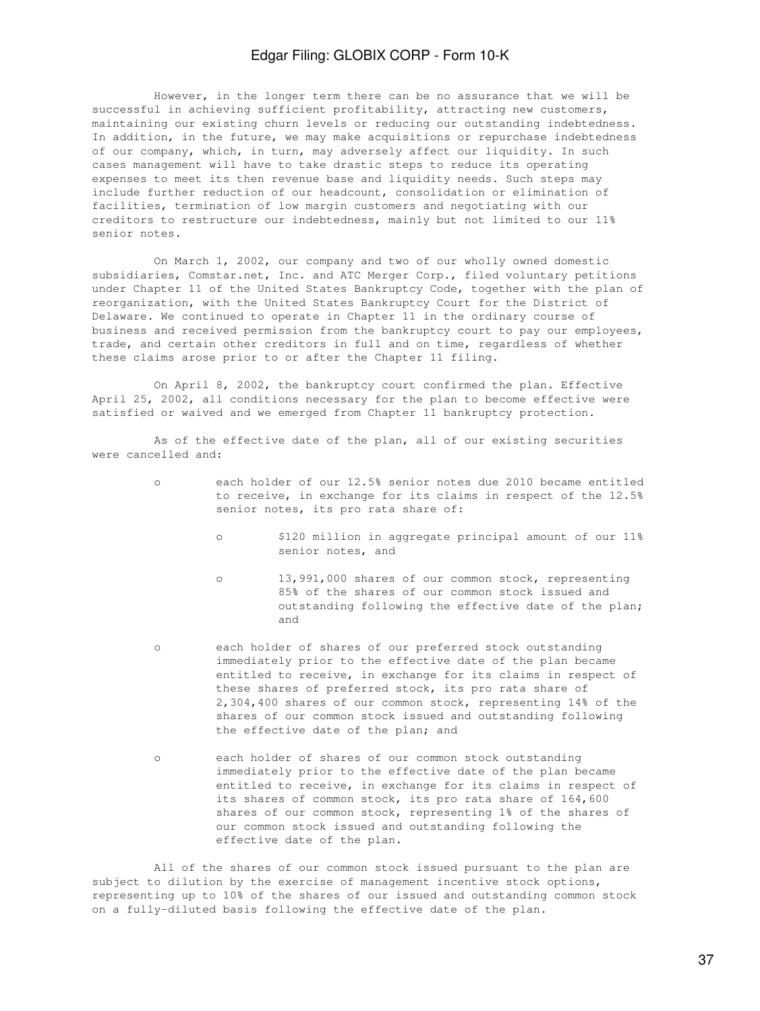However, in the longer term there can be no assurance that we will be successful in achieving sufficient profitability, attracting new customers, maintaining our existing churn levels or reducing our outstanding indebtedness. In addition, in the future, we may make acquisitions or repurchase indebtedness of our company, which, in turn, may adversely affect our liquidity. In such cases management will have to take drastic steps to reduce its operating expenses to meet its then revenue base and liquidity needs. Such steps may include further reduction of our headcount, consolidation or elimination of facilities, termination of low margin customers and negotiating with our creditors to restructure our indebtedness, mainly but not limited to our 11% senior notes.

 On March 1, 2002, our company and two of our wholly owned domestic subsidiaries, Comstar.net, Inc. and ATC Merger Corp., filed voluntary petitions under Chapter 11 of the United States Bankruptcy Code, together with the plan of reorganization, with the United States Bankruptcy Court for the District of Delaware. We continued to operate in Chapter 11 in the ordinary course of business and received permission from the bankruptcy court to pay our employees, trade, and certain other creditors in full and on time, regardless of whether these claims arose prior to or after the Chapter 11 filing.

 On April 8, 2002, the bankruptcy court confirmed the plan. Effective April 25, 2002, all conditions necessary for the plan to become effective were satisfied or waived and we emerged from Chapter 11 bankruptcy protection.

 As of the effective date of the plan, all of our existing securities were cancelled and:

- o each holder of our 12.5% senior notes due 2010 became entitled to receive, in exchange for its claims in respect of the 12.5% senior notes, its pro rata share of:
	- o \$120 million in aggregate principal amount of our 11% senior notes, and
- o 13,991,000 shares of our common stock, representing 85% of the shares of our common stock issued and outstanding following the effective date of the plan; and
	- o each holder of shares of our preferred stock outstanding immediately prior to the effective date of the plan became entitled to receive, in exchange for its claims in respect of these shares of preferred stock, its pro rata share of 2,304,400 shares of our common stock, representing 14% of the shares of our common stock issued and outstanding following the effective date of the plan; and
	- o each holder of shares of our common stock outstanding immediately prior to the effective date of the plan became entitled to receive, in exchange for its claims in respect of its shares of common stock, its pro rata share of 164,600 shares of our common stock, representing 1% of the shares of our common stock issued and outstanding following the effective date of the plan.

 All of the shares of our common stock issued pursuant to the plan are subject to dilution by the exercise of management incentive stock options, representing up to 10% of the shares of our issued and outstanding common stock on a fully-diluted basis following the effective date of the plan.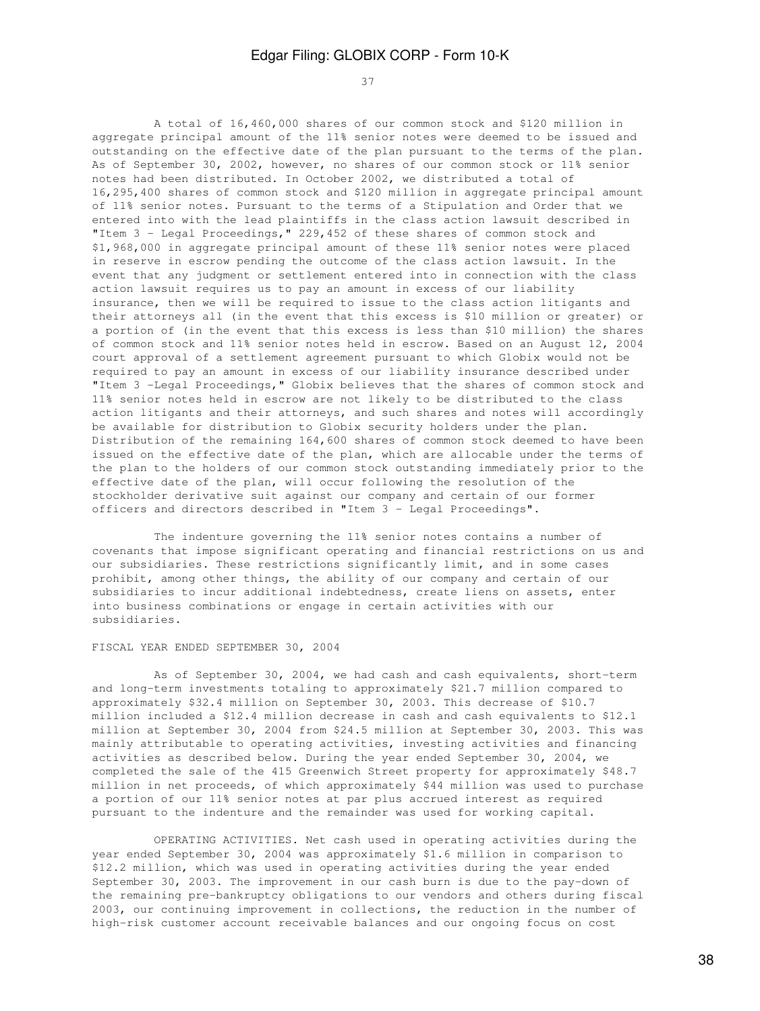37

 A total of 16,460,000 shares of our common stock and \$120 million in aggregate principal amount of the 11% senior notes were deemed to be issued and outstanding on the effective date of the plan pursuant to the terms of the plan. As of September 30, 2002, however, no shares of our common stock or 11% senior notes had been distributed. In October 2002, we distributed a total of 16,295,400 shares of common stock and \$120 million in aggregate principal amount of 11% senior notes. Pursuant to the terms of a Stipulation and Order that we entered into with the lead plaintiffs in the class action lawsuit described in "Item 3 - Legal Proceedings," 229,452 of these shares of common stock and \$1,968,000 in aggregate principal amount of these 11% senior notes were placed in reserve in escrow pending the outcome of the class action lawsuit. In the event that any judgment or settlement entered into in connection with the class action lawsuit requires us to pay an amount in excess of our liability insurance, then we will be required to issue to the class action litigants and their attorneys all (in the event that this excess is \$10 million or greater) or a portion of (in the event that this excess is less than \$10 million) the shares of common stock and 11% senior notes held in escrow. Based on an August 12, 2004 court approval of a settlement agreement pursuant to which Globix would not be required to pay an amount in excess of our liability insurance described under "Item 3 -Legal Proceedings," Globix believes that the shares of common stock and 11% senior notes held in escrow are not likely to be distributed to the class action litigants and their attorneys, and such shares and notes will accordingly be available for distribution to Globix security holders under the plan. Distribution of the remaining 164,600 shares of common stock deemed to have been issued on the effective date of the plan, which are allocable under the terms of the plan to the holders of our common stock outstanding immediately prior to the effective date of the plan, will occur following the resolution of the stockholder derivative suit against our company and certain of our former officers and directors described in "Item 3 - Legal Proceedings".

 The indenture governing the 11% senior notes contains a number of covenants that impose significant operating and financial restrictions on us and our subsidiaries. These restrictions significantly limit, and in some cases prohibit, among other things, the ability of our company and certain of our subsidiaries to incur additional indebtedness, create liens on assets, enter into business combinations or engage in certain activities with our subsidiaries.

### FISCAL YEAR ENDED SEPTEMBER 30, 2004

 As of September 30, 2004, we had cash and cash equivalents, short-term and long-term investments totaling to approximately \$21.7 million compared to approximately \$32.4 million on September 30, 2003. This decrease of \$10.7 million included a \$12.4 million decrease in cash and cash equivalents to \$12.1 million at September 30, 2004 from \$24.5 million at September 30, 2003. This was mainly attributable to operating activities, investing activities and financing activities as described below. During the year ended September 30, 2004, we completed the sale of the 415 Greenwich Street property for approximately \$48.7 million in net proceeds, of which approximately \$44 million was used to purchase a portion of our 11% senior notes at par plus accrued interest as required pursuant to the indenture and the remainder was used for working capital.

 OPERATING ACTIVITIES. Net cash used in operating activities during the year ended September 30, 2004 was approximately \$1.6 million in comparison to \$12.2 million, which was used in operating activities during the year ended September 30, 2003. The improvement in our cash burn is due to the pay-down of the remaining pre-bankruptcy obligations to our vendors and others during fiscal 2003, our continuing improvement in collections, the reduction in the number of high-risk customer account receivable balances and our ongoing focus on cost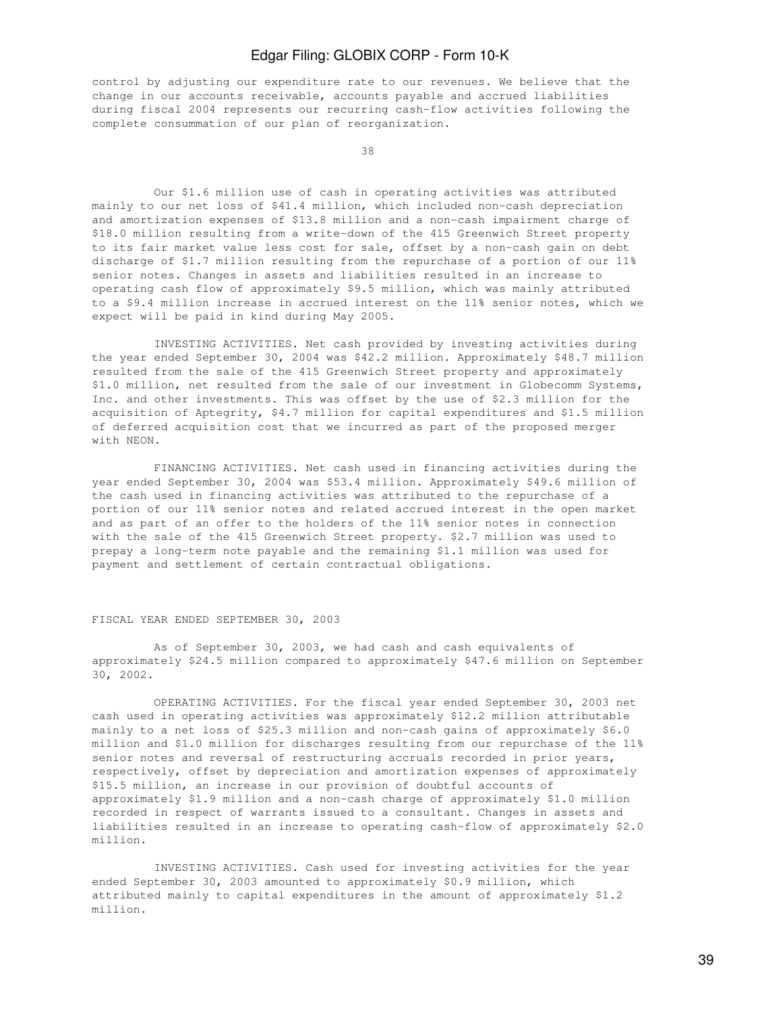control by adjusting our expenditure rate to our revenues. We believe that the change in our accounts receivable, accounts payable and accrued liabilities during fiscal 2004 represents our recurring cash-flow activities following the complete consummation of our plan of reorganization.

38 and 38 and 38 and 38 and 38 and 38 and 38 and 38 and 38 and 38 and 38 and 38 and 38 and 38 and 38 and 38 an

 Our \$1.6 million use of cash in operating activities was attributed mainly to our net loss of \$41.4 million, which included non-cash depreciation and amortization expenses of \$13.8 million and a non-cash impairment charge of \$18.0 million resulting from a write-down of the 415 Greenwich Street property to its fair market value less cost for sale, offset by a non-cash gain on debt discharge of \$1.7 million resulting from the repurchase of a portion of our 11% senior notes. Changes in assets and liabilities resulted in an increase to operating cash flow of approximately \$9.5 million, which was mainly attributed to a \$9.4 million increase in accrued interest on the 11% senior notes, which we expect will be paid in kind during May 2005.

 INVESTING ACTIVITIES. Net cash provided by investing activities during the year ended September 30, 2004 was \$42.2 million. Approximately \$48.7 million resulted from the sale of the 415 Greenwich Street property and approximately \$1.0 million, net resulted from the sale of our investment in Globecomm Systems, Inc. and other investments. This was offset by the use of \$2.3 million for the acquisition of Aptegrity, \$4.7 million for capital expenditures and \$1.5 million of deferred acquisition cost that we incurred as part of the proposed merger with NEON.

 FINANCING ACTIVITIES. Net cash used in financing activities during the year ended September 30, 2004 was \$53.4 million. Approximately \$49.6 million of the cash used in financing activities was attributed to the repurchase of a portion of our 11% senior notes and related accrued interest in the open market and as part of an offer to the holders of the 11% senior notes in connection with the sale of the 415 Greenwich Street property. \$2.7 million was used to prepay a long-term note payable and the remaining \$1.1 million was used for payment and settlement of certain contractual obligations.

#### FISCAL YEAR ENDED SEPTEMBER 30, 2003

 As of September 30, 2003, we had cash and cash equivalents of approximately \$24.5 million compared to approximately \$47.6 million on September 30, 2002.

 OPERATING ACTIVITIES. For the fiscal year ended September 30, 2003 net cash used in operating activities was approximately \$12.2 million attributable mainly to a net loss of \$25.3 million and non-cash gains of approximately \$6.0 million and \$1.0 million for discharges resulting from our repurchase of the 11% senior notes and reversal of restructuring accruals recorded in prior years, respectively, offset by depreciation and amortization expenses of approximately \$15.5 million, an increase in our provision of doubtful accounts of approximately \$1.9 million and a non-cash charge of approximately \$1.0 million recorded in respect of warrants issued to a consultant. Changes in assets and liabilities resulted in an increase to operating cash-flow of approximately \$2.0 million.

 INVESTING ACTIVITIES. Cash used for investing activities for the year ended September 30, 2003 amounted to approximately \$0.9 million, which attributed mainly to capital expenditures in the amount of approximately \$1.2 million.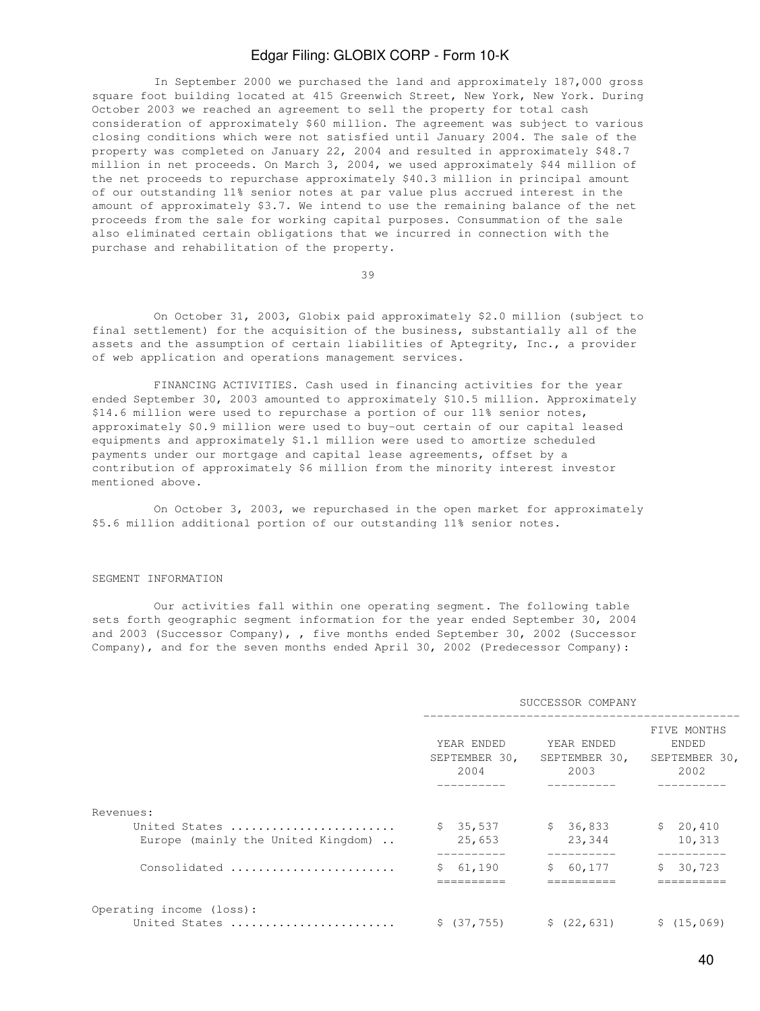In September 2000 we purchased the land and approximately 187,000 gross square foot building located at 415 Greenwich Street, New York, New York. During October 2003 we reached an agreement to sell the property for total cash consideration of approximately \$60 million. The agreement was subject to various closing conditions which were not satisfied until January 2004. The sale of the property was completed on January 22, 2004 and resulted in approximately \$48.7 million in net proceeds. On March 3, 2004, we used approximately \$44 million of the net proceeds to repurchase approximately \$40.3 million in principal amount of our outstanding 11% senior notes at par value plus accrued interest in the amount of approximately \$3.7. We intend to use the remaining balance of the net proceeds from the sale for working capital purposes. Consummation of the sale also eliminated certain obligations that we incurred in connection with the purchase and rehabilitation of the property.

39

 On October 31, 2003, Globix paid approximately \$2.0 million (subject to final settlement) for the acquisition of the business, substantially all of the assets and the assumption of certain liabilities of Aptegrity, Inc., a provider of web application and operations management services.

 FINANCING ACTIVITIES. Cash used in financing activities for the year ended September 30, 2003 amounted to approximately \$10.5 million. Approximately \$14.6 million were used to repurchase a portion of our 11% senior notes, approximately \$0.9 million were used to buy-out certain of our capital leased equipments and approximately \$1.1 million were used to amortize scheduled payments under our mortgage and capital lease agreements, offset by a contribution of approximately \$6 million from the minority interest investor mentioned above.

 On October 3, 2003, we repurchased in the open market for approximately \$5.6 million additional portion of our outstanding 11% senior notes.

#### SEGMENT INFORMATION

 Our activities fall within one operating segment. The following table sets forth geographic segment information for the year ended September 30, 2004 and 2003 (Successor Company), , five months ended September 30, 2002 (Successor Company), and for the seven months ended April 30, 2002 (Predecessor Company):

|                                                     |                                     | SUCCESSOR COMPANY                   |                                                                  |
|-----------------------------------------------------|-------------------------------------|-------------------------------------|------------------------------------------------------------------|
|                                                     | YEAR ENDED<br>SEPTEMBER 30,<br>2004 | YEAR ENDED<br>SEPTEMBER 30,<br>2003 | FIVE MONTHS<br><b>ENDED</b><br>SEPTEMBER 30,<br>2002<br>-------- |
| Revenues:                                           |                                     |                                     |                                                                  |
| United States<br>Europe (mainly the United Kingdom) | \$35,537<br>25,653                  | \$36,833<br>23,344                  | \$20,410<br>10,313                                               |
| Consolidated                                        | 61,190<br>S.<br>==========          | \$60,177<br>==========              | 30,723<br>$\mathsf{S}^-$<br>==========                           |
| Operating income (loss):<br>United States           | \$ (37, 755)                        | \$(22, 631)                         | \$(15,069)                                                       |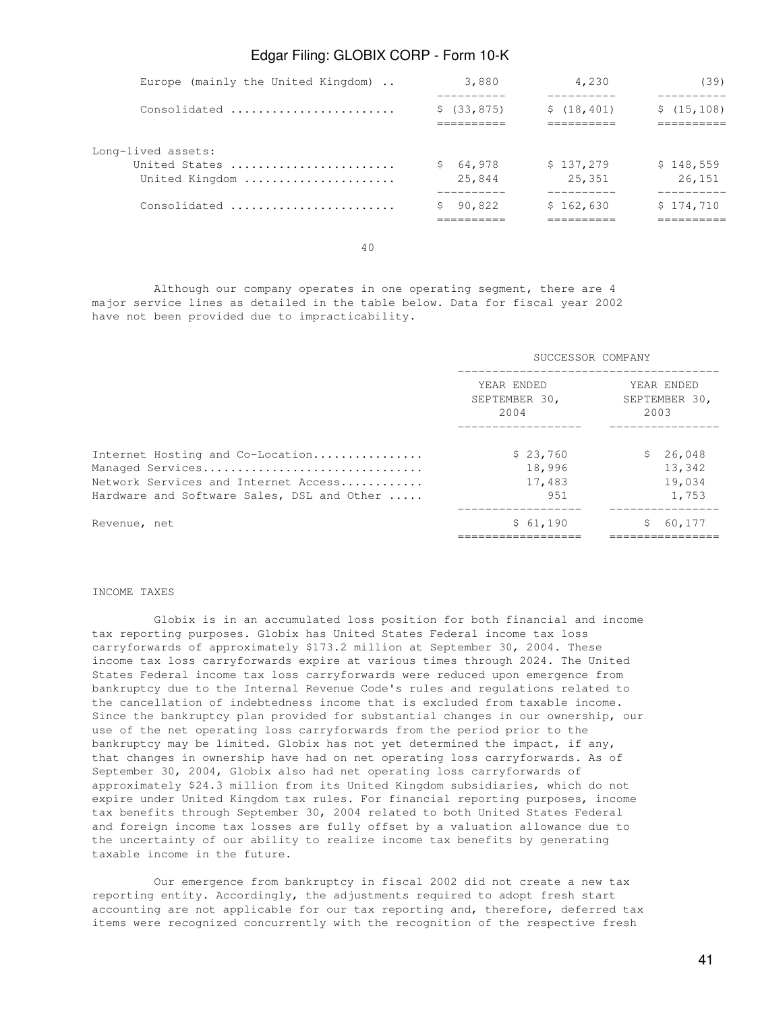| Europe (mainly the United Kingdom) | 3,880                    | 4,230       | (39)        |
|------------------------------------|--------------------------|-------------|-------------|
| Consolidated                       | \$(33, 875)              | \$(18, 401) | \$(15, 108) |
|                                    | -----------<br>_________ | _________   | __________  |
| Long-lived assets:                 |                          |             |             |
| United States                      | 64,978                   | \$137,279   | \$148,559   |
| United Kingdom                     | 25,844                   | 25,351      | 26,151      |
|                                    |                          |             |             |
| Consolidated                       | 90,822                   | \$162,630   | \$174,710   |
|                                    |                          |             | ________    |

40

 Although our company operates in one operating segment, there are 4 major service lines as detailed in the table below. Data for fiscal year 2002 have not been provided due to impracticability.

|                                                                                                                                            | SUCCESSOR COMPANY                   |                                           |  |  |  |  |
|--------------------------------------------------------------------------------------------------------------------------------------------|-------------------------------------|-------------------------------------------|--|--|--|--|
|                                                                                                                                            | YEAR ENDED<br>SEPTEMBER 30,<br>2004 | YEAR ENDED<br>SEPTEMBER 30,<br>2003       |  |  |  |  |
| Internet Hosting and Co-Location<br>Managed Services<br>Network Services and Internet Access<br>Hardware and Software Sales, DSL and Other | \$23,760<br>18,996<br>17,483<br>951 | S.<br>26,048<br>13,342<br>19,034<br>1,753 |  |  |  |  |
| Revenue, net                                                                                                                               | \$61,190                            | 60,177                                    |  |  |  |  |

#### INCOME TAXES

 Globix is in an accumulated loss position for both financial and income tax reporting purposes. Globix has United States Federal income tax loss carryforwards of approximately \$173.2 million at September 30, 2004. These income tax loss carryforwards expire at various times through 2024. The United States Federal income tax loss carryforwards were reduced upon emergence from bankruptcy due to the Internal Revenue Code's rules and regulations related to the cancellation of indebtedness income that is excluded from taxable income. Since the bankruptcy plan provided for substantial changes in our ownership, our use of the net operating loss carryforwards from the period prior to the bankruptcy may be limited. Globix has not yet determined the impact, if any, that changes in ownership have had on net operating loss carryforwards. As of September 30, 2004, Globix also had net operating loss carryforwards of approximately \$24.3 million from its United Kingdom subsidiaries, which do not expire under United Kingdom tax rules. For financial reporting purposes, income tax benefits through September 30, 2004 related to both United States Federal and foreign income tax losses are fully offset by a valuation allowance due to the uncertainty of our ability to realize income tax benefits by generating taxable income in the future.

 Our emergence from bankruptcy in fiscal 2002 did not create a new tax reporting entity. Accordingly, the adjustments required to adopt fresh start accounting are not applicable for our tax reporting and, therefore, deferred tax items were recognized concurrently with the recognition of the respective fresh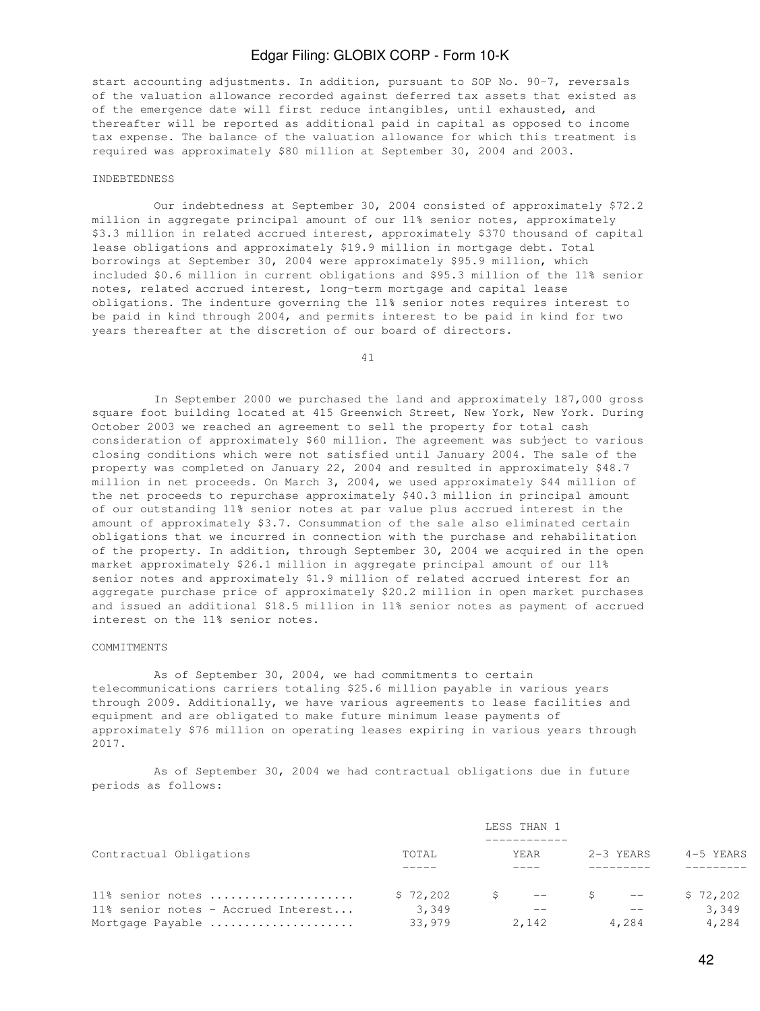start accounting adjustments. In addition, pursuant to SOP No. 90-7, reversals of the valuation allowance recorded against deferred tax assets that existed as of the emergence date will first reduce intangibles, until exhausted, and thereafter will be reported as additional paid in capital as opposed to income tax expense. The balance of the valuation allowance for which this treatment is required was approximately \$80 million at September 30, 2004 and 2003.

#### INDEBTEDNESS

 Our indebtedness at September 30, 2004 consisted of approximately \$72.2 million in aggregate principal amount of our 11% senior notes, approximately \$3.3 million in related accrued interest, approximately \$370 thousand of capital lease obligations and approximately \$19.9 million in mortgage debt. Total borrowings at September 30, 2004 were approximately \$95.9 million, which included \$0.6 million in current obligations and \$95.3 million of the 11% senior notes, related accrued interest, long-term mortgage and capital lease obligations. The indenture governing the 11% senior notes requires interest to be paid in kind through 2004, and permits interest to be paid in kind for two years thereafter at the discretion of our board of directors.

41

 In September 2000 we purchased the land and approximately 187,000 gross square foot building located at 415 Greenwich Street, New York, New York. During October 2003 we reached an agreement to sell the property for total cash consideration of approximately \$60 million. The agreement was subject to various closing conditions which were not satisfied until January 2004. The sale of the property was completed on January 22, 2004 and resulted in approximately \$48.7 million in net proceeds. On March 3, 2004, we used approximately \$44 million of the net proceeds to repurchase approximately \$40.3 million in principal amount of our outstanding 11% senior notes at par value plus accrued interest in the amount of approximately \$3.7. Consummation of the sale also eliminated certain obligations that we incurred in connection with the purchase and rehabilitation of the property. In addition, through September 30, 2004 we acquired in the open market approximately \$26.1 million in aggregate principal amount of our 11% senior notes and approximately \$1.9 million of related accrued interest for an aggregate purchase price of approximately \$20.2 million in open market purchases and issued an additional \$18.5 million in 11% senior notes as payment of accrued interest on the 11% senior notes.

### COMMITMENTS

 As of September 30, 2004, we had commitments to certain telecommunications carriers totaling \$25.6 million payable in various years through 2009. Additionally, we have various agreements to lease facilities and equipment and are obligated to make future minimum lease payments of approximately \$76 million on operating leases expiring in various years through 2017.

 As of September 30, 2004 we had contractual obligations due in future periods as follows:

|                                                                             |                             | LESS THAN 1   |           |                            |
|-----------------------------------------------------------------------------|-----------------------------|---------------|-----------|----------------------------|
| Contractual Obligations                                                     | TOTAL                       | YEAR          | 2-3 YEARS | 4-5 YEARS                  |
| 11% senior notes<br>11% senior notes - Accrued Interest<br>Mortgage Payable | \$72,202<br>3,349<br>33,979 | $--$<br>2,142 | 4,284     | \$72,202<br>3,349<br>4,284 |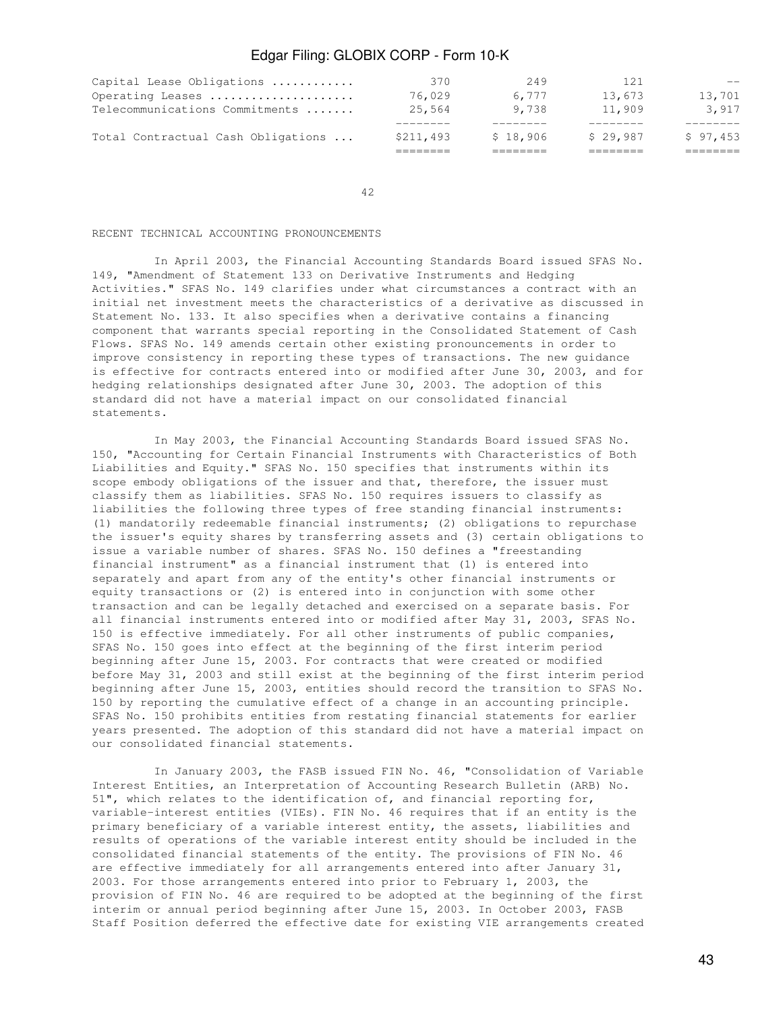| Total Contractual Cash Obligations | \$211,493 | \$18,906 | \$29,987 | \$97,453 |
|------------------------------------|-----------|----------|----------|----------|
| Telecommunications Commitments     | 25,564    | 9,738    | 11,909   | 3,917    |
| Operating Leases                   | 76,029    | 6.777    | 13.673   | 13,701   |
| Capital Lease Obligations          | 370       | 249      | 121      | $- -$    |

42

### RECENT TECHNICAL ACCOUNTING PRONOUNCEMENTS

 In April 2003, the Financial Accounting Standards Board issued SFAS No. 149, "Amendment of Statement 133 on Derivative Instruments and Hedging Activities." SFAS No. 149 clarifies under what circumstances a contract with an initial net investment meets the characteristics of a derivative as discussed in Statement No. 133. It also specifies when a derivative contains a financing component that warrants special reporting in the Consolidated Statement of Cash Flows. SFAS No. 149 amends certain other existing pronouncements in order to improve consistency in reporting these types of transactions. The new guidance is effective for contracts entered into or modified after June 30, 2003, and for hedging relationships designated after June 30, 2003. The adoption of this standard did not have a material impact on our consolidated financial statements.

 In May 2003, the Financial Accounting Standards Board issued SFAS No. 150, "Accounting for Certain Financial Instruments with Characteristics of Both Liabilities and Equity." SFAS No. 150 specifies that instruments within its scope embody obligations of the issuer and that, therefore, the issuer must classify them as liabilities. SFAS No. 150 requires issuers to classify as liabilities the following three types of free standing financial instruments: (1) mandatorily redeemable financial instruments; (2) obligations to repurchase the issuer's equity shares by transferring assets and (3) certain obligations to issue a variable number of shares. SFAS No. 150 defines a "freestanding financial instrument" as a financial instrument that (1) is entered into separately and apart from any of the entity's other financial instruments or equity transactions or (2) is entered into in conjunction with some other transaction and can be legally detached and exercised on a separate basis. For all financial instruments entered into or modified after May 31, 2003, SFAS No. 150 is effective immediately. For all other instruments of public companies, SFAS No. 150 goes into effect at the beginning of the first interim period beginning after June 15, 2003. For contracts that were created or modified before May 31, 2003 and still exist at the beginning of the first interim period beginning after June 15, 2003, entities should record the transition to SFAS No. 150 by reporting the cumulative effect of a change in an accounting principle. SFAS No. 150 prohibits entities from restating financial statements for earlier years presented. The adoption of this standard did not have a material impact on our consolidated financial statements.

 In January 2003, the FASB issued FIN No. 46, "Consolidation of Variable Interest Entities, an Interpretation of Accounting Research Bulletin (ARB) No. 51", which relates to the identification of, and financial reporting for, variable-interest entities (VIEs). FIN No. 46 requires that if an entity is the primary beneficiary of a variable interest entity, the assets, liabilities and results of operations of the variable interest entity should be included in the consolidated financial statements of the entity. The provisions of FIN No. 46 are effective immediately for all arrangements entered into after January 31, 2003. For those arrangements entered into prior to February 1, 2003, the provision of FIN No. 46 are required to be adopted at the beginning of the first interim or annual period beginning after June 15, 2003. In October 2003, FASB Staff Position deferred the effective date for existing VIE arrangements created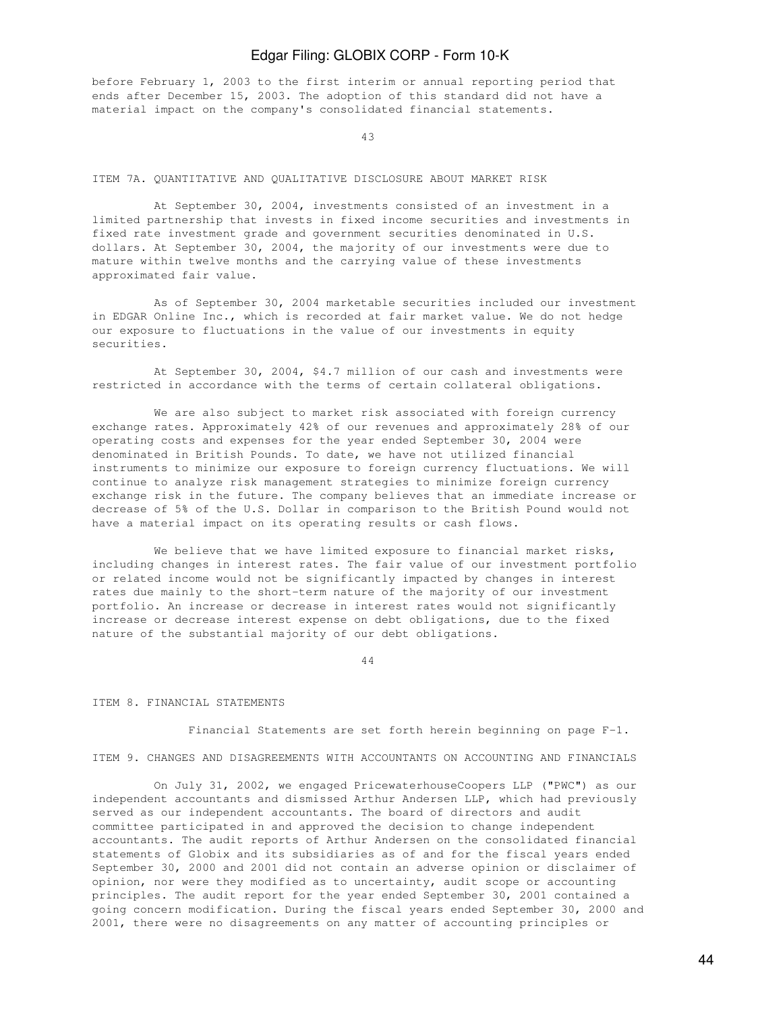before February 1, 2003 to the first interim or annual reporting period that ends after December 15, 2003. The adoption of this standard did not have a material impact on the company's consolidated financial statements.

43

#### ITEM 7A. QUANTITATIVE AND QUALITATIVE DISCLOSURE ABOUT MARKET RISK

 At September 30, 2004, investments consisted of an investment in a limited partnership that invests in fixed income securities and investments in fixed rate investment grade and government securities denominated in U.S. dollars. At September 30, 2004, the majority of our investments were due to mature within twelve months and the carrying value of these investments approximated fair value.

 As of September 30, 2004 marketable securities included our investment in EDGAR Online Inc., which is recorded at fair market value. We do not hedge our exposure to fluctuations in the value of our investments in equity securities.

 At September 30, 2004, \$4.7 million of our cash and investments were restricted in accordance with the terms of certain collateral obligations.

 We are also subject to market risk associated with foreign currency exchange rates. Approximately 42% of our revenues and approximately 28% of our operating costs and expenses for the year ended September 30, 2004 were denominated in British Pounds. To date, we have not utilized financial instruments to minimize our exposure to foreign currency fluctuations. We will continue to analyze risk management strategies to minimize foreign currency exchange risk in the future. The company believes that an immediate increase or decrease of 5% of the U.S. Dollar in comparison to the British Pound would not have a material impact on its operating results or cash flows.

We believe that we have limited exposure to financial market risks, including changes in interest rates. The fair value of our investment portfolio or related income would not be significantly impacted by changes in interest rates due mainly to the short-term nature of the majority of our investment portfolio. An increase or decrease in interest rates would not significantly increase or decrease interest expense on debt obligations, due to the fixed nature of the substantial majority of our debt obligations.

44

#### ITEM 8. FINANCIAL STATEMENTS

Financial Statements are set forth herein beginning on page F-1.

ITEM 9. CHANGES AND DISAGREEMENTS WITH ACCOUNTANTS ON ACCOUNTING AND FINANCIALS

 On July 31, 2002, we engaged PricewaterhouseCoopers LLP ("PWC") as our independent accountants and dismissed Arthur Andersen LLP, which had previously served as our independent accountants. The board of directors and audit committee participated in and approved the decision to change independent accountants. The audit reports of Arthur Andersen on the consolidated financial statements of Globix and its subsidiaries as of and for the fiscal years ended September 30, 2000 and 2001 did not contain an adverse opinion or disclaimer of opinion, nor were they modified as to uncertainty, audit scope or accounting principles. The audit report for the year ended September 30, 2001 contained a going concern modification. During the fiscal years ended September 30, 2000 and 2001, there were no disagreements on any matter of accounting principles or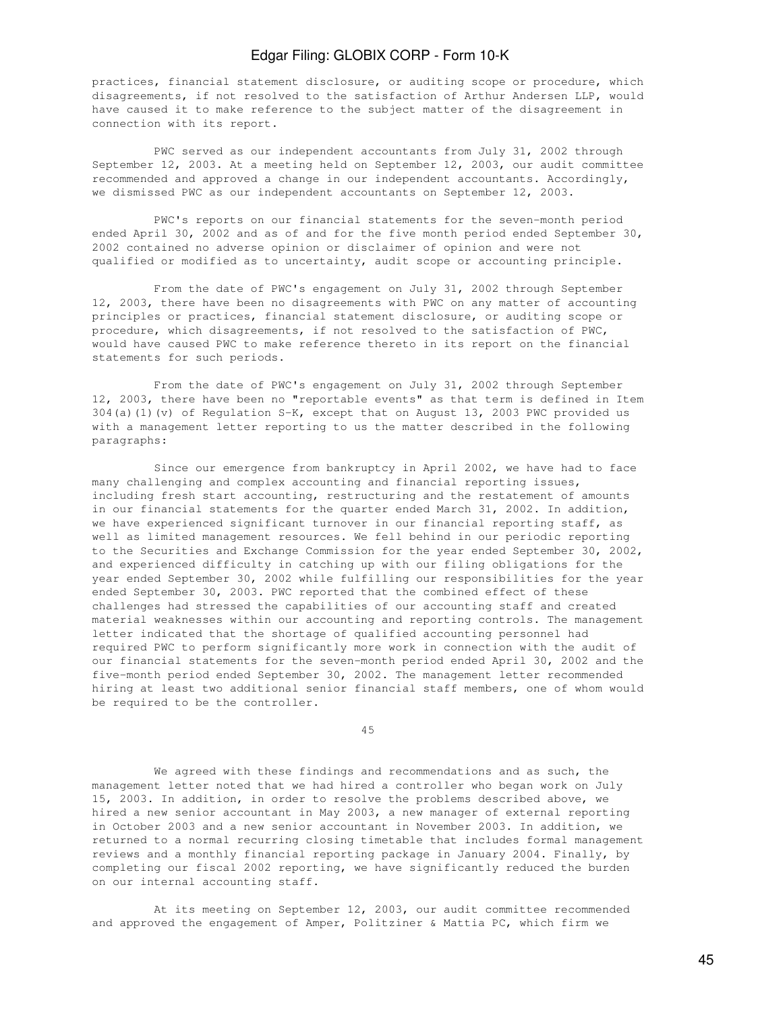practices, financial statement disclosure, or auditing scope or procedure, which disagreements, if not resolved to the satisfaction of Arthur Andersen LLP, would have caused it to make reference to the subject matter of the disagreement in connection with its report.

 PWC served as our independent accountants from July 31, 2002 through September 12, 2003. At a meeting held on September 12, 2003, our audit committee recommended and approved a change in our independent accountants. Accordingly, we dismissed PWC as our independent accountants on September 12, 2003.

 PWC's reports on our financial statements for the seven-month period ended April 30, 2002 and as of and for the five month period ended September 30, 2002 contained no adverse opinion or disclaimer of opinion and were not qualified or modified as to uncertainty, audit scope or accounting principle.

 From the date of PWC's engagement on July 31, 2002 through September 12, 2003, there have been no disagreements with PWC on any matter of accounting principles or practices, financial statement disclosure, or auditing scope or procedure, which disagreements, if not resolved to the satisfaction of PWC, would have caused PWC to make reference thereto in its report on the financial statements for such periods.

 From the date of PWC's engagement on July 31, 2002 through September 12, 2003, there have been no "reportable events" as that term is defined in Item 304(a)(1)(v) of Regulation S-K, except that on August 13, 2003 PWC provided us with a management letter reporting to us the matter described in the following paragraphs:

 Since our emergence from bankruptcy in April 2002, we have had to face many challenging and complex accounting and financial reporting issues, including fresh start accounting, restructuring and the restatement of amounts in our financial statements for the quarter ended March 31, 2002. In addition, we have experienced significant turnover in our financial reporting staff, as well as limited management resources. We fell behind in our periodic reporting to the Securities and Exchange Commission for the year ended September 30, 2002, and experienced difficulty in catching up with our filing obligations for the year ended September 30, 2002 while fulfilling our responsibilities for the year ended September 30, 2003. PWC reported that the combined effect of these challenges had stressed the capabilities of our accounting staff and created material weaknesses within our accounting and reporting controls. The management letter indicated that the shortage of qualified accounting personnel had required PWC to perform significantly more work in connection with the audit of our financial statements for the seven-month period ended April 30, 2002 and the five-month period ended September 30, 2002. The management letter recommended hiring at least two additional senior financial staff members, one of whom would be required to be the controller.

45

 We agreed with these findings and recommendations and as such, the management letter noted that we had hired a controller who began work on July 15, 2003. In addition, in order to resolve the problems described above, we hired a new senior accountant in May 2003, a new manager of external reporting in October 2003 and a new senior accountant in November 2003. In addition, we returned to a normal recurring closing timetable that includes formal management reviews and a monthly financial reporting package in January 2004. Finally, by completing our fiscal 2002 reporting, we have significantly reduced the burden on our internal accounting staff.

 At its meeting on September 12, 2003, our audit committee recommended and approved the engagement of Amper, Politziner & Mattia PC, which firm we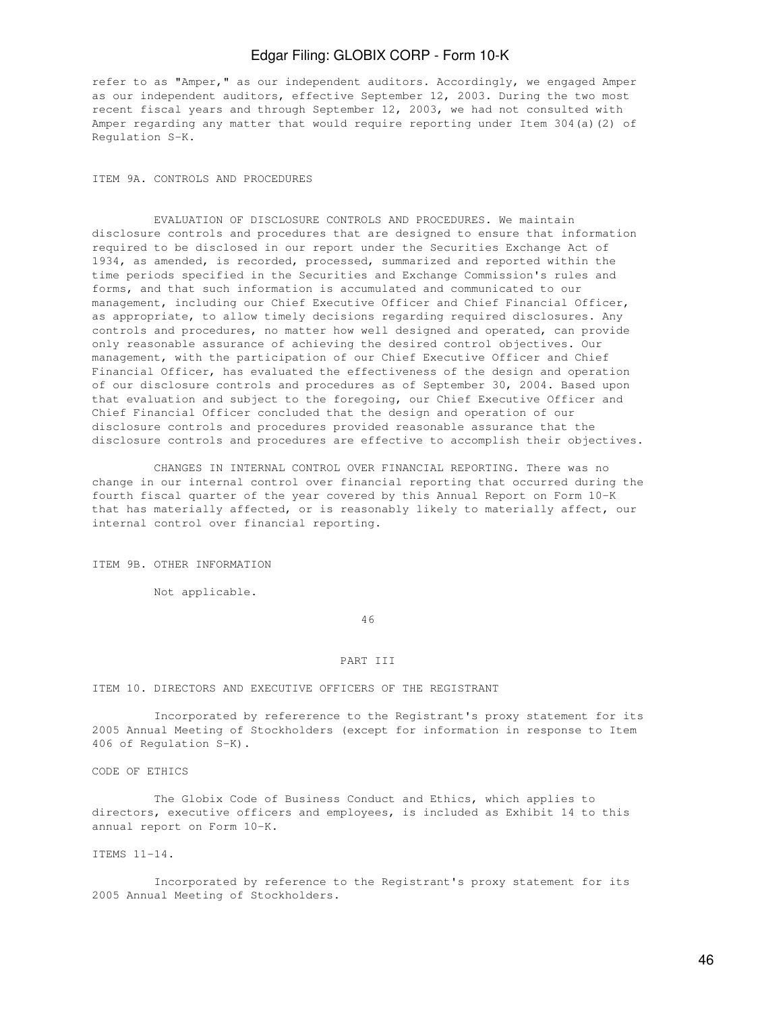refer to as "Amper," as our independent auditors. Accordingly, we engaged Amper as our independent auditors, effective September 12, 2003. During the two most recent fiscal years and through September 12, 2003, we had not consulted with Amper regarding any matter that would require reporting under Item 304(a)(2) of Regulation S-K.

ITEM 9A. CONTROLS AND PROCEDURES

 EVALUATION OF DISCLOSURE CONTROLS AND PROCEDURES. We maintain disclosure controls and procedures that are designed to ensure that information required to be disclosed in our report under the Securities Exchange Act of 1934, as amended, is recorded, processed, summarized and reported within the time periods specified in the Securities and Exchange Commission's rules and forms, and that such information is accumulated and communicated to our management, including our Chief Executive Officer and Chief Financial Officer, as appropriate, to allow timely decisions regarding required disclosures. Any controls and procedures, no matter how well designed and operated, can provide only reasonable assurance of achieving the desired control objectives. Our management, with the participation of our Chief Executive Officer and Chief Financial Officer, has evaluated the effectiveness of the design and operation of our disclosure controls and procedures as of September 30, 2004. Based upon that evaluation and subject to the foregoing, our Chief Executive Officer and Chief Financial Officer concluded that the design and operation of our disclosure controls and procedures provided reasonable assurance that the disclosure controls and procedures are effective to accomplish their objectives.

 CHANGES IN INTERNAL CONTROL OVER FINANCIAL REPORTING. There was no change in our internal control over financial reporting that occurred during the fourth fiscal quarter of the year covered by this Annual Report on Form 10-K that has materially affected, or is reasonably likely to materially affect, our internal control over financial reporting.

ITEM 9B. OTHER INFORMATION

Not applicable.

46

### PART III

ITEM 10. DIRECTORS AND EXECUTIVE OFFICERS OF THE REGISTRANT

 Incorporated by refererence to the Registrant's proxy statement for its 2005 Annual Meeting of Stockholders (except for information in response to Item 406 of Regulation S-K).

CODE OF ETHICS

 The Globix Code of Business Conduct and Ethics, which applies to directors, executive officers and employees, is included as Exhibit 14 to this annual report on Form 10-K.

ITEMS 11-14.

 Incorporated by reference to the Registrant's proxy statement for its 2005 Annual Meeting of Stockholders.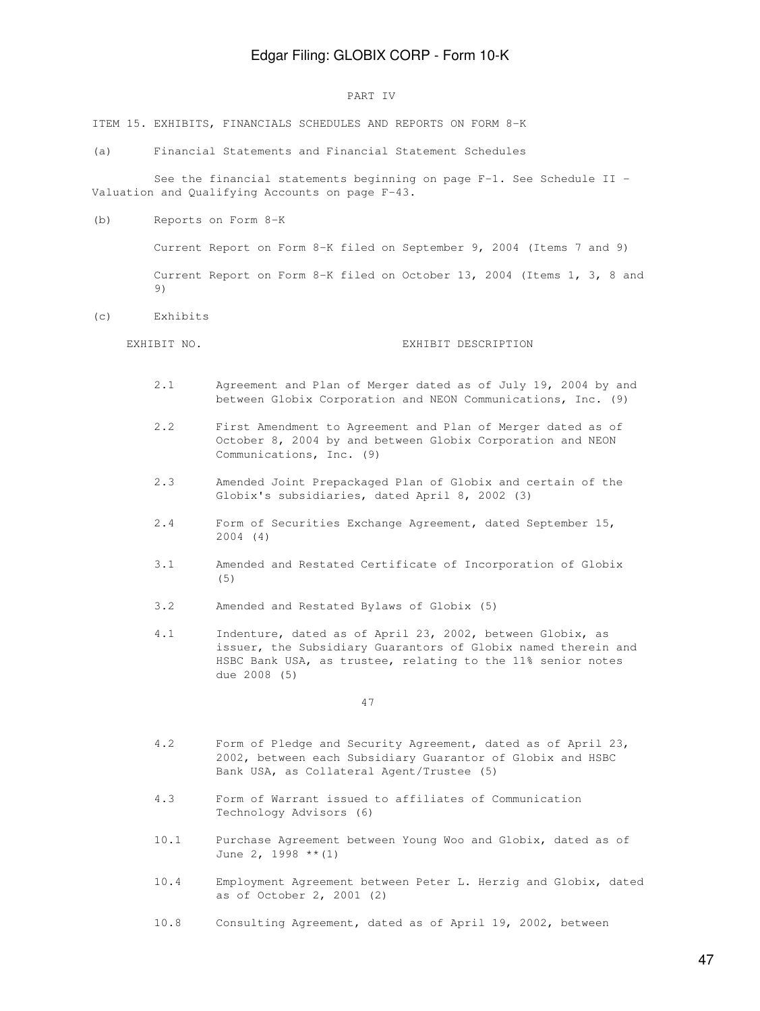#### PART IV

ITEM 15. EXHIBITS, FINANCIALS SCHEDULES AND REPORTS ON FORM 8-K

(a) Financial Statements and Financial Statement Schedules

 See the financial statements beginning on page F-1. See Schedule II - Valuation and Qualifying Accounts on page F-43.

(b) Reports on Form 8-K

 Current Report on Form 8-K filed on September 9, 2004 (Items 7 and 9) Current Report on Form 8-K filed on October 13, 2004 (Items 1, 3, 8 and  $9)$ 

(c) Exhibits

#### EXHIBIT NO. **EXHIBIT DESCRIPTION**

- 2.1 Agreement and Plan of Merger dated as of July 19, 2004 by and between Globix Corporation and NEON Communications, Inc. (9)
- 2.2 First Amendment to Agreement and Plan of Merger dated as of October 8, 2004 by and between Globix Corporation and NEON Communications, Inc. (9)
- 2.3 Amended Joint Prepackaged Plan of Globix and certain of the Globix's subsidiaries, dated April 8, 2002 (3)
- 2.4 Form of Securities Exchange Agreement, dated September 15, 2004 (4)
- 3.1 Amended and Restated Certificate of Incorporation of Globix (5)
- 3.2 Amended and Restated Bylaws of Globix (5)
- 4.1 Indenture, dated as of April 23, 2002, between Globix, as issuer, the Subsidiary Guarantors of Globix named therein and HSBC Bank USA, as trustee, relating to the 11% senior notes due 2008 (5)

47

- 4.2 Form of Pledge and Security Agreement, dated as of April 23, 2002, between each Subsidiary Guarantor of Globix and HSBC Bank USA, as Collateral Agent/Trustee (5)
- 4.3 Form of Warrant issued to affiliates of Communication Technology Advisors (6)
- 10.1 Purchase Agreement between Young Woo and Globix, dated as of June 2, 1998 \*\*(1)
- 10.4 Employment Agreement between Peter L. Herzig and Globix, dated as of October 2, 2001 (2)

10.8 Consulting Agreement, dated as of April 19, 2002, between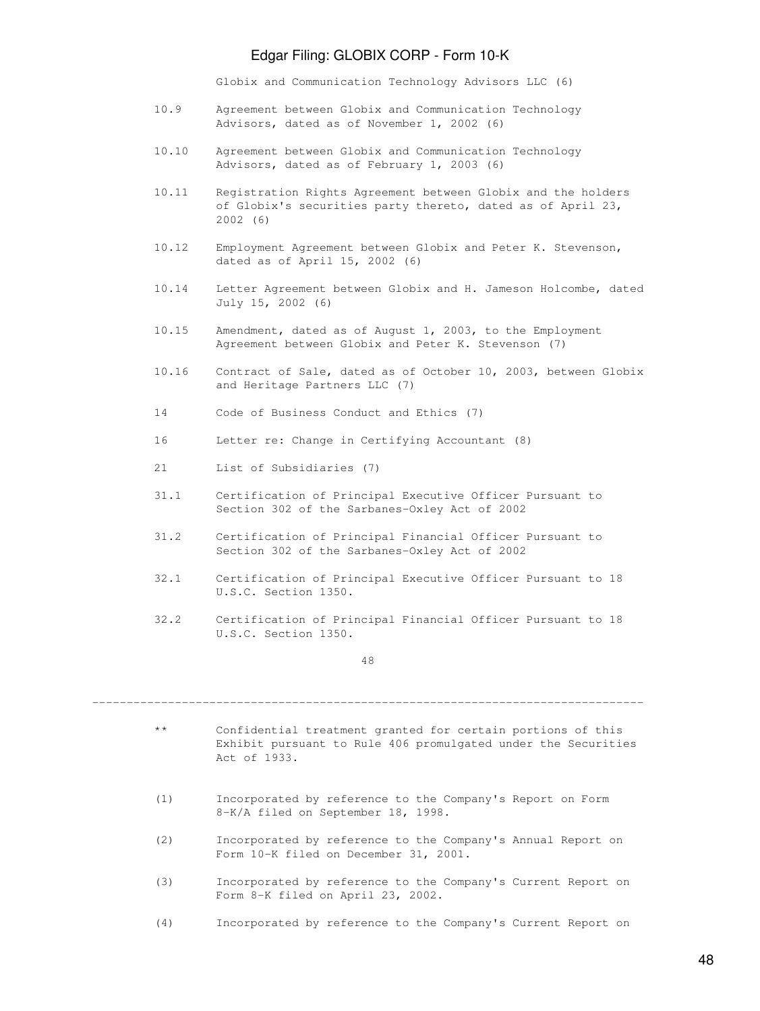Globix and Communication Technology Advisors LLC (6)

- 10.9 Agreement between Globix and Communication Technology Advisors, dated as of November 1, 2002 (6)
- 10.10 Agreement between Globix and Communication Technology Advisors, dated as of February 1, 2003 (6)
- 10.11 Registration Rights Agreement between Globix and the holders of Globix's securities party thereto, dated as of April 23, 2002 (6)
- 10.12 Employment Agreement between Globix and Peter K. Stevenson, dated as of April 15, 2002 (6)
- 10.14 Letter Agreement between Globix and H. Jameson Holcombe, dated July 15, 2002 (6)
- 10.15 Amendment, dated as of August 1, 2003, to the Employment Agreement between Globix and Peter K. Stevenson (7)
- 10.16 Contract of Sale, dated as of October 10, 2003, between Globix and Heritage Partners LLC (7)
- 14 Code of Business Conduct and Ethics (7)
- 16 Letter re: Change in Certifying Accountant (8)
- 21 List of Subsidiaries (7)
- 31.1 Certification of Principal Executive Officer Pursuant to Section 302 of the Sarbanes-Oxley Act of 2002
- 31.2 Certification of Principal Financial Officer Pursuant to Section 302 of the Sarbanes-Oxley Act of 2002
- 32.1 Certification of Principal Executive Officer Pursuant to 18 U.S.C. Section 1350.
- 32.2 Certification of Principal Financial Officer Pursuant to 18 U.S.C. Section 1350.

48

--------------------------------------------------------------------------------

- \*\* Confidential treatment granted for certain portions of this Exhibit pursuant to Rule 406 promulgated under the Securities Act of 1933.
- (1) Incorporated by reference to the Company's Report on Form 8-K/A filed on September 18, 1998.
- (2) Incorporated by reference to the Company's Annual Report on Form 10-K filed on December 31, 2001.
- (3) Incorporated by reference to the Company's Current Report on Form 8-K filed on April 23, 2002.
- (4) Incorporated by reference to the Company's Current Report on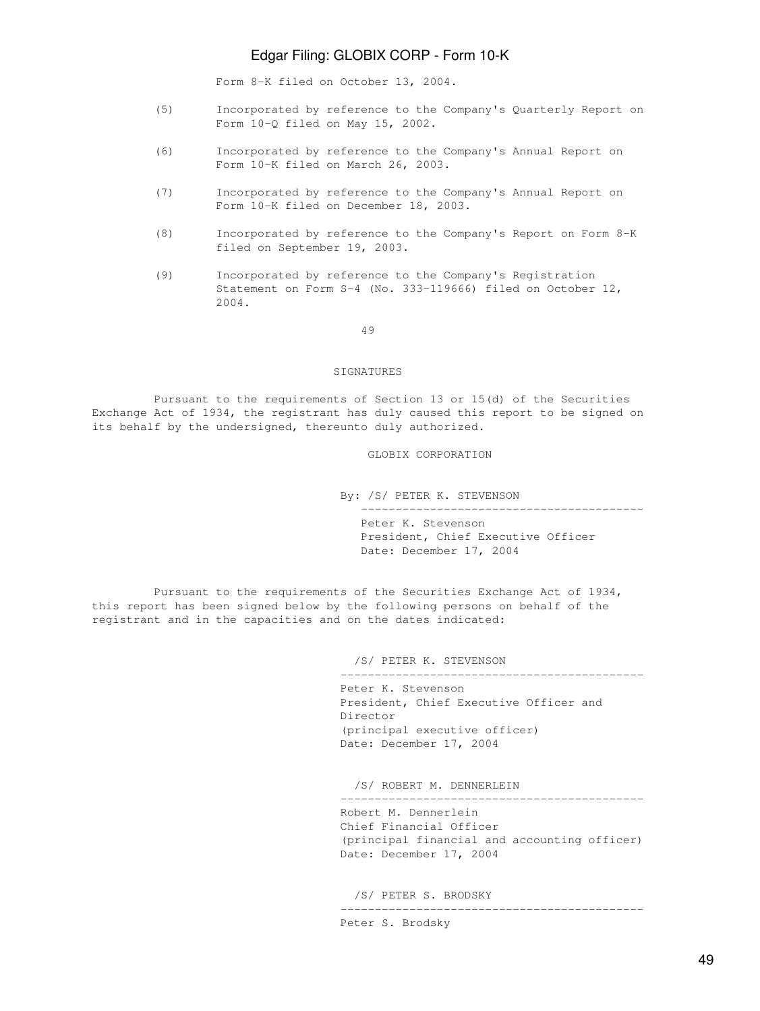Form 8-K filed on October 13, 2004.

- (5) Incorporated by reference to the Company's Quarterly Report on Form 10-Q filed on May 15, 2002.
- (6) Incorporated by reference to the Company's Annual Report on Form 10-K filed on March 26, 2003.
- (7) Incorporated by reference to the Company's Annual Report on Form 10-K filed on December 18, 2003.
- (8) Incorporated by reference to the Company's Report on Form 8-K filed on September 19, 2003.
- (9) Incorporated by reference to the Company's Registration Statement on Form S-4 (No. 333-119666) filed on October 12, 2004.

49

#### SIGNATURES

 Pursuant to the requirements of Section 13 or 15(d) of the Securities Exchange Act of 1934, the registrant has duly caused this report to be signed on its behalf by the undersigned, thereunto duly authorized.

GLOBIX CORPORATION

By: /S/ PETER K. STEVENSON

 ----------------------------------------- Peter K. Stevenson

 President, Chief Executive Officer Date: December 17, 2004

 Pursuant to the requirements of the Securities Exchange Act of 1934, this report has been signed below by the following persons on behalf of the registrant and in the capacities and on the dates indicated:

/S/ PETER K. STEVENSON

 Peter K. Stevenson President, Chief Executive Officer and Director (principal executive officer) Date: December 17, 2004

--------------------------------------------

/S/ ROBERT M. DENNERLEIN

 Robert M. Dennerlein Chief Financial Officer (principal financial and accounting officer) Date: December 17, 2004

--------------------------------------------

/S/ PETER S. BRODSKY

--------------------------------------------

Peter S. Brodsky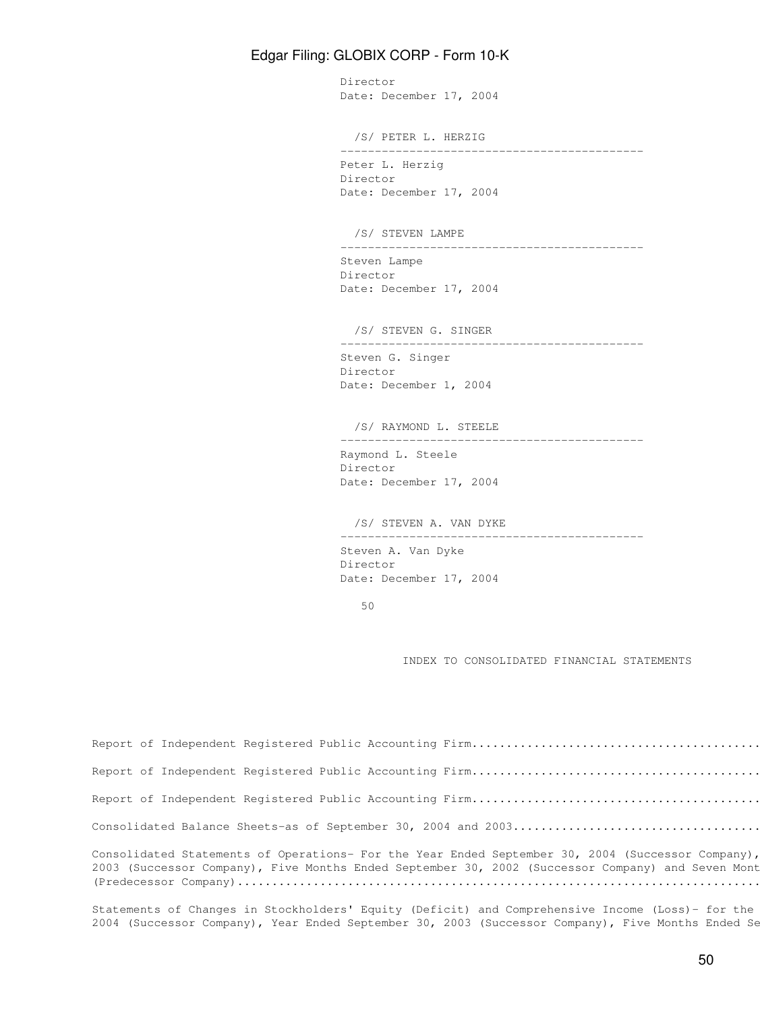Director Date: December 17, 2004 /S/ PETER L. HERZIG -------------------------------------------- Peter L. Herzig Director Date: December 17, 2004 /S/ STEVEN LAMPE -------------------------------------------- Steven Lampe Director Date: December 17, 2004 /S/ STEVEN G. SINGER -------------------------------------------- Steven G. Singer Director Date: December 1, 2004 /S/ RAYMOND L. STEELE -------------------------------------------- Raymond L. Steele Director Date: December 17, 2004 /S/ STEVEN A. VAN DYKE -------------------------------------------- Steven A. Van Dyke Director Date: December 17, 2004

50

INDEX TO CONSOLIDATED FINANCIAL STATEMENTS

| Consolidated Statements of Operations- For the Year Ended September 30, 2004 (Successor Company),<br>2003 (Successor Company), Five Months Ended September 30, 2002 (Successor Company) and Seven Mont |
|--------------------------------------------------------------------------------------------------------------------------------------------------------------------------------------------------------|

Statements of Changes in Stockholders' Equity (Deficit) and Comprehensive Income (Loss)- for the 2004 (Successor Company), Year Ended September 30, 2003 (Successor Company), Five Months Ended Se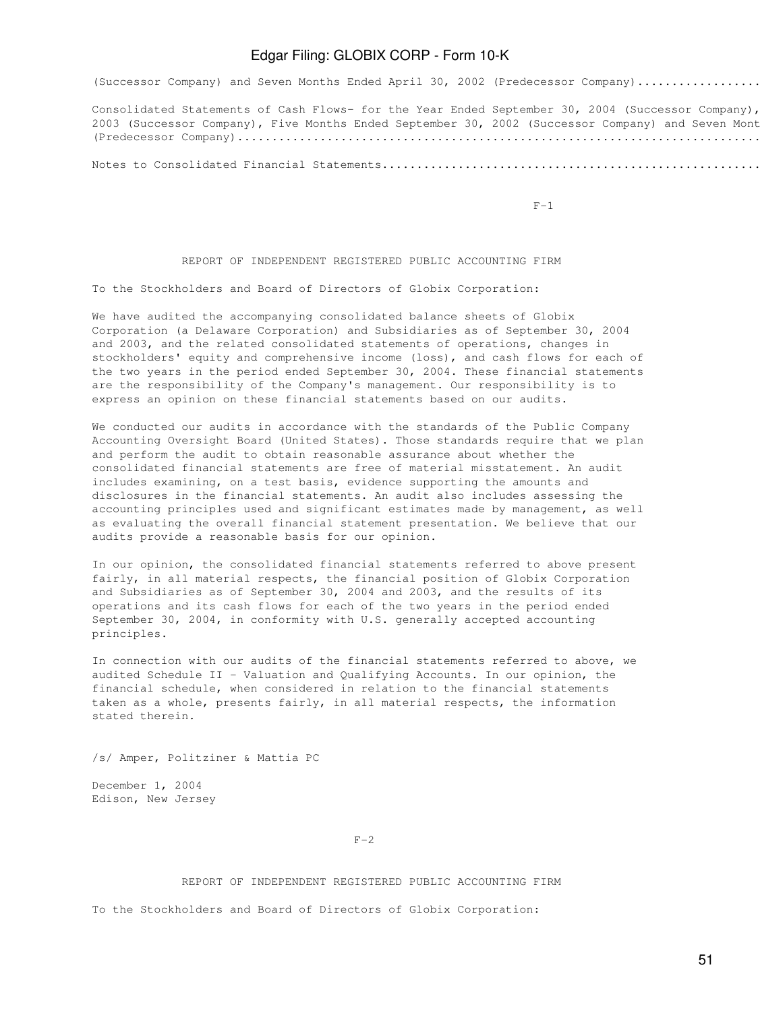(Successor Company) and Seven Months Ended April 30, 2002 (Predecessor Company).................

Consolidated Statements of Cash Flows- for the Year Ended September 30, 2004 (Successor Company), 2003 (Successor Company), Five Months Ended September 30, 2002 (Successor Company) and Seven Mont (Predecessor Company)..........................................................................................................F-8

Notes to Consolidated Financial Statements.....................................................................................F-10

 $F-1$ 

### REPORT OF INDEPENDENT REGISTERED PUBLIC ACCOUNTING FIRM

To the Stockholders and Board of Directors of Globix Corporation:

We have audited the accompanying consolidated balance sheets of Globix Corporation (a Delaware Corporation) and Subsidiaries as of September 30, 2004 and 2003, and the related consolidated statements of operations, changes in stockholders' equity and comprehensive income (loss), and cash flows for each of the two years in the period ended September 30, 2004. These financial statements are the responsibility of the Company's management. Our responsibility is to express an opinion on these financial statements based on our audits.

We conducted our audits in accordance with the standards of the Public Company Accounting Oversight Board (United States). Those standards require that we plan and perform the audit to obtain reasonable assurance about whether the consolidated financial statements are free of material misstatement. An audit includes examining, on a test basis, evidence supporting the amounts and disclosures in the financial statements. An audit also includes assessing the accounting principles used and significant estimates made by management, as well as evaluating the overall financial statement presentation. We believe that our audits provide a reasonable basis for our opinion.

In our opinion, the consolidated financial statements referred to above present fairly, in all material respects, the financial position of Globix Corporation and Subsidiaries as of September 30, 2004 and 2003, and the results of its operations and its cash flows for each of the two years in the period ended September 30, 2004, in conformity with U.S. generally accepted accounting principles.

In connection with our audits of the financial statements referred to above, we audited Schedule II - Valuation and Qualifying Accounts. In our opinion, the financial schedule, when considered in relation to the financial statements taken as a whole, presents fairly, in all material respects, the information stated therein.

/s/ Amper, Politziner & Mattia PC

December 1, 2004 Edison, New Jersey

 $F-2$ 

#### REPORT OF INDEPENDENT REGISTERED PUBLIC ACCOUNTING FIRM

To the Stockholders and Board of Directors of Globix Corporation: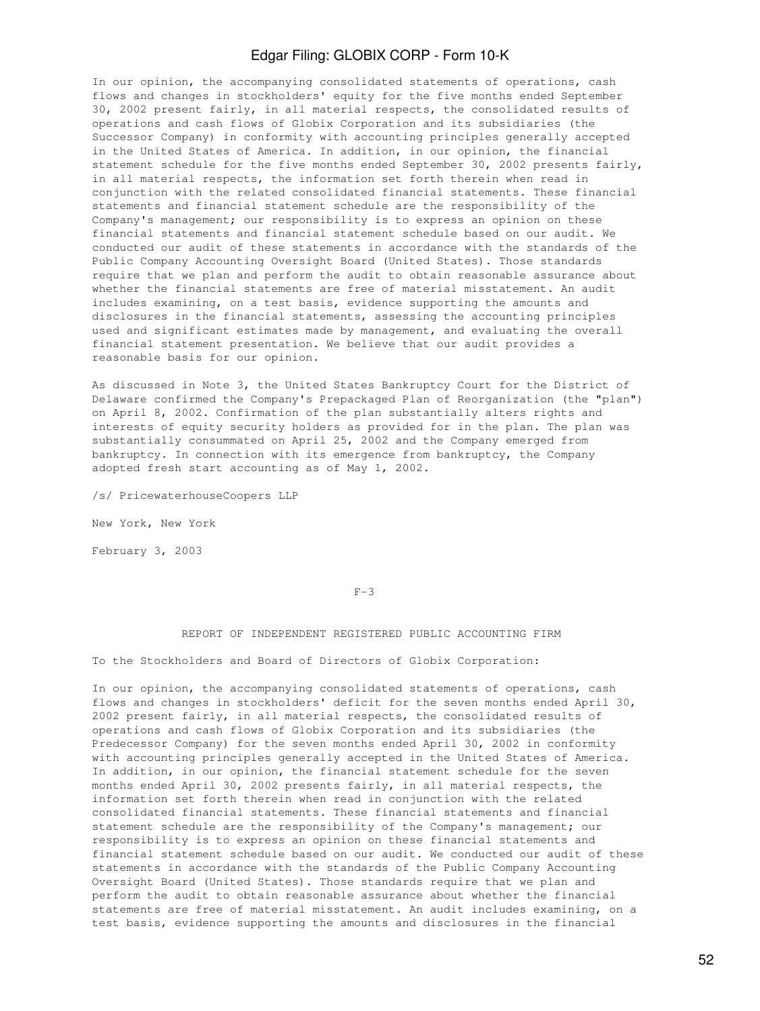In our opinion, the accompanying consolidated statements of operations, cash flows and changes in stockholders' equity for the five months ended September 30, 2002 present fairly, in all material respects, the consolidated results of operations and cash flows of Globix Corporation and its subsidiaries (the Successor Company) in conformity with accounting principles generally accepted in the United States of America. In addition, in our opinion, the financial statement schedule for the five months ended September 30, 2002 presents fairly, in all material respects, the information set forth therein when read in conjunction with the related consolidated financial statements. These financial statements and financial statement schedule are the responsibility of the Company's management; our responsibility is to express an opinion on these financial statements and financial statement schedule based on our audit. We conducted our audit of these statements in accordance with the standards of the Public Company Accounting Oversight Board (United States). Those standards require that we plan and perform the audit to obtain reasonable assurance about whether the financial statements are free of material misstatement. An audit includes examining, on a test basis, evidence supporting the amounts and disclosures in the financial statements, assessing the accounting principles used and significant estimates made by management, and evaluating the overall financial statement presentation. We believe that our audit provides a reasonable basis for our opinion.

As discussed in Note 3, the United States Bankruptcy Court for the District of Delaware confirmed the Company's Prepackaged Plan of Reorganization (the "plan") on April 8, 2002. Confirmation of the plan substantially alters rights and interests of equity security holders as provided for in the plan. The plan was substantially consummated on April 25, 2002 and the Company emerged from bankruptcy. In connection with its emergence from bankruptcy, the Company adopted fresh start accounting as of May 1, 2002.

/s/ PricewaterhouseCoopers LLP

New York, New York

February 3, 2003

#### $F-3$

#### REPORT OF INDEPENDENT REGISTERED PUBLIC ACCOUNTING FIRM

To the Stockholders and Board of Directors of Globix Corporation:

In our opinion, the accompanying consolidated statements of operations, cash flows and changes in stockholders' deficit for the seven months ended April 30, 2002 present fairly, in all material respects, the consolidated results of operations and cash flows of Globix Corporation and its subsidiaries (the Predecessor Company) for the seven months ended April 30, 2002 in conformity with accounting principles generally accepted in the United States of America. In addition, in our opinion, the financial statement schedule for the seven months ended April 30, 2002 presents fairly, in all material respects, the information set forth therein when read in conjunction with the related consolidated financial statements. These financial statements and financial statement schedule are the responsibility of the Company's management; our responsibility is to express an opinion on these financial statements and financial statement schedule based on our audit. We conducted our audit of these statements in accordance with the standards of the Public Company Accounting Oversight Board (United States). Those standards require that we plan and perform the audit to obtain reasonable assurance about whether the financial statements are free of material misstatement. An audit includes examining, on a test basis, evidence supporting the amounts and disclosures in the financial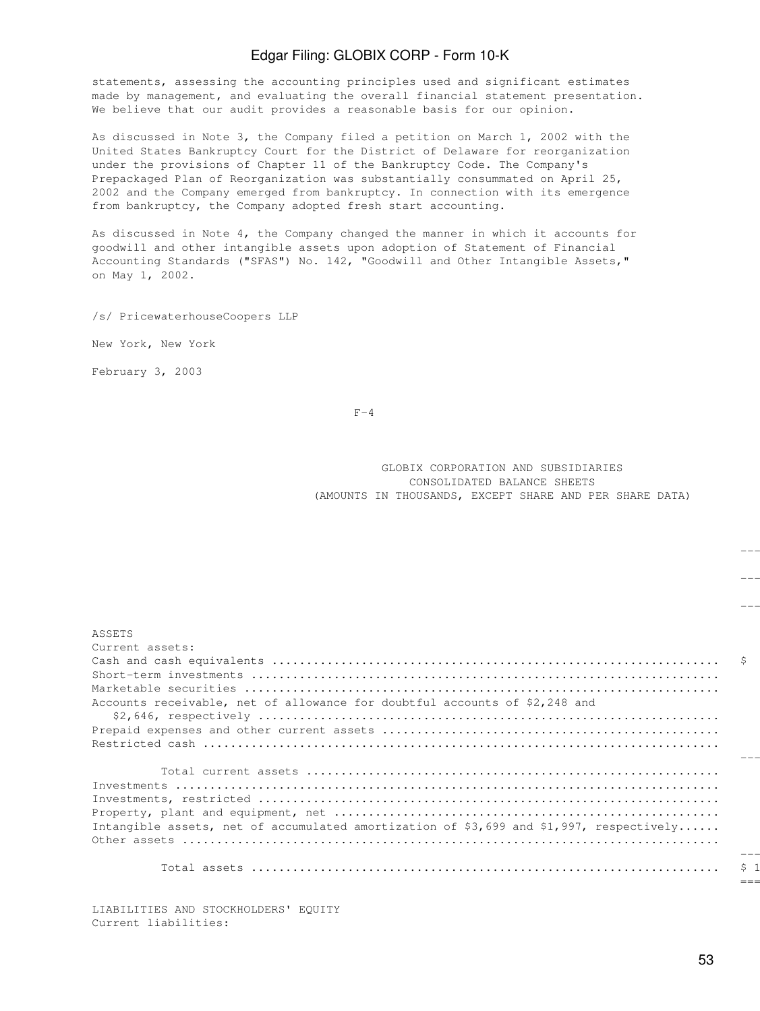statements, assessing the accounting principles used and significant estimates made by management, and evaluating the overall financial statement presentation. We believe that our audit provides a reasonable basis for our opinion.

As discussed in Note 3, the Company filed a petition on March 1, 2002 with the United States Bankruptcy Court for the District of Delaware for reorganization under the provisions of Chapter 11 of the Bankruptcy Code. The Company's Prepackaged Plan of Reorganization was substantially consummated on April 25, 2002 and the Company emerged from bankruptcy. In connection with its emergence from bankruptcy, the Company adopted fresh start accounting.

As discussed in Note 4, the Company changed the manner in which it accounts for goodwill and other intangible assets upon adoption of Statement of Financial Accounting Standards ("SFAS") No. 142, "Goodwill and Other Intangible Assets," on May 1, 2002.

/s/ PricewaterhouseCoopers LLP

New York, New York

February 3, 2003

 $F-4$ 

 GLOBIX CORPORATION AND SUBSIDIARIES CONSOLIDATED BALANCE SHEETS (AMOUNTS IN THOUSANDS, EXCEPT SHARE AND PER SHARE DATA)

-----------------------

-----------------------

---------- ----------

| ASSETS                                                                                  |         |
|-----------------------------------------------------------------------------------------|---------|
| Current assets:                                                                         |         |
|                                                                                         |         |
|                                                                                         |         |
|                                                                                         |         |
| Accounts receivable, net of allowance for doubtful accounts of \$2,248 and              |         |
|                                                                                         |         |
|                                                                                         |         |
|                                                                                         |         |
|                                                                                         |         |
|                                                                                         |         |
|                                                                                         |         |
|                                                                                         |         |
|                                                                                         |         |
| Intangible assets, net of accumulated amortization of \$3,699 and \$1,997, respectively |         |
|                                                                                         |         |
|                                                                                         | $- - -$ |
|                                                                                         | S.      |
|                                                                                         |         |

LIABILITIES AND STOCKHOLDERS' EQUITY Current liabilities: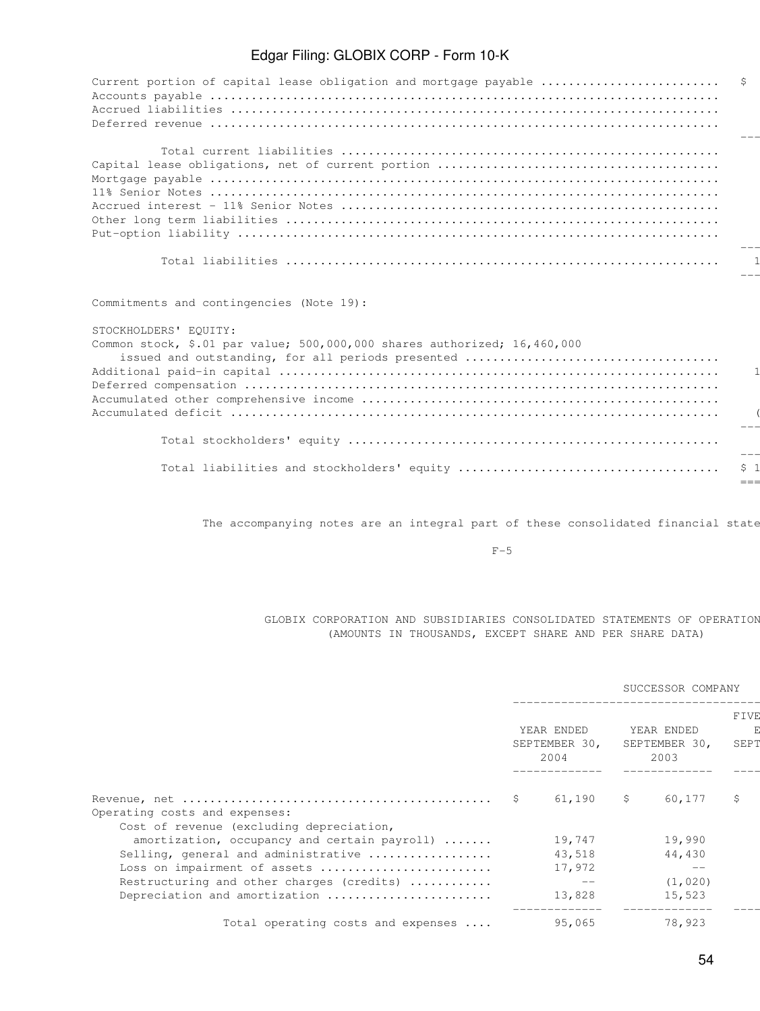| Current portion of capital lease obligation and mortgage payable  \$ |         |
|----------------------------------------------------------------------|---------|
|                                                                      |         |
|                                                                      |         |
|                                                                      |         |
|                                                                      |         |
|                                                                      |         |
|                                                                      |         |
|                                                                      |         |
|                                                                      |         |
|                                                                      |         |
|                                                                      |         |
|                                                                      |         |
|                                                                      | $- - -$ |
|                                                                      |         |
|                                                                      |         |

Commitments and contingencies (Note 19):

### STOCKHOLDERS' EQUITY:

| Common stock, \$.01 par value; $500,000,000$ shares authorized; $16,460,000$ |  |
|------------------------------------------------------------------------------|--|
|                                                                              |  |
|                                                                              |  |
|                                                                              |  |
|                                                                              |  |
|                                                                              |  |
|                                                                              |  |
|                                                                              |  |
|                                                                              |  |
|                                                                              |  |
|                                                                              |  |

The accompanying notes are an integral part of these consolidated financial state

 $F-5$ 

### GLOBIX CORPORATION AND SUBSIDIARIES CONSOLIDATED STATEMENTS OF OPERATIONS (AMOUNTS IN THOUSANDS, EXCEPT SHARE AND PER SHARE DATA)

|                                                                                          |                                     |               | SUCCESSOR COMPANY                   |              |
|------------------------------------------------------------------------------------------|-------------------------------------|---------------|-------------------------------------|--------------|
|                                                                                          | YEAR ENDED<br>SEPTEMBER 30,<br>2004 |               | YEAR ENDED<br>SEPTEMBER 30,<br>2003 | FIVE<br>SEPT |
| Revenue, net $\dots\dots\dots\dots\dots\dots\dots\dots\dots\dots\dots\dots\dots\dots$ \$ | 61,190                              | $\sim$ $\sim$ | 60,177                              | S            |
| Operating costs and expenses:<br>Cost of revenue (excluding depreciation,                |                                     |               |                                     |              |
| amortization, occupancy and certain payroll) $\ldots \ldots$                             | 19,747                              |               | 19,990                              |              |
| Selling, general and administrative                                                      | 43,518                              |               | 44,430                              |              |
| Loss on impairment of assets                                                             | 17,972                              |               | $- -$                               |              |
| Restructuring and other charges (credits)                                                | $- -$                               |               | (1, 020)                            |              |
| Depreciation and amortization                                                            | 13,828                              |               | 15,523                              |              |
| Total operating costs and expenses                                                       | 95,065                              |               | 78,923                              |              |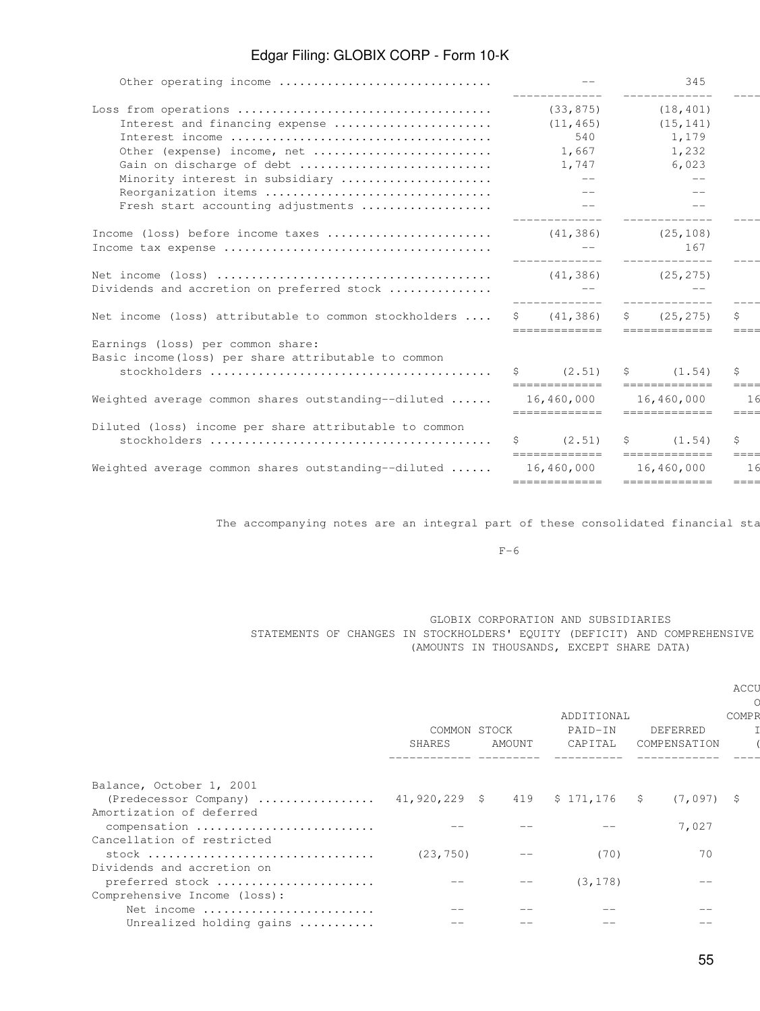| _____________<br>(33, 875)<br>(18, 401)<br>Interest and financing expense<br>(11, 465)<br>(15, 141)<br>540<br>1,179<br>1,667<br>Other (expense) income, net<br>1,232<br>6,023<br>Gain on discharge of debt<br>1,747<br>Minority interest in subsidiary<br>$--$<br>$- -$<br>Reorganization items<br>$-$<br>Fresh start accounting adjustments<br>$- -$<br>-------------<br>_____________<br>Income (loss) before income taxes<br>(41, 386)<br>(25, 108)<br>167<br>______________<br>_____________<br>(25, 275)<br>(41, 386)                                                                               |
|----------------------------------------------------------------------------------------------------------------------------------------------------------------------------------------------------------------------------------------------------------------------------------------------------------------------------------------------------------------------------------------------------------------------------------------------------------------------------------------------------------------------------------------------------------------------------------------------------------|
|                                                                                                                                                                                                                                                                                                                                                                                                                                                                                                                                                                                                          |
|                                                                                                                                                                                                                                                                                                                                                                                                                                                                                                                                                                                                          |
|                                                                                                                                                                                                                                                                                                                                                                                                                                                                                                                                                                                                          |
|                                                                                                                                                                                                                                                                                                                                                                                                                                                                                                                                                                                                          |
|                                                                                                                                                                                                                                                                                                                                                                                                                                                                                                                                                                                                          |
|                                                                                                                                                                                                                                                                                                                                                                                                                                                                                                                                                                                                          |
|                                                                                                                                                                                                                                                                                                                                                                                                                                                                                                                                                                                                          |
|                                                                                                                                                                                                                                                                                                                                                                                                                                                                                                                                                                                                          |
|                                                                                                                                                                                                                                                                                                                                                                                                                                                                                                                                                                                                          |
|                                                                                                                                                                                                                                                                                                                                                                                                                                                                                                                                                                                                          |
|                                                                                                                                                                                                                                                                                                                                                                                                                                                                                                                                                                                                          |
| Dividends and accretion on preferred stock<br>_____________<br>--------------                                                                                                                                                                                                                                                                                                                                                                                                                                                                                                                            |
| Net income (loss) attributable to common stockholders<br>\$ (41, 386)<br>\$ (25, 275)<br>$\begin{tabular}{ll} \multicolumn{3}{l}{{\color{blue}\textbf{m}=\textbf{m}=\textbf{m}=\textbf{m}=\textbf{m}=\textbf{m}}} \end{tabular}$<br>--------------                                                                                                                                                                                                                                                                                                                                                       |
| Earnings (loss) per common share:                                                                                                                                                                                                                                                                                                                                                                                                                                                                                                                                                                        |
| Basic income (loss) per share attributable to common                                                                                                                                                                                                                                                                                                                                                                                                                                                                                                                                                     |
| $\sin(2.51)$<br>\$ (1.54)<br>$\begin{tabular}{ll} \multicolumn{2}{l}{{\color{red}\boldsymbol{=}}} & \multicolumn{2}{l}{\color{blue}\boldsymbol{=}} & \multicolumn{2}{l}{\color{blue}\boldsymbol{=}} & \multicolumn{2}{l}{\color{blue}\boldsymbol{=}} & \multicolumn{2}{l}{\color{blue}\boldsymbol{=}} & \multicolumn{2}{l}{\color{blue}\boldsymbol{=}} & \multicolumn{2}{l}{\color{blue}\boldsymbol{=}} & \multicolumn{2}{l}{\color{blue}\boldsymbol{=}} & \multicolumn{2}{l}{\color{blue}\boldsymbol{=}} & \multicolumn{2}{l}{\color{blue}\boldsymbol{=}} & \multicolumn{2}{l}{\color$<br>============= |
| Weighted average common shares outstanding--diluted<br>16,460,000<br>16,460,000                                                                                                                                                                                                                                                                                                                                                                                                                                                                                                                          |
| =============<br>=============<br>Diluted (loss) income per share attributable to common                                                                                                                                                                                                                                                                                                                                                                                                                                                                                                                 |
| (2.51)<br>$S$ and $S$<br>S<br>(1.54)                                                                                                                                                                                                                                                                                                                                                                                                                                                                                                                                                                     |
| =============<br>--------------                                                                                                                                                                                                                                                                                                                                                                                                                                                                                                                                                                          |
| Weighted average common shares outstanding--diluted<br>16,460,000<br>16,460,000                                                                                                                                                                                                                                                                                                                                                                                                                                                                                                                          |
| =============<br>--------------                                                                                                                                                                                                                                                                                                                                                                                                                                                                                                                                                                          |

The accompanying notes are an integral part of these consolidated financial sta

 $F-6$ 

### GLOBIX CORPORATION AND SUBSIDIARIES STATEMENTS OF CHANGES IN STOCKHOLDERS' EQUITY (DEFICIT) AND COMPREHENSIVE (AMOUNTS IN THOUSANDS, EXCEPT SHARE DATA)

|                                                        |                        |        |                                  |                          | <b>ACCU</b>  |
|--------------------------------------------------------|------------------------|--------|----------------------------------|--------------------------|--------------|
|                                                        | COMMON STOCK<br>SHARES | AMOUNT | ADDITIONAL<br>PAID-IN<br>CAPITAL | DEFERRED<br>COMPENSATION | <b>COMPR</b> |
| Balance, October 1, 2001                               |                        |        |                                  |                          |              |
| (Predecessor Company)  41,920,229 \$ 419 \$ 171,176 \$ |                        |        |                                  | $(7,097)$ \$             |              |
| Amortization of deferred                               |                        |        |                                  |                          |              |
| compensation                                           |                        |        |                                  | 7,027                    |              |
| Cancellation of restricted                             |                        |        |                                  |                          |              |
|                                                        | (23, 750)              |        | (70)                             | 70                       |              |
| Dividends and accretion on                             |                        |        |                                  |                          |              |
| preferred stock                                        |                        |        | (3, 178)                         | $ -$                     |              |
| Comprehensive Income (loss):                           |                        |        |                                  |                          |              |
| Net income                                             |                        |        |                                  |                          |              |
| Unrealized holding gains                               |                        |        |                                  |                          |              |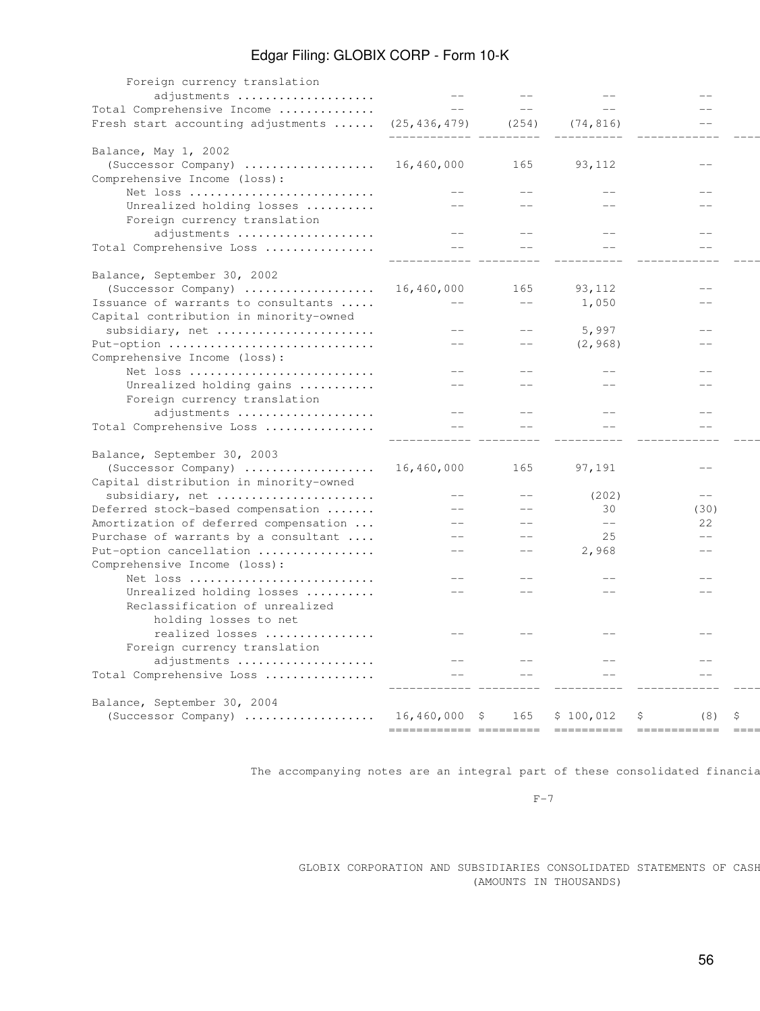| Foreign currency translation                            |                        |       |                   |                  |  |
|---------------------------------------------------------|------------------------|-------|-------------------|------------------|--|
| adjustments                                             |                        |       |                   |                  |  |
| Total Comprehensive Income                              | $- -$                  | $--$  | $-$               | $-$              |  |
| Fresh start accounting adjustments  (25,436,479)        |                        | (254) | (74, 816)         |                  |  |
|                                                         |                        |       |                   |                  |  |
| Balance, May 1, 2002<br>(Successor Company)             | 16,460,000             | 165   | 93,112            |                  |  |
| Comprehensive Income (loss):                            |                        |       |                   |                  |  |
| Net loss                                                |                        |       |                   |                  |  |
| Unrealized holding losses                               |                        |       |                   |                  |  |
| Foreign currency translation<br>adjustments             |                        |       |                   |                  |  |
| Total Comprehensive Loss                                | $- -$                  |       |                   |                  |  |
|                                                         |                        |       |                   |                  |  |
| Balance, September 30, 2002                             |                        |       |                   |                  |  |
| (Successor Company)                                     | 16,460,000             | 165   | 93,112            | $-$              |  |
| Issuance of warrants to consultants                     |                        | $-$   | 1,050             |                  |  |
| Capital contribution in minority-owned                  |                        |       |                   |                  |  |
| subsidiary, net                                         | $-$                    |       | 5,997             |                  |  |
| Put-option                                              | $- -$                  | $- -$ | (2, 968)          |                  |  |
| Comprehensive Income (loss):                            |                        |       |                   |                  |  |
| Net loss                                                | $-$                    |       |                   |                  |  |
| Unrealized holding gains                                |                        |       |                   |                  |  |
| Foreign currency translation                            | $- -$                  |       |                   |                  |  |
| adjustments<br>Total Comprehensive Loss                 |                        |       |                   |                  |  |
|                                                         |                        |       |                   |                  |  |
| Balance, September 30, 2003                             |                        |       |                   |                  |  |
| (Successor Company)                                     | 16,460,000             | 165   | 97,191            |                  |  |
| Capital distribution in minority-owned                  |                        |       |                   |                  |  |
| subsidiary, net                                         | $-$                    |       | (202)             | $\qquad -$       |  |
| Deferred stock-based compensation                       | $- -$                  | $-$   | 30                | (30)             |  |
| Amortization of deferred compensation                   | $- -$                  | $-$   | $\qquad \qquad -$ | 22               |  |
| Purchase of warrants by a consultant                    | $- -$                  |       | 25                | $-$              |  |
| Put-option cancellation                                 | $- -$                  | $-$   | 2,968             |                  |  |
| Comprehensive Income (loss):                            |                        |       |                   |                  |  |
| Net loss                                                | $- -$                  |       |                   |                  |  |
| Unrealized holding losses                               | $- -$                  |       |                   |                  |  |
| Reclassification of unrealized<br>holding losses to net |                        |       |                   |                  |  |
| realized losses                                         |                        |       |                   |                  |  |
| Foreign currency translation                            |                        |       |                   |                  |  |
| adjustments                                             | $-$                    |       |                   |                  |  |
| Total Comprehensive Loss                                |                        |       |                   |                  |  |
| Balance, September 30, 2004                             |                        |       |                   |                  |  |
| (Successor Company)                                     | $16,460,000$ \$        | 165   | \$100,012         | \$.<br>(8)<br>-S |  |
|                                                         | ============ ========= |       |                   |                  |  |

The accompanying notes are an integral part of these consolidated financia

 $F-7$ 

GLOBIX CORPORATION AND SUBSIDIARIES CONSOLIDATED STATEMENTS OF CASH (AMOUNTS IN THOUSANDS)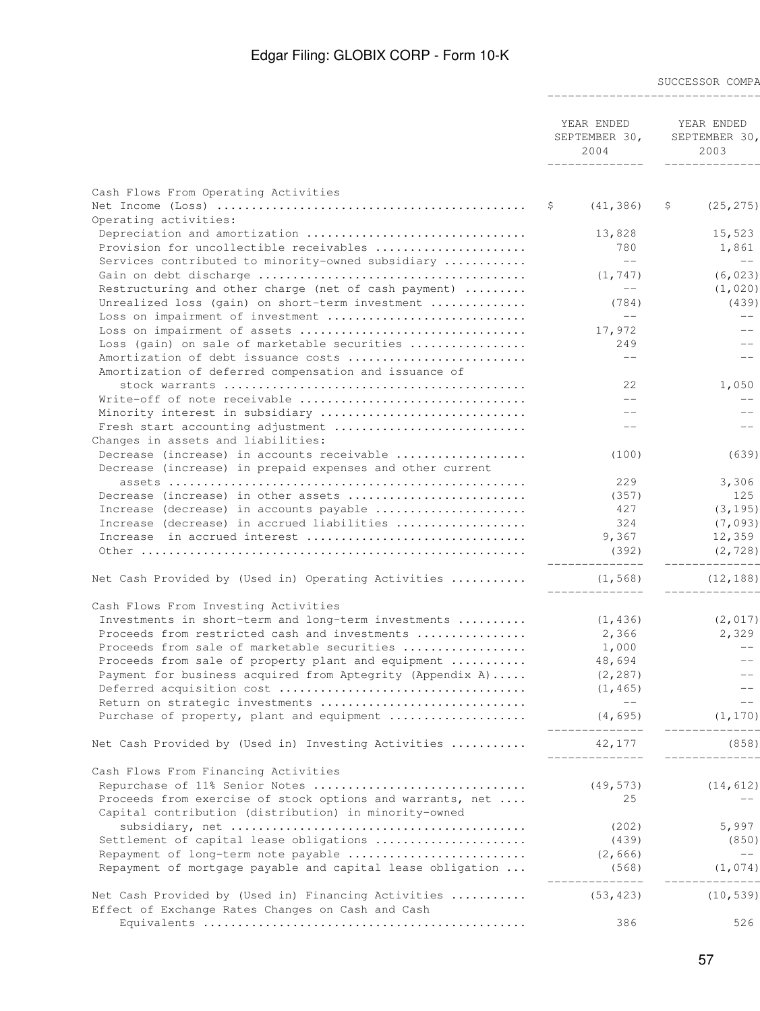SUCCESSOR COMPA

| YEAR ENDED    | YEAR ENDED                   |
|---------------|------------------------------|
| SEPTEMBER 30, | SEPTEMBER<br>30 <sub>1</sub> |
| 2004          | 2003                         |

------------------------------------------------ --------------

|                                                            | ______________             | --------------    |
|------------------------------------------------------------|----------------------------|-------------------|
|                                                            |                            |                   |
| Cash Flows From Operating Activities                       |                            |                   |
|                                                            | -Ş<br>(41, 386)            | (25, 275)<br>-S   |
| Operating activities:                                      |                            |                   |
| Depreciation and amortization                              | 13,828                     | 15,523            |
| Provision for uncollectible receivables                    | 780                        | 1,861             |
| Services contributed to minority-owned subsidiary          | $--$                       | $-\,-$            |
|                                                            | (1, 747)                   | (6, 023)          |
| Restructuring and other charge (net of cash payment)       | $-\,-$                     | (1,020)           |
| Unrealized loss (gain) on short-term investment            | (784)                      | (439)             |
| Loss on impairment of investment                           | $\qquad -$                 | $-\,-$            |
|                                                            | 17,972                     | $\qquad -$        |
| Loss (gain) on sale of marketable securities               | 249                        | $\qquad \qquad -$ |
| Amortization of debt issuance costs                        | $- -$                      | $-$               |
| Amortization of deferred compensation and issuance of      |                            |                   |
|                                                            | 2.2.                       | 1,050             |
|                                                            | $-$                        |                   |
| Write-off of note receivable                               |                            | $\qquad -$        |
| Minority interest in subsidiary                            |                            | $-$               |
| Fresh start accounting adjustment                          |                            | $\qquad \qquad -$ |
| Changes in assets and liabilities:                         |                            |                   |
| Decrease (increase) in accounts receivable                 | (100)                      | (639)             |
| Decrease (increase) in prepaid expenses and other current  |                            |                   |
|                                                            | 229                        | 3,306             |
| Decrease (increase) in other assets                        | (357)                      | 125               |
| Increase (decrease) in accounts payable                    | 427                        | (3, 195)          |
| Increase (decrease) in accrued liabilities                 | 324                        | (7,093)           |
| Increase in accrued interest                               | 9,367                      | 12,359            |
|                                                            | (392)                      | (2, 728)          |
|                                                            | ______________             | --------------    |
| Net Cash Provided by (Used in) Operating Activities        | (1, 568)<br>______________ | (12, 188)         |
| Cash Flows From Investing Activities                       |                            |                   |
| Investments in short-term and long-term investments        | (1, 436)                   | (2, 017)          |
| Proceeds from restricted cash and investments              | 2,366                      | 2,329             |
| Proceeds from sale of marketable securities                |                            | $--$              |
|                                                            | 1,000                      |                   |
| Proceeds from sale of property plant and equipment         | 48,694                     | $\qquad -$        |
| Payment for business acquired from Aptegrity (Appendix A)  | (2, 287)                   | $\qquad -$        |
|                                                            | (1, 465)                   | $\qquad -$        |
| Return on strategic investments                            | $\qquad -$                 | $--\,$            |
| Purchase of property, plant and equipment                  | (4, 695)<br>-------------- | (1, 170)          |
| Net Cash Provided by (Used in) Investing Activities        | 42,177                     | (858)             |
| Cash Flows From Financing Activities                       |                            |                   |
| Repurchase of 11% Senior Notes                             | (49, 573)                  | (14, 612)         |
|                                                            |                            |                   |
| Proceeds from exercise of stock options and warrants, net  | 25                         |                   |
| Capital contribution (distribution) in minority-owned      |                            |                   |
|                                                            | (202)                      | 5,997             |
| Settlement of capital lease obligations                    | (439)                      | (850)             |
| Repayment of long-term note payable                        | (2, 666)                   | $--\,$            |
| Repayment of mortgage payable and capital lease obligation | (568)                      | (1,074)           |
| Net Cash Provided by (Used in) Financing Activities        | (53, 423)                  | (10, 539)         |
| Effect of Exchange Rates Changes on Cash and Cash          |                            |                   |
|                                                            | 386                        | 526               |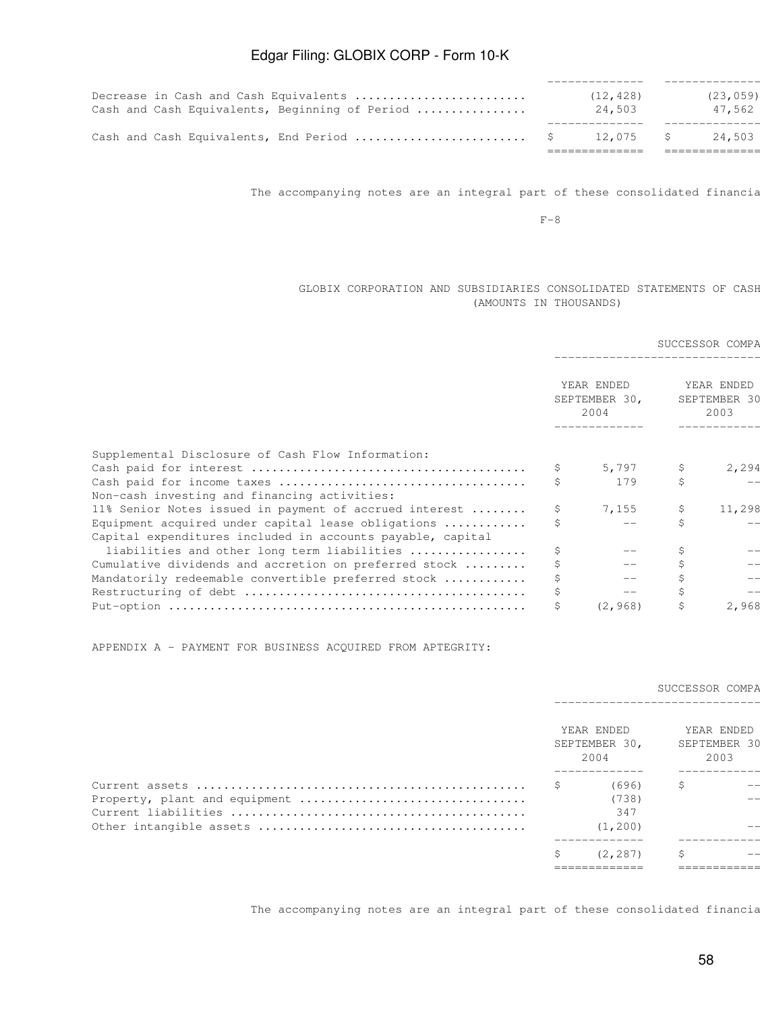| Decrease in Cash and Cash Equivalents          | (12, 428) | (23, 059) |
|------------------------------------------------|-----------|-----------|
| Cash and Cash Equivalents, Beginning of Period | 24,503    | 47,562    |
|                                                |           |           |
|                                                | 12.075    | 24,503    |
|                                                |           |           |

The accompanying notes are an integral part of these consolidated financia

 $F-8$ 

### GLOBIX CORPORATION AND SUBSIDIARIES CONSOLIDATED STATEMENTS OF CASH (AMOUNTS IN THOUSANDS)

|                                                                                                           |    |                                     |                                    | SUCCESSOR COMPA |
|-----------------------------------------------------------------------------------------------------------|----|-------------------------------------|------------------------------------|-----------------|
|                                                                                                           |    | YEAR ENDED<br>SEPTEMBER 30,<br>2004 | YEAR ENDED<br>SEPTEMBER 30<br>2003 |                 |
| Supplemental Disclosure of Cash Flow Information:                                                         |    |                                     |                                    |                 |
|                                                                                                           | S. | 5,797                               | S                                  | 2,294           |
| Non-cash investing and financing activities:                                                              | \$ | 179                                 |                                    |                 |
| 11% Senior Notes issued in payment of accrued interest                                                    | S. | 7,155                               | Ş.                                 | 11,298          |
| Equipment acquired under capital lease obligations $\ldots \ldots \ldots$                                 |    |                                     |                                    |                 |
| Capital expenditures included in accounts payable, capital<br>liabilities and other long term liabilities | S. |                                     |                                    |                 |
| Cumulative dividends and accretion on preferred stock                                                     | \$ |                                     |                                    | $ -$            |
| Mandatorily redeemable convertible preferred stock                                                        |    | $ -$                                |                                    |                 |
|                                                                                                           | Ş  | $\qquad -$                          |                                    | $-1$            |
|                                                                                                           |    | (2, 968)                            |                                    | 2,968           |

APPENDIX A - PAYMENT FOR BUSINESS ACQUIRED FROM APTEGRITY:

### SUCCESSOR COMPA

|                               |  | YEAR ENDED<br>SEPTEMBER 30,<br>2004       |    | YEAR ENDED<br>SEPTEMBER 30<br>2003      |
|-------------------------------|--|-------------------------------------------|----|-----------------------------------------|
| Property, plant and equipment |  | (696)<br>(738)<br>347<br>(1, 200)         | \$ | $- -$<br>$- -$<br>$- -$                 |
|                               |  | (2, 287)<br>____________<br>------------- | Ŝ. | $- -$<br>------------<br>-------------- |
|                               |  |                                           |    |                                         |

The accompanying notes are an integral part of these consolidated financia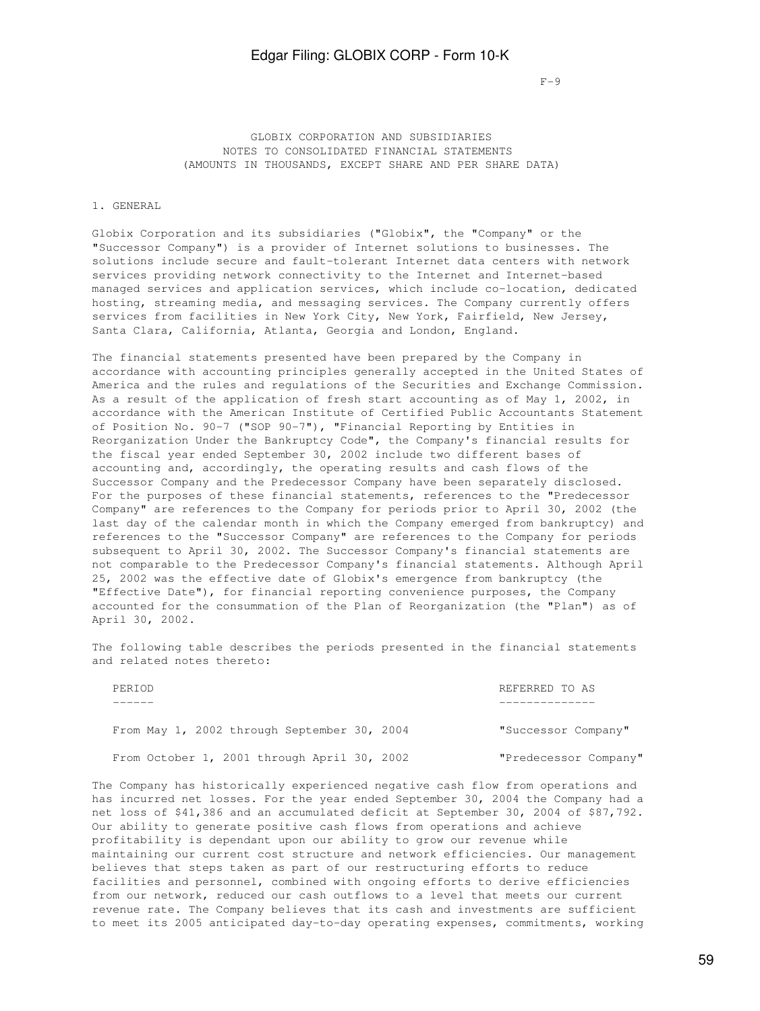$F-9$ 

 GLOBIX CORPORATION AND SUBSIDIARIES NOTES TO CONSOLIDATED FINANCIAL STATEMENTS (AMOUNTS IN THOUSANDS, EXCEPT SHARE AND PER SHARE DATA)

### 1. GENERAL

Globix Corporation and its subsidiaries ("Globix", the "Company" or the "Successor Company") is a provider of Internet solutions to businesses. The solutions include secure and fault-tolerant Internet data centers with network services providing network connectivity to the Internet and Internet-based managed services and application services, which include co-location, dedicated hosting, streaming media, and messaging services. The Company currently offers services from facilities in New York City, New York, Fairfield, New Jersey, Santa Clara, California, Atlanta, Georgia and London, England.

The financial statements presented have been prepared by the Company in accordance with accounting principles generally accepted in the United States of America and the rules and regulations of the Securities and Exchange Commission. As a result of the application of fresh start accounting as of May 1, 2002, in accordance with the American Institute of Certified Public Accountants Statement of Position No. 90-7 ("SOP 90-7"), "Financial Reporting by Entities in Reorganization Under the Bankruptcy Code", the Company's financial results for the fiscal year ended September 30, 2002 include two different bases of accounting and, accordingly, the operating results and cash flows of the Successor Company and the Predecessor Company have been separately disclosed. For the purposes of these financial statements, references to the "Predecessor Company" are references to the Company for periods prior to April 30, 2002 (the last day of the calendar month in which the Company emerged from bankruptcy) and references to the "Successor Company" are references to the Company for periods subsequent to April 30, 2002. The Successor Company's financial statements are not comparable to the Predecessor Company's financial statements. Although April 25, 2002 was the effective date of Globix's emergence from bankruptcy (the "Effective Date"), for financial reporting convenience purposes, the Company accounted for the consummation of the Plan of Reorganization (the "Plan") as of April 30, 2002.

The following table describes the periods presented in the financial statements and related notes thereto:

| PERIOD                                      | REFERRED TO AS        |
|---------------------------------------------|-----------------------|
|                                             |                       |
| From May 1, 2002 through September 30, 2004 | "Successor Company"   |
| From October 1, 2001 through April 30, 2002 | "Predecessor Company" |

The Company has historically experienced negative cash flow from operations and has incurred net losses. For the year ended September 30, 2004 the Company had a net loss of \$41,386 and an accumulated deficit at September 30, 2004 of \$87,792. Our ability to generate positive cash flows from operations and achieve profitability is dependant upon our ability to grow our revenue while maintaining our current cost structure and network efficiencies. Our management believes that steps taken as part of our restructuring efforts to reduce facilities and personnel, combined with ongoing efforts to derive efficiencies from our network, reduced our cash outflows to a level that meets our current revenue rate. The Company believes that its cash and investments are sufficient to meet its 2005 anticipated day-to-day operating expenses, commitments, working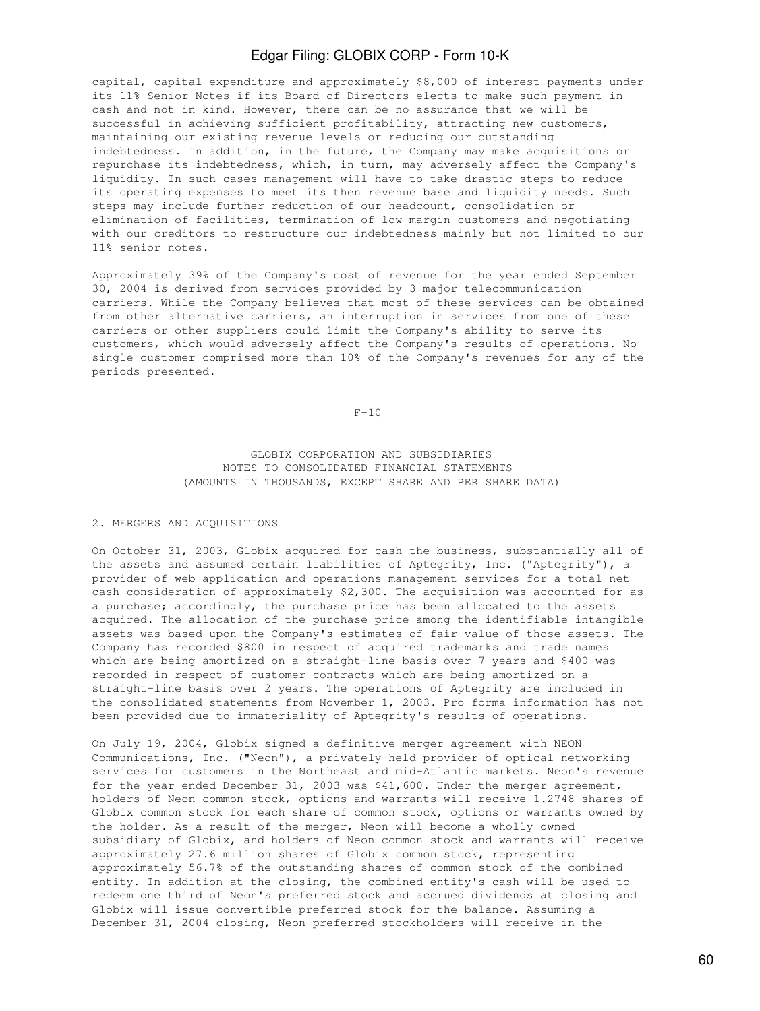capital, capital expenditure and approximately \$8,000 of interest payments under its 11% Senior Notes if its Board of Directors elects to make such payment in cash and not in kind. However, there can be no assurance that we will be successful in achieving sufficient profitability, attracting new customers, maintaining our existing revenue levels or reducing our outstanding indebtedness. In addition, in the future, the Company may make acquisitions or repurchase its indebtedness, which, in turn, may adversely affect the Company's liquidity. In such cases management will have to take drastic steps to reduce its operating expenses to meet its then revenue base and liquidity needs. Such steps may include further reduction of our headcount, consolidation or elimination of facilities, termination of low margin customers and negotiating with our creditors to restructure our indebtedness mainly but not limited to our 11% senior notes.

Approximately 39% of the Company's cost of revenue for the year ended September 30, 2004 is derived from services provided by 3 major telecommunication carriers. While the Company believes that most of these services can be obtained from other alternative carriers, an interruption in services from one of these carriers or other suppliers could limit the Company's ability to serve its customers, which would adversely affect the Company's results of operations. No single customer comprised more than 10% of the Company's revenues for any of the periods presented.

 $F-10$ 

 GLOBIX CORPORATION AND SUBSIDIARIES NOTES TO CONSOLIDATED FINANCIAL STATEMENTS (AMOUNTS IN THOUSANDS, EXCEPT SHARE AND PER SHARE DATA)

#### 2. MERGERS AND ACQUISITIONS

On October 31, 2003, Globix acquired for cash the business, substantially all of the assets and assumed certain liabilities of Aptegrity, Inc. ("Aptegrity"), a provider of web application and operations management services for a total net cash consideration of approximately \$2,300. The acquisition was accounted for as a purchase; accordingly, the purchase price has been allocated to the assets acquired. The allocation of the purchase price among the identifiable intangible assets was based upon the Company's estimates of fair value of those assets. The Company has recorded \$800 in respect of acquired trademarks and trade names which are being amortized on a straight-line basis over 7 years and \$400 was recorded in respect of customer contracts which are being amortized on a straight-line basis over 2 years. The operations of Aptegrity are included in the consolidated statements from November 1, 2003. Pro forma information has not been provided due to immateriality of Aptegrity's results of operations.

On July 19, 2004, Globix signed a definitive merger agreement with NEON Communications, Inc. ("Neon"), a privately held provider of optical networking services for customers in the Northeast and mid-Atlantic markets. Neon's revenue for the year ended December 31, 2003 was \$41,600. Under the merger agreement, holders of Neon common stock, options and warrants will receive 1.2748 shares of Globix common stock for each share of common stock, options or warrants owned by the holder. As a result of the merger, Neon will become a wholly owned subsidiary of Globix, and holders of Neon common stock and warrants will receive approximately 27.6 million shares of Globix common stock, representing approximately 56.7% of the outstanding shares of common stock of the combined entity. In addition at the closing, the combined entity's cash will be used to redeem one third of Neon's preferred stock and accrued dividends at closing and Globix will issue convertible preferred stock for the balance. Assuming a December 31, 2004 closing, Neon preferred stockholders will receive in the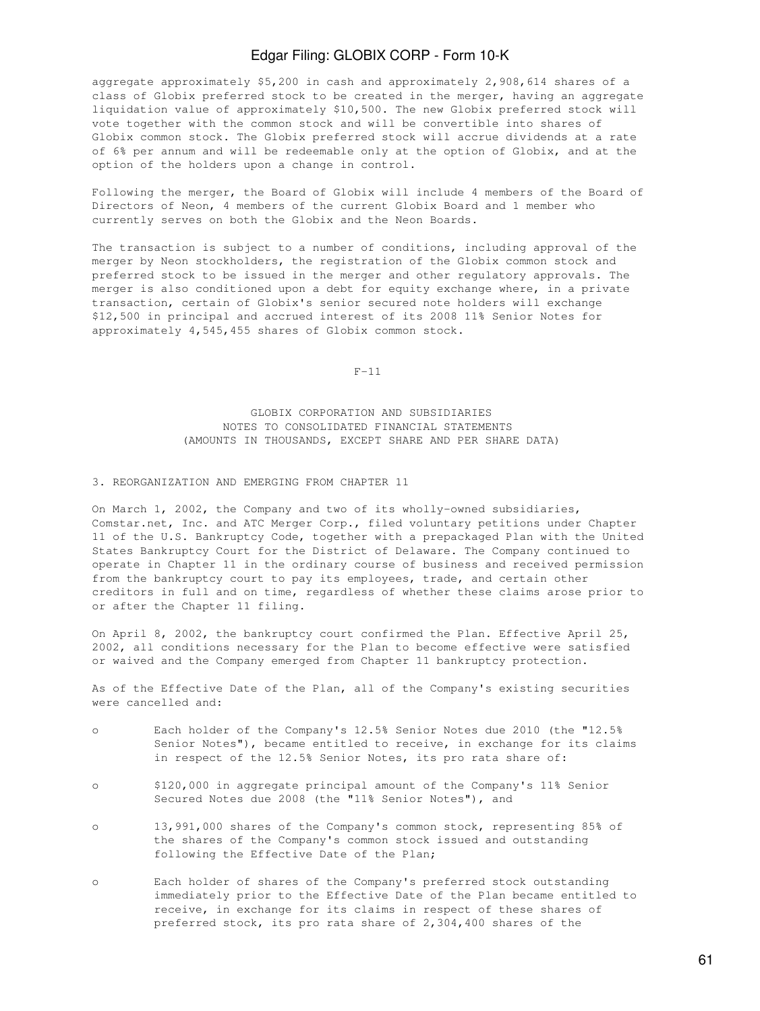aggregate approximately \$5,200 in cash and approximately 2,908,614 shares of a class of Globix preferred stock to be created in the merger, having an aggregate liquidation value of approximately \$10,500. The new Globix preferred stock will vote together with the common stock and will be convertible into shares of Globix common stock. The Globix preferred stock will accrue dividends at a rate of 6% per annum and will be redeemable only at the option of Globix, and at the option of the holders upon a change in control.

Following the merger, the Board of Globix will include 4 members of the Board of Directors of Neon, 4 members of the current Globix Board and 1 member who currently serves on both the Globix and the Neon Boards.

The transaction is subject to a number of conditions, including approval of the merger by Neon stockholders, the registration of the Globix common stock and preferred stock to be issued in the merger and other regulatory approvals. The merger is also conditioned upon a debt for equity exchange where, in a private transaction, certain of Globix's senior secured note holders will exchange \$12,500 in principal and accrued interest of its 2008 11% Senior Notes for approximately 4,545,455 shares of Globix common stock.

 $F-11$ 

 GLOBIX CORPORATION AND SUBSIDIARIES NOTES TO CONSOLIDATED FINANCIAL STATEMENTS (AMOUNTS IN THOUSANDS, EXCEPT SHARE AND PER SHARE DATA)

#### 3. REORGANIZATION AND EMERGING FROM CHAPTER 11

On March 1, 2002, the Company and two of its wholly-owned subsidiaries, Comstar.net, Inc. and ATC Merger Corp., filed voluntary petitions under Chapter 11 of the U.S. Bankruptcy Code, together with a prepackaged Plan with the United States Bankruptcy Court for the District of Delaware. The Company continued to operate in Chapter 11 in the ordinary course of business and received permission from the bankruptcy court to pay its employees, trade, and certain other creditors in full and on time, regardless of whether these claims arose prior to or after the Chapter 11 filing.

On April 8, 2002, the bankruptcy court confirmed the Plan. Effective April 25, 2002, all conditions necessary for the Plan to become effective were satisfied or waived and the Company emerged from Chapter 11 bankruptcy protection.

As of the Effective Date of the Plan, all of the Company's existing securities were cancelled and:

- o Each holder of the Company's 12.5% Senior Notes due 2010 (the "12.5% Senior Notes"), became entitled to receive, in exchange for its claims in respect of the 12.5% Senior Notes, its pro rata share of:
- o \$120,000 in aggregate principal amount of the Company's 11% Senior Secured Notes due 2008 (the "11% Senior Notes"), and
- o 13,991,000 shares of the Company's common stock, representing 85% of the shares of the Company's common stock issued and outstanding following the Effective Date of the Plan;
- o Each holder of shares of the Company's preferred stock outstanding immediately prior to the Effective Date of the Plan became entitled to receive, in exchange for its claims in respect of these shares of preferred stock, its pro rata share of 2,304,400 shares of the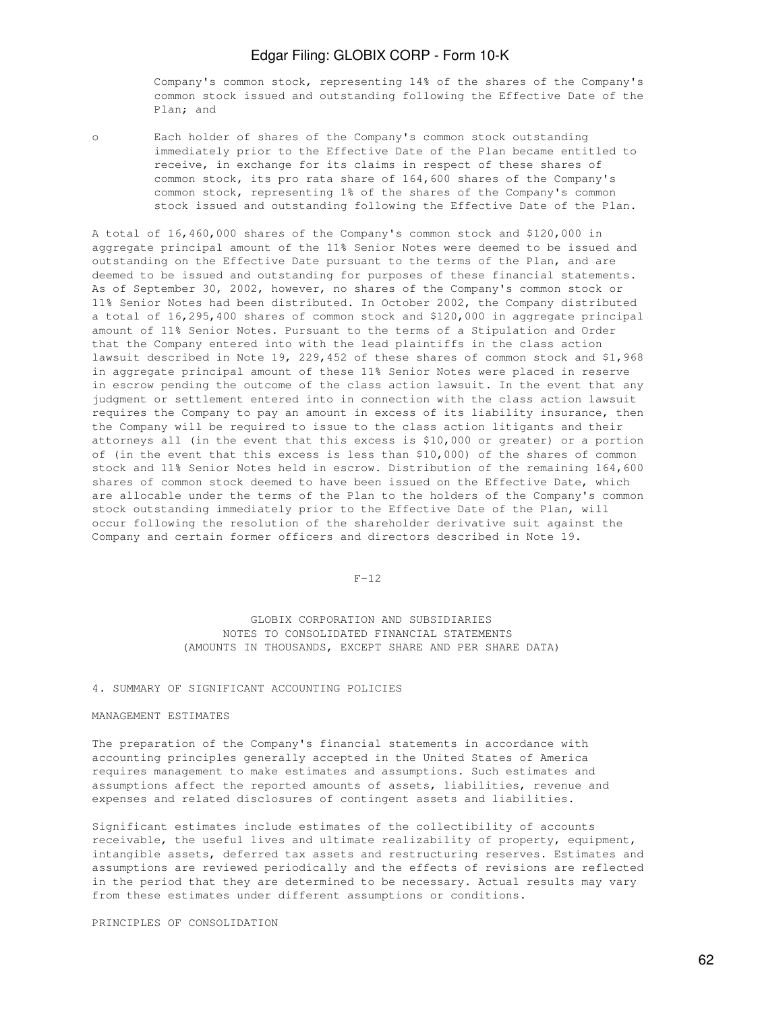Company's common stock, representing 14% of the shares of the Company's common stock issued and outstanding following the Effective Date of the Plan; and

o Each holder of shares of the Company's common stock outstanding immediately prior to the Effective Date of the Plan became entitled to receive, in exchange for its claims in respect of these shares of common stock, its pro rata share of 164,600 shares of the Company's common stock, representing 1% of the shares of the Company's common stock issued and outstanding following the Effective Date of the Plan.

A total of 16,460,000 shares of the Company's common stock and \$120,000 in aggregate principal amount of the 11% Senior Notes were deemed to be issued and outstanding on the Effective Date pursuant to the terms of the Plan, and are deemed to be issued and outstanding for purposes of these financial statements. As of September 30, 2002, however, no shares of the Company's common stock or 11% Senior Notes had been distributed. In October 2002, the Company distributed a total of 16,295,400 shares of common stock and \$120,000 in aggregate principal amount of 11% Senior Notes. Pursuant to the terms of a Stipulation and Order that the Company entered into with the lead plaintiffs in the class action lawsuit described in Note 19, 229,452 of these shares of common stock and \$1,968 in aggregate principal amount of these 11% Senior Notes were placed in reserve in escrow pending the outcome of the class action lawsuit. In the event that any judgment or settlement entered into in connection with the class action lawsuit requires the Company to pay an amount in excess of its liability insurance, then the Company will be required to issue to the class action litigants and their attorneys all (in the event that this excess is \$10,000 or greater) or a portion of (in the event that this excess is less than \$10,000) of the shares of common stock and 11% Senior Notes held in escrow. Distribution of the remaining 164,600 shares of common stock deemed to have been issued on the Effective Date, which are allocable under the terms of the Plan to the holders of the Company's common stock outstanding immediately prior to the Effective Date of the Plan, will occur following the resolution of the shareholder derivative suit against the Company and certain former officers and directors described in Note 19.

#### $F-12$

 GLOBIX CORPORATION AND SUBSIDIARIES NOTES TO CONSOLIDATED FINANCIAL STATEMENTS (AMOUNTS IN THOUSANDS, EXCEPT SHARE AND PER SHARE DATA)

### 4. SUMMARY OF SIGNIFICANT ACCOUNTING POLICIES

#### MANAGEMENT ESTIMATES

The preparation of the Company's financial statements in accordance with accounting principles generally accepted in the United States of America requires management to make estimates and assumptions. Such estimates and assumptions affect the reported amounts of assets, liabilities, revenue and expenses and related disclosures of contingent assets and liabilities.

Significant estimates include estimates of the collectibility of accounts receivable, the useful lives and ultimate realizability of property, equipment, intangible assets, deferred tax assets and restructuring reserves. Estimates and assumptions are reviewed periodically and the effects of revisions are reflected in the period that they are determined to be necessary. Actual results may vary from these estimates under different assumptions or conditions.

PRINCIPLES OF CONSOLIDATION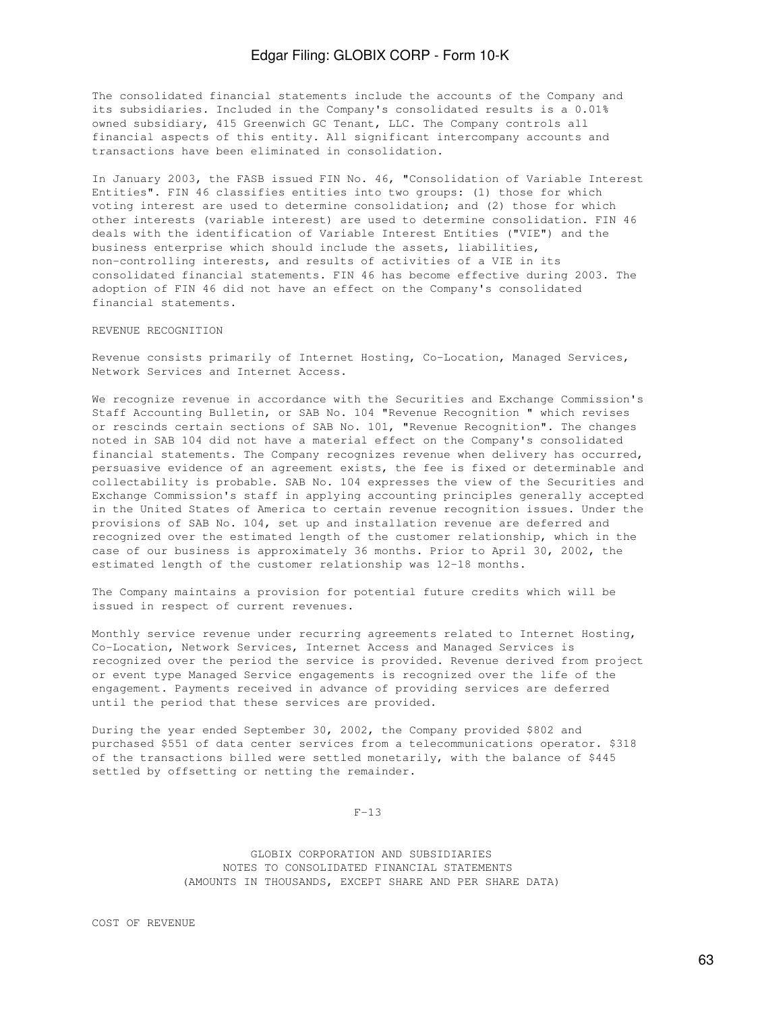The consolidated financial statements include the accounts of the Company and its subsidiaries. Included in the Company's consolidated results is a 0.01% owned subsidiary, 415 Greenwich GC Tenant, LLC. The Company controls all financial aspects of this entity. All significant intercompany accounts and transactions have been eliminated in consolidation.

In January 2003, the FASB issued FIN No. 46, "Consolidation of Variable Interest Entities". FIN 46 classifies entities into two groups: (1) those for which voting interest are used to determine consolidation; and (2) those for which other interests (variable interest) are used to determine consolidation. FIN 46 deals with the identification of Variable Interest Entities ("VIE") and the business enterprise which should include the assets, liabilities, non-controlling interests, and results of activities of a VIE in its consolidated financial statements. FIN 46 has become effective during 2003. The adoption of FIN 46 did not have an effect on the Company's consolidated financial statements.

### REVENUE RECOGNITION

Revenue consists primarily of Internet Hosting, Co-Location, Managed Services, Network Services and Internet Access.

We recognize revenue in accordance with the Securities and Exchange Commission's Staff Accounting Bulletin, or SAB No. 104 "Revenue Recognition " which revises or rescinds certain sections of SAB No. 101, "Revenue Recognition". The changes noted in SAB 104 did not have a material effect on the Company's consolidated financial statements. The Company recognizes revenue when delivery has occurred, persuasive evidence of an agreement exists, the fee is fixed or determinable and collectability is probable. SAB No. 104 expresses the view of the Securities and Exchange Commission's staff in applying accounting principles generally accepted in the United States of America to certain revenue recognition issues. Under the provisions of SAB No. 104, set up and installation revenue are deferred and recognized over the estimated length of the customer relationship, which in the case of our business is approximately 36 months. Prior to April 30, 2002, the estimated length of the customer relationship was 12-18 months.

The Company maintains a provision for potential future credits which will be issued in respect of current revenues.

Monthly service revenue under recurring agreements related to Internet Hosting, Co-Location, Network Services, Internet Access and Managed Services is recognized over the period the service is provided. Revenue derived from project or event type Managed Service engagements is recognized over the life of the engagement. Payments received in advance of providing services are deferred until the period that these services are provided.

During the year ended September 30, 2002, the Company provided \$802 and purchased \$551 of data center services from a telecommunications operator. \$318 of the transactions billed were settled monetarily, with the balance of \$445 settled by offsetting or netting the remainder.

 $F-13$ 

 GLOBIX CORPORATION AND SUBSIDIARIES NOTES TO CONSOLIDATED FINANCIAL STATEMENTS (AMOUNTS IN THOUSANDS, EXCEPT SHARE AND PER SHARE DATA)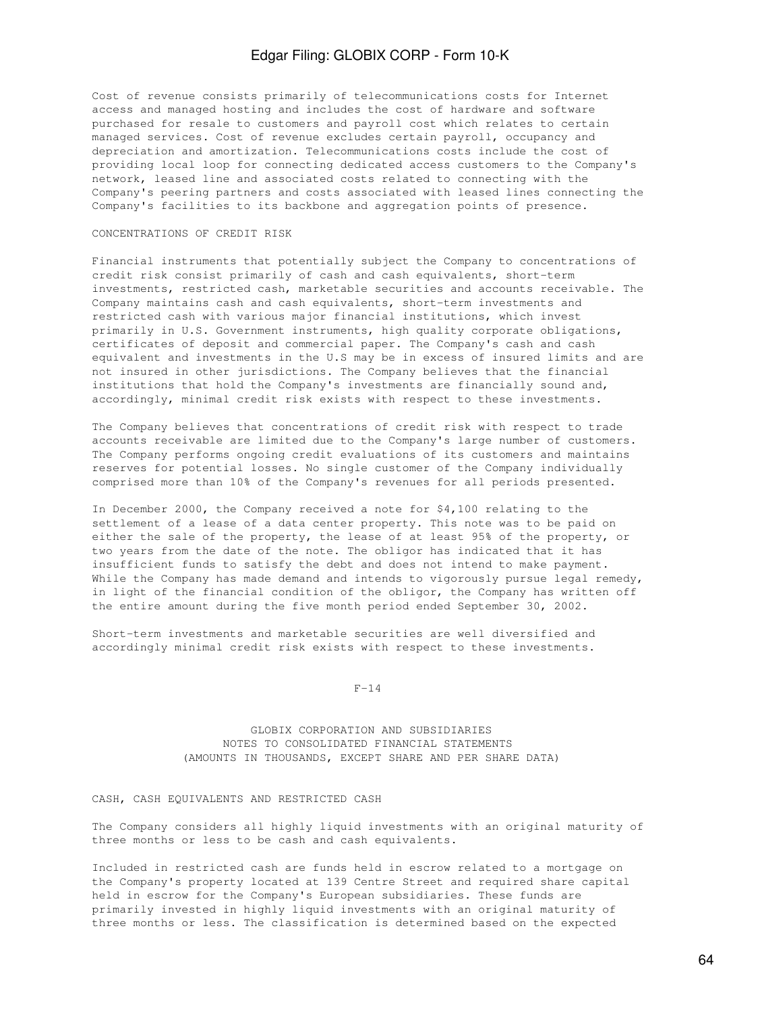Cost of revenue consists primarily of telecommunications costs for Internet access and managed hosting and includes the cost of hardware and software purchased for resale to customers and payroll cost which relates to certain managed services. Cost of revenue excludes certain payroll, occupancy and depreciation and amortization. Telecommunications costs include the cost of providing local loop for connecting dedicated access customers to the Company's network, leased line and associated costs related to connecting with the Company's peering partners and costs associated with leased lines connecting the Company's facilities to its backbone and aggregation points of presence.

#### CONCENTRATIONS OF CREDIT RISK

Financial instruments that potentially subject the Company to concentrations of credit risk consist primarily of cash and cash equivalents, short-term investments, restricted cash, marketable securities and accounts receivable. The Company maintains cash and cash equivalents, short-term investments and restricted cash with various major financial institutions, which invest primarily in U.S. Government instruments, high quality corporate obligations, certificates of deposit and commercial paper. The Company's cash and cash equivalent and investments in the U.S may be in excess of insured limits and are not insured in other jurisdictions. The Company believes that the financial institutions that hold the Company's investments are financially sound and, accordingly, minimal credit risk exists with respect to these investments.

The Company believes that concentrations of credit risk with respect to trade accounts receivable are limited due to the Company's large number of customers. The Company performs ongoing credit evaluations of its customers and maintains reserves for potential losses. No single customer of the Company individually comprised more than 10% of the Company's revenues for all periods presented.

In December 2000, the Company received a note for \$4,100 relating to the settlement of a lease of a data center property. This note was to be paid on either the sale of the property, the lease of at least 95% of the property, or two years from the date of the note. The obligor has indicated that it has insufficient funds to satisfy the debt and does not intend to make payment. While the Company has made demand and intends to vigorously pursue legal remedy, in light of the financial condition of the obligor, the Company has written off the entire amount during the five month period ended September 30, 2002.

Short-term investments and marketable securities are well diversified and accordingly minimal credit risk exists with respect to these investments.

#### $F-14$

 GLOBIX CORPORATION AND SUBSIDIARIES NOTES TO CONSOLIDATED FINANCIAL STATEMENTS (AMOUNTS IN THOUSANDS, EXCEPT SHARE AND PER SHARE DATA)

### CASH, CASH EQUIVALENTS AND RESTRICTED CASH

The Company considers all highly liquid investments with an original maturity of three months or less to be cash and cash equivalents.

Included in restricted cash are funds held in escrow related to a mortgage on the Company's property located at 139 Centre Street and required share capital held in escrow for the Company's European subsidiaries. These funds are primarily invested in highly liquid investments with an original maturity of three months or less. The classification is determined based on the expected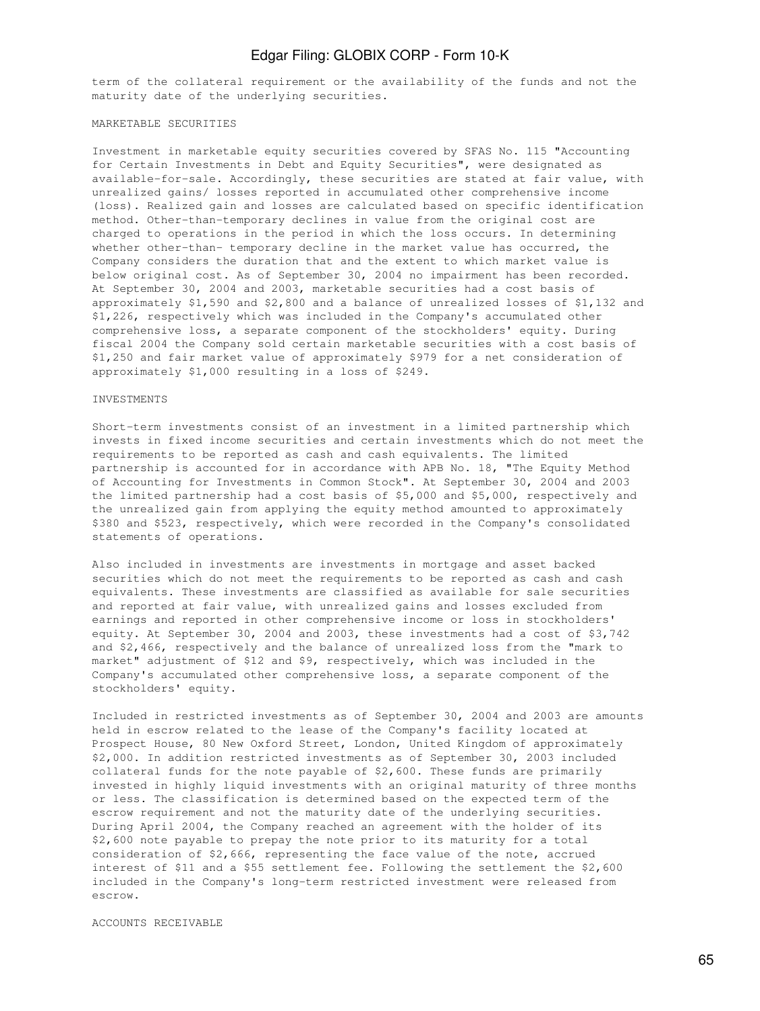term of the collateral requirement or the availability of the funds and not the maturity date of the underlying securities.

#### MARKETABLE SECURITIES

Investment in marketable equity securities covered by SFAS No. 115 "Accounting for Certain Investments in Debt and Equity Securities", were designated as available-for-sale. Accordingly, these securities are stated at fair value, with unrealized gains/ losses reported in accumulated other comprehensive income (loss). Realized gain and losses are calculated based on specific identification method. Other-than-temporary declines in value from the original cost are charged to operations in the period in which the loss occurs. In determining whether other-than- temporary decline in the market value has occurred, the Company considers the duration that and the extent to which market value is below original cost. As of September 30, 2004 no impairment has been recorded. At September 30, 2004 and 2003, marketable securities had a cost basis of approximately \$1,590 and \$2,800 and a balance of unrealized losses of \$1,132 and \$1,226, respectively which was included in the Company's accumulated other comprehensive loss, a separate component of the stockholders' equity. During fiscal 2004 the Company sold certain marketable securities with a cost basis of \$1,250 and fair market value of approximately \$979 for a net consideration of approximately \$1,000 resulting in a loss of \$249.

#### INVESTMENTS

Short-term investments consist of an investment in a limited partnership which invests in fixed income securities and certain investments which do not meet the requirements to be reported as cash and cash equivalents. The limited partnership is accounted for in accordance with APB No. 18, "The Equity Method of Accounting for Investments in Common Stock". At September 30, 2004 and 2003 the limited partnership had a cost basis of \$5,000 and \$5,000, respectively and the unrealized gain from applying the equity method amounted to approximately \$380 and \$523, respectively, which were recorded in the Company's consolidated statements of operations.

Also included in investments are investments in mortgage and asset backed securities which do not meet the requirements to be reported as cash and cash equivalents. These investments are classified as available for sale securities and reported at fair value, with unrealized gains and losses excluded from earnings and reported in other comprehensive income or loss in stockholders' equity. At September 30, 2004 and 2003, these investments had a cost of \$3,742 and \$2,466, respectively and the balance of unrealized loss from the "mark to market" adjustment of \$12 and \$9, respectively, which was included in the Company's accumulated other comprehensive loss, a separate component of the stockholders' equity.

Included in restricted investments as of September 30, 2004 and 2003 are amounts held in escrow related to the lease of the Company's facility located at Prospect House, 80 New Oxford Street, London, United Kingdom of approximately \$2,000. In addition restricted investments as of September 30, 2003 included collateral funds for the note payable of \$2,600. These funds are primarily invested in highly liquid investments with an original maturity of three months or less. The classification is determined based on the expected term of the escrow requirement and not the maturity date of the underlying securities. During April 2004, the Company reached an agreement with the holder of its \$2,600 note payable to prepay the note prior to its maturity for a total consideration of \$2,666, representing the face value of the note, accrued interest of \$11 and a \$55 settlement fee. Following the settlement the \$2,600 included in the Company's long-term restricted investment were released from escrow.

#### ACCOUNTS RECEIVABLE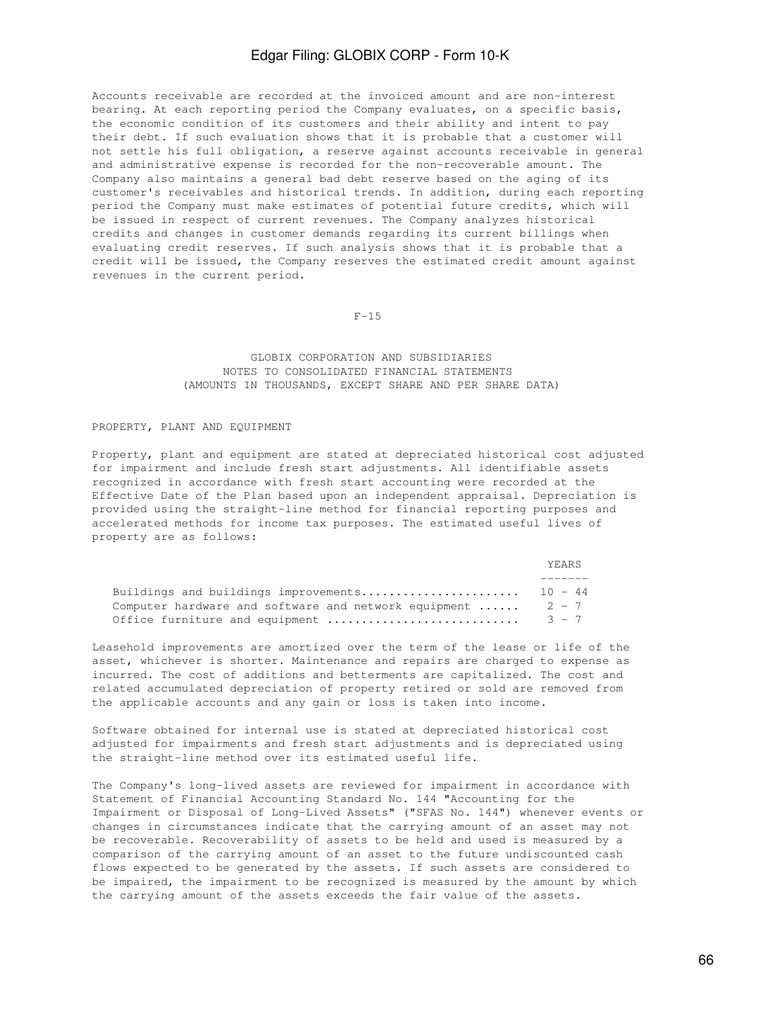Accounts receivable are recorded at the invoiced amount and are non-interest bearing. At each reporting period the Company evaluates, on a specific basis, the economic condition of its customers and their ability and intent to pay their debt. If such evaluation shows that it is probable that a customer will not settle his full obligation, a reserve against accounts receivable in general and administrative expense is recorded for the non-recoverable amount. The Company also maintains a general bad debt reserve based on the aging of its customer's receivables and historical trends. In addition, during each reporting period the Company must make estimates of potential future credits, which will be issued in respect of current revenues. The Company analyzes historical credits and changes in customer demands regarding its current billings when evaluating credit reserves. If such analysis shows that it is probable that a credit will be issued, the Company reserves the estimated credit amount against revenues in the current period.

 $F-15$ 

### GLOBIX CORPORATION AND SUBSIDIARIES NOTES TO CONSOLIDATED FINANCIAL STATEMENTS (AMOUNTS IN THOUSANDS, EXCEPT SHARE AND PER SHARE DATA)

#### PROPERTY, PLANT AND EQUIPMENT

Property, plant and equipment are stated at depreciated historical cost adjusted for impairment and include fresh start adjustments. All identifiable assets recognized in accordance with fresh start accounting were recorded at the Effective Date of the Plan based upon an independent appraisal. Depreciation is provided using the straight-line method for financial reporting purposes and accelerated methods for income tax purposes. The estimated useful lives of property are as follows:

|                                                                       | YEARS |
|-----------------------------------------------------------------------|-------|
|                                                                       |       |
|                                                                       |       |
| Computer hardware and software and network equipment $\ldots$ . 2 - 7 |       |
|                                                                       |       |

Leasehold improvements are amortized over the term of the lease or life of the asset, whichever is shorter. Maintenance and repairs are charged to expense as incurred. The cost of additions and betterments are capitalized. The cost and related accumulated depreciation of property retired or sold are removed from the applicable accounts and any gain or loss is taken into income.

Software obtained for internal use is stated at depreciated historical cost adjusted for impairments and fresh start adjustments and is depreciated using the straight-line method over its estimated useful life.

The Company's long-lived assets are reviewed for impairment in accordance with Statement of Financial Accounting Standard No. 144 "Accounting for the Impairment or Disposal of Long-Lived Assets" ("SFAS No. 144") whenever events or changes in circumstances indicate that the carrying amount of an asset may not be recoverable. Recoverability of assets to be held and used is measured by a comparison of the carrying amount of an asset to the future undiscounted cash flows expected to be generated by the assets. If such assets are considered to be impaired, the impairment to be recognized is measured by the amount by which the carrying amount of the assets exceeds the fair value of the assets.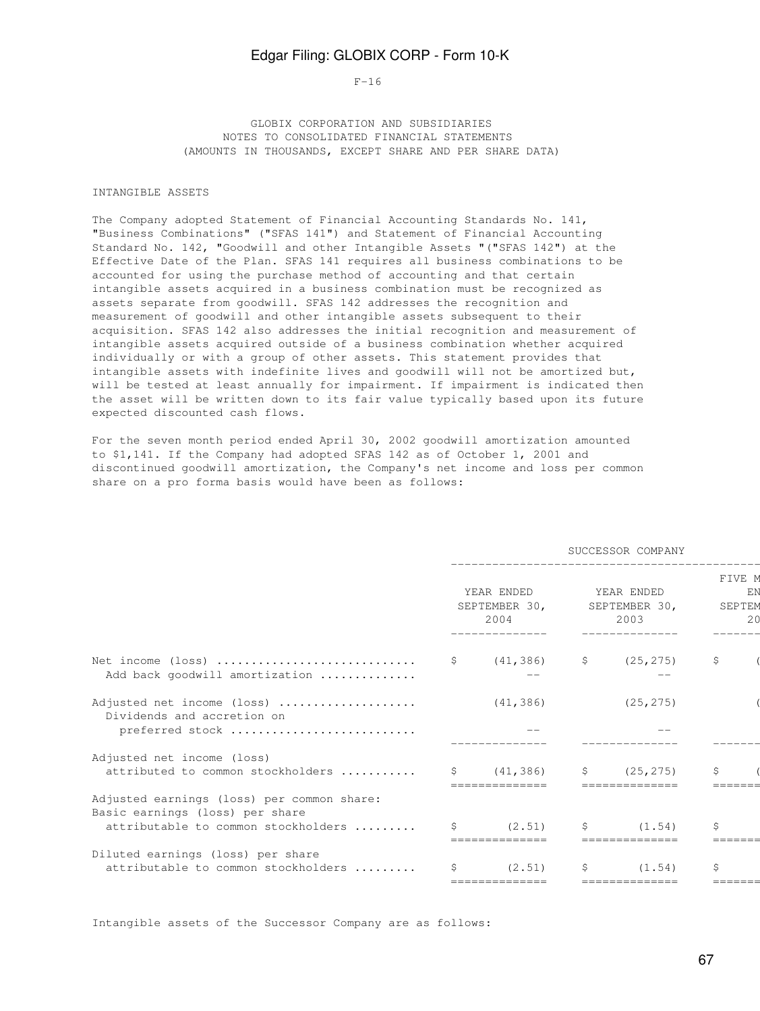#### $F-16$

 GLOBIX CORPORATION AND SUBSIDIARIES NOTES TO CONSOLIDATED FINANCIAL STATEMENTS (AMOUNTS IN THOUSANDS, EXCEPT SHARE AND PER SHARE DATA)

#### INTANGIBLE ASSETS

The Company adopted Statement of Financial Accounting Standards No. 141, "Business Combinations" ("SFAS 141") and Statement of Financial Accounting Standard No. 142, "Goodwill and other Intangible Assets "("SFAS 142") at the Effective Date of the Plan. SFAS 141 requires all business combinations to be accounted for using the purchase method of accounting and that certain intangible assets acquired in a business combination must be recognized as assets separate from goodwill. SFAS 142 addresses the recognition and measurement of goodwill and other intangible assets subsequent to their acquisition. SFAS 142 also addresses the initial recognition and measurement of intangible assets acquired outside of a business combination whether acquired individually or with a group of other assets. This statement provides that intangible assets with indefinite lives and goodwill will not be amortized but, will be tested at least annually for impairment. If impairment is indicated then the asset will be written down to its fair value typically based upon its future expected discounted cash flows.

For the seven month period ended April 30, 2002 goodwill amortization amounted to \$1,141. If the Company had adopted SFAS 142 as of October 1, 2001 and discontinued goodwill amortization, the Company's net income and loss per common share on a pro forma basis would have been as follows:

|                                                                                                                      |    | SUCCESSOR COMPANY                   |    |                                     |                               |         |  |  |  |  |
|----------------------------------------------------------------------------------------------------------------------|----|-------------------------------------|----|-------------------------------------|-------------------------------|---------|--|--|--|--|
|                                                                                                                      |    | YEAR ENDED<br>SEPTEMBER 30,<br>2004 |    | YEAR ENDED<br>SEPTEMBER 30,<br>2003 | FIVE M<br>EN<br>SEPTEM<br>2.0 |         |  |  |  |  |
| Net income (loss)<br>Add back goodwill amortization                                                                  |    | $\zeta$ (41,386) $\zeta$ (25,275)   |    |                                     | \$                            |         |  |  |  |  |
| Adjusted net income (loss)<br>Dividends and accretion on<br>preferred stock                                          |    | (41, 386)                           |    | (25, 275)                           |                               |         |  |  |  |  |
| Adjusted net income (loss)<br>attributed to common stockholders                                                      |    | \$ (41, 386)                        | S. | (25, 275)                           | Ŝ.                            | ======= |  |  |  |  |
| Adjusted earnings (loss) per common share:<br>Basic earnings (loss) per share<br>attributable to common stockholders | S. | (2, 51)                             | S  | (1.54)                              | Ŝ.                            | ======= |  |  |  |  |
| Diluted earnings (loss) per share<br>attributable to common stockholders                                             | S  | (2.51)<br>==============            | S  | (1.54)<br>==============            | Ŝ                             |         |  |  |  |  |

Intangible assets of the Successor Company are as follows: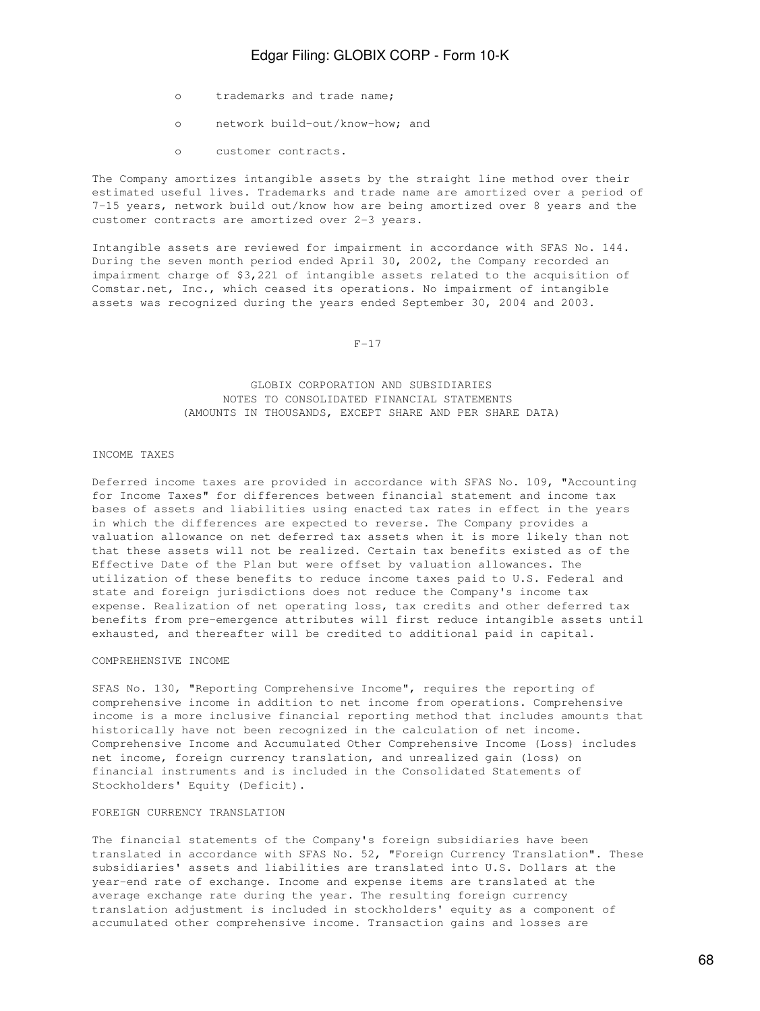- o trademarks and trade name;
- o network build-out/know-how; and
- o customer contracts.

The Company amortizes intangible assets by the straight line method over their estimated useful lives. Trademarks and trade name are amortized over a period of 7-15 years, network build out/know how are being amortized over 8 years and the customer contracts are amortized over 2-3 years.

Intangible assets are reviewed for impairment in accordance with SFAS No. 144. During the seven month period ended April 30, 2002, the Company recorded an impairment charge of \$3,221 of intangible assets related to the acquisition of Comstar.net, Inc., which ceased its operations. No impairment of intangible assets was recognized during the years ended September 30, 2004 and 2003.

 $F-17$ 

### GLOBIX CORPORATION AND SUBSIDIARIES NOTES TO CONSOLIDATED FINANCIAL STATEMENTS (AMOUNTS IN THOUSANDS, EXCEPT SHARE AND PER SHARE DATA)

#### INCOME TAXES

Deferred income taxes are provided in accordance with SFAS No. 109, "Accounting for Income Taxes" for differences between financial statement and income tax bases of assets and liabilities using enacted tax rates in effect in the years in which the differences are expected to reverse. The Company provides a valuation allowance on net deferred tax assets when it is more likely than not that these assets will not be realized. Certain tax benefits existed as of the Effective Date of the Plan but were offset by valuation allowances. The utilization of these benefits to reduce income taxes paid to U.S. Federal and state and foreign jurisdictions does not reduce the Company's income tax expense. Realization of net operating loss, tax credits and other deferred tax benefits from pre-emergence attributes will first reduce intangible assets until exhausted, and thereafter will be credited to additional paid in capital.

### COMPREHENSIVE INCOME

SFAS No. 130, "Reporting Comprehensive Income", requires the reporting of comprehensive income in addition to net income from operations. Comprehensive income is a more inclusive financial reporting method that includes amounts that historically have not been recognized in the calculation of net income. Comprehensive Income and Accumulated Other Comprehensive Income (Loss) includes net income, foreign currency translation, and unrealized gain (loss) on financial instruments and is included in the Consolidated Statements of Stockholders' Equity (Deficit).

#### FOREIGN CURRENCY TRANSLATION

The financial statements of the Company's foreign subsidiaries have been translated in accordance with SFAS No. 52, "Foreign Currency Translation". These subsidiaries' assets and liabilities are translated into U.S. Dollars at the year-end rate of exchange. Income and expense items are translated at the average exchange rate during the year. The resulting foreign currency translation adjustment is included in stockholders' equity as a component of accumulated other comprehensive income. Transaction gains and losses are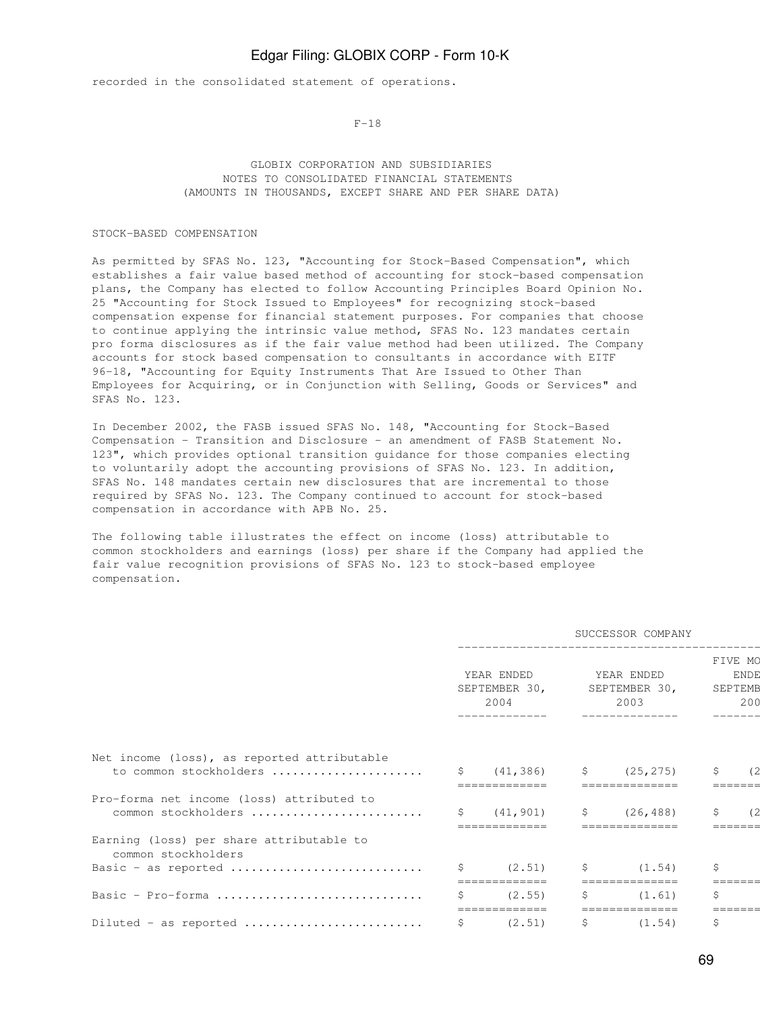recorded in the consolidated statement of operations.

 $F-18$ 

### GLOBIX CORPORATION AND SUBSIDIARIES NOTES TO CONSOLIDATED FINANCIAL STATEMENTS (AMOUNTS IN THOUSANDS, EXCEPT SHARE AND PER SHARE DATA)

#### STOCK-BASED COMPENSATION

As permitted by SFAS No. 123, "Accounting for Stock-Based Compensation", which establishes a fair value based method of accounting for stock-based compensation plans, the Company has elected to follow Accounting Principles Board Opinion No. 25 "Accounting for Stock Issued to Employees" for recognizing stock-based compensation expense for financial statement purposes. For companies that choose to continue applying the intrinsic value method, SFAS No. 123 mandates certain pro forma disclosures as if the fair value method had been utilized. The Company accounts for stock based compensation to consultants in accordance with EITF 96-18, "Accounting for Equity Instruments That Are Issued to Other Than Employees for Acquiring, or in Conjunction with Selling, Goods or Services" and SFAS No. 123.

In December 2002, the FASB issued SFAS No. 148, "Accounting for Stock-Based Compensation - Transition and Disclosure - an amendment of FASB Statement No. 123", which provides optional transition guidance for those companies electing to voluntarily adopt the accounting provisions of SFAS No. 123. In addition, SFAS No. 148 mandates certain new disclosures that are incremental to those required by SFAS No. 123. The Company continued to account for stock-based compensation in accordance with APB No. 25.

The following table illustrates the effect on income (loss) attributable to common stockholders and earnings (loss) per share if the Company had applied the fair value recognition provisions of SFAS No. 123 to stock-based employee compensation.

|                                                                       | SUCCESSOR COMPANY |                                     |    |                                     |    |                                          |  |
|-----------------------------------------------------------------------|-------------------|-------------------------------------|----|-------------------------------------|----|------------------------------------------|--|
|                                                                       |                   | YEAR ENDED<br>SEPTEMBER 30,<br>2004 |    | YEAR ENDED<br>SEPTEMBER 30,<br>2003 |    | FIVE MO<br><b>ENDE</b><br>SEPTEMB<br>200 |  |
| Net income (loss), as reported attributable<br>to common stockholders | S.                | (41, 386)                           | \$ | (25, 275)                           | \$ | 62                                       |  |
|                                                                       |                   |                                     |    |                                     |    |                                          |  |
| Pro-forma net income (loss) attributed to                             |                   |                                     |    |                                     |    |                                          |  |
| common stockholders                                                   | S.                | (41, 901)                           | \$ | (26, 488)                           | \$ | (2                                       |  |
| Earning (loss) per share attributable to<br>common stockholders       |                   | =============                       |    | ==============                      |    |                                          |  |
| Basic - as reported                                                   |                   | (2, 51)                             | S. | (1.54)                              | \$ |                                          |  |
|                                                                       |                   |                                     |    |                                     |    |                                          |  |
| Basic - Pro-forma                                                     | Ŝ                 | (2.55)                              | S  | (1.61)                              | \$ |                                          |  |
| Diluted - as reported                                                 | \$                | (2.51)                              | \$ | (1.54)                              | \$ |                                          |  |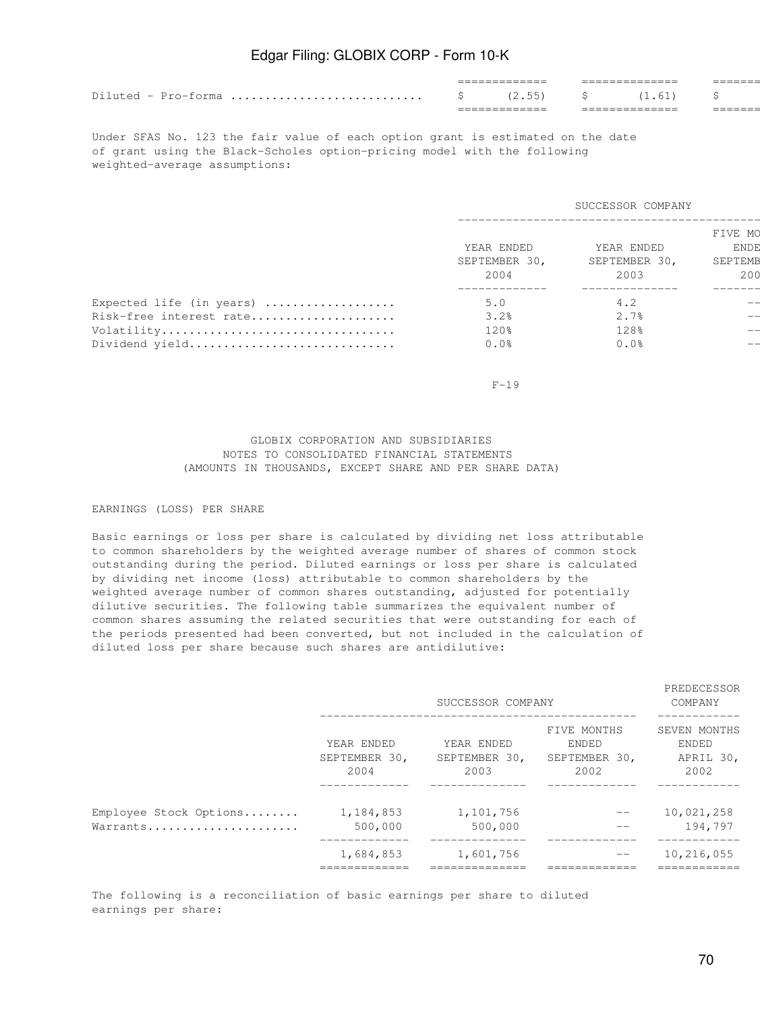|                     | ________ | _______<br>______     |             | _______<br>_______ |  |
|---------------------|----------|-----------------------|-------------|--------------------|--|
| Diluted - Pro-forma |          | 2.55                  | $\sim$<br>ຼ | $\pm 0.61$         |  |
|                     |          | . _ _ _ _ _ _ _ _ _ _ |             | ___________        |  |

Under SFAS No. 123 the fair value of each option grant is estimated on the date of grant using the Black-Scholes option-pricing model with the following weighted-average assumptions:

|                          | SUCCESSOR COMPANY                   |                                     |                                          |  |  |  |  |  |
|--------------------------|-------------------------------------|-------------------------------------|------------------------------------------|--|--|--|--|--|
|                          | YEAR ENDED<br>SEPTEMBER 30,<br>2004 | YEAR ENDED<br>SEPTEMBER 30,<br>2003 | FIVE MO<br><b>ENDE</b><br>SEPTEMB<br>200 |  |  |  |  |  |
| Expected life (in years) | 5.0                                 | 4.2                                 |                                          |  |  |  |  |  |
| Risk-free interest rate  | 3.2%                                | 2.7%                                |                                          |  |  |  |  |  |
| Volatility               | 120%                                | 128%                                |                                          |  |  |  |  |  |
| Dividend yield           | 0.0%                                | 0.0%                                |                                          |  |  |  |  |  |
|                          |                                     |                                     |                                          |  |  |  |  |  |

 $F-19$ 

### GLOBIX CORPORATION AND SUBSIDIARIES NOTES TO CONSOLIDATED FINANCIAL STATEMENTS (AMOUNTS IN THOUSANDS, EXCEPT SHARE AND PER SHARE DATA)

#### EARNINGS (LOSS) PER SHARE

Basic earnings or loss per share is calculated by dividing net loss attributable to common shareholders by the weighted average number of shares of common stock outstanding during the period. Diluted earnings or loss per share is calculated by dividing net income (loss) attributable to common shareholders by the weighted average number of common shares outstanding, adjusted for potentially dilutive securities. The following table summarizes the equivalent number of common shares assuming the related securities that were outstanding for each of the periods presented had been converted, but not included in the calculation of diluted loss per share because such shares are antidilutive:

|                                    |                                     | SUCCESSOR COMPANY                   | PREDECESSOR<br>COMPANY                        |                                            |  |
|------------------------------------|-------------------------------------|-------------------------------------|-----------------------------------------------|--------------------------------------------|--|
|                                    | YEAR ENDED<br>SEPTEMBER 30,<br>2004 | YEAR ENDED<br>SEPTEMBER 30,<br>2003 | FIVE MONTHS<br>ENDED<br>SEPTEMBER 30,<br>2002 | SEVEN MONTHS<br>ENDED<br>APRIL 30,<br>2002 |  |
| Employee Stock Options<br>Warrants | 1,184,853<br>500,000                | 1,101,756<br>500,000                |                                               | 10,021,258<br>194,797                      |  |
|                                    | 1,684,853                           | 1,601,756                           |                                               | 10,216,055                                 |  |

The following is a reconciliation of basic earnings per share to diluted earnings per share: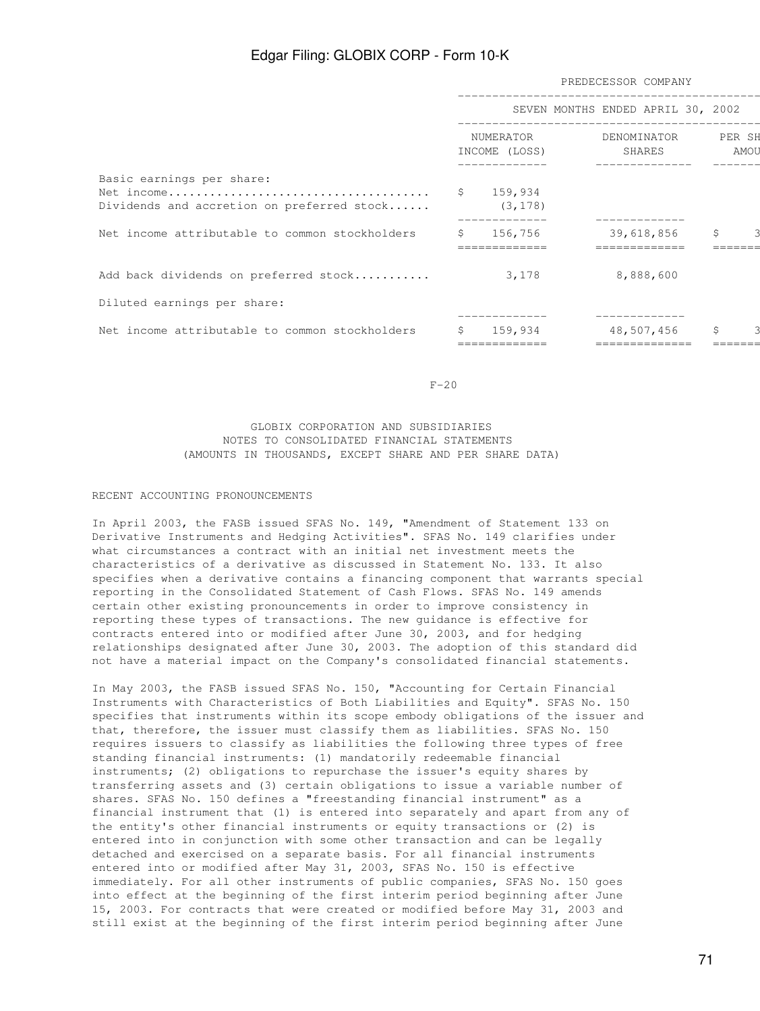|                                                                         | PREDECESSOR COMPANY |                       |                                            |            |      |  |
|-------------------------------------------------------------------------|---------------------|-----------------------|--------------------------------------------|------------|------|--|
|                                                                         |                     |                       | SEVEN MONTHS ENDED APRIL 30, 2002          |            |      |  |
|                                                                         | NUMERATOR           |                       | DENOMINATOR PER SH<br>INCOME (LOSS) SHARES |            | amou |  |
| Basic earnings per share:<br>Dividends and accretion on preferred stock |                     | \$159,934<br>(3, 178) |                                            |            |      |  |
| Net income attributable to common stockholders                          | Ŝ.                  | 156,756               |                                            | 39,618,856 | \$   |  |
| Add back dividends on preferred stock                                   |                     | 3,178                 |                                            | 8,888,600  |      |  |
| Diluted earnings per share:                                             |                     |                       |                                            |            |      |  |
| Net income attributable to common stockholders                          |                     | 159,934               |                                            | 48,507,456 | \$   |  |
|                                                                         |                     |                       |                                            |            |      |  |

 $F-20$ 

### GLOBIX CORPORATION AND SUBSIDIARIES NOTES TO CONSOLIDATED FINANCIAL STATEMENTS (AMOUNTS IN THOUSANDS, EXCEPT SHARE AND PER SHARE DATA)

#### RECENT ACCOUNTING PRONOUNCEMENTS

In April 2003, the FASB issued SFAS No. 149, "Amendment of Statement 133 on Derivative Instruments and Hedging Activities". SFAS No. 149 clarifies under what circumstances a contract with an initial net investment meets the characteristics of a derivative as discussed in Statement No. 133. It also specifies when a derivative contains a financing component that warrants special reporting in the Consolidated Statement of Cash Flows. SFAS No. 149 amends certain other existing pronouncements in order to improve consistency in reporting these types of transactions. The new guidance is effective for contracts entered into or modified after June 30, 2003, and for hedging relationships designated after June 30, 2003. The adoption of this standard did not have a material impact on the Company's consolidated financial statements.

In May 2003, the FASB issued SFAS No. 150, "Accounting for Certain Financial Instruments with Characteristics of Both Liabilities and Equity". SFAS No. 150 specifies that instruments within its scope embody obligations of the issuer and that, therefore, the issuer must classify them as liabilities. SFAS No. 150 requires issuers to classify as liabilities the following three types of free standing financial instruments: (1) mandatorily redeemable financial instruments; (2) obligations to repurchase the issuer's equity shares by transferring assets and (3) certain obligations to issue a variable number of shares. SFAS No. 150 defines a "freestanding financial instrument" as a financial instrument that (1) is entered into separately and apart from any of the entity's other financial instruments or equity transactions or (2) is entered into in conjunction with some other transaction and can be legally detached and exercised on a separate basis. For all financial instruments entered into or modified after May 31, 2003, SFAS No. 150 is effective immediately. For all other instruments of public companies, SFAS No. 150 goes into effect at the beginning of the first interim period beginning after June 15, 2003. For contracts that were created or modified before May 31, 2003 and still exist at the beginning of the first interim period beginning after June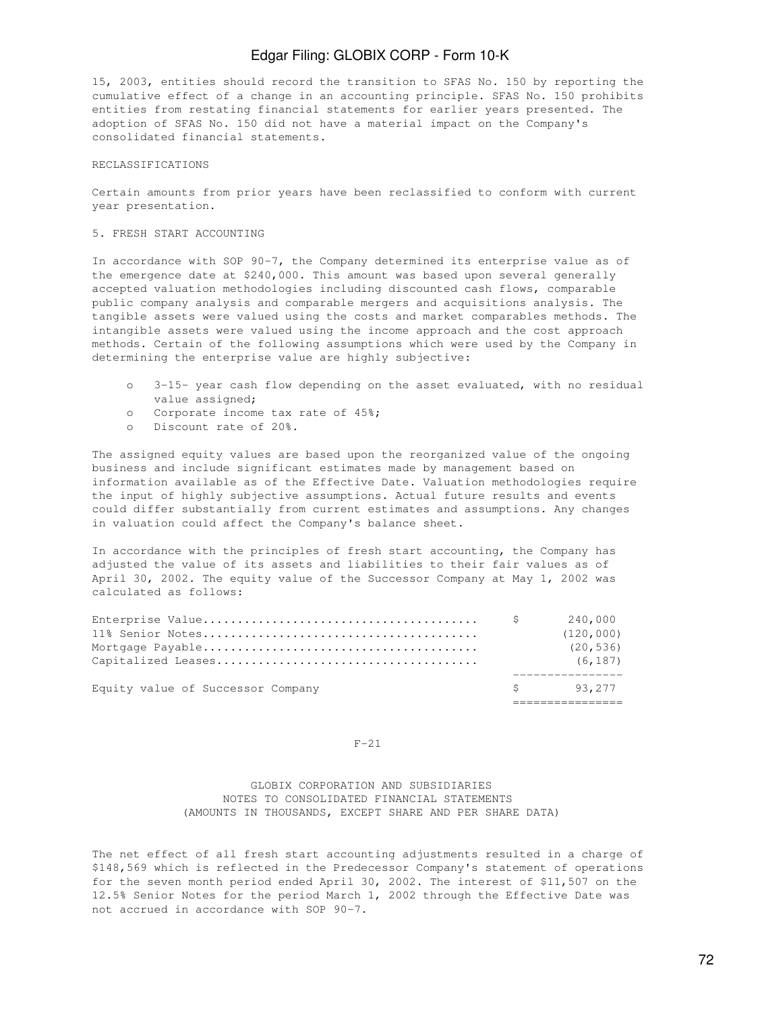15, 2003, entities should record the transition to SFAS No. 150 by reporting the cumulative effect of a change in an accounting principle. SFAS No. 150 prohibits entities from restating financial statements for earlier years presented. The adoption of SFAS No. 150 did not have a material impact on the Company's consolidated financial statements.

#### RECLASSIFICATIONS

Certain amounts from prior years have been reclassified to conform with current year presentation.

#### 5. FRESH START ACCOUNTING

In accordance with SOP 90-7, the Company determined its enterprise value as of the emergence date at \$240,000. This amount was based upon several generally accepted valuation methodologies including discounted cash flows, comparable public company analysis and comparable mergers and acquisitions analysis. The tangible assets were valued using the costs and market comparables methods. The intangible assets were valued using the income approach and the cost approach methods. Certain of the following assumptions which were used by the Company in determining the enterprise value are highly subjective:

- o 3-15- year cash flow depending on the asset evaluated, with no residual value assigned;
- o Corporate income tax rate of 45%;
- o Discount rate of 20%.

The assigned equity values are based upon the reorganized value of the ongoing business and include significant estimates made by management based on information available as of the Effective Date. Valuation methodologies require the input of highly subjective assumptions. Actual future results and events could differ substantially from current estimates and assumptions. Any changes in valuation could affect the Company's balance sheet.

In accordance with the principles of fresh start accounting, the Company has adjusted the value of its assets and liabilities to their fair values as of April 30, 2002. The equity value of the Successor Company at May 1, 2002 was calculated as follows:

| Equity value of Successor Company | \$93,277   |
|-----------------------------------|------------|
|                                   | (6, 187)   |
|                                   | (20, 536)  |
|                                   | (120, 000) |
|                                   | 240,000    |

#### $F-21$

 GLOBIX CORPORATION AND SUBSIDIARIES NOTES TO CONSOLIDATED FINANCIAL STATEMENTS (AMOUNTS IN THOUSANDS, EXCEPT SHARE AND PER SHARE DATA)

The net effect of all fresh start accounting adjustments resulted in a charge of \$148,569 which is reflected in the Predecessor Company's statement of operations for the seven month period ended April 30, 2002. The interest of \$11,507 on the 12.5% Senior Notes for the period March 1, 2002 through the Effective Date was not accrued in accordance with SOP 90-7.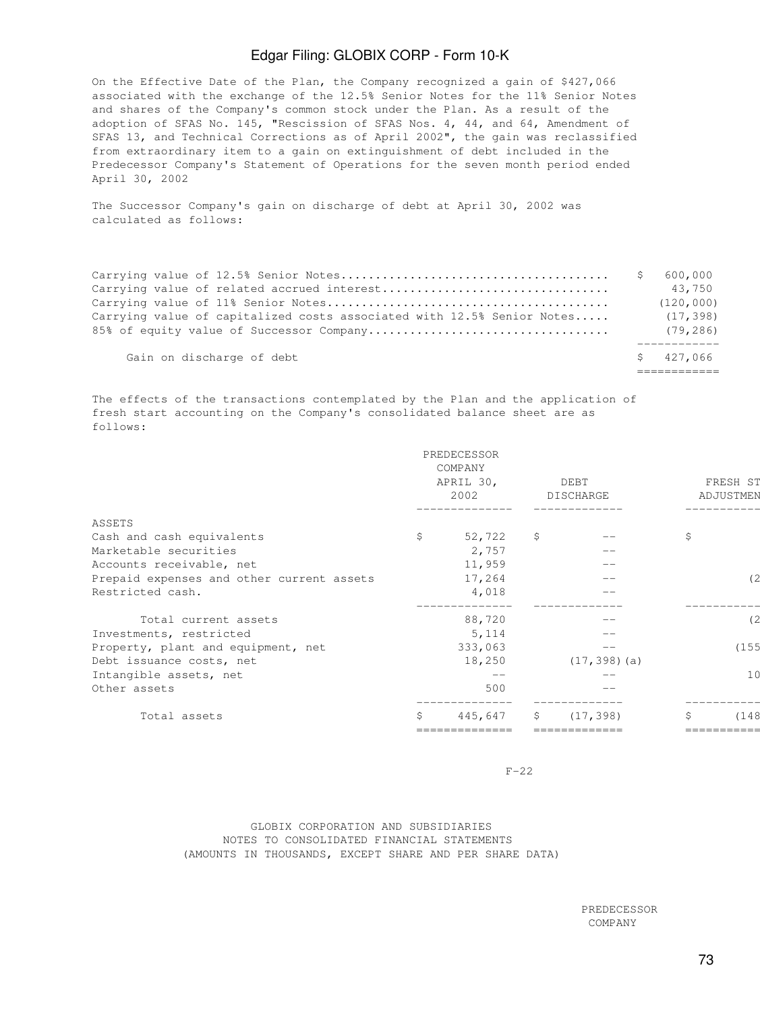On the Effective Date of the Plan, the Company recognized a gain of \$427,066 associated with the exchange of the 12.5% Senior Notes for the 11% Senior Notes and shares of the Company's common stock under the Plan. As a result of the adoption of SFAS No. 145, "Rescission of SFAS Nos. 4, 44, and 64, Amendment of SFAS 13, and Technical Corrections as of April 2002", the gain was reclassified from extraordinary item to a gain on extinguishment of debt included in the Predecessor Company's Statement of Operations for the seven month period ended April 30, 2002

The Successor Company's gain on discharge of debt at April 30, 2002 was calculated as follows:

|                                                                           | S | 600,000    |
|---------------------------------------------------------------------------|---|------------|
|                                                                           |   | 43,750     |
|                                                                           |   | (120, 000) |
| Carrying value of capitalized costs associated with $12.5$ % Senior Notes |   | (17, 398)  |
|                                                                           |   | (79, 286)  |
| Gain on discharge of debt                                                 |   | \$427.066  |
|                                                                           |   |            |

The effects of the transactions contemplated by the Plan and the application of fresh start accounting on the Company's consolidated balance sheet are as follows:

|                                           |     | PREDECESSOR<br>COMPANY<br>APRIL 30,<br>2002 |    | DEBT<br>DISCHARGE | FRESH ST<br>ADJUSTMEN<br>-------- |                |  |
|-------------------------------------------|-----|---------------------------------------------|----|-------------------|-----------------------------------|----------------|--|
| ASSETS                                    |     |                                             |    |                   |                                   |                |  |
| Cash and cash equivalents                 | \$  | 52,722                                      | S. |                   | Ŝ                                 |                |  |
| Marketable securities                     |     | 2,757                                       |    | $- -$             |                                   |                |  |
| Accounts receivable, net                  |     | 11,959                                      |    | $ -$              |                                   |                |  |
| Prepaid expenses and other current assets |     | 17,264                                      |    |                   |                                   | (2             |  |
| Restricted cash.                          |     | 4,018                                       |    |                   |                                   |                |  |
| Total current assets                      |     | 88,720                                      |    |                   |                                   | (2)            |  |
| Investments, restricted                   |     | 5,114                                       |    | $- -$             |                                   |                |  |
| Property, plant and equipment, net        |     | 333,063                                     |    | $- -$             |                                   | (155           |  |
| Debt issuance costs, net                  |     | 18,250                                      |    | $(17, 398)$ (a)   |                                   |                |  |
| Intangible assets, net                    |     | $- -$                                       |    |                   |                                   | 1 <sup>c</sup> |  |
| Other assets                              |     | 500                                         |    |                   |                                   |                |  |
| Total assets                              | \$. | 445,647                                     | S  | (17, 398)         | \$                                | (148           |  |
|                                           |     |                                             |    |                   |                                   |                |  |

 $F-22$ 

## GLOBIX CORPORATION AND SUBSIDIARIES NOTES TO CONSOLIDATED FINANCIAL STATEMENTS (AMOUNTS IN THOUSANDS, EXCEPT SHARE AND PER SHARE DATA)

PREDECESSOR SUCCESSOR SUCCESSOR COMPANY COMPANY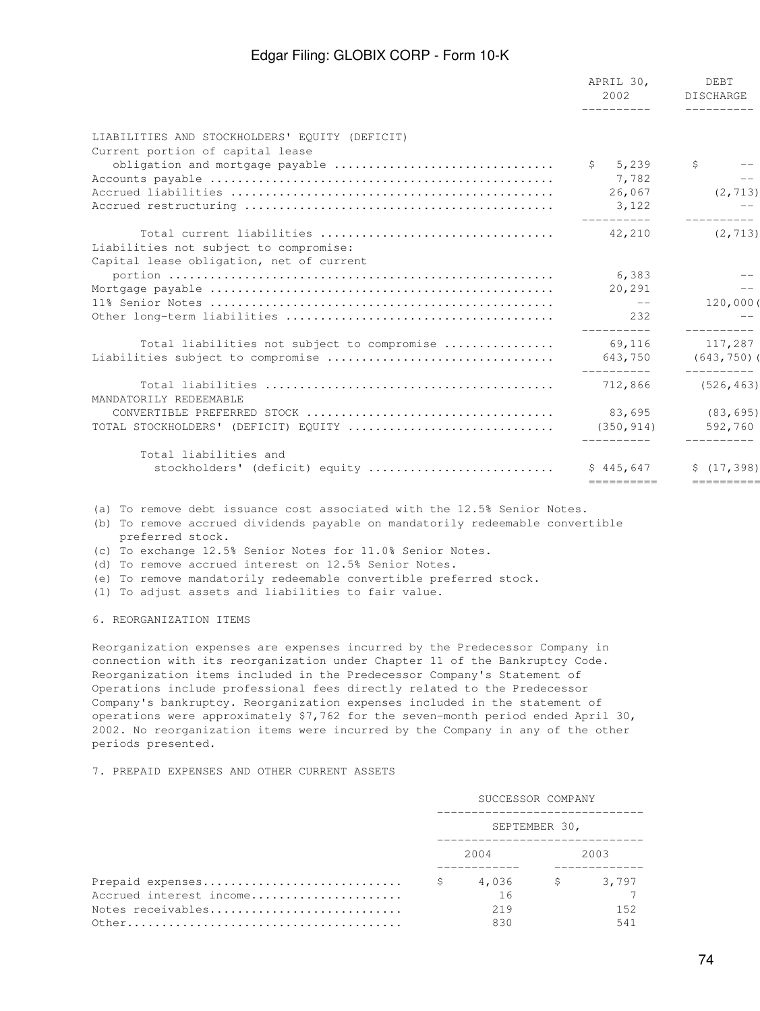|                                                | APRIL 30,<br>2002<br>__________ | DEBT<br><b>DISCHARGE</b><br>----------- |
|------------------------------------------------|---------------------------------|-----------------------------------------|
| LIABILITIES AND STOCKHOLDERS' EOUITY (DEFICIT) |                                 |                                         |
| Current portion of capital lease               |                                 |                                         |
| obligation and mortgage payable                | \$5,239                         | \$                                      |
|                                                | 7,782                           | $\qquad \qquad -$                       |
|                                                | 26,067                          | (2, 713)                                |
|                                                | 3,122                           |                                         |
| Total current liabilities                      | ----------<br>42,210            | ----------<br>(2, 713)                  |
| Liabilities not subject to compromise:         |                                 |                                         |
| Capital lease obligation, net of current       |                                 |                                         |
|                                                | 6,383                           |                                         |
|                                                | 20,291                          | $\qquad \qquad -$                       |
|                                                | $--$                            | 120,000 (                               |
|                                                | 2.32                            |                                         |
| Total liabilities not subject to compromise    | 69,116                          | 117,287                                 |
| Liabilities subject to compromise              | 643,750                         | (643, 750)                              |
| MANDATORILY REDEEMABLE                         | __________<br>712,866           | $- - - - - - - - - -$<br>(526, 463)     |
|                                                | 83,695                          | (83, 695)                               |
| TOTAL STOCKHOLDERS' (DEFICIT) EQUITY           | (350, 914)                      | 592,760                                 |
|                                                |                                 |                                         |
| Total liabilities and                          |                                 |                                         |
| stockholders' (deficit) equity                 | \$445,647                       | \$(17, 398)                             |
|                                                | ==========                      | ==========                              |

(a) To remove debt issuance cost associated with the 12.5% Senior Notes.

(b) To remove accrued dividends payable on mandatorily redeemable convertible preferred stock.

(c) To exchange 12.5% Senior Notes for 11.0% Senior Notes.

(d) To remove accrued interest on 12.5% Senior Notes.

(e) To remove mandatorily redeemable convertible preferred stock.

(1) To adjust assets and liabilities to fair value.

6. REORGANIZATION ITEMS

Reorganization expenses are expenses incurred by the Predecessor Company in connection with its reorganization under Chapter 11 of the Bankruptcy Code. Reorganization items included in the Predecessor Company's Statement of Operations include professional fees directly related to the Predecessor Company's bankruptcy. Reorganization expenses included in the statement of operations were approximately \$7,762 for the seven-month period ended April 30, 2002. No reorganization items were incurred by the Company in any of the other periods presented.

#### 7. PREPAID EXPENSES AND OTHER CURRENT ASSETS

|                         | SUCCESSOR COMPANY |                |  |      |  |  |  |
|-------------------------|-------------------|----------------|--|------|--|--|--|
|                         | SEPTEMBER 30,     |                |  |      |  |  |  |
|                         |                   | 2004           |  | 2003 |  |  |  |
|                         |                   | 4,036 \$ 3,797 |  |      |  |  |  |
| Accrued interest income |                   | 16             |  |      |  |  |  |
| Notes receivables       |                   | 219            |  | 1.52 |  |  |  |
|                         |                   | 830            |  | 541  |  |  |  |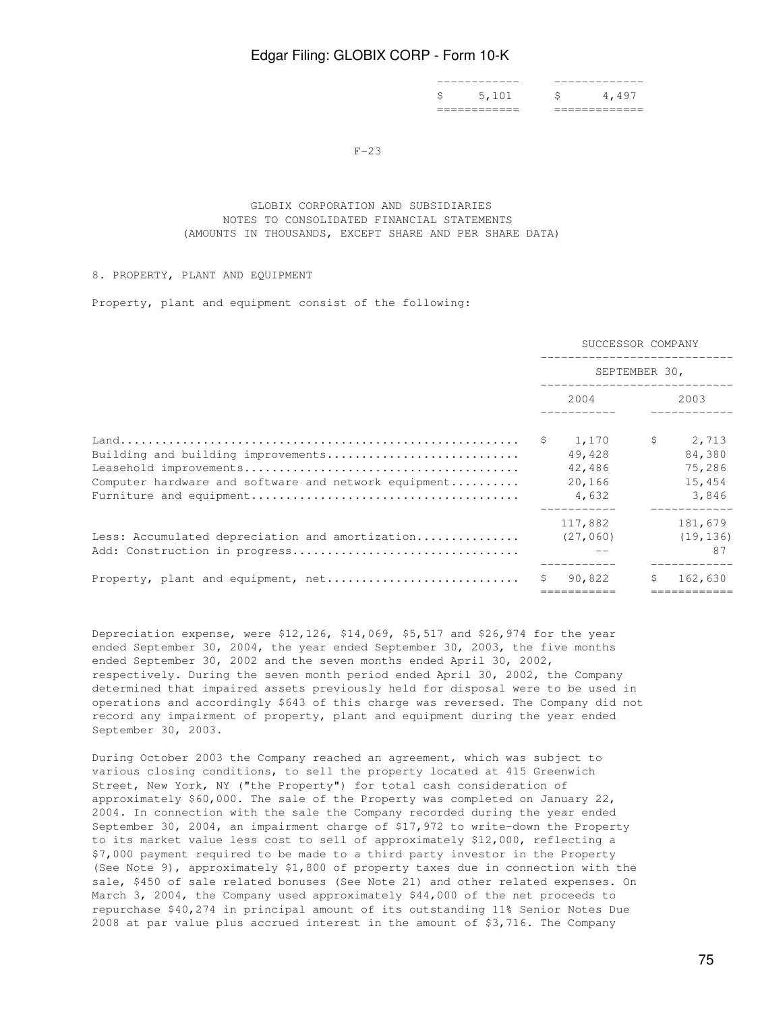|  | ____________<br>\$ 5.101 | $\mathsf{S}$ is the set of $\mathsf{S}$ |     |
|--|--------------------------|-----------------------------------------|-----|
|  | ____________             |                                         | -49 |
|  | ____________             |                                         |     |

 $F-23$ 

## GLOBIX CORPORATION AND SUBSIDIARIES NOTES TO CONSOLIDATED FINANCIAL STATEMENTS (AMOUNTS IN THOUSANDS, EXCEPT SHARE AND PER SHARE DATA)

## 8. PROPERTY, PLANT AND EQUIPMENT

Property, plant and equipment consist of the following:

|                                                      | SUCCESSOR COMPANY |               |              |           |  |  |
|------------------------------------------------------|-------------------|---------------|--------------|-----------|--|--|
|                                                      |                   | SEPTEMBER 30, |              |           |  |  |
|                                                      |                   | 2004          |              | 2003      |  |  |
|                                                      |                   | \$1,170       | $\mathsf{S}$ | 2,713     |  |  |
| Building and building improvements                   |                   | 49,428        |              | 84,380    |  |  |
|                                                      |                   | 42,486        |              | 75,286    |  |  |
| Computer hardware and software and network equipment |                   | 20,166        |              | 15,454    |  |  |
|                                                      |                   | 4,632         |              | 3,846     |  |  |
|                                                      |                   | 117,882       |              | 181,679   |  |  |
| Less: Accumulated depreciation and amortization      |                   | (27, 060)     |              | (19, 136) |  |  |
|                                                      |                   |               |              | 87        |  |  |
|                                                      | \$                | 90,822        | Ŝ.           | 162,630   |  |  |
|                                                      |                   |               |              |           |  |  |

Depreciation expense, were \$12,126, \$14,069, \$5,517 and \$26,974 for the year ended September 30, 2004, the year ended September 30, 2003, the five months ended September 30, 2002 and the seven months ended April 30, 2002, respectively. During the seven month period ended April 30, 2002, the Company determined that impaired assets previously held for disposal were to be used in operations and accordingly \$643 of this charge was reversed. The Company did not record any impairment of property, plant and equipment during the year ended September 30, 2003.

During October 2003 the Company reached an agreement, which was subject to various closing conditions, to sell the property located at 415 Greenwich Street, New York, NY ("the Property") for total cash consideration of approximately \$60,000. The sale of the Property was completed on January 22, 2004. In connection with the sale the Company recorded during the year ended September 30, 2004, an impairment charge of \$17,972 to write-down the Property to its market value less cost to sell of approximately \$12,000, reflecting a \$7,000 payment required to be made to a third party investor in the Property (See Note 9), approximately \$1,800 of property taxes due in connection with the sale, \$450 of sale related bonuses (See Note 21) and other related expenses. On March 3, 2004, the Company used approximately \$44,000 of the net proceeds to repurchase \$40,274 in principal amount of its outstanding 11% Senior Notes Due 2008 at par value plus accrued interest in the amount of \$3,716. The Company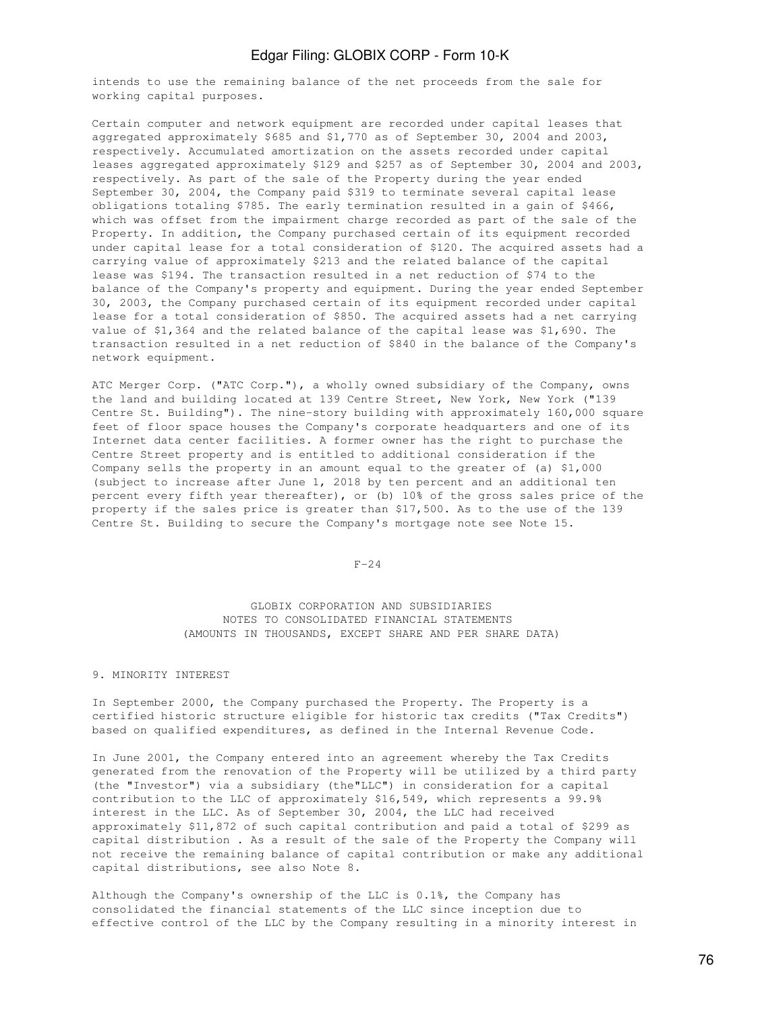intends to use the remaining balance of the net proceeds from the sale for working capital purposes.

Certain computer and network equipment are recorded under capital leases that aggregated approximately \$685 and \$1,770 as of September 30, 2004 and 2003, respectively. Accumulated amortization on the assets recorded under capital leases aggregated approximately \$129 and \$257 as of September 30, 2004 and 2003, respectively. As part of the sale of the Property during the year ended September 30, 2004, the Company paid \$319 to terminate several capital lease obligations totaling \$785. The early termination resulted in a gain of \$466, which was offset from the impairment charge recorded as part of the sale of the Property. In addition, the Company purchased certain of its equipment recorded under capital lease for a total consideration of \$120. The acquired assets had a carrying value of approximately \$213 and the related balance of the capital lease was \$194. The transaction resulted in a net reduction of \$74 to the balance of the Company's property and equipment. During the year ended September 30, 2003, the Company purchased certain of its equipment recorded under capital lease for a total consideration of \$850. The acquired assets had a net carrying value of \$1,364 and the related balance of the capital lease was \$1,690. The transaction resulted in a net reduction of \$840 in the balance of the Company's network equipment.

ATC Merger Corp. ("ATC Corp."), a wholly owned subsidiary of the Company, owns the land and building located at 139 Centre Street, New York, New York ("139 Centre St. Building"). The nine-story building with approximately 160,000 square feet of floor space houses the Company's corporate headquarters and one of its Internet data center facilities. A former owner has the right to purchase the Centre Street property and is entitled to additional consideration if the Company sells the property in an amount equal to the greater of (a) \$1,000 (subject to increase after June 1, 2018 by ten percent and an additional ten percent every fifth year thereafter), or (b) 10% of the gross sales price of the property if the sales price is greater than \$17,500. As to the use of the 139 Centre St. Building to secure the Company's mortgage note see Note 15.

 $F-24$ 

 GLOBIX CORPORATION AND SUBSIDIARIES NOTES TO CONSOLIDATED FINANCIAL STATEMENTS (AMOUNTS IN THOUSANDS, EXCEPT SHARE AND PER SHARE DATA)

## 9. MINORITY INTEREST

In September 2000, the Company purchased the Property. The Property is a certified historic structure eligible for historic tax credits ("Tax Credits") based on qualified expenditures, as defined in the Internal Revenue Code.

In June 2001, the Company entered into an agreement whereby the Tax Credits generated from the renovation of the Property will be utilized by a third party (the "Investor") via a subsidiary (the"LLC") in consideration for a capital contribution to the LLC of approximately \$16,549, which represents a 99.9% interest in the LLC. As of September 30, 2004, the LLC had received approximately \$11,872 of such capital contribution and paid a total of \$299 as capital distribution . As a result of the sale of the Property the Company will not receive the remaining balance of capital contribution or make any additional capital distributions, see also Note 8.

Although the Company's ownership of the LLC is 0.1%, the Company has consolidated the financial statements of the LLC since inception due to effective control of the LLC by the Company resulting in a minority interest in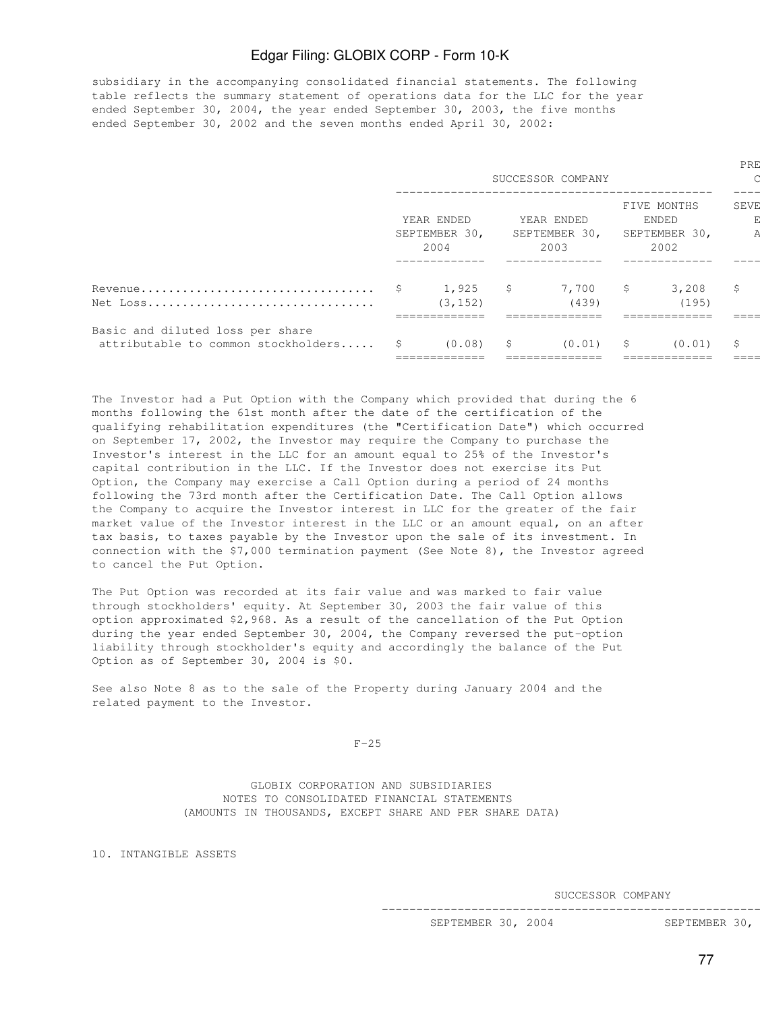subsidiary in the accompanying consolidated financial statements. The following table reflects the summary statement of operations data for the LLC for the year ended September 30, 2004, the year ended September 30, 2003, the five months ended September 30, 2002 and the seven months ended April 30, 2002:

|                                                                            | SUCCESSOR COMPANY                   |                           |                                     |                        |                                               |                       |             |  |
|----------------------------------------------------------------------------|-------------------------------------|---------------------------|-------------------------------------|------------------------|-----------------------------------------------|-----------------------|-------------|--|
| Net Loss                                                                   | YEAR ENDED<br>SEPTEMBER 30,<br>2004 |                           | YEAR ENDED<br>SEPTEMBER 30,<br>2003 |                        | FIVE MONTHS<br>ENDED<br>SEPTEMBER 30,<br>2002 |                       | <b>SEVE</b> |  |
|                                                                            |                                     | 1,925<br>(3, 152)         | \$                                  | 7,700<br>(439)         | -S                                            | 3,208<br>(195)        | \$          |  |
| Basic and diluted loss per share<br>attributable to common stockholders \$ |                                     | $(0.08)$ \$<br>__________ |                                     | (0.01)<br>------------ | $\mathsf{S}$                                  | (0.01)<br>----------- | \$.         |  |

The Investor had a Put Option with the Company which provided that during the 6 months following the 61st month after the date of the certification of the qualifying rehabilitation expenditures (the "Certification Date") which occurred on September 17, 2002, the Investor may require the Company to purchase the Investor's interest in the LLC for an amount equal to 25% of the Investor's capital contribution in the LLC. If the Investor does not exercise its Put Option, the Company may exercise a Call Option during a period of 24 months following the 73rd month after the Certification Date. The Call Option allows the Company to acquire the Investor interest in LLC for the greater of the fair market value of the Investor interest in the LLC or an amount equal, on an after tax basis, to taxes payable by the Investor upon the sale of its investment. In connection with the \$7,000 termination payment (See Note 8), the Investor agreed to cancel the Put Option.

The Put Option was recorded at its fair value and was marked to fair value through stockholders' equity. At September 30, 2003 the fair value of this option approximated \$2,968. As a result of the cancellation of the Put Option during the year ended September 30, 2004, the Company reversed the put-option liability through stockholder's equity and accordingly the balance of the Put Option as of September 30, 2004 is \$0.

See also Note 8 as to the sale of the Property during January 2004 and the related payment to the Investor.

 $F-25$ 

 GLOBIX CORPORATION AND SUBSIDIARIES NOTES TO CONSOLIDATED FINANCIAL STATEMENTS (AMOUNTS IN THOUSANDS, EXCEPT SHARE AND PER SHARE DATA)

10. INTANGIBLE ASSETS

SUCCESSOR COMPANY

-----------------------------------------------------------------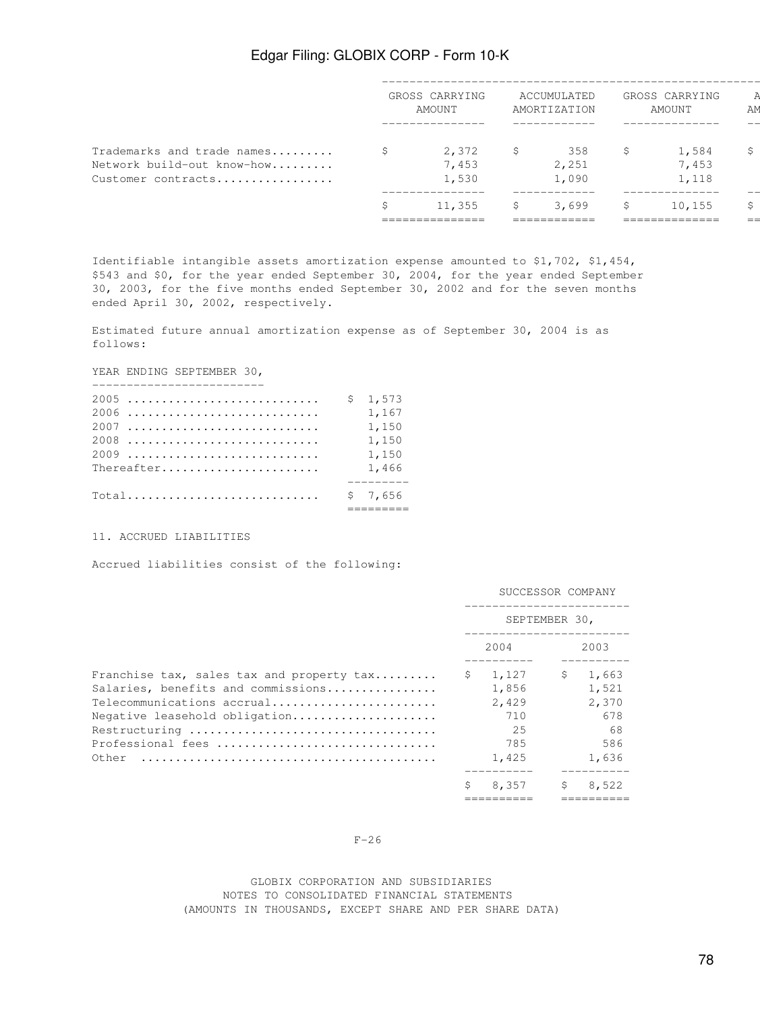|                            |        | 11,355         |   | 3,699        | \$     | 10,155         | S  |
|----------------------------|--------|----------------|---|--------------|--------|----------------|----|
| Customer contracts         |        | 1,530          |   | 1,090        |        | 1,118          |    |
| Network build-out know-how |        | 7,453          |   | 2,251        |        | 7,453          |    |
| Trademarks and trade names | Ŝ.     | 2,372          | S | 358          | \$     | 1,584          | \$ |
|                            |        |                |   |              |        |                |    |
|                            | AMOUNT |                |   | AMORTIZATION | AMOUNT |                | AM |
|                            |        | GROSS CARRYING |   | ACCUMULATED  |        | GROSS CARRYING |    |
|                            |        |                |   |              |        |                |    |

Identifiable intangible assets amortization expense amounted to \$1,702, \$1,454, \$543 and \$0, for the year ended September 30, 2004, for the year ended September 30, 2003, for the five months ended September 30, 2002 and for the seven months ended April 30, 2002, respectively.

Estimated future annual amortization expense as of September 30, 2004 is as follows:

YEAR ENDING SEPTEMBER 30,

|            | \$1,573 |
|------------|---------|
|            | 1,167   |
|            | 1,150   |
| 2008       | 1,150   |
| 2009       | 1,150   |
| Thereafter | 1,466   |
|            |         |
| $Total$    | \$7,656 |
|            |         |

#### 11. ACCRUED LIABILITIES

Accrued liabilities consist of the following:

|                                                                                                                                                                                                                                                                    | SUCCESSOR COMPANY |                                                      |    |                                                      |  |  |
|--------------------------------------------------------------------------------------------------------------------------------------------------------------------------------------------------------------------------------------------------------------------|-------------------|------------------------------------------------------|----|------------------------------------------------------|--|--|
|                                                                                                                                                                                                                                                                    |                   | SEPTEMBER 30,                                        |    |                                                      |  |  |
|                                                                                                                                                                                                                                                                    |                   | 2004<br>2003                                         |    |                                                      |  |  |
| Franchise tax, sales tax and property tax<br>Salaries, benefits and commissions<br>Telecommunications accrual<br>Negative leasehold obligation<br>Professional fees<br>Other $\ldots \ldots \ldots \ldots \ldots \ldots \ldots \ldots \ldots \ldots \ldots \ldots$ | S.                | 1,127<br>1,856<br>2,429<br>710<br>25<br>785<br>1,425 | \$ | 1,663<br>1,521<br>2,370<br>678<br>68<br>586<br>1,636 |  |  |
|                                                                                                                                                                                                                                                                    | Ŝ                 | 8,357<br>----------                                  | \$ | 8,522<br>=======                                     |  |  |

#### $F-26$

#### GLOBIX CORPORATION AND SUBSIDIARIES NOTES TO CONSOLIDATED FINANCIAL STATEMENTS (AMOUNTS IN THOUSANDS, EXCEPT SHARE AND PER SHARE DATA)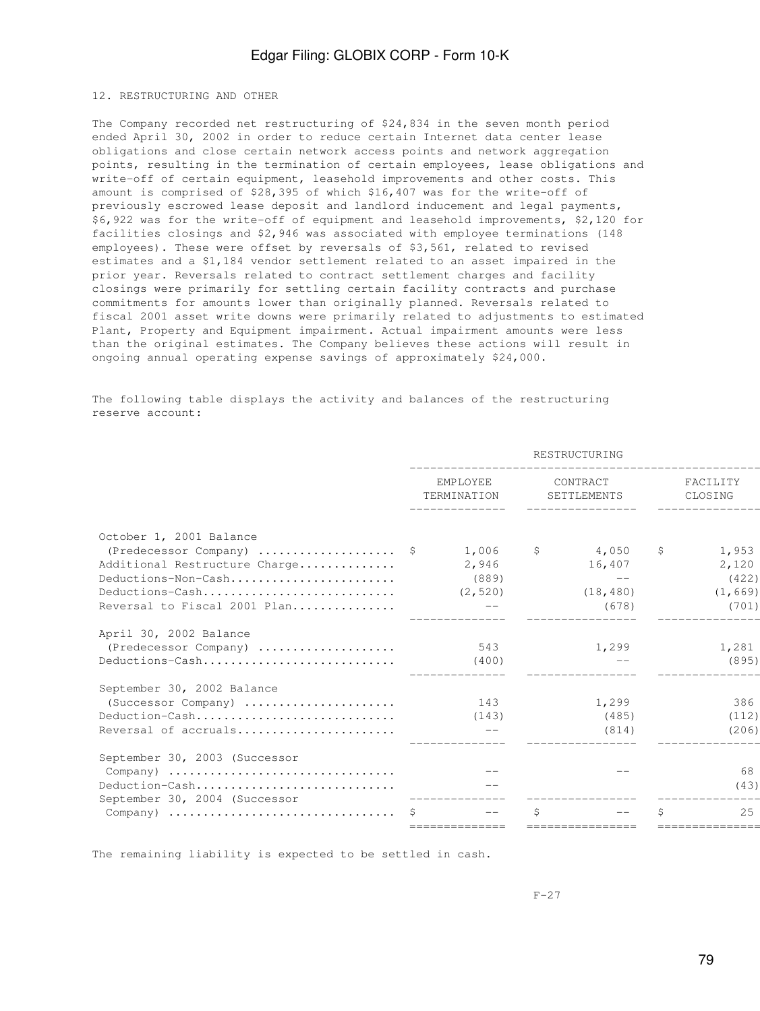#### 12. RESTRUCTURING AND OTHER

The Company recorded net restructuring of \$24,834 in the seven month period ended April 30, 2002 in order to reduce certain Internet data center lease obligations and close certain network access points and network aggregation points, resulting in the termination of certain employees, lease obligations and write-off of certain equipment, leasehold improvements and other costs. This amount is comprised of \$28,395 of which \$16,407 was for the write-off of previously escrowed lease deposit and landlord inducement and legal payments, \$6,922 was for the write-off of equipment and leasehold improvements, \$2,120 for facilities closings and \$2,946 was associated with employee terminations (148 employees). These were offset by reversals of \$3,561, related to revised estimates and a \$1,184 vendor settlement related to an asset impaired in the prior year. Reversals related to contract settlement charges and facility closings were primarily for settling certain facility contracts and purchase commitments for amounts lower than originally planned. Reversals related to fiscal 2001 asset write downs were primarily related to adjustments to estimated Plant, Property and Equipment impairment. Actual impairment amounts were less than the original estimates. The Company believes these actions will result in ongoing annual operating expense savings of approximately \$24,000.

The following table displays the activity and balances of the restructuring reserve account:

|                                                                    |                                  | RESTRUCTURING |    |                         |    |                     |  |  |
|--------------------------------------------------------------------|----------------------------------|---------------|----|-------------------------|----|---------------------|--|--|
|                                                                    | EMPLOYEE<br>TERMINATION<br>1,006 |               |    | CONTRACT<br>SETTLEMENTS |    | FACILITY<br>CLOSING |  |  |
| October 1, 2001 Balance                                            |                                  |               |    |                         |    |                     |  |  |
| (Predecessor Company) $\frac{1}{2}$                                |                                  |               | S. | 4,050                   | S. | 1,953               |  |  |
| Additional Restructure Charge                                      |                                  | 2,946         |    | 16,407                  |    | 2,120               |  |  |
| Deductions-Non-Cash                                                |                                  | (889)         |    | $--$                    |    | (422)               |  |  |
| Deductions-Cash                                                    |                                  | (2, 520)      |    | (18, 480)               |    | (1, 669)            |  |  |
| Reversal to Fiscal 2001 Plan                                       |                                  |               |    | (678)                   |    | (701)               |  |  |
| April 30, 2002 Balance                                             |                                  |               |    |                         |    |                     |  |  |
| (Predecessor Company)                                              |                                  | 543           |    | 1,299                   |    | 1,281               |  |  |
| Deductions-Cash                                                    |                                  | (400)         |    |                         |    | (895)               |  |  |
| September 30, 2002 Balance                                         |                                  |               |    |                         |    |                     |  |  |
| (Successor Company)                                                |                                  | 143           |    | 1,299                   |    | 386                 |  |  |
| Deduction-Cash                                                     |                                  | (143)         |    | (485)                   |    | (112)               |  |  |
| Reversal of accruals                                               |                                  |               |    | (814)                   |    | (206)               |  |  |
| September 30, 2003 (Successor                                      |                                  |               |    |                         |    |                     |  |  |
| Company)                                                           |                                  |               |    |                         |    | 68                  |  |  |
| Deduction-Cash                                                     |                                  |               |    |                         |    | (43)                |  |  |
| September 30, 2004 (Successor                                      |                                  |               |    |                         |    |                     |  |  |
| Company) $\dots\dots\dots\dots\dots\dots\dots\dots\dots\dots\dots$ |                                  |               | Š. |                         |    | 2.5                 |  |  |
|                                                                    |                                  |               |    |                         |    |                     |  |  |

The remaining liability is expected to be settled in cash.

 $F-27$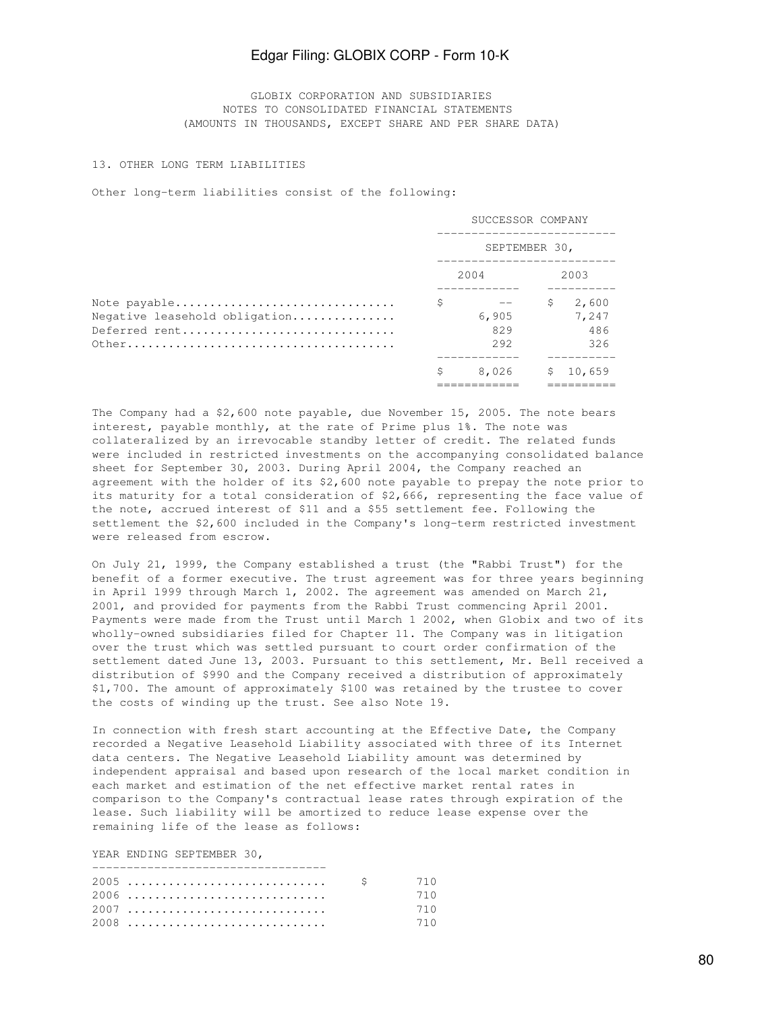GLOBIX CORPORATION AND SUBSIDIARIES NOTES TO CONSOLIDATED FINANCIAL STATEMENTS (AMOUNTS IN THOUSANDS, EXCEPT SHARE AND PER SHARE DATA)

#### 13. OTHER LONG TERM LIABILITIES

Other long-term liabilities consist of the following:

|                                                                | SUCCESSOR COMPANY |                      |      |                              |  |  |
|----------------------------------------------------------------|-------------------|----------------------|------|------------------------------|--|--|
|                                                                | SEPTEMBER 30,     |                      |      |                              |  |  |
|                                                                |                   | 2004                 | 2003 |                              |  |  |
| Note payable<br>Negative leasehold obligation<br>Deferred rent | \$                | 6,905<br>829<br>2.92 | \$   | 2,600<br>7,247<br>486<br>326 |  |  |
|                                                                | S                 | 8,026                | \$.  | 10,659                       |  |  |

The Company had a \$2,600 note payable, due November 15, 2005. The note bears interest, payable monthly, at the rate of Prime plus 1%. The note was collateralized by an irrevocable standby letter of credit. The related funds were included in restricted investments on the accompanying consolidated balance sheet for September 30, 2003. During April 2004, the Company reached an agreement with the holder of its \$2,600 note payable to prepay the note prior to its maturity for a total consideration of \$2,666, representing the face value of the note, accrued interest of \$11 and a \$55 settlement fee. Following the settlement the \$2,600 included in the Company's long-term restricted investment were released from escrow.

On July 21, 1999, the Company established a trust (the "Rabbi Trust") for the benefit of a former executive. The trust agreement was for three years beginning in April 1999 through March 1, 2002. The agreement was amended on March 21, 2001, and provided for payments from the Rabbi Trust commencing April 2001. Payments were made from the Trust until March 1 2002, when Globix and two of its wholly-owned subsidiaries filed for Chapter 11. The Company was in litigation over the trust which was settled pursuant to court order confirmation of the settlement dated June 13, 2003. Pursuant to this settlement, Mr. Bell received a distribution of \$990 and the Company received a distribution of approximately \$1,700. The amount of approximately \$100 was retained by the trustee to cover the costs of winding up the trust. See also Note 19.

In connection with fresh start accounting at the Effective Date, the Company recorded a Negative Leasehold Liability associated with three of its Internet data centers. The Negative Leasehold Liability amount was determined by independent appraisal and based upon research of the local market condition in each market and estimation of the net effective market rental rates in comparison to the Company's contractual lease rates through expiration of the lease. Such liability will be amortized to reduce lease expense over the remaining life of the lease as follows:

YEAR ENDING SEPTEMBER 30,

|      | 710 |
|------|-----|
| 2007 | 710 |
|      | 710 |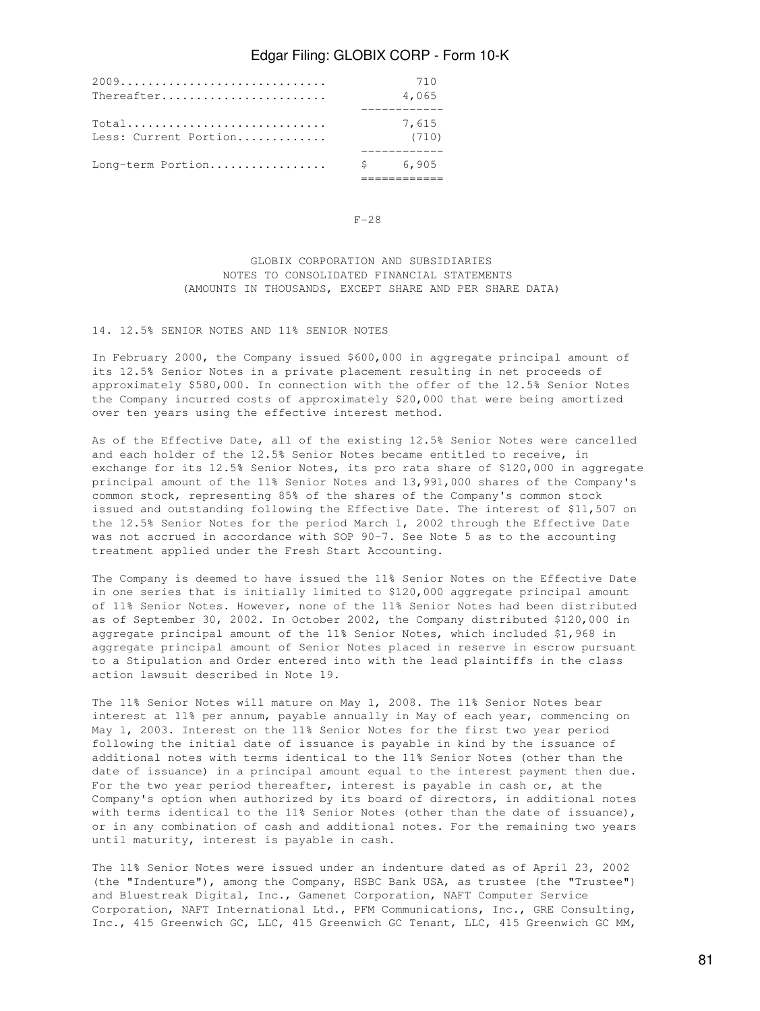|                       | 710     |
|-----------------------|---------|
| Thereafter            | 4,065   |
|                       |         |
| $Total$               | 7,615   |
| Less: Current Portion | (710)   |
|                       |         |
| Long-term Portion     | \$6,905 |
|                       |         |

 $F-28$ 

 GLOBIX CORPORATION AND SUBSIDIARIES NOTES TO CONSOLIDATED FINANCIAL STATEMENTS (AMOUNTS IN THOUSANDS, EXCEPT SHARE AND PER SHARE DATA)

## 14. 12.5% SENIOR NOTES AND 11% SENIOR NOTES

In February 2000, the Company issued \$600,000 in aggregate principal amount of its 12.5% Senior Notes in a private placement resulting in net proceeds of approximately \$580,000. In connection with the offer of the 12.5% Senior Notes the Company incurred costs of approximately \$20,000 that were being amortized over ten years using the effective interest method.

As of the Effective Date, all of the existing 12.5% Senior Notes were cancelled and each holder of the 12.5% Senior Notes became entitled to receive, in exchange for its 12.5% Senior Notes, its pro rata share of \$120,000 in aggregate principal amount of the 11% Senior Notes and 13,991,000 shares of the Company's common stock, representing 85% of the shares of the Company's common stock issued and outstanding following the Effective Date. The interest of \$11,507 on the 12.5% Senior Notes for the period March 1, 2002 through the Effective Date was not accrued in accordance with SOP 90-7. See Note 5 as to the accounting treatment applied under the Fresh Start Accounting.

The Company is deemed to have issued the 11% Senior Notes on the Effective Date in one series that is initially limited to \$120,000 aggregate principal amount of 11% Senior Notes. However, none of the 11% Senior Notes had been distributed as of September 30, 2002. In October 2002, the Company distributed \$120,000 in aggregate principal amount of the 11% Senior Notes, which included \$1,968 in aggregate principal amount of Senior Notes placed in reserve in escrow pursuant to a Stipulation and Order entered into with the lead plaintiffs in the class action lawsuit described in Note 19.

The 11% Senior Notes will mature on May 1, 2008. The 11% Senior Notes bear interest at 11% per annum, payable annually in May of each year, commencing on May 1, 2003. Interest on the 11% Senior Notes for the first two year period following the initial date of issuance is payable in kind by the issuance of additional notes with terms identical to the 11% Senior Notes (other than the date of issuance) in a principal amount equal to the interest payment then due. For the two year period thereafter, interest is payable in cash or, at the Company's option when authorized by its board of directors, in additional notes with terms identical to the 11% Senior Notes (other than the date of issuance), or in any combination of cash and additional notes. For the remaining two years until maturity, interest is payable in cash.

The 11% Senior Notes were issued under an indenture dated as of April 23, 2002 (the "Indenture"), among the Company, HSBC Bank USA, as trustee (the "Trustee") and Bluestreak Digital, Inc., Gamenet Corporation, NAFT Computer Service Corporation, NAFT International Ltd., PFM Communications, Inc., GRE Consulting, Inc., 415 Greenwich GC, LLC, 415 Greenwich GC Tenant, LLC, 415 Greenwich GC MM,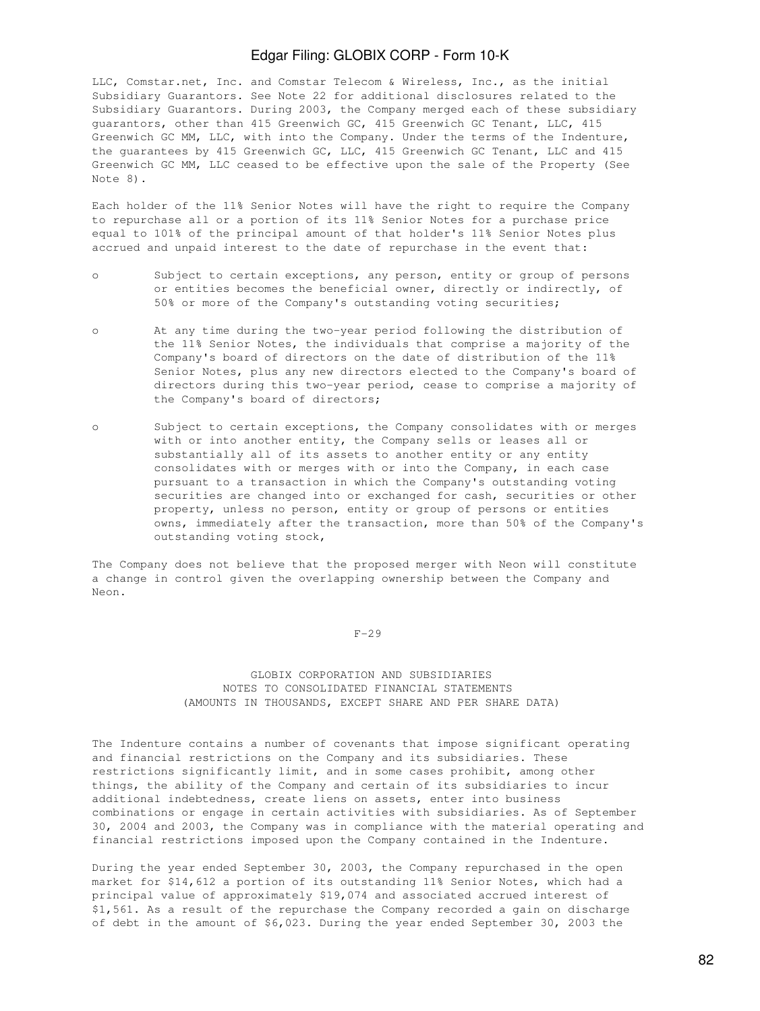LLC, Comstar.net, Inc. and Comstar Telecom & Wireless, Inc., as the initial Subsidiary Guarantors. See Note 22 for additional disclosures related to the Subsidiary Guarantors. During 2003, the Company merged each of these subsidiary guarantors, other than 415 Greenwich GC, 415 Greenwich GC Tenant, LLC, 415 Greenwich GC MM, LLC, with into the Company. Under the terms of the Indenture, the guarantees by 415 Greenwich GC, LLC, 415 Greenwich GC Tenant, LLC and 415 Greenwich GC MM, LLC ceased to be effective upon the sale of the Property (See Note 8).

Each holder of the 11% Senior Notes will have the right to require the Company to repurchase all or a portion of its 11% Senior Notes for a purchase price equal to 101% of the principal amount of that holder's 11% Senior Notes plus accrued and unpaid interest to the date of repurchase in the event that:

- o Subject to certain exceptions, any person, entity or group of persons or entities becomes the beneficial owner, directly or indirectly, of 50% or more of the Company's outstanding voting securities;
- o At any time during the two-year period following the distribution of the 11% Senior Notes, the individuals that comprise a majority of the Company's board of directors on the date of distribution of the 11% Senior Notes, plus any new directors elected to the Company's board of directors during this two-year period, cease to comprise a majority of the Company's board of directors;
- o Subject to certain exceptions, the Company consolidates with or merges with or into another entity, the Company sells or leases all or substantially all of its assets to another entity or any entity consolidates with or merges with or into the Company, in each case pursuant to a transaction in which the Company's outstanding voting securities are changed into or exchanged for cash, securities or other property, unless no person, entity or group of persons or entities owns, immediately after the transaction, more than 50% of the Company's outstanding voting stock,

The Company does not believe that the proposed merger with Neon will constitute a change in control given the overlapping ownership between the Company and Neon.

 $F-29$ 

## GLOBIX CORPORATION AND SUBSIDIARIES NOTES TO CONSOLIDATED FINANCIAL STATEMENTS (AMOUNTS IN THOUSANDS, EXCEPT SHARE AND PER SHARE DATA)

The Indenture contains a number of covenants that impose significant operating and financial restrictions on the Company and its subsidiaries. These restrictions significantly limit, and in some cases prohibit, among other things, the ability of the Company and certain of its subsidiaries to incur additional indebtedness, create liens on assets, enter into business combinations or engage in certain activities with subsidiaries. As of September 30, 2004 and 2003, the Company was in compliance with the material operating and financial restrictions imposed upon the Company contained in the Indenture.

During the year ended September 30, 2003, the Company repurchased in the open market for \$14,612 a portion of its outstanding 11% Senior Notes, which had a principal value of approximately \$19,074 and associated accrued interest of \$1,561. As a result of the repurchase the Company recorded a gain on discharge of debt in the amount of \$6,023. During the year ended September 30, 2003 the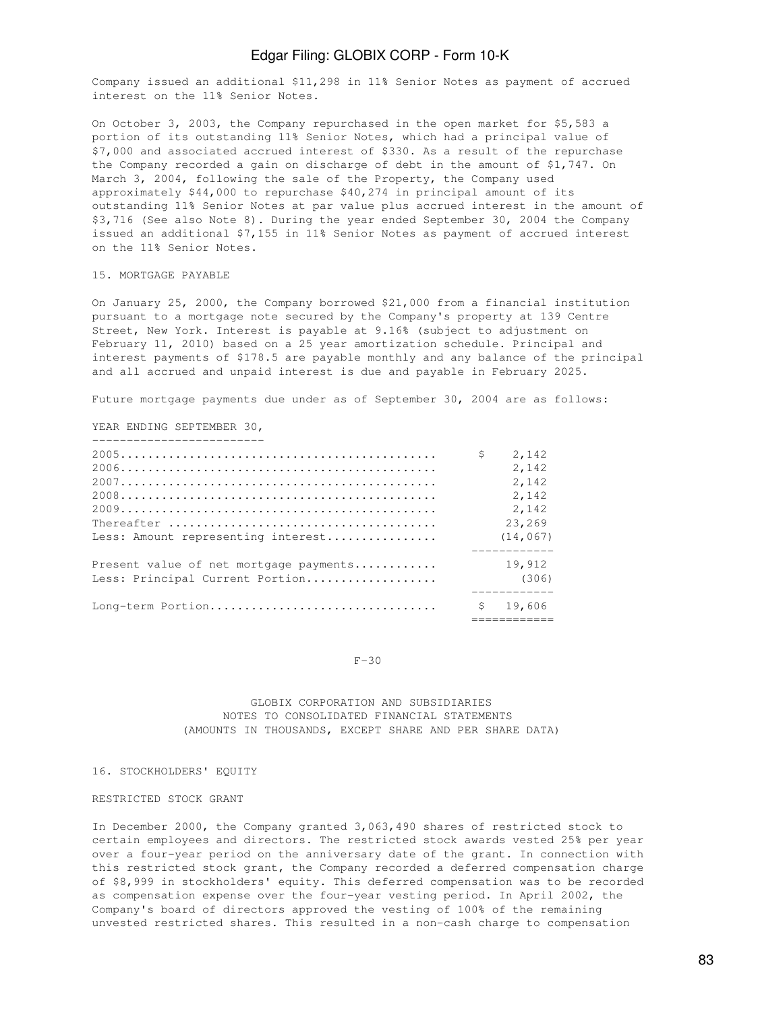Company issued an additional \$11,298 in 11% Senior Notes as payment of accrued interest on the 11% Senior Notes.

On October 3, 2003, the Company repurchased in the open market for \$5,583 a portion of its outstanding 11% Senior Notes, which had a principal value of \$7,000 and associated accrued interest of \$330. As a result of the repurchase the Company recorded a gain on discharge of debt in the amount of \$1,747. On March 3, 2004, following the sale of the Property, the Company used approximately \$44,000 to repurchase \$40,274 in principal amount of its outstanding 11% Senior Notes at par value plus accrued interest in the amount of \$3,716 (See also Note 8). During the year ended September 30, 2004 the Company issued an additional \$7,155 in 11% Senior Notes as payment of accrued interest on the 11% Senior Notes.

### 15. MORTGAGE PAYABLE

On January 25, 2000, the Company borrowed \$21,000 from a financial institution pursuant to a mortgage note secured by the Company's property at 139 Centre Street, New York. Interest is payable at 9.16% (subject to adjustment on February 11, 2010) based on a 25 year amortization schedule. Principal and interest payments of \$178.5 are payable monthly and any balance of the principal and all accrued and unpaid interest is due and payable in February 2025.

Future mortgage payments due under as of September 30, 2004 are as follows:

#### YEAR ENDING SEPTEMBER 30,

| ___________________________            |              |           |
|----------------------------------------|--------------|-----------|
|                                        | \$           | 2,142     |
|                                        |              | 2,142     |
|                                        |              | 2,142     |
|                                        |              | 2,142     |
|                                        |              | 2,142     |
|                                        |              | 23,269    |
| Less: Amount representing interest     |              | (14, 067) |
| Present value of net mortgage payments |              | 19,912    |
| Less: Principal Current Portion        |              | (306)     |
| Long-term Portion                      | $\mathsf{S}$ | 19,606    |

#### F-30

============

## GLOBIX CORPORATION AND SUBSIDIARIES NOTES TO CONSOLIDATED FINANCIAL STATEMENTS (AMOUNTS IN THOUSANDS, EXCEPT SHARE AND PER SHARE DATA)

#### 16. STOCKHOLDERS' EQUITY

## RESTRICTED STOCK GRANT

In December 2000, the Company granted 3,063,490 shares of restricted stock to certain employees and directors. The restricted stock awards vested 25% per year over a four-year period on the anniversary date of the grant. In connection with this restricted stock grant, the Company recorded a deferred compensation charge of \$8,999 in stockholders' equity. This deferred compensation was to be recorded as compensation expense over the four-year vesting period. In April 2002, the Company's board of directors approved the vesting of 100% of the remaining unvested restricted shares. This resulted in a non-cash charge to compensation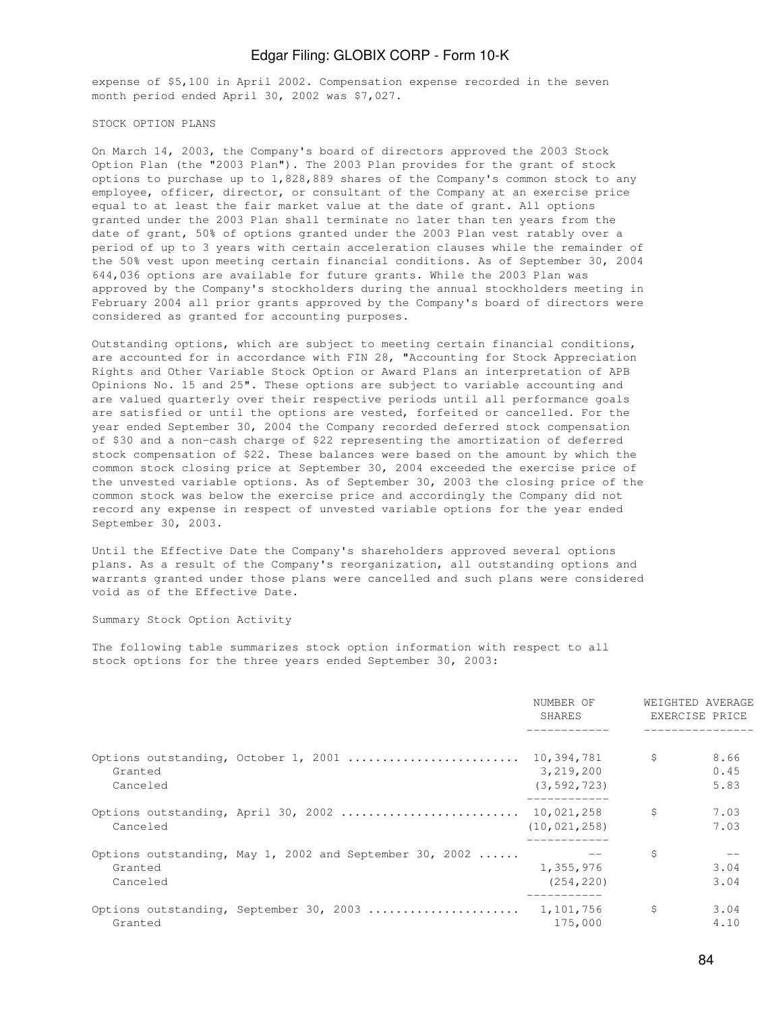expense of \$5,100 in April 2002. Compensation expense recorded in the seven month period ended April 30, 2002 was \$7,027.

#### STOCK OPTION PLANS

On March 14, 2003, the Company's board of directors approved the 2003 Stock Option Plan (the "2003 Plan"). The 2003 Plan provides for the grant of stock options to purchase up to 1,828,889 shares of the Company's common stock to any employee, officer, director, or consultant of the Company at an exercise price equal to at least the fair market value at the date of grant. All options granted under the 2003 Plan shall terminate no later than ten years from the date of grant, 50% of options granted under the 2003 Plan vest ratably over a period of up to 3 years with certain acceleration clauses while the remainder of the 50% vest upon meeting certain financial conditions. As of September 30, 2004 644,036 options are available for future grants. While the 2003 Plan was approved by the Company's stockholders during the annual stockholders meeting in February 2004 all prior grants approved by the Company's board of directors were considered as granted for accounting purposes.

Outstanding options, which are subject to meeting certain financial conditions, are accounted for in accordance with FIN 28, "Accounting for Stock Appreciation Rights and Other Variable Stock Option or Award Plans an interpretation of APB Opinions No. 15 and 25". These options are subject to variable accounting and are valued quarterly over their respective periods until all performance goals are satisfied or until the options are vested, forfeited or cancelled. For the year ended September 30, 2004 the Company recorded deferred stock compensation of \$30 and a non-cash charge of \$22 representing the amortization of deferred stock compensation of \$22. These balances were based on the amount by which the common stock closing price at September 30, 2004 exceeded the exercise price of the unvested variable options. As of September 30, 2003 the closing price of the common stock was below the exercise price and accordingly the Company did not record any expense in respect of unvested variable options for the year ended September 30, 2003.

Until the Effective Date the Company's shareholders approved several options plans. As a result of the Company's reorganization, all outstanding options and warrants granted under those plans were cancelled and such plans were considered void as of the Effective Date.

Summary Stock Option Activity

The following table summarizes stock option information with respect to all stock options for the three years ended September 30, 2003:

|                     |                                                         | NUMBER OF<br>SHARES                      | WEIGHTED AVERAGE | EXERCISE PRICE       |  |
|---------------------|---------------------------------------------------------|------------------------------------------|------------------|----------------------|--|
| Granted<br>Canceled | Options outstanding, October 1, 2001                    | 10,394,781<br>3,219,200<br>(3, 592, 723) | $\mathcal{S}$    | 8.66<br>0.45<br>5.83 |  |
| Canceled            | Options outstanding, April 30, 2002  10,021,258         | (10, 021, 258)                           | \$               | 7.03<br>7.03         |  |
| Granted<br>Canceled | Options outstanding, May 1, 2002 and September 30, 2002 | 1,355,976<br>(254, 220)                  | \$               | 3.04<br>3.04         |  |
| Granted             | Options outstanding, September 30, 2003                 | 1,101,756<br>175,000                     | \$               | 3.04<br>4.10         |  |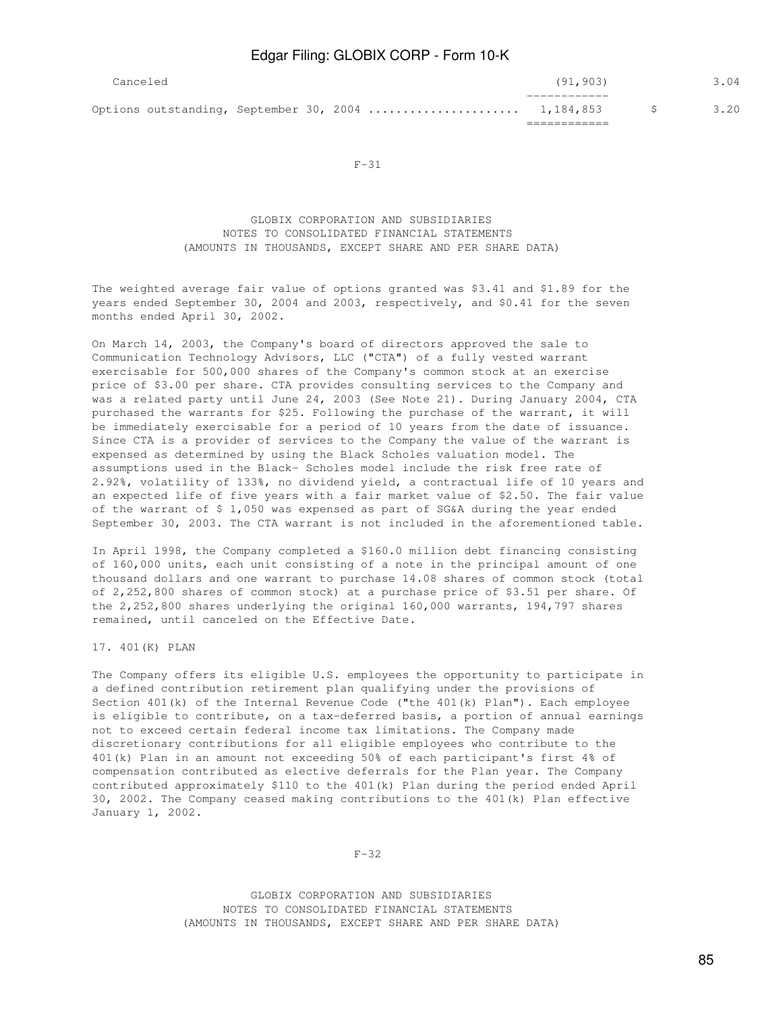| Canceled |  | (91, 903) |    | 3.04 |
|----------|--|-----------|----|------|
|          |  |           | S. | 3.20 |

F-31

 GLOBIX CORPORATION AND SUBSIDIARIES NOTES TO CONSOLIDATED FINANCIAL STATEMENTS (AMOUNTS IN THOUSANDS, EXCEPT SHARE AND PER SHARE DATA)

The weighted average fair value of options granted was \$3.41 and \$1.89 for the years ended September 30, 2004 and 2003, respectively, and \$0.41 for the seven months ended April 30, 2002.

On March 14, 2003, the Company's board of directors approved the sale to Communication Technology Advisors, LLC ("CTA") of a fully vested warrant exercisable for 500,000 shares of the Company's common stock at an exercise price of \$3.00 per share. CTA provides consulting services to the Company and was a related party until June 24, 2003 (See Note 21). During January 2004, CTA purchased the warrants for \$25. Following the purchase of the warrant, it will be immediately exercisable for a period of 10 years from the date of issuance. Since CTA is a provider of services to the Company the value of the warrant is expensed as determined by using the Black Scholes valuation model. The assumptions used in the Black- Scholes model include the risk free rate of 2.92%, volatility of 133%, no dividend yield, a contractual life of 10 years and an expected life of five years with a fair market value of \$2.50. The fair value of the warrant of \$ 1,050 was expensed as part of SG&A during the year ended September 30, 2003. The CTA warrant is not included in the aforementioned table.

In April 1998, the Company completed a \$160.0 million debt financing consisting of 160,000 units, each unit consisting of a note in the principal amount of one thousand dollars and one warrant to purchase 14.08 shares of common stock (total of 2,252,800 shares of common stock) at a purchase price of \$3.51 per share. Of the 2,252,800 shares underlying the original 160,000 warrants, 194,797 shares remained, until canceled on the Effective Date.

17. 401(K) PLAN

The Company offers its eligible U.S. employees the opportunity to participate in a defined contribution retirement plan qualifying under the provisions of Section 401(k) of the Internal Revenue Code ("the 401(k) Plan"). Each employee is eligible to contribute, on a tax-deferred basis, a portion of annual earnings not to exceed certain federal income tax limitations. The Company made discretionary contributions for all eligible employees who contribute to the 401(k) Plan in an amount not exceeding 50% of each participant's first 4% of compensation contributed as elective deferrals for the Plan year. The Company contributed approximately \$110 to the 401(k) Plan during the period ended April 30, 2002. The Company ceased making contributions to the 401(k) Plan effective January 1, 2002.

 $F-32$ 

 GLOBIX CORPORATION AND SUBSIDIARIES NOTES TO CONSOLIDATED FINANCIAL STATEMENTS (AMOUNTS IN THOUSANDS, EXCEPT SHARE AND PER SHARE DATA)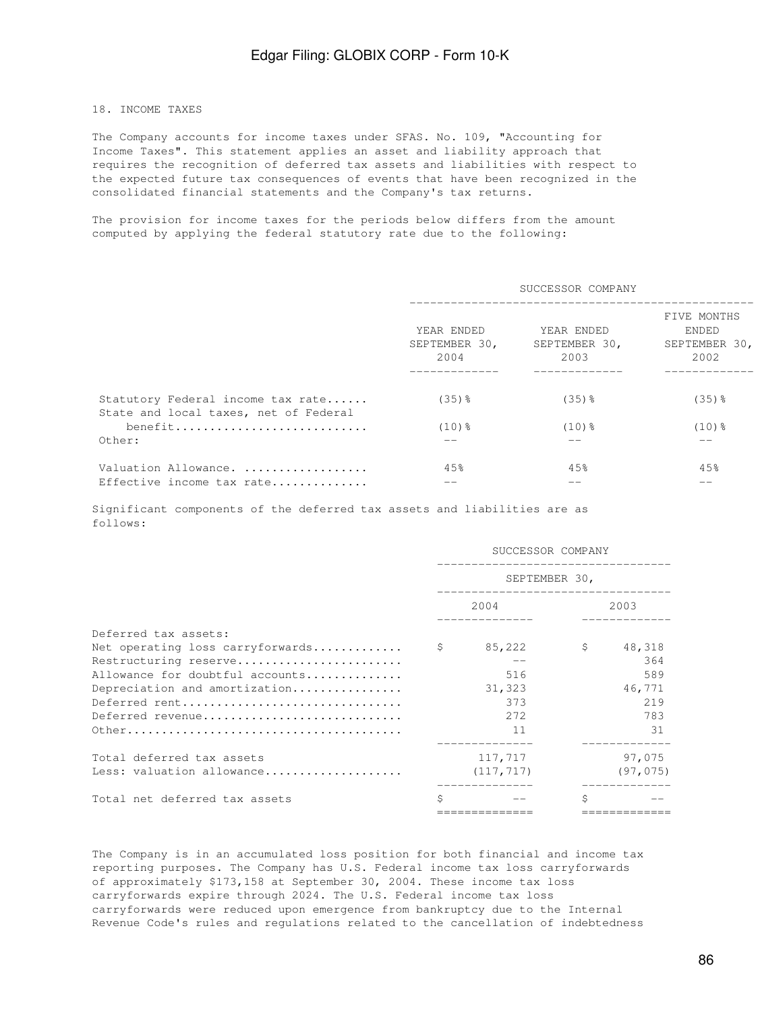## 18. INCOME TAXES

The Company accounts for income taxes under SFAS. No. 109, "Accounting for Income Taxes". This statement applies an asset and liability approach that requires the recognition of deferred tax assets and liabilities with respect to the expected future tax consequences of events that have been recognized in the consolidated financial statements and the Company's tax returns.

The provision for income taxes for the periods below differs from the amount computed by applying the federal statutory rate due to the following:

|                                                                            |                                     | SUCCESSOR COMPANY                   |                                               |  |  |  |  |
|----------------------------------------------------------------------------|-------------------------------------|-------------------------------------|-----------------------------------------------|--|--|--|--|
|                                                                            | YEAR ENDED<br>SEPTEMBER 30,<br>2004 | YEAR ENDED<br>SEPTEMBER 30,<br>2003 | FIVE MONTHS<br>ENDED<br>SEPTEMBER 30,<br>2002 |  |  |  |  |
| Statutory Federal income tax rate<br>State and local taxes, net of Federal | $(35)$ %                            | $(35)$ %                            | $(35)$ %                                      |  |  |  |  |
| benefit<br>Other:                                                          | $(10)$ $%$<br>--                    | $(10)$ $\frac{6}{5}$<br>--          | $(10)$ $%$                                    |  |  |  |  |
| Valuation Allowance.<br>Effective income tax rate                          | 45%<br>--                           | 45%                                 | 45%                                           |  |  |  |  |

Significant components of the deferred tax assets and liabilities are as follows:

|                                     | SUCCESSOR COMPANY |            |   |           |  |  |
|-------------------------------------|-------------------|------------|---|-----------|--|--|
|                                     | SEPTEMBER 30,     |            |   |           |  |  |
|                                     |                   | 2004       |   | 2003      |  |  |
| Deferred tax assets:                |                   |            |   |           |  |  |
| Net operating loss carryforwards \$ |                   | 85,222     | S | 48,318    |  |  |
| Restructuring reserve               |                   |            |   | 364       |  |  |
| Allowance for doubtful accounts     |                   | 516        |   | 589       |  |  |
| Depreciation and amortization       |                   | 31,323     |   | 46,771    |  |  |
| Deferred rent                       |                   | 373        |   | 219       |  |  |
| Deferred revenue                    |                   | 2.72       |   | 783       |  |  |
|                                     |                   | 11         |   | 31        |  |  |
| Total deferred tax assets           |                   | 117,717    |   | 97,075    |  |  |
| Less: valuation allowance           |                   | (117, 717) |   | (97, 075) |  |  |
| Total net deferred tax assets       | Ś                 |            | Ŝ |           |  |  |
|                                     |                   |            |   |           |  |  |

The Company is in an accumulated loss position for both financial and income tax reporting purposes. The Company has U.S. Federal income tax loss carryforwards of approximately \$173,158 at September 30, 2004. These income tax loss carryforwards expire through 2024. The U.S. Federal income tax loss carryforwards were reduced upon emergence from bankruptcy due to the Internal Revenue Code's rules and regulations related to the cancellation of indebtedness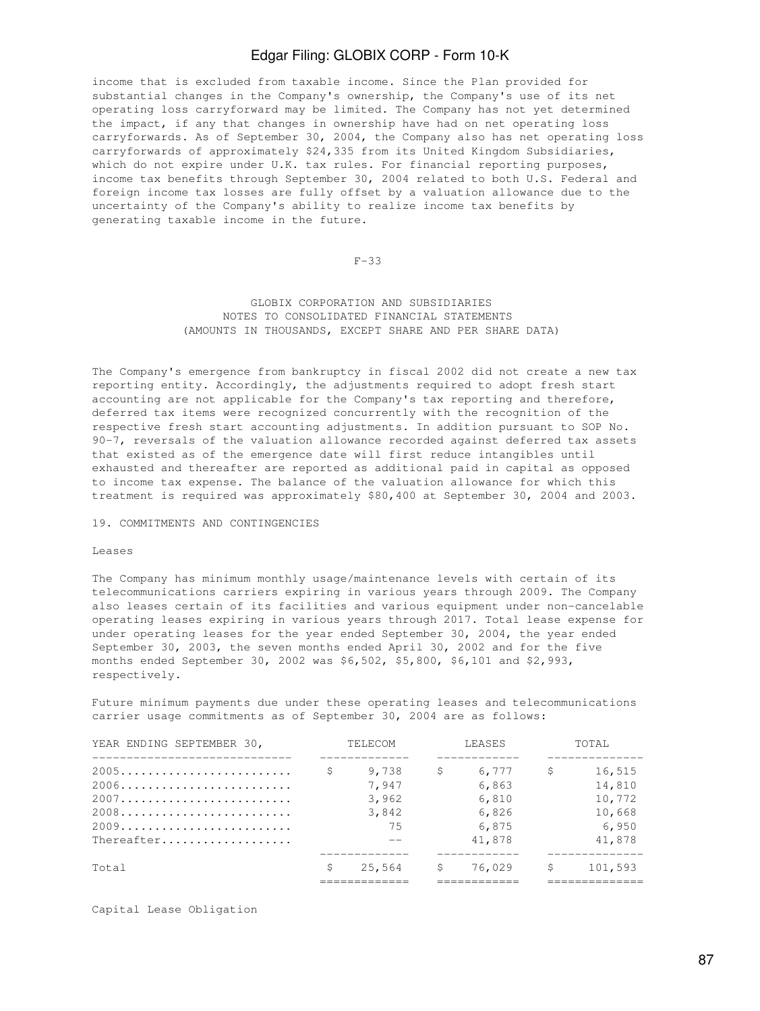income that is excluded from taxable income. Since the Plan provided for substantial changes in the Company's ownership, the Company's use of its net operating loss carryforward may be limited. The Company has not yet determined the impact, if any that changes in ownership have had on net operating loss carryforwards. As of September 30, 2004, the Company also has net operating loss carryforwards of approximately \$24,335 from its United Kingdom Subsidiaries, which do not expire under U.K. tax rules. For financial reporting purposes, income tax benefits through September 30, 2004 related to both U.S. Federal and foreign income tax losses are fully offset by a valuation allowance due to the uncertainty of the Company's ability to realize income tax benefits by generating taxable income in the future.

#### $F-33$

## GLOBIX CORPORATION AND SUBSIDIARIES NOTES TO CONSOLIDATED FINANCIAL STATEMENTS (AMOUNTS IN THOUSANDS, EXCEPT SHARE AND PER SHARE DATA)

The Company's emergence from bankruptcy in fiscal 2002 did not create a new tax reporting entity. Accordingly, the adjustments required to adopt fresh start accounting are not applicable for the Company's tax reporting and therefore, deferred tax items were recognized concurrently with the recognition of the respective fresh start accounting adjustments. In addition pursuant to SOP No. 90-7, reversals of the valuation allowance recorded against deferred tax assets that existed as of the emergence date will first reduce intangibles until exhausted and thereafter are reported as additional paid in capital as opposed to income tax expense. The balance of the valuation allowance for which this treatment is required was approximately \$80,400 at September 30, 2004 and 2003.

#### 19. COMMITMENTS AND CONTINGENCIES

#### Leases

The Company has minimum monthly usage/maintenance levels with certain of its telecommunications carriers expiring in various years through 2009. The Company also leases certain of its facilities and various equipment under non-cancelable operating leases expiring in various years through 2017. Total lease expense for under operating leases for the year ended September 30, 2004, the year ended September 30, 2003, the seven months ended April 30, 2002 and for the five months ended September 30, 2002 was \$6,502, \$5,800, \$6,101 and \$2,993, respectively.

Future minimum payments due under these operating leases and telecommunications carrier usage commitments as of September 30, 2004 are as follows:

| YEAR ENDING SEPTEMBER 30, |   | TELECOM                                | LEASES |                                                     | TOTAI. |                                                         |
|---------------------------|---|----------------------------------------|--------|-----------------------------------------------------|--------|---------------------------------------------------------|
| Thereafter                | Ŝ | 9,738<br>7.947<br>3,962<br>3,842<br>75 |        | 6,777<br>6,863<br>6,810<br>6,826<br>6,875<br>41,878 | \$     | 16,515<br>14,810<br>10,772<br>10,668<br>6,950<br>41,878 |
| Total                     | Ŝ | 25,564                                 |        | 76,029                                              | S      | 101,593                                                 |

Capital Lease Obligation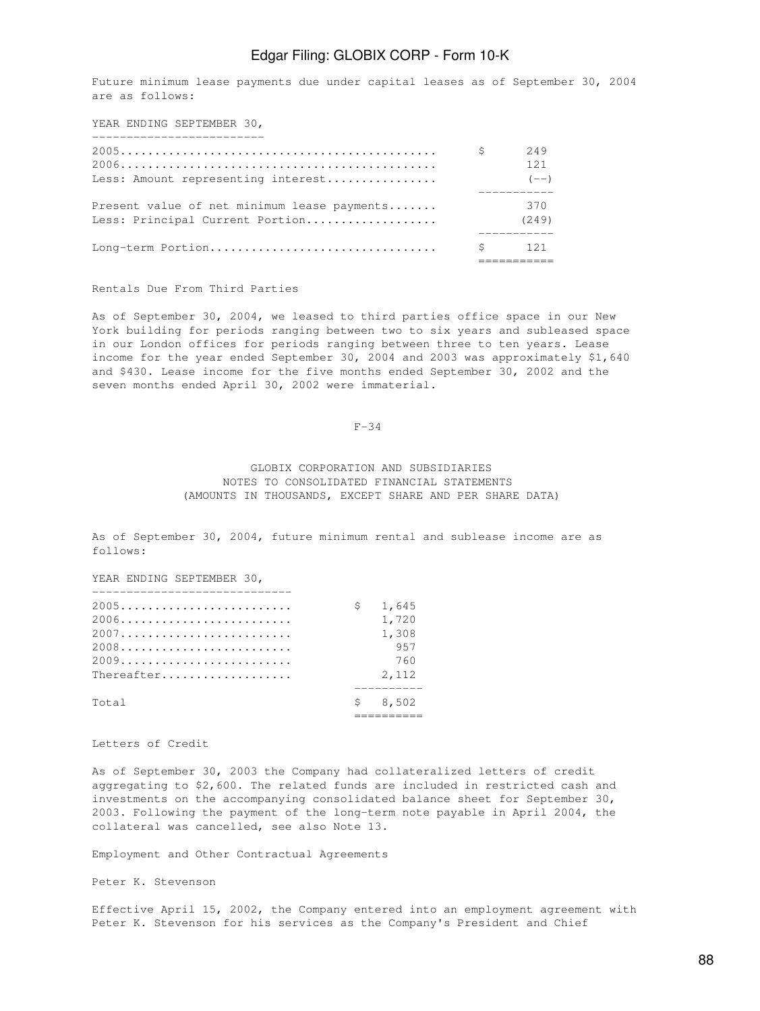Future minimum lease payments due under capital leases as of September 30, 2004 are as follows:

YEAR ENDING SEPTEMBER 30,

| <u> 1986 - Alexandria Alexandria Alexandria Alexandria Alexandria Alexandria Alexandria Alexandria Alexandria Alex</u> |    |                         |
|------------------------------------------------------------------------------------------------------------------------|----|-------------------------|
| Less: Amount representing interest                                                                                     | S. | 249<br>12.1<br>$(- - )$ |
| Present value of net minimum lease payments<br>Less: Principal Current Portion                                         |    | 370<br>(249)            |
| Long-term Portion                                                                                                      |    | $\mathsf{S}$ 121        |

#### Rentals Due From Third Parties

As of September 30, 2004, we leased to third parties office space in our New York building for periods ranging between two to six years and subleased space in our London offices for periods ranging between three to ten years. Lease income for the year ended September 30, 2004 and 2003 was approximately \$1,640 and \$430. Lease income for the five months ended September 30, 2002 and the seven months ended April 30, 2002 were immaterial.

#### $F-34$

## GLOBIX CORPORATION AND SUBSIDIARIES NOTES TO CONSOLIDATED FINANCIAL STATEMENTS (AMOUNTS IN THOUSANDS, EXCEPT SHARE AND PER SHARE DATA)

As of September 30, 2004, future minimum rental and sublease income are as follows:

YEAR ENDING SEPTEMBER 30,

|            | $\mathsf{S}^-$ | 1,645   |
|------------|----------------|---------|
|            |                | 1,720   |
|            |                | 1,308   |
|            |                | 957     |
|            |                | 760     |
| Thereafter |                | 2,112   |
| Total      |                | \$8,502 |
|            |                |         |

#### Letters of Credit

As of September 30, 2003 the Company had collateralized letters of credit aggregating to \$2,600. The related funds are included in restricted cash and investments on the accompanying consolidated balance sheet for September 30, 2003. Following the payment of the long-term note payable in April 2004, the collateral was cancelled, see also Note 13.

Employment and Other Contractual Agreements

Peter K. Stevenson

Effective April 15, 2002, the Company entered into an employment agreement with Peter K. Stevenson for his services as the Company's President and Chief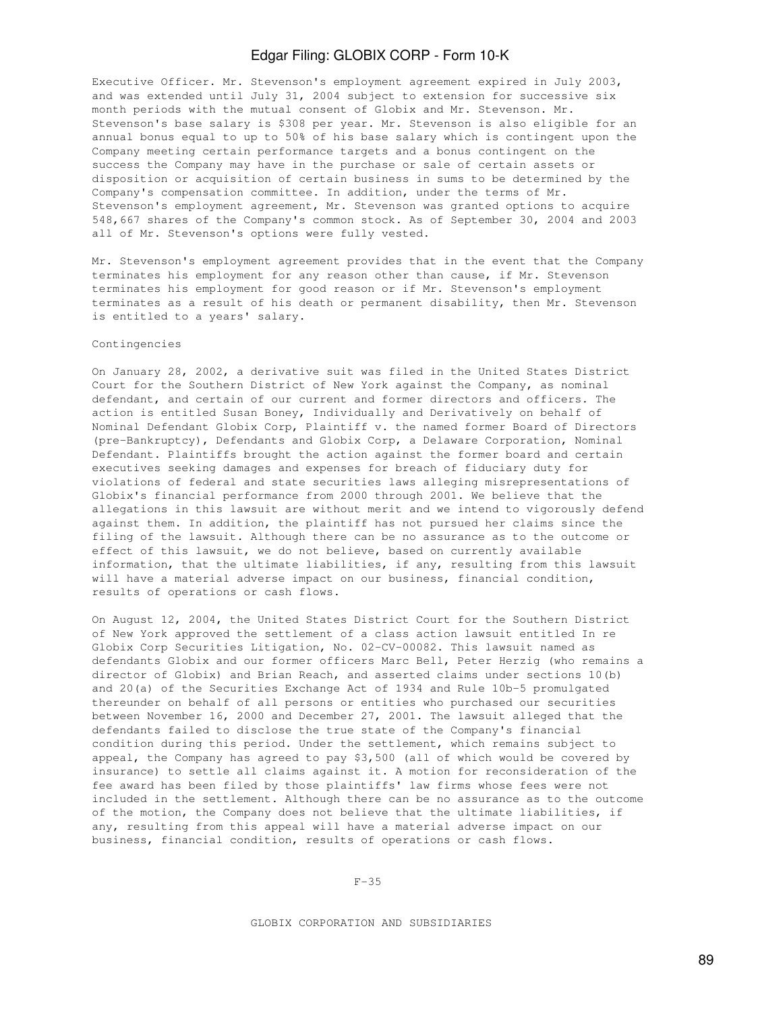Executive Officer. Mr. Stevenson's employment agreement expired in July 2003, and was extended until July 31, 2004 subject to extension for successive six month periods with the mutual consent of Globix and Mr. Stevenson. Mr. Stevenson's base salary is \$308 per year. Mr. Stevenson is also eligible for an annual bonus equal to up to 50% of his base salary which is contingent upon the Company meeting certain performance targets and a bonus contingent on the success the Company may have in the purchase or sale of certain assets or disposition or acquisition of certain business in sums to be determined by the Company's compensation committee. In addition, under the terms of Mr. Stevenson's employment agreement, Mr. Stevenson was granted options to acquire 548,667 shares of the Company's common stock. As of September 30, 2004 and 2003 all of Mr. Stevenson's options were fully vested.

Mr. Stevenson's employment agreement provides that in the event that the Company terminates his employment for any reason other than cause, if Mr. Stevenson terminates his employment for good reason or if Mr. Stevenson's employment terminates as a result of his death or permanent disability, then Mr. Stevenson is entitled to a years' salary.

## Contingencies

On January 28, 2002, a derivative suit was filed in the United States District Court for the Southern District of New York against the Company, as nominal defendant, and certain of our current and former directors and officers. The action is entitled Susan Boney, Individually and Derivatively on behalf of Nominal Defendant Globix Corp, Plaintiff v. the named former Board of Directors (pre-Bankruptcy), Defendants and Globix Corp, a Delaware Corporation, Nominal Defendant. Plaintiffs brought the action against the former board and certain executives seeking damages and expenses for breach of fiduciary duty for violations of federal and state securities laws alleging misrepresentations of Globix's financial performance from 2000 through 2001. We believe that the allegations in this lawsuit are without merit and we intend to vigorously defend against them. In addition, the plaintiff has not pursued her claims since the filing of the lawsuit. Although there can be no assurance as to the outcome or effect of this lawsuit, we do not believe, based on currently available information, that the ultimate liabilities, if any, resulting from this lawsuit will have a material adverse impact on our business, financial condition, results of operations or cash flows.

On August 12, 2004, the United States District Court for the Southern District of New York approved the settlement of a class action lawsuit entitled In re Globix Corp Securities Litigation, No. 02-CV-00082. This lawsuit named as defendants Globix and our former officers Marc Bell, Peter Herzig (who remains a director of Globix) and Brian Reach, and asserted claims under sections 10(b) and 20(a) of the Securities Exchange Act of 1934 and Rule 10b-5 promulgated thereunder on behalf of all persons or entities who purchased our securities between November 16, 2000 and December 27, 2001. The lawsuit alleged that the defendants failed to disclose the true state of the Company's financial condition during this period. Under the settlement, which remains subject to appeal, the Company has agreed to pay \$3,500 (all of which would be covered by insurance) to settle all claims against it. A motion for reconsideration of the fee award has been filed by those plaintiffs' law firms whose fees were not included in the settlement. Although there can be no assurance as to the outcome of the motion, the Company does not believe that the ultimate liabilities, if any, resulting from this appeal will have a material adverse impact on our business, financial condition, results of operations or cash flows.

F-35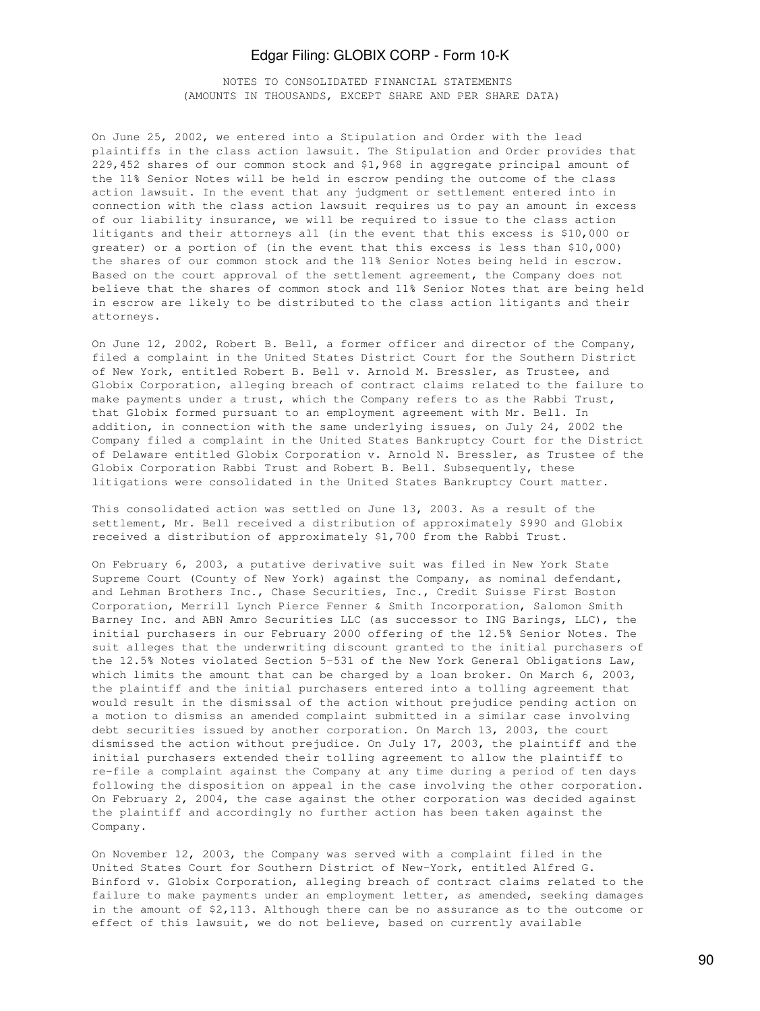NOTES TO CONSOLIDATED FINANCIAL STATEMENTS (AMOUNTS IN THOUSANDS, EXCEPT SHARE AND PER SHARE DATA)

On June 25, 2002, we entered into a Stipulation and Order with the lead plaintiffs in the class action lawsuit. The Stipulation and Order provides that 229,452 shares of our common stock and \$1,968 in aggregate principal amount of the 11% Senior Notes will be held in escrow pending the outcome of the class action lawsuit. In the event that any judgment or settlement entered into in connection with the class action lawsuit requires us to pay an amount in excess of our liability insurance, we will be required to issue to the class action litigants and their attorneys all (in the event that this excess is \$10,000 or greater) or a portion of (in the event that this excess is less than \$10,000) the shares of our common stock and the 11% Senior Notes being held in escrow. Based on the court approval of the settlement agreement, the Company does not believe that the shares of common stock and 11% Senior Notes that are being held in escrow are likely to be distributed to the class action litigants and their attorneys.

On June 12, 2002, Robert B. Bell, a former officer and director of the Company, filed a complaint in the United States District Court for the Southern District of New York, entitled Robert B. Bell v. Arnold M. Bressler, as Trustee, and Globix Corporation, alleging breach of contract claims related to the failure to make payments under a trust, which the Company refers to as the Rabbi Trust, that Globix formed pursuant to an employment agreement with Mr. Bell. In addition, in connection with the same underlying issues, on July 24, 2002 the Company filed a complaint in the United States Bankruptcy Court for the District of Delaware entitled Globix Corporation v. Arnold N. Bressler, as Trustee of the Globix Corporation Rabbi Trust and Robert B. Bell. Subsequently, these litigations were consolidated in the United States Bankruptcy Court matter.

This consolidated action was settled on June 13, 2003. As a result of the settlement, Mr. Bell received a distribution of approximately \$990 and Globix received a distribution of approximately \$1,700 from the Rabbi Trust.

On February 6, 2003, a putative derivative suit was filed in New York State Supreme Court (County of New York) against the Company, as nominal defendant, and Lehman Brothers Inc., Chase Securities, Inc., Credit Suisse First Boston Corporation, Merrill Lynch Pierce Fenner & Smith Incorporation, Salomon Smith Barney Inc. and ABN Amro Securities LLC (as successor to ING Barings, LLC), the initial purchasers in our February 2000 offering of the 12.5% Senior Notes. The suit alleges that the underwriting discount granted to the initial purchasers of the 12.5% Notes violated Section 5-531 of the New York General Obligations Law, which limits the amount that can be charged by a loan broker. On March 6, 2003, the plaintiff and the initial purchasers entered into a tolling agreement that would result in the dismissal of the action without prejudice pending action on a motion to dismiss an amended complaint submitted in a similar case involving debt securities issued by another corporation. On March 13, 2003, the court dismissed the action without prejudice. On July 17, 2003, the plaintiff and the initial purchasers extended their tolling agreement to allow the plaintiff to re-file a complaint against the Company at any time during a period of ten days following the disposition on appeal in the case involving the other corporation. On February 2, 2004, the case against the other corporation was decided against the plaintiff and accordingly no further action has been taken against the Company.

On November 12, 2003, the Company was served with a complaint filed in the United States Court for Southern District of New-York, entitled Alfred G. Binford v. Globix Corporation, alleging breach of contract claims related to the failure to make payments under an employment letter, as amended, seeking damages in the amount of \$2,113. Although there can be no assurance as to the outcome or effect of this lawsuit, we do not believe, based on currently available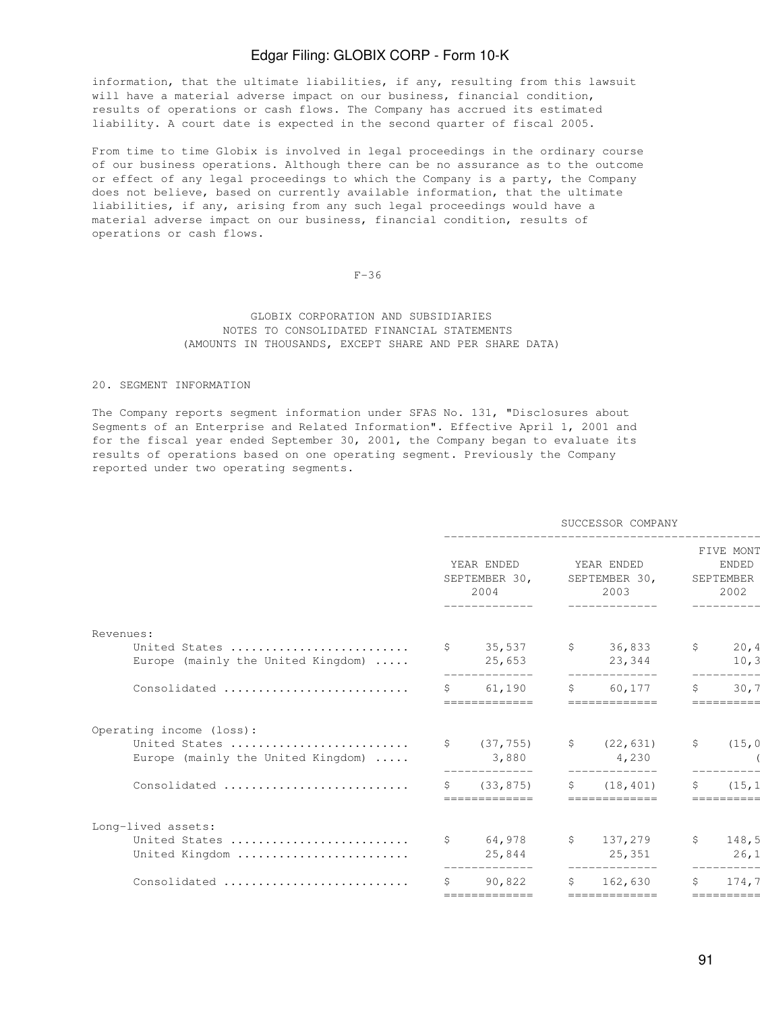information, that the ultimate liabilities, if any, resulting from this lawsuit will have a material adverse impact on our business, financial condition, results of operations or cash flows. The Company has accrued its estimated liability. A court date is expected in the second quarter of fiscal 2005.

From time to time Globix is involved in legal proceedings in the ordinary course of our business operations. Although there can be no assurance as to the outcome or effect of any legal proceedings to which the Company is a party, the Company does not believe, based on currently available information, that the ultimate liabilities, if any, arising from any such legal proceedings would have a material adverse impact on our business, financial condition, results of operations or cash flows.

#### F-36

## GLOBIX CORPORATION AND SUBSIDIARIES NOTES TO CONSOLIDATED FINANCIAL STATEMENTS (AMOUNTS IN THOUSANDS, EXCEPT SHARE AND PER SHARE DATA)

#### 20. SEGMENT INFORMATION

The Company reports segment information under SFAS No. 131, "Disclosures about Segments of an Enterprise and Related Information". Effective April 1, 2001 and for the fiscal year ended September 30, 2001, the Company began to evaluate its results of operations based on one operating segment. Previously the Company reported under two operating segments.

|                                                     |              |                                     |    | SUCCESSOR COMPANY                   |              |                                                |
|-----------------------------------------------------|--------------|-------------------------------------|----|-------------------------------------|--------------|------------------------------------------------|
|                                                     |              | YEAR ENDED<br>SEPTEMBER 30,<br>2004 |    | YEAR ENDED<br>SEPTEMBER 30,<br>2003 |              | FIVE MONT<br><b>ENDED</b><br>SEPTEMBER<br>2002 |
| Revenues:                                           |              |                                     |    |                                     |              |                                                |
| United States<br>Europe (mainly the United Kingdom) |              | \$35,537<br>25,653<br>------------- |    | \$36,833<br>23,344<br>------------- | S.           | 20,4<br>10,3<br>-----------                    |
| Consolidated                                        |              | \$61,190<br>=============           |    | \$60,177<br>=============           | Ŝ            | 30,7<br>==========                             |
| Operating income (loss):                            |              |                                     |    |                                     |              |                                                |
| United States<br>Europe (mainly the United Kingdom) |              | \$ (37, 755)<br>3,880               |    | $\frac{22}{631}$<br>4,230           | $\mathsf{S}$ | (15, 0)                                        |
| Consolidated                                        | $\mathsf{S}$ | (33, 875)<br>=============          | S  | (18, 401)<br>=============          | \$           | (15, 1)<br>==========                          |
| Long-lived assets:                                  |              |                                     |    |                                     |              |                                                |
| United States<br>United Kingdom                     |              | \$64,978<br>25,844                  |    | \$137,279<br>25,351                 | $\mathsf{S}$ | 148,5<br>26,1                                  |
| Consolidated                                        | Ŝ.           | 90,822                              | S. | 162,630                             | Ŝ.           | 174,7                                          |
|                                                     |              | =============                       |    | =============                       |              | ==========                                     |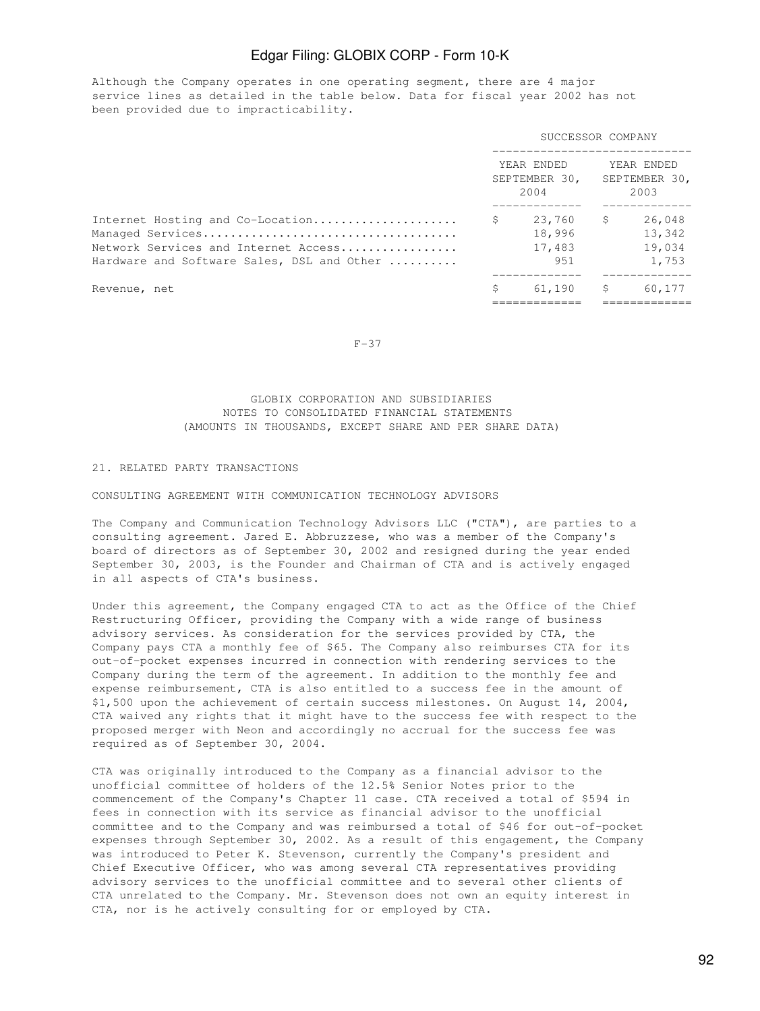Although the Company operates in one operating segment, there are 4 major service lines as detailed in the table below. Data for fiscal year 2002 has not been provided due to impracticability.

|                                                                                                                        | SUCCESSOR COMPANY                       |    |                                     |  |  |
|------------------------------------------------------------------------------------------------------------------------|-----------------------------------------|----|-------------------------------------|--|--|
|                                                                                                                        | YEAR ENDED<br>SEPTEMBER 30,<br>2004     |    | YEAR ENDED<br>SEPTEMBER 30,<br>2003 |  |  |
| Internet Hosting and Co-Location<br>Network Services and Internet Access<br>Hardware and Software Sales, DSL and Other | \$<br>23,760<br>18,996<br>17,483<br>951 | S. | 26,048<br>13,342<br>19,034<br>1,753 |  |  |
| Revenue, net                                                                                                           | \$<br>61,190                            | S. | 60,177                              |  |  |

#### $F-37$

## GLOBIX CORPORATION AND SUBSIDIARIES NOTES TO CONSOLIDATED FINANCIAL STATEMENTS (AMOUNTS IN THOUSANDS, EXCEPT SHARE AND PER SHARE DATA)

## 21. RELATED PARTY TRANSACTIONS

CONSULTING AGREEMENT WITH COMMUNICATION TECHNOLOGY ADVISORS

The Company and Communication Technology Advisors LLC ("CTA"), are parties to a consulting agreement. Jared E. Abbruzzese, who was a member of the Company's board of directors as of September 30, 2002 and resigned during the year ended September 30, 2003, is the Founder and Chairman of CTA and is actively engaged in all aspects of CTA's business.

Under this agreement, the Company engaged CTA to act as the Office of the Chief Restructuring Officer, providing the Company with a wide range of business advisory services. As consideration for the services provided by CTA, the Company pays CTA a monthly fee of \$65. The Company also reimburses CTA for its out-of-pocket expenses incurred in connection with rendering services to the Company during the term of the agreement. In addition to the monthly fee and expense reimbursement, CTA is also entitled to a success fee in the amount of \$1,500 upon the achievement of certain success milestones. On August 14, 2004, CTA waived any rights that it might have to the success fee with respect to the proposed merger with Neon and accordingly no accrual for the success fee was required as of September 30, 2004.

CTA was originally introduced to the Company as a financial advisor to the unofficial committee of holders of the 12.5% Senior Notes prior to the commencement of the Company's Chapter 11 case. CTA received a total of \$594 in fees in connection with its service as financial advisor to the unofficial committee and to the Company and was reimbursed a total of \$46 for out-of-pocket expenses through September 30, 2002. As a result of this engagement, the Company was introduced to Peter K. Stevenson, currently the Company's president and Chief Executive Officer, who was among several CTA representatives providing advisory services to the unofficial committee and to several other clients of CTA unrelated to the Company. Mr. Stevenson does not own an equity interest in CTA, nor is he actively consulting for or employed by CTA.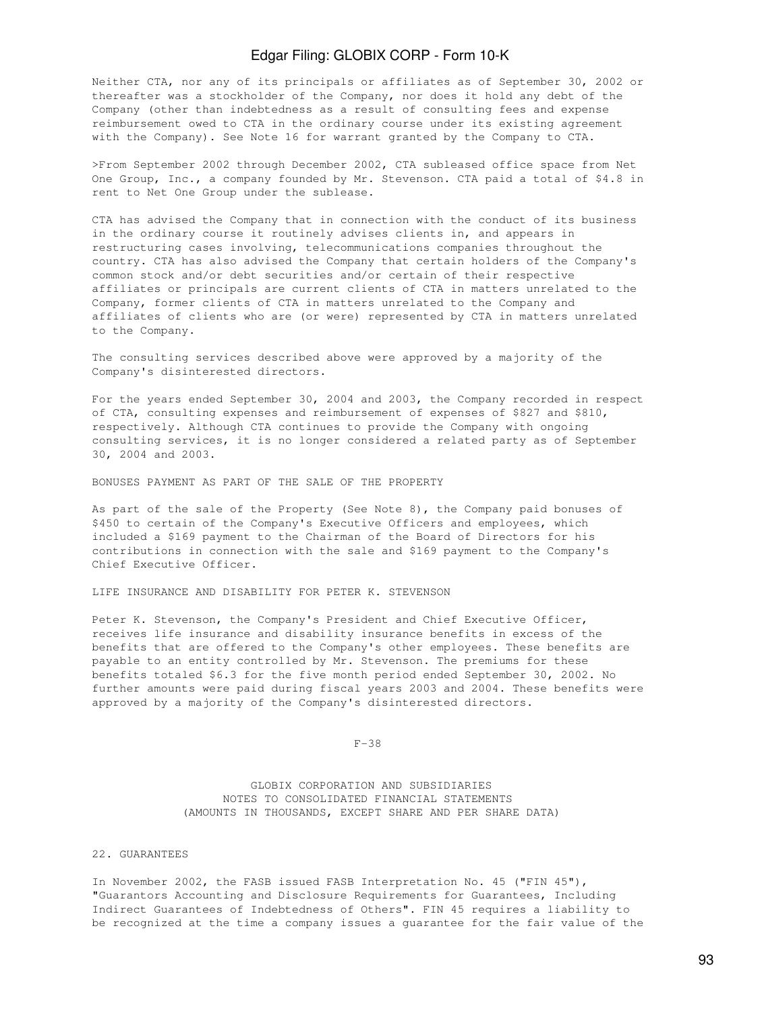Neither CTA, nor any of its principals or affiliates as of September 30, 2002 or thereafter was a stockholder of the Company, nor does it hold any debt of the Company (other than indebtedness as a result of consulting fees and expense reimbursement owed to CTA in the ordinary course under its existing agreement with the Company). See Note 16 for warrant granted by the Company to CTA.

>From September 2002 through December 2002, CTA subleased office space from Net One Group, Inc., a company founded by Mr. Stevenson. CTA paid a total of \$4.8 in rent to Net One Group under the sublease.

CTA has advised the Company that in connection with the conduct of its business in the ordinary course it routinely advises clients in, and appears in restructuring cases involving, telecommunications companies throughout the country. CTA has also advised the Company that certain holders of the Company's common stock and/or debt securities and/or certain of their respective affiliates or principals are current clients of CTA in matters unrelated to the Company, former clients of CTA in matters unrelated to the Company and affiliates of clients who are (or were) represented by CTA in matters unrelated to the Company.

The consulting services described above were approved by a majority of the Company's disinterested directors.

For the years ended September 30, 2004 and 2003, the Company recorded in respect of CTA, consulting expenses and reimbursement of expenses of \$827 and \$810, respectively. Although CTA continues to provide the Company with ongoing consulting services, it is no longer considered a related party as of September 30, 2004 and 2003.

BONUSES PAYMENT AS PART OF THE SALE OF THE PROPERTY

As part of the sale of the Property (See Note 8), the Company paid bonuses of \$450 to certain of the Company's Executive Officers and employees, which included a \$169 payment to the Chairman of the Board of Directors for his contributions in connection with the sale and \$169 payment to the Company's Chief Executive Officer.

LIFE INSURANCE AND DISABILITY FOR PETER K. STEVENSON

Peter K. Stevenson, the Company's President and Chief Executive Officer, receives life insurance and disability insurance benefits in excess of the benefits that are offered to the Company's other employees. These benefits are payable to an entity controlled by Mr. Stevenson. The premiums for these benefits totaled \$6.3 for the five month period ended September 30, 2002. No further amounts were paid during fiscal years 2003 and 2004. These benefits were approved by a majority of the Company's disinterested directors.

F-38

 GLOBIX CORPORATION AND SUBSIDIARIES NOTES TO CONSOLIDATED FINANCIAL STATEMENTS (AMOUNTS IN THOUSANDS, EXCEPT SHARE AND PER SHARE DATA)

## 22. GUARANTEES

In November 2002, the FASB issued FASB Interpretation No. 45 ("FIN 45"), "Guarantors Accounting and Disclosure Requirements for Guarantees, Including Indirect Guarantees of Indebtedness of Others". FIN 45 requires a liability to be recognized at the time a company issues a guarantee for the fair value of the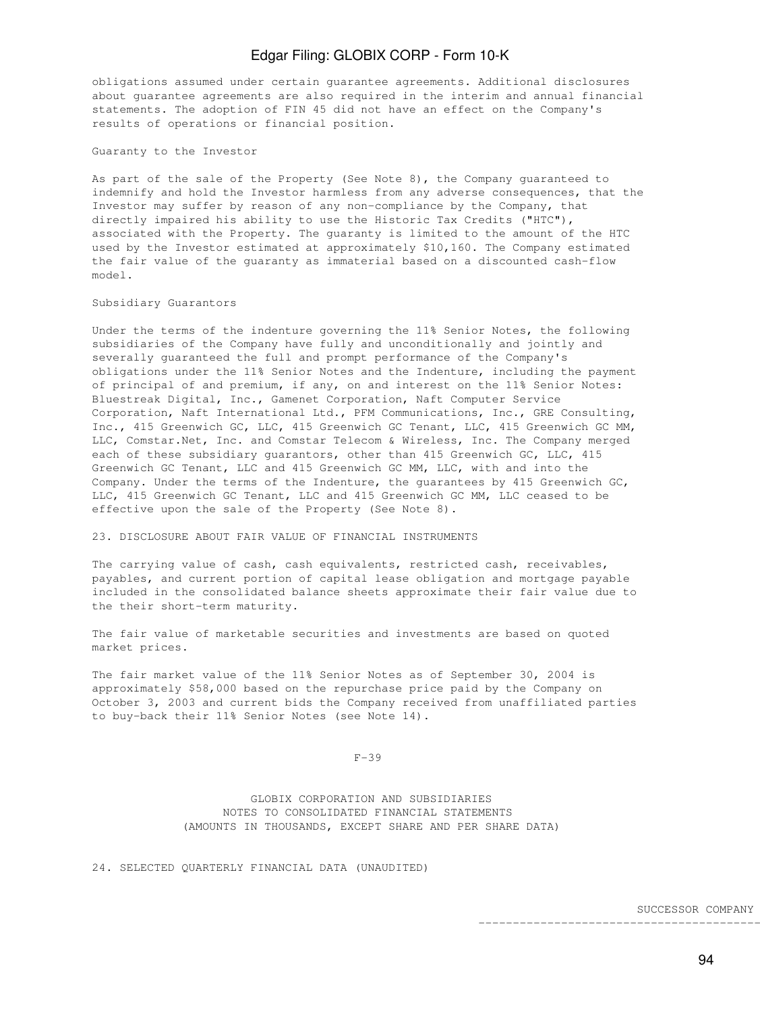obligations assumed under certain guarantee agreements. Additional disclosures about guarantee agreements are also required in the interim and annual financial statements. The adoption of FIN 45 did not have an effect on the Company's results of operations or financial position.

Guaranty to the Investor

As part of the sale of the Property (See Note 8), the Company guaranteed to indemnify and hold the Investor harmless from any adverse consequences, that the Investor may suffer by reason of any non-compliance by the Company, that directly impaired his ability to use the Historic Tax Credits ("HTC"), associated with the Property. The guaranty is limited to the amount of the HTC used by the Investor estimated at approximately \$10,160. The Company estimated the fair value of the guaranty as immaterial based on a discounted cash-flow model.

#### Subsidiary Guarantors

Under the terms of the indenture governing the 11% Senior Notes, the following subsidiaries of the Company have fully and unconditionally and jointly and severally guaranteed the full and prompt performance of the Company's obligations under the 11% Senior Notes and the Indenture, including the payment of principal of and premium, if any, on and interest on the 11% Senior Notes: Bluestreak Digital, Inc., Gamenet Corporation, Naft Computer Service Corporation, Naft International Ltd., PFM Communications, Inc., GRE Consulting, Inc., 415 Greenwich GC, LLC, 415 Greenwich GC Tenant, LLC, 415 Greenwich GC MM, LLC, Comstar.Net, Inc. and Comstar Telecom & Wireless, Inc. The Company merged each of these subsidiary guarantors, other than 415 Greenwich GC, LLC, 415 Greenwich GC Tenant, LLC and 415 Greenwich GC MM, LLC, with and into the Company. Under the terms of the Indenture, the guarantees by 415 Greenwich GC, LLC, 415 Greenwich GC Tenant, LLC and 415 Greenwich GC MM, LLC ceased to be effective upon the sale of the Property (See Note 8).

#### 23. DISCLOSURE ABOUT FAIR VALUE OF FINANCIAL INSTRUMENTS

The carrying value of cash, cash equivalents, restricted cash, receivables, payables, and current portion of capital lease obligation and mortgage payable included in the consolidated balance sheets approximate their fair value due to the their short-term maturity.

The fair value of marketable securities and investments are based on quoted market prices.

The fair market value of the 11% Senior Notes as of September 30, 2004 is approximately \$58,000 based on the repurchase price paid by the Company on October 3, 2003 and current bids the Company received from unaffiliated parties to buy-back their 11% Senior Notes (see Note 14).

F-39

 GLOBIX CORPORATION AND SUBSIDIARIES NOTES TO CONSOLIDATED FINANCIAL STATEMENTS (AMOUNTS IN THOUSANDS, EXCEPT SHARE AND PER SHARE DATA)

24. SELECTED QUARTERLY FINANCIAL DATA (UNAUDITED)

SUCCESSOR COMPANY

-------------------------------------------------------------------

94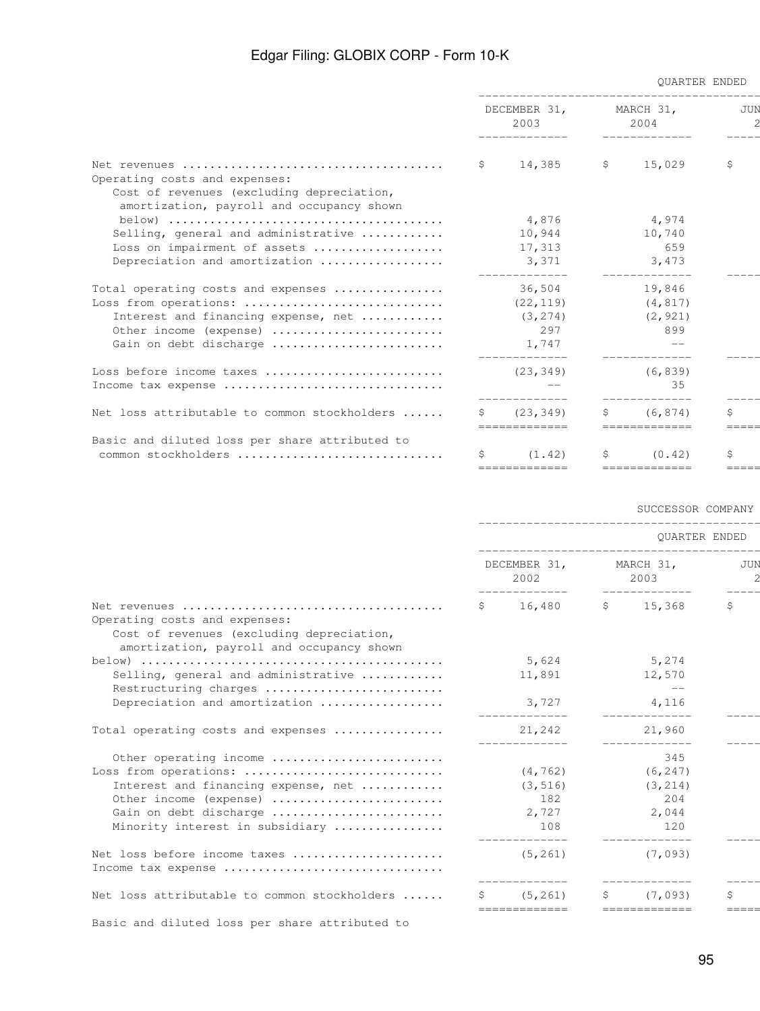|                                                |                      |                               | <b>OUARTER ENDED</b><br>___________________________________ |                           |             |  |
|------------------------------------------------|----------------------|-------------------------------|-------------------------------------------------------------|---------------------------|-------------|--|
|                                                | DECEMBER 31,<br>2003 |                               | MARCH 31,<br>2004                                           |                           | JUN         |  |
|                                                |                      | $$14,385$ $$15,029$           |                                                             |                           | \$          |  |
| Operating costs and expenses:                  |                      |                               |                                                             |                           |             |  |
| Cost of revenues (excluding depreciation,      |                      |                               |                                                             |                           |             |  |
| amortization, payroll and occupancy shown      |                      |                               |                                                             |                           |             |  |
|                                                |                      | 4,876                         |                                                             | 4,974                     |             |  |
| Selling, general and administrative            |                      | 10,944                        |                                                             | 10,740                    |             |  |
| Loss on impairment of assets                   |                      | 17,313                        |                                                             | 659                       |             |  |
| Depreciation and amortization                  |                      | 3,371                         |                                                             | 3,473                     |             |  |
| Total operating costs and expenses             |                      | 36,504 19,846                 |                                                             |                           |             |  |
| Loss from operations:                          |                      | (22, 119)                     |                                                             | (4, 817)                  |             |  |
| Interest and financing expense, net            |                      | (3, 274)                      |                                                             | (2, 921)                  |             |  |
| Other income (expense)                         |                      | 2.97                          |                                                             | 899                       |             |  |
| Gain on debt discharge                         |                      | 1,747                         |                                                             |                           |             |  |
|                                                |                      |                               |                                                             |                           |             |  |
| Income tax expense                             |                      |                               |                                                             | 35                        |             |  |
| Net loss attributable to common stockholders   |                      | \$ (23, 349)<br>============= |                                                             | (6, 874)<br>============= | \$<br>===== |  |
| Basic and diluted loss per share attributed to |                      |                               |                                                             |                           |             |  |
| common stockholders                            |                      | $\sin(1.42)$                  | S.                                                          | (0.42)                    | \$          |  |

## SUCCESSOR COMPANY

============= ============= ============= =============

|                                                                                        | <b>OUARTER ENDED</b><br>____________________________________ |                                            |  |                             |       |  |  |  |
|----------------------------------------------------------------------------------------|--------------------------------------------------------------|--------------------------------------------|--|-----------------------------|-------|--|--|--|
|                                                                                        |                                                              | DECEMBER 31,<br>2002                       |  | MARCH 31,<br>2003           |       |  |  |  |
| Operating costs and expenses:                                                          |                                                              | $$16,480$ $$15,368$                        |  | -------------               | \$    |  |  |  |
| Cost of revenues (excluding depreciation,<br>amortization, payroll and occupancy shown |                                                              |                                            |  |                             |       |  |  |  |
|                                                                                        |                                                              | 5,624                                      |  | 5,274                       |       |  |  |  |
| Selling, general and administrative<br>Restructuring charges                           |                                                              | 11,891                                     |  | 12,570<br>$\qquad \qquad -$ |       |  |  |  |
| Depreciation and amortization                                                          |                                                              | 3,727                                      |  | 4,116                       |       |  |  |  |
| Total operating costs and expenses                                                     |                                                              | 21,242                                     |  | 21,960                      |       |  |  |  |
| Other operating income                                                                 |                                                              |                                            |  | 345                         |       |  |  |  |
| Loss from operations:                                                                  |                                                              | $(4, 762)$ (6,247)                         |  |                             |       |  |  |  |
| Interest and financing expense, net                                                    |                                                              | (3, 516)                                   |  | (3, 214)                    |       |  |  |  |
| Other income (expense)                                                                 |                                                              | 182                                        |  | 204                         |       |  |  |  |
| Gain on debt discharge                                                                 |                                                              | 2,727                                      |  | 2,044                       |       |  |  |  |
| Minority interest in subsidiary                                                        |                                                              | 108                                        |  | 120                         |       |  |  |  |
| Net loss before income taxes                                                           |                                                              | (5, 261)                                   |  | (7,093)                     |       |  |  |  |
| Income tax expense                                                                     |                                                              |                                            |  |                             |       |  |  |  |
| Net loss attributable to common stockholders                                           | S.                                                           | (5, 261)<br>============================== |  | (7,093)                     | \$    |  |  |  |
|                                                                                        |                                                              |                                            |  |                             | ===== |  |  |  |

Basic and diluted loss per share attributed to